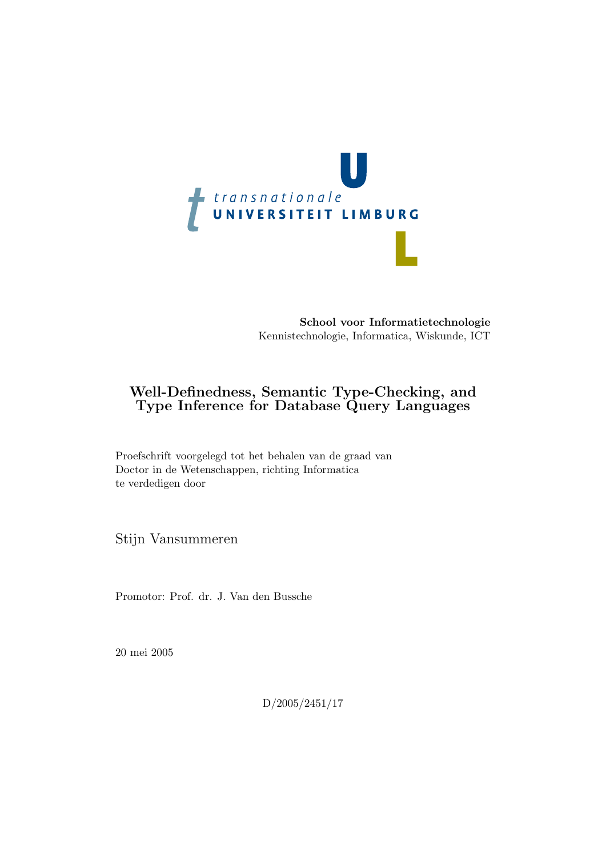

School voor Informatietechnologie Kennistechnologie, Informatica, Wiskunde, ICT

#### Well-Definedness, Semantic Type-Checking, and Type Inference for Database Query Languages

Proefschrift voorgelegd tot het behalen van de graad van Doctor in de Wetenschappen, richting Informatica te verdedigen door

Stijn Vansummeren

Promotor: Prof. dr. J. Van den Bussche

20 mei 2005

D/2005/2451/17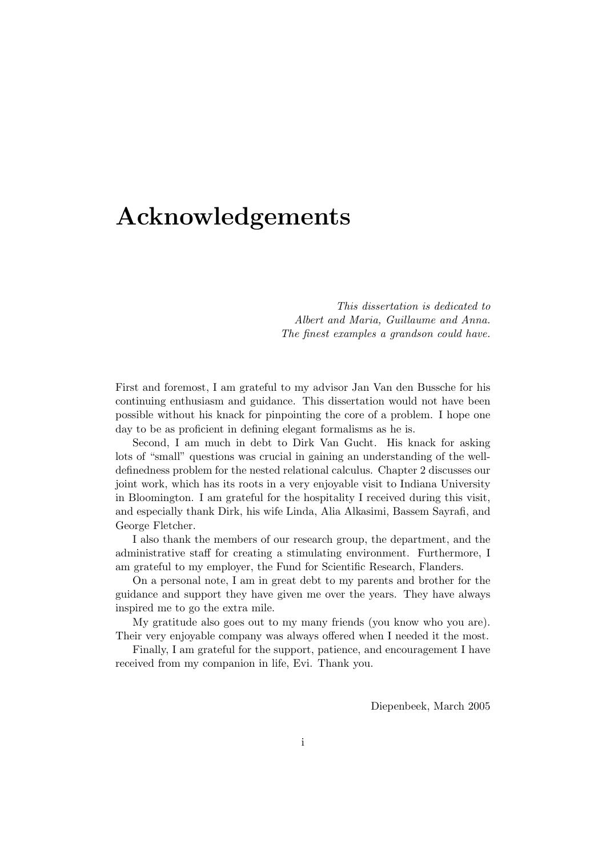### Acknowledgements

This dissertation is dedicated to Albert and Maria, Guillaume and Anna. The finest examples a grandson could have.

First and foremost, I am grateful to my advisor Jan Van den Bussche for his continuing enthusiasm and guidance. This dissertation would not have been possible without his knack for pinpointing the core of a problem. I hope one day to be as proficient in defining elegant formalisms as he is.

Second, I am much in debt to Dirk Van Gucht. His knack for asking lots of "small" questions was crucial in gaining an understanding of the welldefinedness problem for the nested relational calculus. Chapter 2 discusses our joint work, which has its roots in a very enjoyable visit to Indiana University in Bloomington. I am grateful for the hospitality I received during this visit, and especially thank Dirk, his wife Linda, Alia Alkasimi, Bassem Sayrafi, and George Fletcher.

I also thank the members of our research group, the department, and the administrative staff for creating a stimulating environment. Furthermore, I am grateful to my employer, the Fund for Scientific Research, Flanders.

On a personal note, I am in great debt to my parents and brother for the guidance and support they have given me over the years. They have always inspired me to go the extra mile.

My gratitude also goes out to my many friends (you know who you are). Their very enjoyable company was always offered when I needed it the most.

Finally, I am grateful for the support, patience, and encouragement I have received from my companion in life, Evi. Thank you.

Diepenbeek, March 2005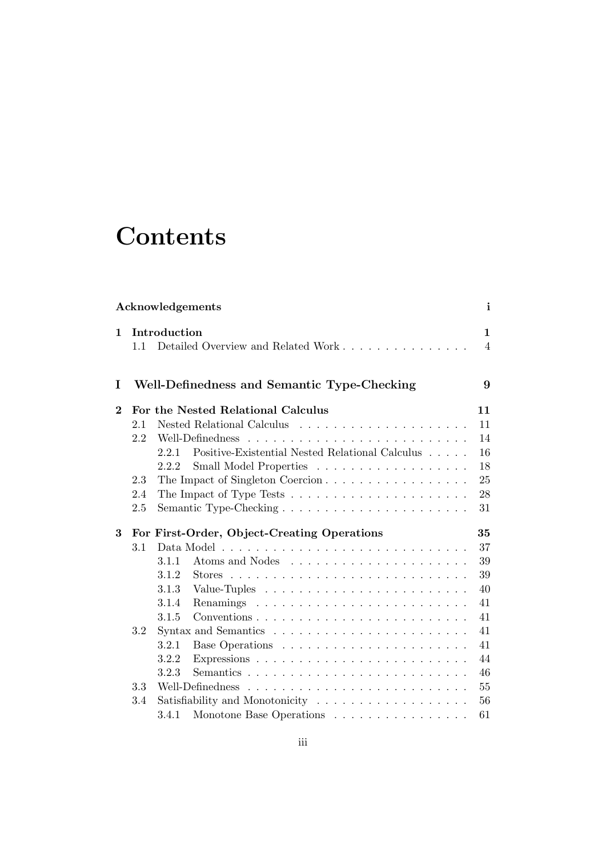## **Contents**

|                |     | Acknowledgements                                                            | $\mathbf{i}$   |
|----------------|-----|-----------------------------------------------------------------------------|----------------|
| $\mathbf 1$    |     | Introduction                                                                | $\mathbf{1}$   |
|                | 1.1 | Detailed Overview and Related Work                                          | $\overline{4}$ |
| I              |     | Well-Definedness and Semantic Type-Checking                                 | 9              |
| $\overline{2}$ |     | For the Nested Relational Calculus                                          | 11             |
|                | 2.1 |                                                                             | 11             |
|                | 2.2 | Well-Definedness                                                            | 14             |
|                |     | Positive-Existential Nested Relational Calculus<br>221                      | 16             |
|                |     | Small Model Properties<br>2.2.2                                             | 18             |
|                | 2.3 | The Impact of Singleton Coercion                                            | 25             |
|                | 2.4 | The Impact of Type Tests $\ldots \ldots \ldots \ldots \ldots \ldots \ldots$ | 28             |
|                | 2.5 |                                                                             | 31             |
| 3              |     | For First-Order, Object-Creating Operations                                 | 35             |
|                | 3.1 |                                                                             | 37             |
|                |     | 3.1.1                                                                       | 39             |
|                |     | 3.1.2                                                                       | 39             |
|                |     | 3.1.3                                                                       | 40             |
|                |     | 3.1.4                                                                       | 41             |
|                |     | 3.1.5                                                                       | 41             |
|                | 3.2 |                                                                             | 41             |
|                |     | 3.2.1                                                                       | 41             |
|                |     | 3.2.2                                                                       | 44             |
|                |     | 3.2.3                                                                       | 46             |
|                | 3.3 | Well-Definedness                                                            | 55             |
|                |     |                                                                             |                |
|                | 3.4 | Satisfiability and Monotonicity                                             | 56             |
|                |     | Monotone Base Operations $\ldots \ldots \ldots \ldots \ldots$<br>3.4.1      | 61             |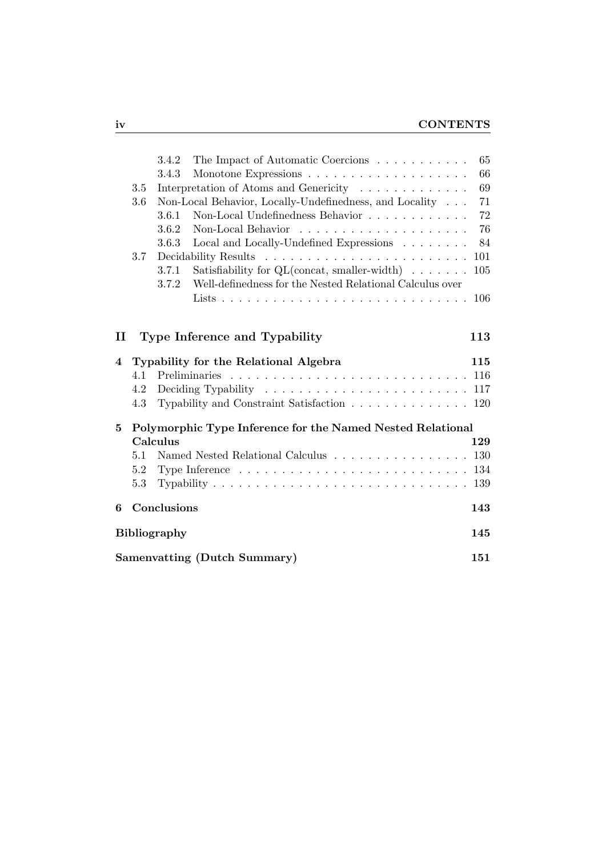|              |     | 3.4.2               | The Impact of Automatic Coercions                                                                  | 65  |
|--------------|-----|---------------------|----------------------------------------------------------------------------------------------------|-----|
|              |     | 3.4.3               |                                                                                                    | 66  |
|              | 3.5 |                     | Interpretation of Atoms and Genericity                                                             | 69  |
|              | 3.6 |                     | Non-Local Behavior, Locally-Undefinedness, and Locality                                            | 71  |
|              |     | 3.6.1               | Non-Local Undefinedness Behavior                                                                   | 72  |
|              |     | 3.6.2               |                                                                                                    | 76  |
|              |     | 3.6.3               | Local and Locally-Undefined Expressions $\ldots \ldots \ldots$                                     | 84  |
|              | 3.7 |                     |                                                                                                    | 101 |
|              |     | 3.7.1               | Satisfiability for $QL$ (concat, smaller-width)                                                    | 105 |
|              |     | 3.7.2               | Well-definedness for the Nested Relational Calculus over                                           |     |
|              |     |                     |                                                                                                    | 106 |
|              |     |                     |                                                                                                    |     |
| $\mathbf{I}$ |     |                     | Type Inference and Typability                                                                      | 113 |
|              |     |                     |                                                                                                    |     |
|              |     |                     |                                                                                                    |     |
| 4            |     |                     | Typability for the Relational Algebra                                                              | 115 |
|              | 4.1 |                     |                                                                                                    |     |
|              | 4.2 |                     | Deciding Typability $\ldots \ldots \ldots \ldots \ldots \ldots \ldots \ldots 117$                  |     |
|              | 4.3 |                     | Typability and Constraint Satisfaction 120                                                         |     |
| 5            |     |                     | Polymorphic Type Inference for the Named Nested Relational                                         |     |
|              |     | Calculus            |                                                                                                    | 129 |
|              | 5.1 |                     | Named Nested Relational Calculus 130                                                               |     |
|              | 5.2 |                     | Type Inference $\dots \dots \dots \dots \dots \dots \dots \dots \dots \dots \dots \dots \dots$ 134 |     |
|              | 5.3 |                     |                                                                                                    |     |
| 6            |     | Conclusions         |                                                                                                    | 143 |
|              |     | <b>Bibliography</b> |                                                                                                    | 145 |
|              |     |                     | Samenvatting (Dutch Summary)                                                                       | 151 |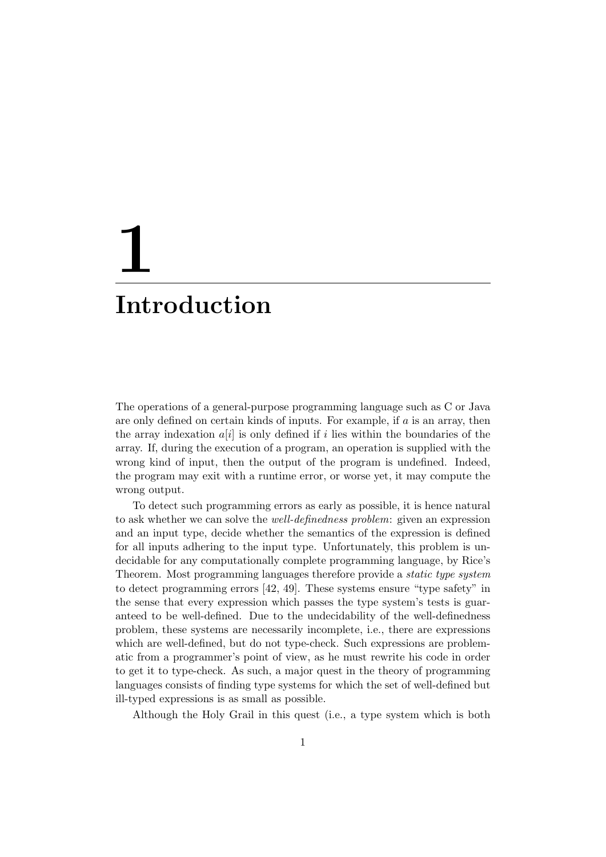# 1 Introduction

The operations of a general-purpose programming language such as C or Java are only defined on certain kinds of inputs. For example, if  $a$  is an array, then the array indexation  $a[i]$  is only defined if i lies within the boundaries of the array. If, during the execution of a program, an operation is supplied with the wrong kind of input, then the output of the program is undefined. Indeed, the program may exit with a runtime error, or worse yet, it may compute the wrong output.

To detect such programming errors as early as possible, it is hence natural to ask whether we can solve the well-definedness problem: given an expression and an input type, decide whether the semantics of the expression is defined for all inputs adhering to the input type. Unfortunately, this problem is undecidable for any computationally complete programming language, by Rice's Theorem. Most programming languages therefore provide a static type system to detect programming errors [42, 49]. These systems ensure "type safety" in the sense that every expression which passes the type system's tests is guaranteed to be well-defined. Due to the undecidability of the well-definedness problem, these systems are necessarily incomplete, i.e., there are expressions which are well-defined, but do not type-check. Such expressions are problematic from a programmer's point of view, as he must rewrite his code in order to get it to type-check. As such, a major quest in the theory of programming languages consists of finding type systems for which the set of well-defined but ill-typed expressions is as small as possible.

Although the Holy Grail in this quest (i.e., a type system which is both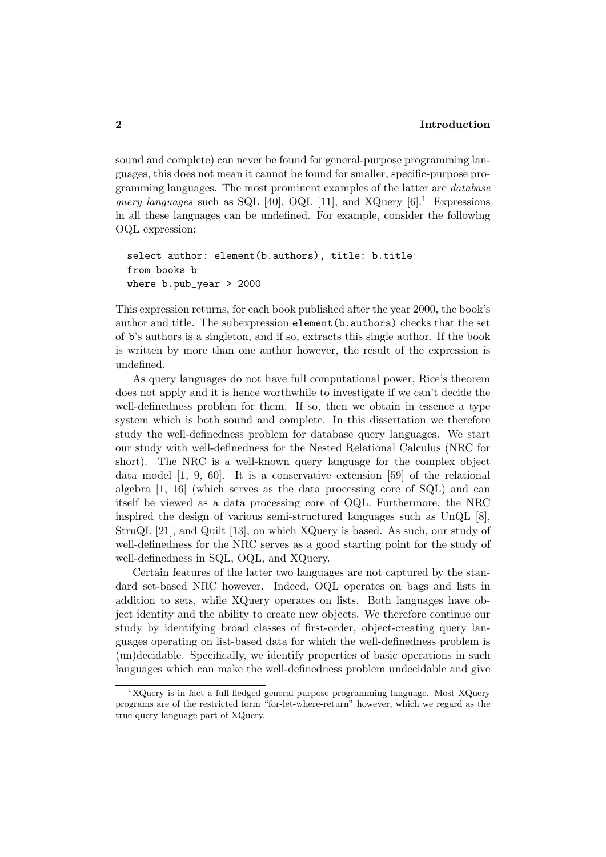sound and complete) can never be found for general-purpose programming languages, this does not mean it cannot be found for smaller, specific-purpose programming languages. The most prominent examples of the latter are database query languages such as SQL [40], OQL [11], and XQuery  $[6]$ .<sup>1</sup> Expressions in all these languages can be undefined. For example, consider the following OQL expression:

```
select author: element(b.authors), title: b.title
from books b
where b.pub_year > 2000
```
This expression returns, for each book published after the year 2000, the book's author and title. The subexpression element(b.authors) checks that the set of b's authors is a singleton, and if so, extracts this single author. If the book is written by more than one author however, the result of the expression is undefined.

As query languages do not have full computational power, Rice's theorem does not apply and it is hence worthwhile to investigate if we can't decide the well-definedness problem for them. If so, then we obtain in essence a type system which is both sound and complete. In this dissertation we therefore study the well-definedness problem for database query languages. We start our study with well-definedness for the Nested Relational Calculus (NRC for short). The NRC is a well-known query language for the complex object data model [1, 9, 60]. It is a conservative extension [59] of the relational algebra [1, 16] (which serves as the data processing core of SQL) and can itself be viewed as a data processing core of OQL. Furthermore, the NRC inspired the design of various semi-structured languages such as UnQL [8], StruQL [21], and Quilt [13], on which XQuery is based. As such, our study of well-definedness for the NRC serves as a good starting point for the study of well-definedness in SQL, OQL, and XQuery.

Certain features of the latter two languages are not captured by the standard set-based NRC however. Indeed, OQL operates on bags and lists in addition to sets, while XQuery operates on lists. Both languages have object identity and the ability to create new objects. We therefore continue our study by identifying broad classes of first-order, object-creating query languages operating on list-based data for which the well-definedness problem is (un)decidable. Specifically, we identify properties of basic operations in such languages which can make the well-definedness problem undecidable and give

 $1XQ$ uery is in fact a full-fledged general-purpose programming language. Most XQuery programs are of the restricted form "for-let-where-return" however, which we regard as the true query language part of XQuery.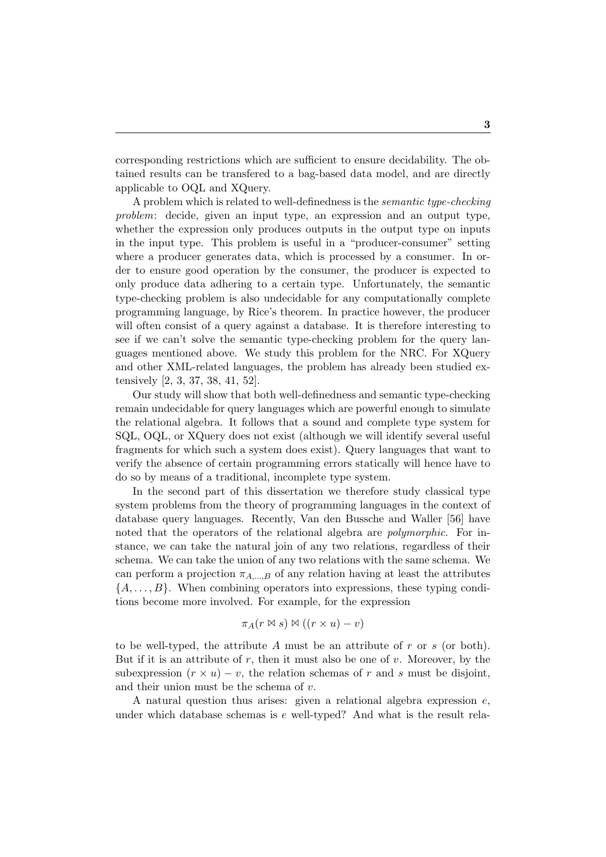corresponding restrictions which are sufficient to ensure decidability. The obtained results can be transfered to a bag-based data model, and are directly applicable to OQL and XQuery.

A problem which is related to well-definedness is the semantic type-checking problem: decide, given an input type, an expression and an output type, whether the expression only produces outputs in the output type on inputs in the input type. This problem is useful in a "producer-consumer" setting where a producer generates data, which is processed by a consumer. In order to ensure good operation by the consumer, the producer is expected to only produce data adhering to a certain type. Unfortunately, the semantic type-checking problem is also undecidable for any computationally complete programming language, by Rice's theorem. In practice however, the producer will often consist of a query against a database. It is therefore interesting to see if we can't solve the semantic type-checking problem for the query languages mentioned above. We study this problem for the NRC. For XQuery and other XML-related languages, the problem has already been studied extensively [2, 3, 37, 38, 41, 52].

Our study will show that both well-definedness and semantic type-checking remain undecidable for query languages which are powerful enough to simulate the relational algebra. It follows that a sound and complete type system for SQL, OQL, or XQuery does not exist (although we will identify several useful fragments for which such a system does exist). Query languages that want to verify the absence of certain programming errors statically will hence have to do so by means of a traditional, incomplete type system.

In the second part of this dissertation we therefore study classical type system problems from the theory of programming languages in the context of database query languages. Recently, Van den Bussche and Waller [56] have noted that the operators of the relational algebra are *polymorphic*. For instance, we can take the natural join of any two relations, regardless of their schema. We can take the union of any two relations with the same schema. We can perform a projection  $\pi_{A,...,B}$  of any relation having at least the attributes  $\{A, \ldots, B\}$ . When combining operators into expressions, these typing conditions become more involved. For example, for the expression

$$
\pi_A(r \bowtie s) \bowtie ((r \times u) - v)
$$

to be well-typed, the attribute A must be an attribute of  $r$  or  $s$  (or both). But if it is an attribute of  $r$ , then it must also be one of  $v$ . Moreover, by the subexpression  $(r \times u) - v$ , the relation schemas of r and s must be disjoint, and their union must be the schema of  $v$ .

A natural question thus arises: given a relational algebra expression  $e$ , under which database schemas is  $e$  well-typed? And what is the result rela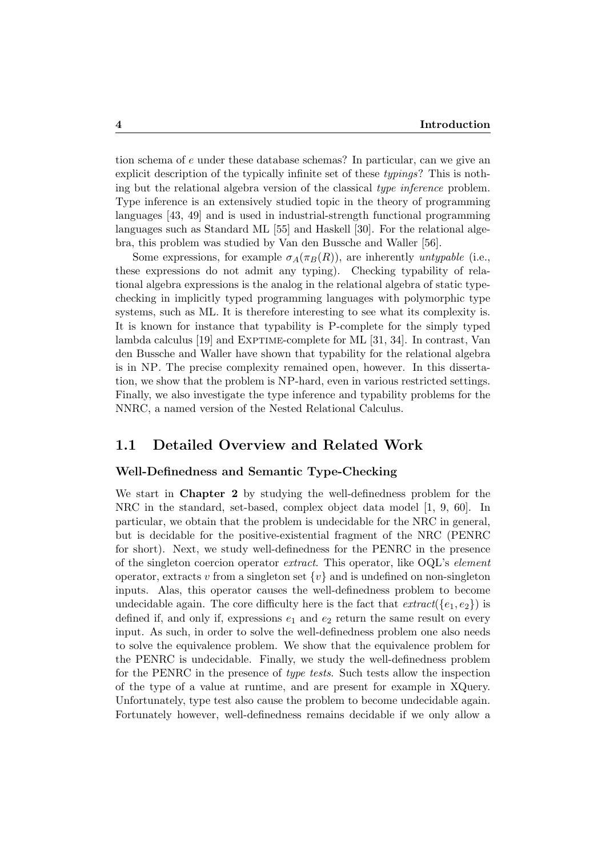tion schema of e under these database schemas? In particular, can we give an explicit description of the typically infinite set of these typings? This is nothing but the relational algebra version of the classical type inference problem. Type inference is an extensively studied topic in the theory of programming languages [43, 49] and is used in industrial-strength functional programming languages such as Standard ML [55] and Haskell [30]. For the relational algebra, this problem was studied by Van den Bussche and Waller [56].

Some expressions, for example  $\sigma_A(\pi_B(R))$ , are inherently untypable (i.e., these expressions do not admit any typing). Checking typability of relational algebra expressions is the analog in the relational algebra of static typechecking in implicitly typed programming languages with polymorphic type systems, such as ML. It is therefore interesting to see what its complexity is. It is known for instance that typability is P-complete for the simply typed lambda calculus [19] and Exptime-complete for ML [31, 34]. In contrast, Van den Bussche and Waller have shown that typability for the relational algebra is in NP. The precise complexity remained open, however. In this dissertation, we show that the problem is NP-hard, even in various restricted settings. Finally, we also investigate the type inference and typability problems for the NNRC, a named version of the Nested Relational Calculus.

#### 1.1 Detailed Overview and Related Work

#### Well-Definedness and Semantic Type-Checking

We start in **Chapter 2** by studying the well-definedness problem for the NRC in the standard, set-based, complex object data model [1, 9, 60]. In particular, we obtain that the problem is undecidable for the NRC in general, but is decidable for the positive-existential fragment of the NRC (PENRC for short). Next, we study well-definedness for the PENRC in the presence of the singleton coercion operator extract. This operator, like OQL's element operator, extracts v from a singleton set  $\{v\}$  and is undefined on non-singleton inputs. Alas, this operator causes the well-definedness problem to become undecidable again. The core difficulty here is the fact that  $extract({e_1, e_2})$  is defined if, and only if, expressions  $e_1$  and  $e_2$  return the same result on every input. As such, in order to solve the well-definedness problem one also needs to solve the equivalence problem. We show that the equivalence problem for the PENRC is undecidable. Finally, we study the well-definedness problem for the PENRC in the presence of type tests. Such tests allow the inspection of the type of a value at runtime, and are present for example in XQuery. Unfortunately, type test also cause the problem to become undecidable again. Fortunately however, well-definedness remains decidable if we only allow a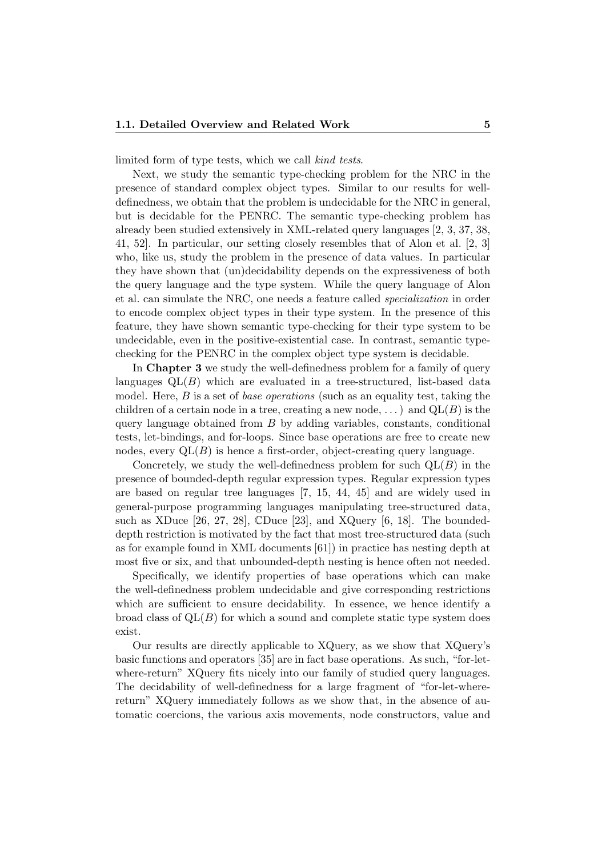limited form of type tests, which we call kind tests.

Next, we study the semantic type-checking problem for the NRC in the presence of standard complex object types. Similar to our results for welldefinedness, we obtain that the problem is undecidable for the NRC in general, but is decidable for the PENRC. The semantic type-checking problem has already been studied extensively in XML-related query languages [2, 3, 37, 38, 41, 52]. In particular, our setting closely resembles that of Alon et al. [2, 3] who, like us, study the problem in the presence of data values. In particular they have shown that (un)decidability depends on the expressiveness of both the query language and the type system. While the query language of Alon et al. can simulate the NRC, one needs a feature called specialization in order to encode complex object types in their type system. In the presence of this feature, they have shown semantic type-checking for their type system to be undecidable, even in the positive-existential case. In contrast, semantic typechecking for the PENRC in the complex object type system is decidable.

In Chapter 3 we study the well-definedness problem for a family of query languages  $QL(B)$  which are evaluated in a tree-structured, list-based data model. Here,  $B$  is a set of *base operations* (such as an equality test, taking the children of a certain node in a tree, creating a new node,  $\dots$ ) and  $QL(B)$  is the query language obtained from  $B$  by adding variables, constants, conditional tests, let-bindings, and for-loops. Since base operations are free to create new nodes, every  $QL(B)$  is hence a first-order, object-creating query language.

Concretely, we study the well-definedness problem for such  $\mathrm{OL}(B)$  in the presence of bounded-depth regular expression types. Regular expression types are based on regular tree languages [7, 15, 44, 45] and are widely used in general-purpose programming languages manipulating tree-structured data, such as XDuce [26, 27, 28], CDuce [23], and XQuery [6, 18]. The boundeddepth restriction is motivated by the fact that most tree-structured data (such as for example found in XML documents [61]) in practice has nesting depth at most five or six, and that unbounded-depth nesting is hence often not needed.

Specifically, we identify properties of base operations which can make the well-definedness problem undecidable and give corresponding restrictions which are sufficient to ensure decidability. In essence, we hence identify a broad class of  $QL(B)$  for which a sound and complete static type system does exist.

Our results are directly applicable to XQuery, as we show that XQuery's basic functions and operators [35] are in fact base operations. As such, "for-letwhere-return" XQuery fits nicely into our family of studied query languages. The decidability of well-definedness for a large fragment of "for-let-wherereturn" XQuery immediately follows as we show that, in the absence of automatic coercions, the various axis movements, node constructors, value and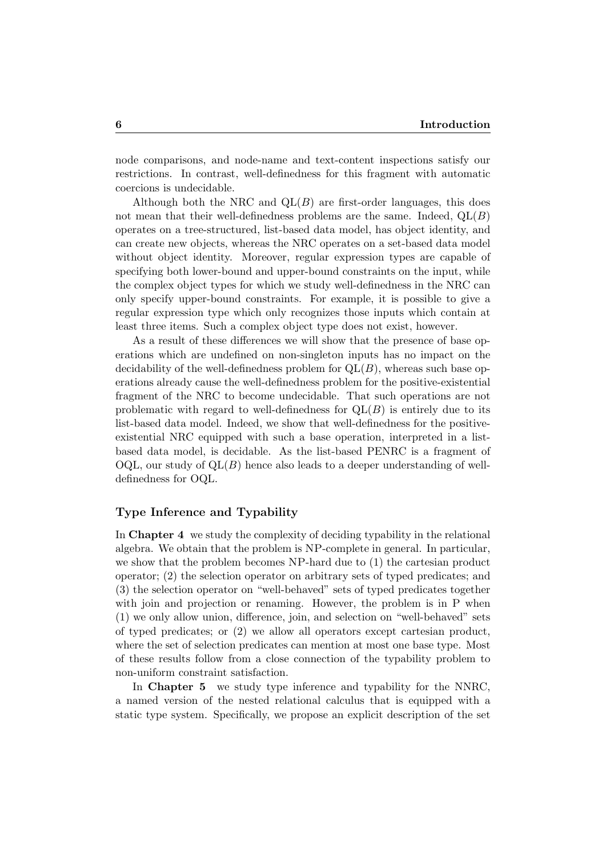node comparisons, and node-name and text-content inspections satisfy our restrictions. In contrast, well-definedness for this fragment with automatic coercions is undecidable.

Although both the NRC and  $QL(B)$  are first-order languages, this does not mean that their well-definedness problems are the same. Indeed,  $QL(B)$ operates on a tree-structured, list-based data model, has object identity, and can create new objects, whereas the NRC operates on a set-based data model without object identity. Moreover, regular expression types are capable of specifying both lower-bound and upper-bound constraints on the input, while the complex object types for which we study well-definedness in the NRC can only specify upper-bound constraints. For example, it is possible to give a regular expression type which only recognizes those inputs which contain at least three items. Such a complex object type does not exist, however.

As a result of these differences we will show that the presence of base operations which are undefined on non-singleton inputs has no impact on the decidability of the well-definedness problem for  $Q<sub>L</sub>(B)$ , whereas such base operations already cause the well-definedness problem for the positive-existential fragment of the NRC to become undecidable. That such operations are not problematic with regard to well-definedness for  $QL(B)$  is entirely due to its list-based data model. Indeed, we show that well-definedness for the positiveexistential NRC equipped with such a base operation, interpreted in a listbased data model, is decidable. As the list-based PENRC is a fragment of  $OQL$ , our study of  $QL(B)$  hence also leads to a deeper understanding of welldefinedness for OQL.

#### Type Inference and Typability

In Chapter 4 we study the complexity of deciding typability in the relational algebra. We obtain that the problem is NP-complete in general. In particular, we show that the problem becomes NP-hard due to (1) the cartesian product operator; (2) the selection operator on arbitrary sets of typed predicates; and (3) the selection operator on "well-behaved" sets of typed predicates together with join and projection or renaming. However, the problem is in P when (1) we only allow union, difference, join, and selection on "well-behaved" sets of typed predicates; or (2) we allow all operators except cartesian product, where the set of selection predicates can mention at most one base type. Most of these results follow from a close connection of the typability problem to non-uniform constraint satisfaction.

In Chapter 5 we study type inference and typability for the NNRC, a named version of the nested relational calculus that is equipped with a static type system. Specifically, we propose an explicit description of the set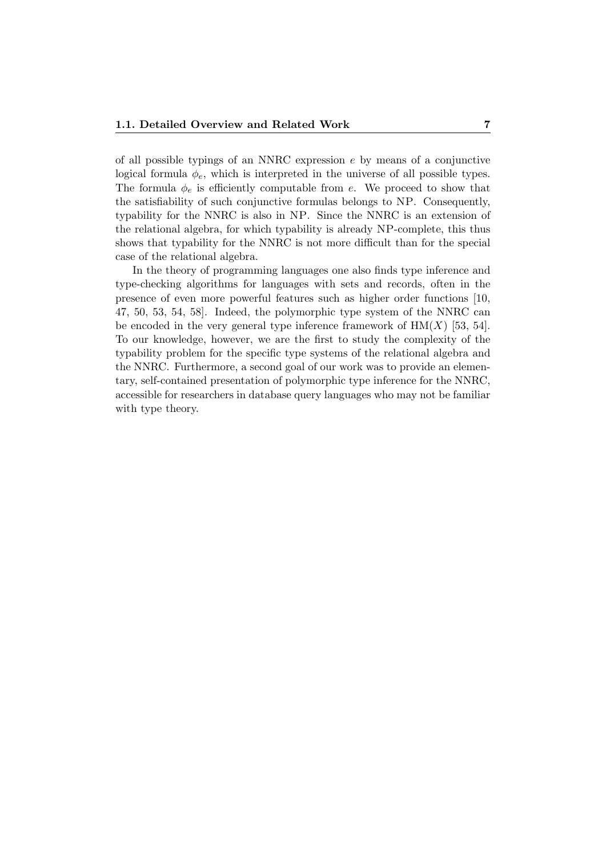of all possible typings of an NNRC expression e by means of a conjunctive logical formula  $\phi_e$ , which is interpreted in the universe of all possible types. The formula  $\phi_e$  is efficiently computable from e. We proceed to show that the satisfiability of such conjunctive formulas belongs to NP. Consequently, typability for the NNRC is also in NP. Since the NNRC is an extension of the relational algebra, for which typability is already NP-complete, this thus shows that typability for the NNRC is not more difficult than for the special case of the relational algebra.

In the theory of programming languages one also finds type inference and type-checking algorithms for languages with sets and records, often in the presence of even more powerful features such as higher order functions [10, 47, 50, 53, 54, 58]. Indeed, the polymorphic type system of the NNRC can be encoded in the very general type inference framework of  $HM(X)$  [53, 54]. To our knowledge, however, we are the first to study the complexity of the typability problem for the specific type systems of the relational algebra and the NNRC. Furthermore, a second goal of our work was to provide an elementary, self-contained presentation of polymorphic type inference for the NNRC, accessible for researchers in database query languages who may not be familiar with type theory.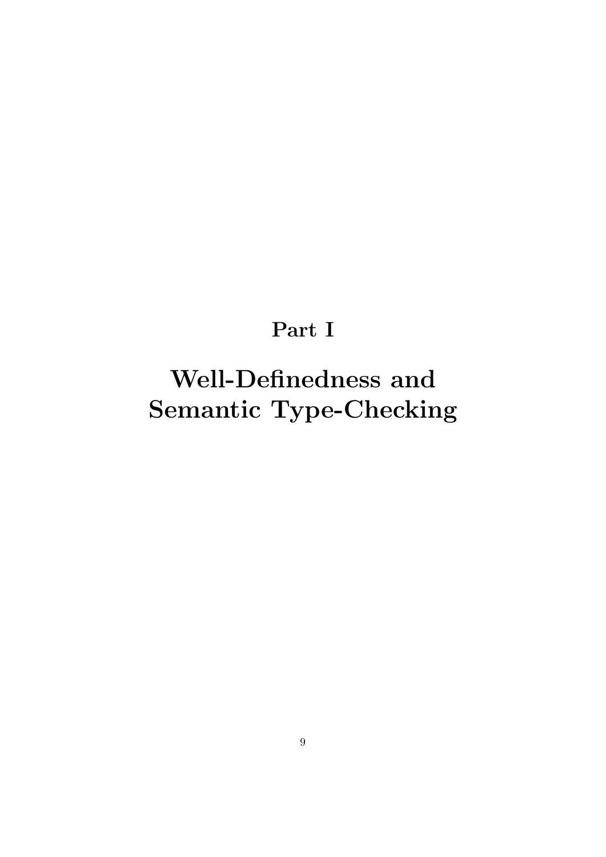### Part I

# Well-Definedness and Semantic Type-Checking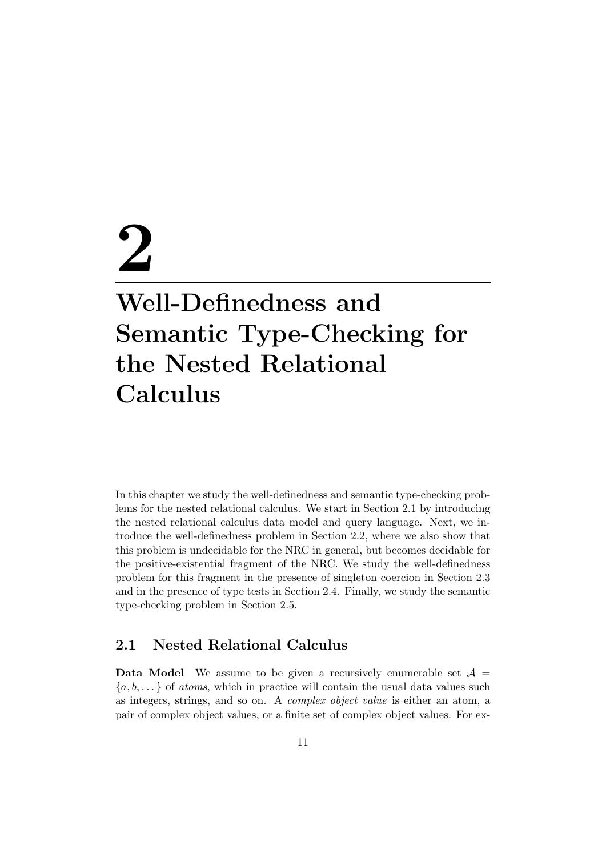# 2 Well-Definedness and Semantic Type-Checking for the Nested Relational Calculus

In this chapter we study the well-definedness and semantic type-checking problems for the nested relational calculus. We start in Section 2.1 by introducing the nested relational calculus data model and query language. Next, we introduce the well-definedness problem in Section 2.2, where we also show that this problem is undecidable for the NRC in general, but becomes decidable for the positive-existential fragment of the NRC. We study the well-definedness problem for this fragment in the presence of singleton coercion in Section 2.3 and in the presence of type tests in Section 2.4. Finally, we study the semantic type-checking problem in Section 2.5.

#### 2.1 Nested Relational Calculus

**Data Model** We assume to be given a recursively enumerable set  $A =$  ${a, b, \ldots}$  of *atoms*, which in practice will contain the usual data values such as integers, strings, and so on. A complex object value is either an atom, a pair of complex object values, or a finite set of complex object values. For ex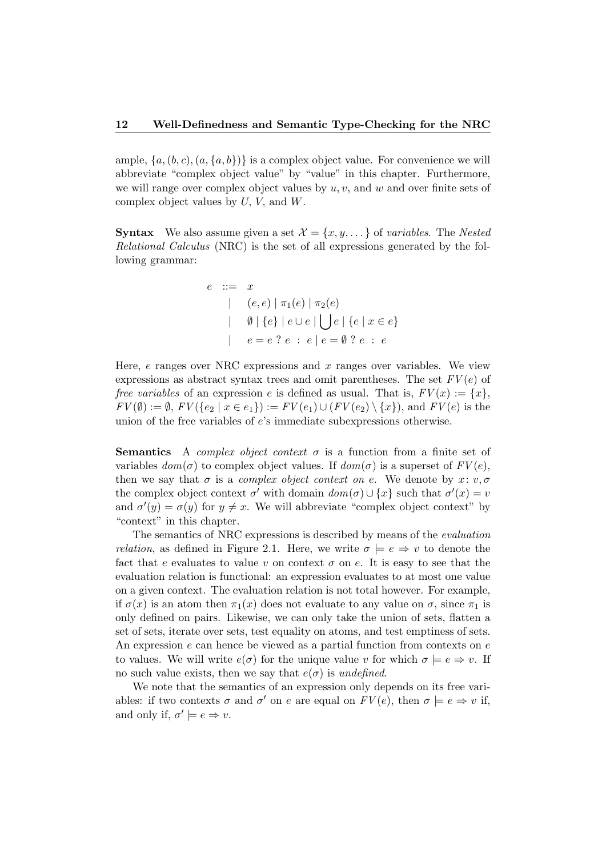ample,  $\{a, (b, c), (a, \{a, b\})\}$  is a complex object value. For convenience we will abbreviate "complex object value" by "value" in this chapter. Furthermore, we will range over complex object values by  $u, v$ , and  $w$  and over finite sets of complex object values by  $U, V$ , and  $W$ .

**Syntax** We also assume given a set  $\mathcal{X} = \{x, y, \dots\}$  of variables. The Nested Relational Calculus (NRC) is the set of all expressions generated by the following grammar:

$$
e ::= x
$$
  
\n
$$
| (e, e) | \pi_1(e) | \pi_2(e)
$$
  
\n
$$
| \emptyset | \{e\} | e \cup e | \bigcup e | \{e | x \in e\}
$$
  
\n
$$
| e = e ? e : e | e = \emptyset ? e : e
$$

Here,  $e$  ranges over NRC expressions and  $x$  ranges over variables. We view expressions as abstract syntax trees and omit parentheses. The set  $FV(e)$  of free variables of an expression e is defined as usual. That is,  $FV(x) := \{x\}$ ,  $FV(\emptyset) := \emptyset$ ,  $FV({e_2 | x \in e_1}) := FV(e_1) \cup (FV(e_2) \setminus \{x\})$ , and  $FV(e)$  is the union of the free variables of e's immediate subexpressions otherwise.

**Semantics** A *complex object context*  $\sigma$  is a function from a finite set of variables  $dom(\sigma)$  to complex object values. If  $dom(\sigma)$  is a superset of  $FV(e)$ , then we say that  $\sigma$  is a *complex object context on e*. We denote by  $x: v, \sigma$ the complex object context  $\sigma'$  with domain  $dom(\sigma) \cup \{x\}$  such that  $\sigma'(x) = v$ and  $\sigma'(y) = \sigma(y)$  for  $y \neq x$ . We will abbreviate "complex object context" by "context" in this chapter.

The semantics of NRC expressions is described by means of the evaluation *relation*, as defined in Figure 2.1. Here, we write  $\sigma \models e \Rightarrow v$  to denote the fact that e evaluates to value v on context  $\sigma$  on e. It is easy to see that the evaluation relation is functional: an expression evaluates to at most one value on a given context. The evaluation relation is not total however. For example, if  $\sigma(x)$  is an atom then  $\pi_1(x)$  does not evaluate to any value on  $\sigma$ , since  $\pi_1$  is only defined on pairs. Likewise, we can only take the union of sets, flatten a set of sets, iterate over sets, test equality on atoms, and test emptiness of sets. An expression  $e$  can hence be viewed as a partial function from contexts on  $e$ to values. We will write  $e(\sigma)$  for the unique value v for which  $\sigma \models e \Rightarrow v$ . If no such value exists, then we say that  $e(\sigma)$  is *undefined*.

We note that the semantics of an expression only depends on its free variables: if two contexts  $\sigma$  and  $\sigma'$  on e are equal on  $FV(e)$ , then  $\sigma \models e \Rightarrow v$  if, and only if,  $\sigma' \models e \Rightarrow v$ .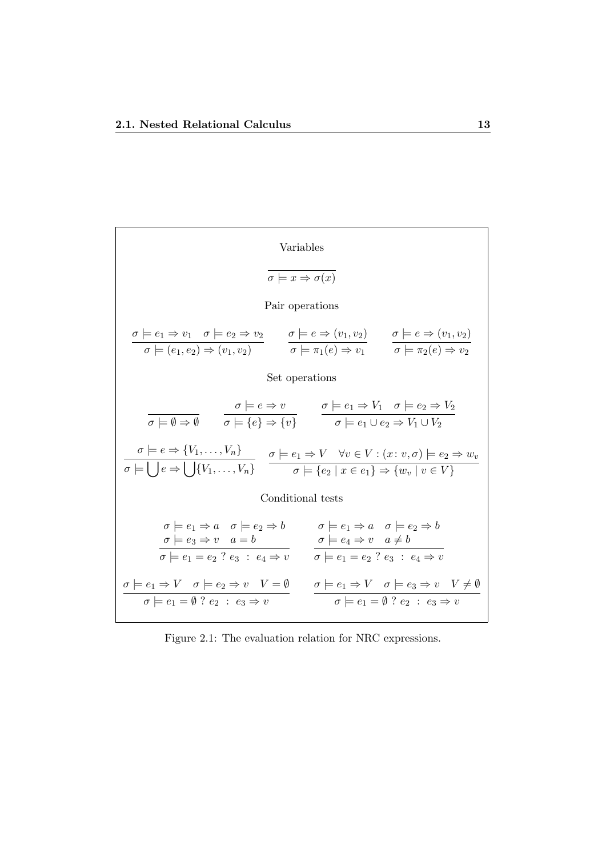Variables  
\n
$$
\overline{\sigma \models e_1 \Rightarrow v_1 \quad \sigma \models e_2 \Rightarrow v_2}
$$
\nPair operations  
\n
$$
\frac{\sigma \models e_1 \Rightarrow v_1 \quad \sigma \models e_2 \Rightarrow v_2}{\sigma \models (e_1, e_2) \Rightarrow (v_1, v_2)}
$$
\n
$$
\frac{\sigma \models e \Rightarrow (v_1, v_2)}{\sigma \models \pi_1(e) \Rightarrow v_1}
$$
\n
$$
\frac{\sigma \models e \Rightarrow (v_1, v_2)}{\sigma \models \pi_2(e) \Rightarrow v_2}
$$
\nSet operations  
\n
$$
\overline{\sigma \models \emptyset \Rightarrow \emptyset}
$$
\n
$$
\overline{\sigma \models \{\theta \Rightarrow \{\theta\}} \quad \sigma \models \{\theta \Rightarrow \{\theta\}} \quad \sigma \models e_1 \Rightarrow V_1 \quad \sigma \models e_2 \Rightarrow V_2}
$$
\n
$$
\overline{\sigma \models e \Rightarrow \{V_1, \ldots, V_n\}} \quad \overline{\sigma \models e_1 \Rightarrow V \quad \forall v \in V : (x : v, \sigma) \models e_2 \Rightarrow w_v}
$$
\nConditional tests  
\n
$$
\sigma \models e \Rightarrow \{V_1, \ldots, V_n\}
$$
\nConditional tests  
\n
$$
\sigma \models e_1 \Rightarrow a \quad \sigma \models e_2 \Rightarrow b \qquad \sigma \models e_1 \Rightarrow a \quad \sigma \models e_2 \Rightarrow b
$$
\n
$$
\overline{\sigma \models e_3 \Rightarrow v \quad a = b}
$$
\n
$$
\overline{\sigma \models e_1 = e_2 \quad e_3 : e_4 \Rightarrow v} \quad \overline{\sigma \models e_1 = e_2 \quad e_3 : e_4 \Rightarrow v}
$$
\n
$$
\sigma \models e_1 = \emptyset \quad e_2 \Rightarrow b \qquad \overline{\sigma \models e_1 = e_2 \quad e_3 : e_4 \Rightarrow v}
$$
\n
$$
\sigma \models e_1 = \emptyset \quad e_2 \Rightarrow v \qquad \overline{\sigma \models e_1 = e_2 \quad e_3 \Rightarrow v}
$$
\n
$$
\sigma \models e_1 = \emptyset \quad e_2 \Rightarrow v \qquad \overline{\sigma \models e_1 = e_2 \quad e_3 \Rightarrow v}
$$

Figure 2.1: The evaluation relation for NRC expressions.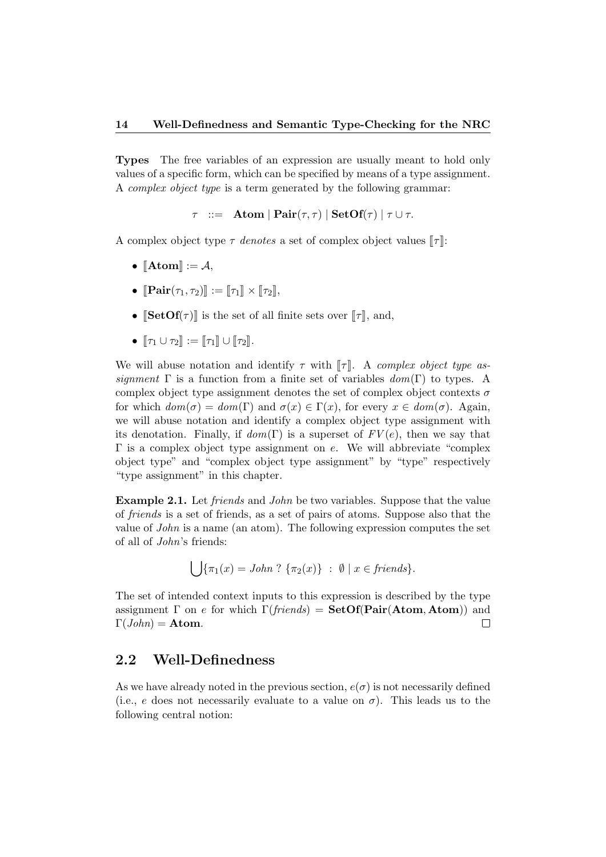Types The free variables of an expression are usually meant to hold only values of a specific form, which can be specified by means of a type assignment. A complex object type is a term generated by the following grammar:

 $\tau$  ::= Atom | Pair( $\tau$ ,  $\tau$ ) | SetOf( $\tau$ ) |  $\tau \cup \tau$ .

A complex object type  $\tau$  denotes a set of complex object values  $\llbracket \tau \rrbracket$ :

- $\llbracket \text{Atom} \rrbracket := \mathcal{A},$
- $\left\Vert \operatorname{Pair}(\tau_1, \tau_2) \right\Vert := \left\Vert \tau_1 \right\Vert \times \left\Vert \tau_2 \right\Vert$
- $[\mathbf{SetOf}(\tau)]$  is the set of all finite sets over  $[\![\tau]\!]$ , and,
- $\lbrack \tau_1 \cup \tau_2 \rbrack$  :=  $\lbrack \lbrack \tau_1 \rbrack \rbrack \cup \lbrack \tau_2 \rbrack$ .

We will abuse notation and identify  $\tau$  with  $\llbracket \tau \rrbracket$ . A complex object type assignment  $\Gamma$  is a function from a finite set of variables  $dom(\Gamma)$  to types. A complex object type assignment denotes the set of complex object contexts  $\sigma$ for which  $dom(\sigma) = dom(\Gamma)$  and  $\sigma(x) \in \Gamma(x)$ , for every  $x \in dom(\sigma)$ . Again, we will abuse notation and identify a complex object type assignment with its denotation. Finally, if  $dom(\Gamma)$  is a superset of  $FV(e)$ , then we say that  $\Gamma$  is a complex object type assignment on e. We will abbreviate "complex" object type" and "complex object type assignment" by "type" respectively "type assignment" in this chapter.

**Example 2.1.** Let *friends* and *John* be two variables. Suppose that the value of friends is a set of friends, as a set of pairs of atoms. Suppose also that the value of John is a name (an atom). The following expression computes the set of all of John's friends:

$$
\bigcup \{\pi_1(x) = John ? \ \{\pi_2(x)\} \ : \ \emptyset \mid x \in friends\}.
$$

The set of intended context inputs to this expression is described by the type assignment  $\Gamma$  on e for which  $\Gamma$ (friends) = SetOf(Pair(Atom, Atom)) and  $\Gamma(John) = \textbf{Atom}.$  $\Box$ 

#### 2.2 Well-Definedness

As we have already noted in the previous section,  $e(\sigma)$  is not necessarily defined (i.e., e does not necessarily evaluate to a value on  $\sigma$ ). This leads us to the following central notion: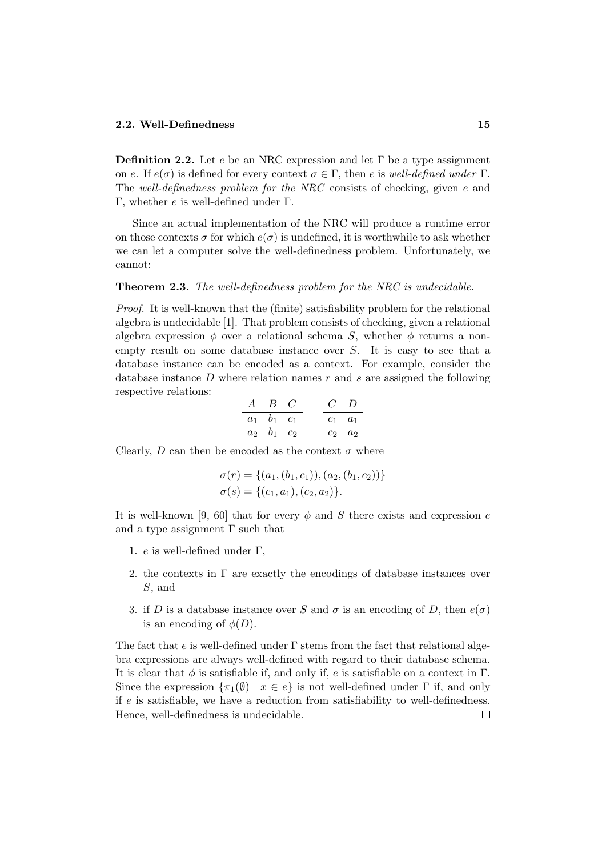**Definition 2.2.** Let e be an NRC expression and let  $\Gamma$  be a type assignment on e. If  $e(\sigma)$  is defined for every context  $\sigma \in \Gamma$ , then e is well-defined under  $\Gamma$ . The well-definedness problem for the NRC consists of checking, given e and Γ, whether e is well-defined under Γ.

Since an actual implementation of the NRC will produce a runtime error on those contexts  $\sigma$  for which  $e(\sigma)$  is undefined, it is worthwhile to ask whether we can let a computer solve the well-definedness problem. Unfortunately, we cannot:

#### **Theorem 2.3.** The well-definedness problem for the NRC is undecidable.

Proof. It is well-known that the (finite) satisfiability problem for the relational algebra is undecidable [1]. That problem consists of checking, given a relational algebra expression  $\phi$  over a relational schema S, whether  $\phi$  returns a nonempty result on some database instance over S. It is easy to see that a database instance can be encoded as a context. For example, consider the database instance  $D$  where relation names  $r$  and  $s$  are assigned the following respective relations:

$$
\begin{array}{ccccc}\nA & B & C & C & D \\
a_1 & b_1 & c_1 & & c_1 & a_1 \\
a_2 & b_1 & c_2 & & c_2 & a_2\n\end{array}
$$

Clearly, D can then be encoded as the context  $\sigma$  where

$$
\sigma(r) = \{(a_1, (b_1, c_1)), (a_2, (b_1, c_2))\}
$$

$$
\sigma(s) = \{(c_1, a_1), (c_2, a_2)\}.
$$

It is well-known [9, 60] that for every  $\phi$  and S there exists and expression e and a type assignment  $\Gamma$  such that

- 1. *e* is well-defined under Γ,
- 2. the contexts in  $\Gamma$  are exactly the encodings of database instances over S, and
- 3. if D is a database instance over S and  $\sigma$  is an encoding of D, then  $e(\sigma)$ is an encoding of  $\phi(D)$ .

The fact that e is well-defined under  $\Gamma$  stems from the fact that relational algebra expressions are always well-defined with regard to their database schema. It is clear that  $\phi$  is satisfiable if, and only if, e is satisfiable on a context in  $\Gamma$ . Since the expression  $\{\pi_1(\emptyset) \mid x \in e\}$  is not well-defined under  $\Gamma$  if, and only if  $e$  is satisfiable, we have a reduction from satisfiability to well-definedness. Hence, well-definedness is undecidable. $\Box$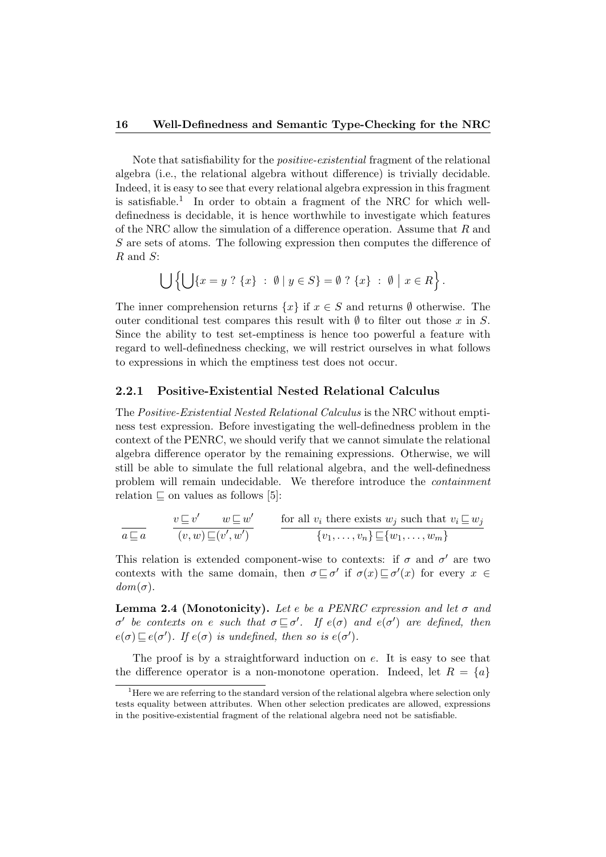Note that satisfiability for the positive-existential fragment of the relational algebra (i.e., the relational algebra without difference) is trivially decidable. Indeed, it is easy to see that every relational algebra expression in this fragment is satisfiable.<sup>1</sup> In order to obtain a fragment of the NRC for which welldefinedness is decidable, it is hence worthwhile to investigate which features of the NRC allow the simulation of a difference operation. Assume that  $R$  and S are sets of atoms. The following expression then computes the difference of R and S:

$$
\bigcup \left\{ \bigcup \{x = y \; ? \; \{x\} \; : \; \emptyset \; | \; y \in S \} = \emptyset \; ? \; \{x\} \; : \; \emptyset \; | \; x \in R \right\}.
$$

The inner comprehension returns  $\{x\}$  if  $x \in S$  and returns  $\emptyset$  otherwise. The outer conditional test compares this result with  $\emptyset$  to filter out those x in S. Since the ability to test set-emptiness is hence too powerful a feature with regard to well-definedness checking, we will restrict ourselves in what follows to expressions in which the emptiness test does not occur.

#### 2.2.1 Positive-Existential Nested Relational Calculus

The Positive-Existential Nested Relational Calculus is the NRC without emptiness test expression. Before investigating the well-definedness problem in the context of the PENRC, we should verify that we cannot simulate the relational algebra difference operator by the remaining expressions. Otherwise, we will still be able to simulate the full relational algebra, and the well-definedness problem will remain undecidable. We therefore introduce the containment relation  $\sqsubseteq$  on values as follows [5]:

$$
\frac{v \sqsubseteq v' \quad w \sqsubseteq w'}{(v, w) \sqsubseteq (v', w')} \qquad \frac{\text{for all } v_i \text{ there exists } w_j \text{ such that } v_i \sqsubseteq w_j}{\{v_1, \dots, v_n\} \sqsubseteq \{w_1, \dots, w_m\}}
$$

This relation is extended component-wise to contexts: if  $\sigma$  and  $\sigma'$  are two contexts with the same domain, then  $\sigma \sqsubseteq \sigma'$  if  $\sigma(x) \sqsubseteq \sigma'(x)$  for every  $x \in$  $dom(\sigma)$ .

**Lemma 2.4 (Monotonicity).** Let e be a PENRC expression and let  $\sigma$  and  $\sigma'$  be contexts on e such that  $\sigma \sqsubseteq \sigma'$ . If  $e(\sigma)$  and  $e(\sigma')$  are defined, then  $e(\sigma) \sqsubseteq e(\sigma')$ . If  $e(\sigma)$  is undefined, then so is  $e(\sigma')$ .

The proof is by a straightforward induction on  $e$ . It is easy to see that the difference operator is a non-monotone operation. Indeed, let  $R = \{a\}$ 

 $<sup>1</sup>$  Here we are referring to the standard version of the relational algebra where selection only</sup> tests equality between attributes. When other selection predicates are allowed, expressions in the positive-existential fragment of the relational algebra need not be satisfiable.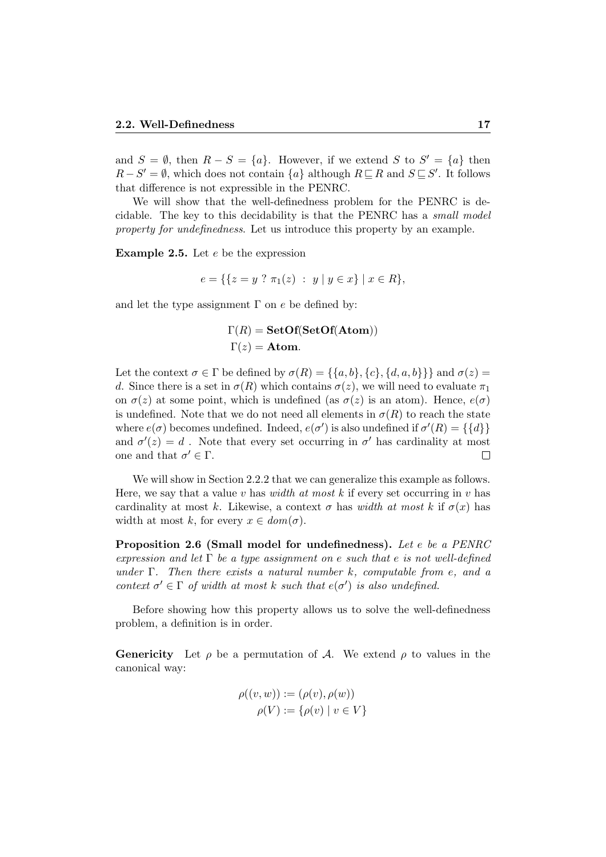and  $S = \emptyset$ , then  $R - S = \{a\}$ . However, if we extend S to  $S' = \{a\}$  then  $R-S'=\emptyset$ , which does not contain  $\{a\}$  although  $R\sqsubseteq R$  and  $S\sqsubseteq S'$ . It follows that difference is not expressible in the PENRC.

We will show that the well-definedness problem for the PENRC is decidable. The key to this decidability is that the PENRC has a small model property for undefinedness. Let us introduce this property by an example.

**Example 2.5.** Let  $e$  be the expression

$$
e = \{ \{ z = y \; ? \; \pi_1(z) \; : \; y \; | \; y \in x \} \; | \; x \in R \},
$$

and let the type assignment  $\Gamma$  on e be defined by:

$$
\Gamma(R) = \textbf{SetOf}(\textbf{SetOf}(\textbf{Atom}))
$$

$$
\Gamma(z) = \textbf{Atom}.
$$

Let the context  $\sigma \in \Gamma$  be defined by  $\sigma(R) = \{\{a, b\}, \{c\}, \{d, a, b\}\}\}\$  and  $\sigma(z) =$ d. Since there is a set in  $\sigma(R)$  which contains  $\sigma(z)$ , we will need to evaluate  $\pi_1$ on  $\sigma(z)$  at some point, which is undefined (as  $\sigma(z)$  is an atom). Hence,  $e(\sigma)$ is undefined. Note that we do not need all elements in  $\sigma(R)$  to reach the state where  $e(\sigma)$  becomes undefined. Indeed,  $e(\sigma')$  is also undefined if  $\sigma'(R) = \{\{d\}\}\$ and  $\sigma'(z) = d$ . Note that every set occurring in  $\sigma'$  has cardinality at most one and that  $\sigma' \in \Gamma$ .  $\Box$ 

We will show in Section 2.2.2 that we can generalize this example as follows. Here, we say that a value v has *width* at most k if every set occurring in v has cardinality at most k. Likewise, a context  $\sigma$  has width at most k if  $\sigma(x)$  has width at most k, for every  $x \in dom(\sigma)$ .

Proposition 2.6 (Small model for undefinedness). Let e be a PENRC expression and let  $\Gamma$  be a type assignment on e such that e is not well-defined under  $\Gamma$ . Then there exists a natural number k, computable from e, and a context  $\sigma' \in \Gamma$  of width at most k such that  $e(\sigma')$  is also undefined.

Before showing how this property allows us to solve the well-definedness problem, a definition is in order.

**Genericity** Let  $\rho$  be a permutation of A. We extend  $\rho$  to values in the canonical way:

$$
\rho((v, w)) := (\rho(v), \rho(w))
$$

$$
\rho(V) := {\rho(v) | v \in V}
$$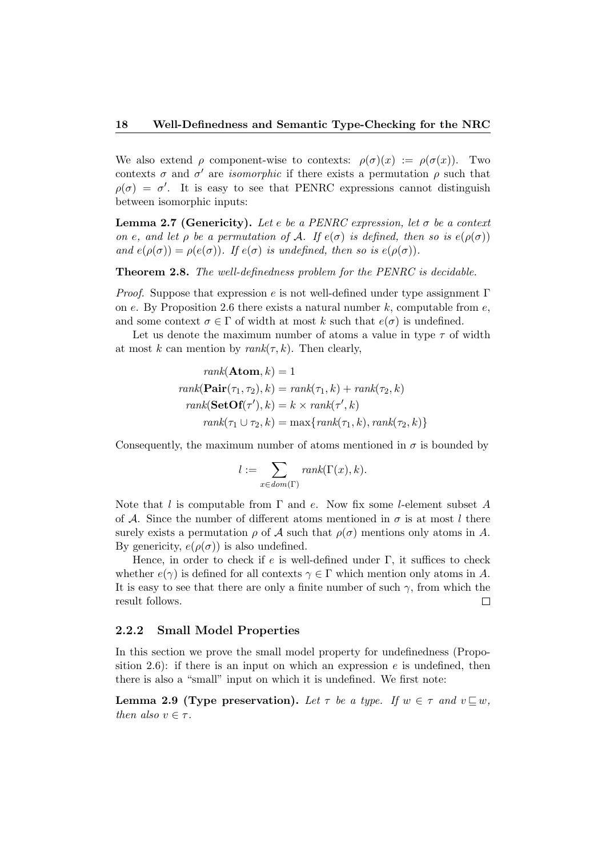We also extend  $\rho$  component-wise to contexts:  $\rho(\sigma)(x) := \rho(\sigma(x))$ . Two contexts  $\sigma$  and  $\sigma'$  are *isomorphic* if there exists a permutation  $\rho$  such that  $\rho(\sigma) = \sigma'$ . It is easy to see that PENRC expressions cannot distinguish between isomorphic inputs:

**Lemma 2.7 (Genericity).** Let e be a PENRC expression, let  $\sigma$  be a context on e, and let  $\rho$  be a permutation of A. If  $e(\sigma)$  is defined, then so is  $e(\rho(\sigma))$ and  $e(\rho(\sigma)) = \rho(e(\sigma))$ . If  $e(\sigma)$  is undefined, then so is  $e(\rho(\sigma))$ .

Theorem 2.8. The well-definedness problem for the PENRC is decidable.

*Proof.* Suppose that expression e is not well-defined under type assignment  $\Gamma$ on e. By Proposition 2.6 there exists a natural number  $k$ , computable from e, and some context  $\sigma \in \Gamma$  of width at most k such that  $e(\sigma)$  is undefined.

Let us denote the maximum number of atoms a value in type  $\tau$  of width at most k can mention by  $rank(\tau, k)$ . Then clearly,

$$
rank(\mathbf{Atom}, k) = 1
$$
  
\n
$$
rank(\mathbf{Pair}(\tau_1, \tau_2), k) = rank(\tau_1, k) + rank(\tau_2, k)
$$
  
\n
$$
rank(\mathbf{SetOf}(\tau'), k) = k \times rank(\tau', k)
$$
  
\n
$$
rank(\tau_1 \cup \tau_2, k) = max\{rank(\tau_1, k), rank(\tau_2, k)\}
$$

Consequently, the maximum number of atoms mentioned in  $\sigma$  is bounded by

$$
l := \sum_{x \in dom(\Gamma)} rank(\Gamma(x), k).
$$

Note that l is computable from  $\Gamma$  and e. Now fix some l-element subset A of A. Since the number of different atoms mentioned in  $\sigma$  is at most l there surely exists a permutation  $\rho$  of A such that  $\rho(\sigma)$  mentions only atoms in A. By genericity,  $e(\rho(\sigma))$  is also undefined.

Hence, in order to check if e is well-defined under  $\Gamma$ , it suffices to check whether  $e(\gamma)$  is defined for all contexts  $\gamma \in \Gamma$  which mention only atoms in A. It is easy to see that there are only a finite number of such  $\gamma$ , from which the result follows.  $\Box$ 

#### 2.2.2 Small Model Properties

In this section we prove the small model property for undefinedness (Proposition 2.6): if there is an input on which an expression  $e$  is undefined, then there is also a "small" input on which it is undefined. We first note:

**Lemma 2.9 (Type preservation).** Let  $\tau$  be a type. If  $w \in \tau$  and  $v \sqsubseteq w$ , then also  $v \in \tau$ .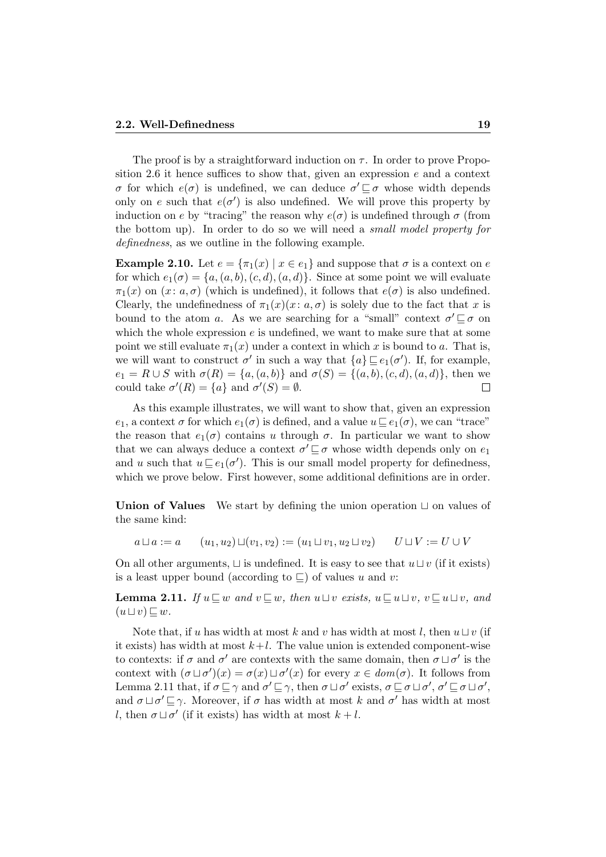The proof is by a straightforward induction on  $\tau$ . In order to prove Proposition 2.6 it hence suffices to show that, given an expression  $e$  and a context σ for which  $e(\sigma)$  is undefined, we can deduce  $\sigma' \sqsubseteq \sigma$  whose width depends only on e such that  $e(\sigma')$  is also undefined. We will prove this property by induction on e by "tracing" the reason why  $e(\sigma)$  is undefined through  $\sigma$  (from the bottom up). In order to do so we will need a small model property for definedness, as we outline in the following example.

**Example 2.10.** Let  $e = \{\pi_1(x) | x \in e_1\}$  and suppose that  $\sigma$  is a context on e for which  $e_1(\sigma) = \{a, (a, b), (c, d), (a, d)\}\$ . Since at some point we will evaluate  $\pi_1(x)$  on  $(x: a, \sigma)$  (which is undefined), it follows that  $e(\sigma)$  is also undefined. Clearly, the undefinedness of  $\pi_1(x)(x: a, \sigma)$  is solely due to the fact that x is bound to the atom a. As we are searching for a "small" context  $\sigma' \sqsubseteq \sigma$  on which the whole expression  $e$  is undefined, we want to make sure that at some point we still evaluate  $\pi_1(x)$  under a context in which x is bound to a. That is, we will want to construct  $\sigma'$  in such a way that  $\{a\} \sqsubseteq e_1(\sigma')$ . If, for example,  $e_1 = R \cup S$  with  $\sigma(R) = \{a, (a, b)\}\$ and  $\sigma(S) = \{(a, b), (c, d), (a, d)\}\$ , then we could take  $\sigma'(R) = \{a\}$  and  $\sigma'(S) = \emptyset$ .  $\Box$ 

As this example illustrates, we will want to show that, given an expression  $e_1$ , a context  $\sigma$  for which  $e_1(\sigma)$  is defined, and a value  $u \sqsubseteq e_1(\sigma)$ , we can "trace" the reason that  $e_1(\sigma)$  contains u through  $\sigma$ . In particular we want to show that we can always deduce a context  $\sigma' \sqsubseteq \sigma$  whose width depends only on  $e_1$ and u such that  $u \sqsubseteq e_1(\sigma')$ . This is our small model property for definedness, which we prove below. First however, some additional definitions are in order.

Union of Values We start by defining the union operation  $\sqcup$  on values of the same kind:

$$
a \sqcup a := a
$$
  $(u_1, u_2) \sqcup (v_1, v_2) := (u_1 \sqcup v_1, u_2 \sqcup v_2)$   $U \sqcup V := U \cup V$ 

On all other arguments,  $\sqcup$  is undefined. It is easy to see that  $u \sqcup v$  (if it exists) is a least upper bound (according to  $\subseteq$ ) of values u and v:

**Lemma 2.11.** If  $u \sqsubseteq w$  and  $v \sqsubseteq w$ , then  $u \sqcup v$  exists,  $u \sqsubseteq u \sqcup v$ ,  $v \sqsubseteq u \sqcup v$ , and  $(u \sqcup v) \sqsubseteq w$ .

Note that, if u has width at most k and v has width at most l, then  $u \sqcup v$  (if it exists) has width at most  $k+l$ . The value union is extended component-wise to contexts: if  $\sigma$  and  $\sigma'$  are contexts with the same domain, then  $\sigma \sqcup \sigma'$  is the context with  $(\sigma \sqcup \sigma')(x) = \sigma(x) \sqcup \sigma'(x)$  for every  $x \in dom(\sigma)$ . It follows from Lemma 2.11 that, if  $\sigma \sqsubseteq \gamma$  and  $\sigma' \sqsubseteq \gamma$ , then  $\sigma \sqcup \sigma'$  exists,  $\sigma \sqsubseteq \sigma \sqcup \sigma'$ ,  $\sigma' \sqsubseteq \sigma \sqcup \sigma'$ , and  $\sigma \sqcup \sigma' \sqsubseteq \gamma$ . Moreover, if  $\sigma$  has width at most k and  $\sigma'$  has width at most l, then  $\sigma \sqcup \sigma'$  (if it exists) has width at most  $k + l$ .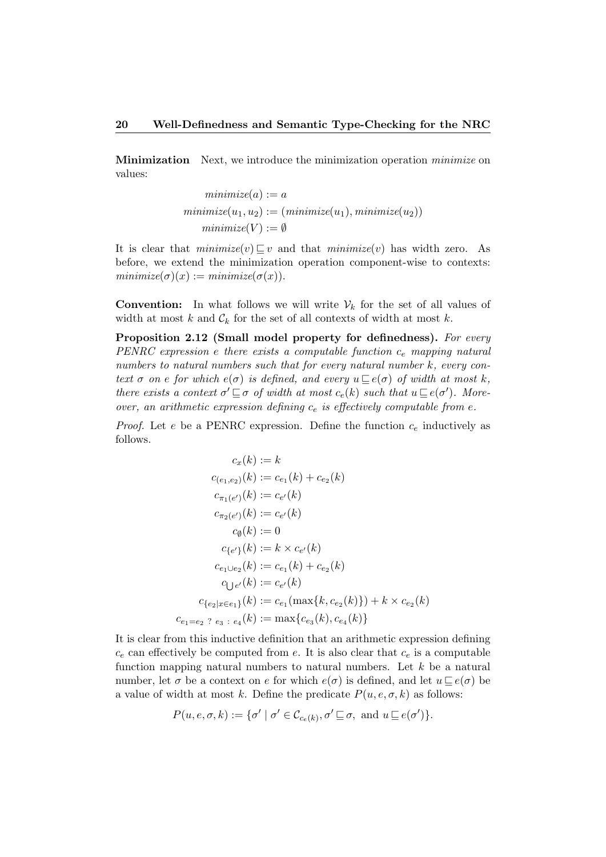Minimization Next, we introduce the minimization operation *minimize* on values:

$$
minimize(a) := a
$$
  

$$
minimize(u_1, u_2) := (minimize(u_1), minimize(u_2))
$$
  

$$
minimize(V) := \emptyset
$$

It is clear that  $minimize(v) \sqsubset v$  and that  $minimize(v)$  has width zero. As before, we extend the minimization operation component-wise to contexts:  $minimize(\sigma)(x) := minimize(\sigma(x)).$ 

**Convention:** In what follows we will write  $V_k$  for the set of all values of width at most k and  $\mathcal{C}_k$  for the set of all contexts of width at most k.

Proposition 2.12 (Small model property for definedness). For every PENRC expression e there exists a computable function  $c_e$  mapping natural numbers to natural numbers such that for every natural number k, every context  $\sigma$  on e for which  $e(\sigma)$  is defined, and every  $u \sqsubseteq e(\sigma)$  of width at most k, there exists a context  $\sigma' \sqsubseteq \sigma$  of width at most  $c_e(k)$  such that  $u \sqsubseteq e(\sigma')$ . Moreover, an arithmetic expression defining  $c_e$  is effectively computable from e.

*Proof.* Let e be a PENRC expression. Define the function  $c_e$  inductively as follows.

$$
c_x(k) := k
$$
  
\n
$$
c_{(e_1, e_2)}(k) := c_{e_1}(k) + c_{e_2}(k)
$$
  
\n
$$
c_{\pi_1(e')}(k) := c_{e'}(k)
$$
  
\n
$$
c_{\pi_2(e')}(k) := c_{e'}(k)
$$
  
\n
$$
c_{\emptyset}(k) := 0
$$
  
\n
$$
c_{\{e'\}}(k) := k \times c_{e'}(k)
$$
  
\n
$$
c_{e_1 \cup e_2}(k) := c_{e_1}(k) + c_{e_2}(k)
$$
  
\n
$$
c_{\{e_2 \mid x \in e_1\}}(k) := c_{e'}(k)
$$
  
\n
$$
c_{\{e_2 \mid x \in e_1\}}(k) := c_{e_1}(\max\{k, c_{e_2}(k)\}) + k \times c_{e_2}(k)
$$
  
\n
$$
c_{e_1 = e_2 \quad e_3 \quad \colon e_4}(k) := \max\{c_{e_3}(k), c_{e_4}(k)\}
$$

It is clear from this inductive definition that an arithmetic expression defining  $c_e$  can effectively be computed from e. It is also clear that  $c_e$  is a computable function mapping natural numbers to natural numbers. Let  $k$  be a natural number, let  $\sigma$  be a context on e for which  $e(\sigma)$  is defined, and let  $u \sqsubset e(\sigma)$  be a value of width at most k. Define the predicate  $P(u, e, \sigma, k)$  as follows:

$$
P(u, e, \sigma, k) := \{ \sigma' \mid \sigma' \in \mathcal{C}_{c_e(k)}, \sigma' \sqsubseteq \sigma, \text{ and } u \sqsubseteq e(\sigma') \}.
$$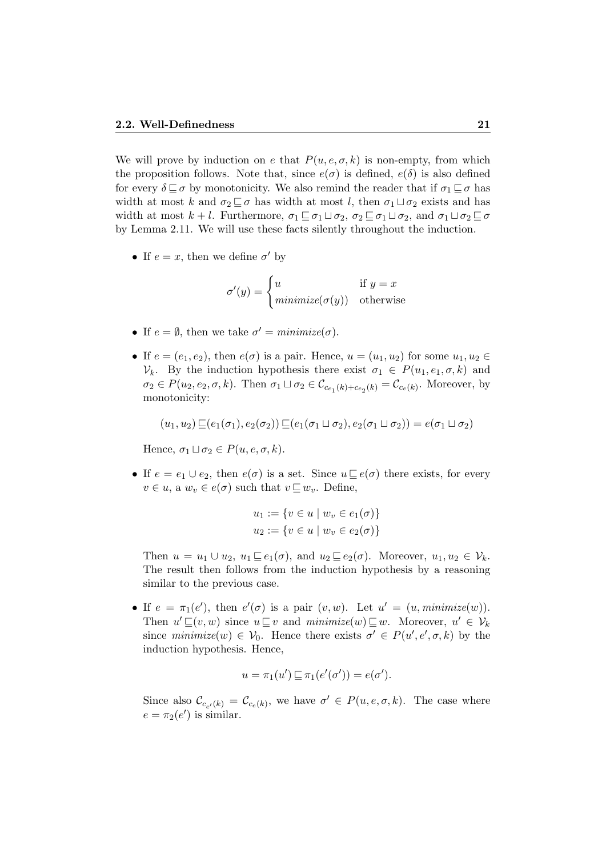We will prove by induction on e that  $P(u, e, \sigma, k)$  is non-empty, from which the proposition follows. Note that, since  $e(\sigma)$  is defined,  $e(\delta)$  is also defined for every  $\delta \sqsubseteq \sigma$  by monotonicity. We also remind the reader that if  $\sigma_1 \sqsubseteq \sigma$  has width at most k and  $\sigma_2 \sqsubseteq \sigma$  has width at most l, then  $\sigma_1 \sqcup \sigma_2$  exists and has width at most  $k + l$ . Furthermore,  $\sigma_1 \sqsubseteq \sigma_1 \sqcup \sigma_2$ ,  $\sigma_2 \sqsubseteq \sigma_1 \sqcup \sigma_2$ , and  $\sigma_1 \sqcup \sigma_2 \sqsubseteq \sigma$ by Lemma 2.11. We will use these facts silently throughout the induction.

• If  $e = x$ , then we define  $\sigma'$  by

$$
\sigma'(y) = \begin{cases} u & \text{if } y = x \\ \text{minimize}(\sigma(y)) & \text{otherwise} \end{cases}
$$

- If  $e = \emptyset$ , then we take  $\sigma' = \text{minimize}(\sigma)$ .
- If  $e = (e_1, e_2)$ , then  $e(\sigma)$  is a pair. Hence,  $u = (u_1, u_2)$  for some  $u_1, u_2 \in$  $V_k$ . By the induction hypothesis there exist  $\sigma_1 \in P(u_1, e_1, \sigma, k)$  and  $\sigma_2 \in P(u_2, e_2, \sigma, k)$ . Then  $\sigma_1 \sqcup \sigma_2 \in C_{c_{e_1}(k) + c_{e_2}(k)} = C_{c_e(k)}$ . Moreover, by monotonicity:

$$
(u_1, u_2) \sqsubseteq (e_1(\sigma_1), e_2(\sigma_2)) \sqsubseteq (e_1(\sigma_1 \sqcup \sigma_2), e_2(\sigma_1 \sqcup \sigma_2)) = e(\sigma_1 \sqcup \sigma_2)
$$

Hence,  $\sigma_1 \sqcup \sigma_2 \in P(u, e, \sigma, k)$ .

• If  $e = e_1 \cup e_2$ , then  $e(\sigma)$  is a set. Since  $u \sqsubseteq e(\sigma)$  there exists, for every  $v \in u$ , a  $w_v \in e(\sigma)$  such that  $v \sqsubseteq w_v$ . Define,

$$
u_1 := \{ v \in u \mid w_v \in e_1(\sigma) \}
$$
  

$$
u_2 := \{ v \in u \mid w_v \in e_2(\sigma) \}
$$

Then  $u = u_1 \cup u_2$ ,  $u_1 \sqsubseteq e_1(\sigma)$ , and  $u_2 \sqsubseteq e_2(\sigma)$ . Moreover,  $u_1, u_2 \in \mathcal{V}_k$ . The result then follows from the induction hypothesis by a reasoning similar to the previous case.

• If  $e = \pi_1(e')$ , then  $e'(\sigma)$  is a pair  $(v, w)$ . Let  $u' = (u, \text{minimize}(w))$ . Then  $u' \sqsubseteq (v, w)$  since  $u \sqsubseteq v$  and  $minimize(w) \sqsubseteq w$ . Moreover,  $u' \in V_k$ since  $minimize(w) \in V_0$ . Hence there exists  $\sigma' \in P(u', e', \sigma, k)$  by the induction hypothesis. Hence,

$$
u = \pi_1(u') \sqsubseteq \pi_1(e'(\sigma')) = e(\sigma').
$$

Since also  $\mathcal{C}_{c_{e'}(k)} = \mathcal{C}_{c_e(k)}$ , we have  $\sigma' \in P(u, e, \sigma, k)$ . The case where  $e = \pi_2(e')$  is similar.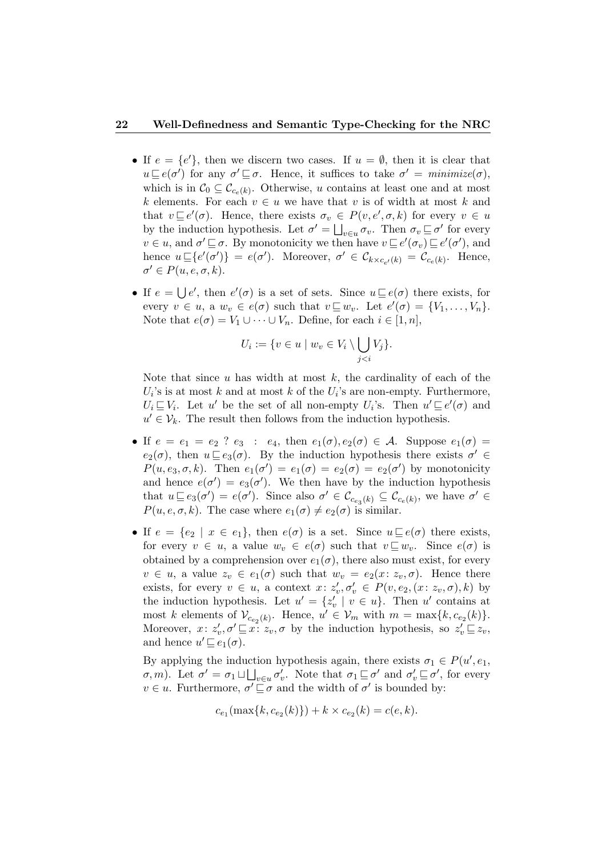#### 22 Well-Definedness and Semantic Type-Checking for the NRC

- If  $e = \{e\}$ , then we discern two cases. If  $u = \emptyset$ , then it is clear that  $u \sqsubseteq e(\sigma')$  for any  $\sigma' \sqsubseteq \sigma$ . Hence, it suffices to take  $\sigma' = \text{minimize}(\sigma)$ , which is in  $\mathcal{C}_0 \subseteq \mathcal{C}_{c_e(k)}$ . Otherwise, u contains at least one and at most k elements. For each  $v \in u$  we have that v is of width at most k and that  $v \sqsubseteq e'(\sigma)$ . Hence, there exists  $\sigma_v \in P(v, e', \sigma, k)$  for every  $v \in u$ by the induction hypothesis. Let  $\sigma' = \bigsqcup_{v \in u} \sigma_v$ . Then  $\sigma_v \sqsubseteq \sigma'$  for every  $v \in u$ , and  $\sigma' \sqsubseteq \sigma$ . By monotonicity we then have  $v \sqsubseteq e'(\sigma_v) \sqsubseteq e'(\sigma')$ , and hence  $u \sqsubseteq \{e'(\sigma')\} = e(\sigma')$ . Moreover,  $\sigma' \in \mathcal{C}_{k \times c_{e'}(k)} = \mathcal{C}_{c_e(k)}$ . Hence,  $\sigma' \in P(u, e, \sigma, k).$
- If  $e = \bigcup e'$ , then  $e'(\sigma)$  is a set of sets. Since  $u \sqsubseteq e(\sigma)$  there exists, for every  $v \in u$ , a  $w_v \in e(\sigma)$  such that  $v \sqsubseteq w_v$ . Let  $e'(\sigma) = \{V_1, \ldots, V_n\}$ . Note that  $e(\sigma) = V_1 \cup \cdots \cup V_n$ . Define, for each  $i \in [1, n]$ ,

$$
U_i := \{ v \in u \mid w_v \in V_i \setminus \bigcup_{j < i} V_j \}.
$$

Note that since  $u$  has width at most  $k$ , the cardinality of each of the  $U_i$ 's is at most k and at most k of the  $U_i$ 's are non-empty. Furthermore,  $U_i \sqsubseteq V_i$ . Let u' be the set of all non-empty  $U_i$ 's. Then  $u' \sqsubseteq e'(\sigma)$  and  $u' \in V_k$ . The result then follows from the induction hypothesis.

- If  $e = e_1 = e_2$  ?  $e_3 : e_4$ , then  $e_1(\sigma), e_2(\sigma) \in \mathcal{A}$ . Suppose  $e_1(\sigma) =$  $e_2(\sigma)$ , then  $u \sqsubseteq e_3(\sigma)$ . By the induction hypothesis there exists  $\sigma' \in$  $P(u, e_3, \sigma, k)$ . Then  $e_1(\sigma') = e_1(\sigma) = e_2(\sigma) = e_2(\sigma')$  by monotonicity and hence  $e(\sigma') = e_3(\sigma')$ . We then have by the induction hypothesis that  $u \sqsubseteq e_3(\sigma') = e(\sigma')$ . Since also  $\sigma' \in \mathcal{C}_{c_{e_3}(k)} \subseteq \mathcal{C}_{c_{e}(k)}$ , we have  $\sigma' \in$  $P(u, e, \sigma, k)$ . The case where  $e_1(\sigma) \neq e_2(\sigma)$  is similar.
- If  $e = \{e_2 \mid x \in e_1\}$ , then  $e(\sigma)$  is a set. Since  $u \sqsubseteq e(\sigma)$  there exists, for every  $v \in u$ , a value  $w_v \in e(\sigma)$  such that  $v \sqsubseteq w_v$ . Since  $e(\sigma)$  is obtained by a comprehension over  $e_1(\sigma)$ , there also must exist, for every  $v \in u$ , a value  $z_v \in e_1(\sigma)$  such that  $w_v = e_2(x: z_v, \sigma)$ . Hence there exists, for every  $v \in u$ , a context  $x: z'_v, \sigma'_v \in P(v, e_2, (x: z_v, \sigma), k)$  by the induction hypothesis. Let  $u' = \{z'_v \mid v \in u\}$ . Then u' contains at most k elements of  $\mathcal{V}_{c_{e_2}(k)}$ . Hence,  $u' \in \mathcal{V}_m$  with  $m = \max\{k, c_{e_2}(k)\}.$ Moreover,  $x: z'_v, \sigma' \sqsubseteq x: z_v, \sigma$  by the induction hypothesis, so  $z'_v \sqsubseteq z_v$ , and hence  $u' \sqsubseteq e_1(\sigma)$ .

By applying the induction hypothesis again, there exists  $\sigma_1 \in P(u', e_1,$  $\sigma$ , *m*). Let  $\sigma' = \sigma_1 \sqcup \bigsqcup_{v \in u} \sigma'_v$ . Note that  $\sigma_1 \sqsubseteq \sigma'$  and  $\sigma'_v \sqsubseteq \sigma'$ , for every  $v \in u$ . Furthermore,  $\sigma' \sqsubseteq \sigma$  and the width of  $\sigma'$  is bounded by:

$$
c_{e_1}(\max\{k, c_{e_2}(k)\}) + k \times c_{e_2}(k) = c(e, k).
$$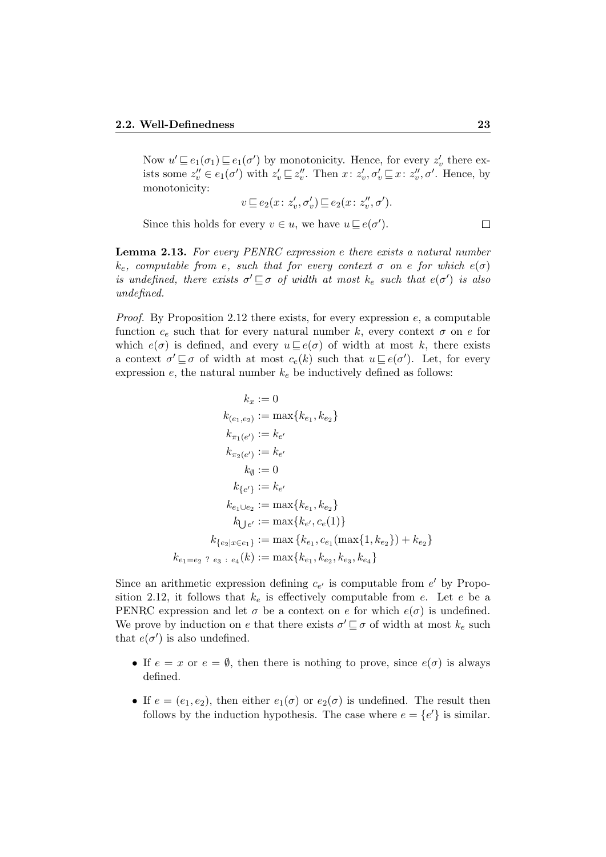Now  $u' \sqsubseteq e_1(\sigma_1) \sqsubseteq e_1(\sigma')$  by monotonicity. Hence, for every  $z'_v$  there exists some  $z''_v \in e_1(\sigma')$  with  $z'_v \sqsubseteq z''_v$ . Then  $x \colon z'_v, \sigma'_v \sqsubseteq x \colon z''_v, \sigma'$ . Hence, by monotonicity:

$$
v \sqsubseteq e_2(x \colon z_v', \sigma_v') \sqsubseteq e_2(x \colon z_v'', \sigma').
$$

Since this holds for every  $v \in u$ , we have  $u \sqsubseteq e(\sigma')$ .

Lemma 2.13. For every PENRC expression e there exists a natural number  $k_e$ , computable from e, such that for every context  $\sigma$  on e for which  $e(\sigma)$ is undefined, there exists  $\sigma' \sqsubseteq \sigma$  of width at most  $k_e$  such that  $e(\sigma')$  is also undefined.

*Proof.* By Proposition 2.12 there exists, for every expression  $e$ , a computable function  $c_e$  such that for every natural number k, every context  $\sigma$  on e for which  $e(\sigma)$  is defined, and every  $u \sqsubseteq e(\sigma)$  of width at most k, there exists a context  $\sigma' \sqsubseteq \sigma$  of width at most  $c_e(k)$  such that  $u \sqsubseteq e(\sigma')$ . Let, for every expression  $e$ , the natural number  $k_e$  be inductively defined as follows:

$$
k_x := 0
$$
  
\n
$$
k_{(e_1, e_2)} := \max\{k_{e_1}, k_{e_2}\}
$$
  
\n
$$
k_{\pi_1(e')} := k_{e'}
$$
  
\n
$$
k_{\pi_2(e')} := k_{e'}
$$
  
\n
$$
k_{\emptyset} := 0
$$
  
\n
$$
k_{\{e'\}} := k_{e'}
$$
  
\n
$$
k_{e_1 \cup e_2} := \max\{k_{e_1}, k_{e_2}\}
$$
  
\n
$$
k_{\bigcup e'} := \max\{k_{e'}, c_e(1)\}
$$
  
\n
$$
k_{\{e_2 | x \in e_1\}} := \max\{k_{e_1}, c_{e_1}(\max\{1, k_{e_2}\}) + k_{e_2}\}
$$
  
\n
$$
k_{e_1 = e_2 \quad ? \quad e_3 \quad : \quad e_4(k) := \max\{k_{e_1}, k_{e_2}, k_{e_3}, k_{e_4}\}
$$

Since an arithmetic expression defining  $c_{e'}$  is computable from  $e'$  by Proposition 2.12, it follows that  $k_e$  is effectively computable from e. Let e be a PENRC expression and let  $\sigma$  be a context on e for which  $e(\sigma)$  is undefined. We prove by induction on e that there exists  $\sigma' \sqsubseteq \sigma$  of width at most  $k_e$  such that  $e(\sigma')$  is also undefined.

- If  $e = x$  or  $e = \emptyset$ , then there is nothing to prove, since  $e(\sigma)$  is always defined.
- If  $e = (e_1, e_2)$ , then either  $e_1(\sigma)$  or  $e_2(\sigma)$  is undefined. The result then follows by the induction hypothesis. The case where  $e = \{e'\}$  is similar.

 $\Box$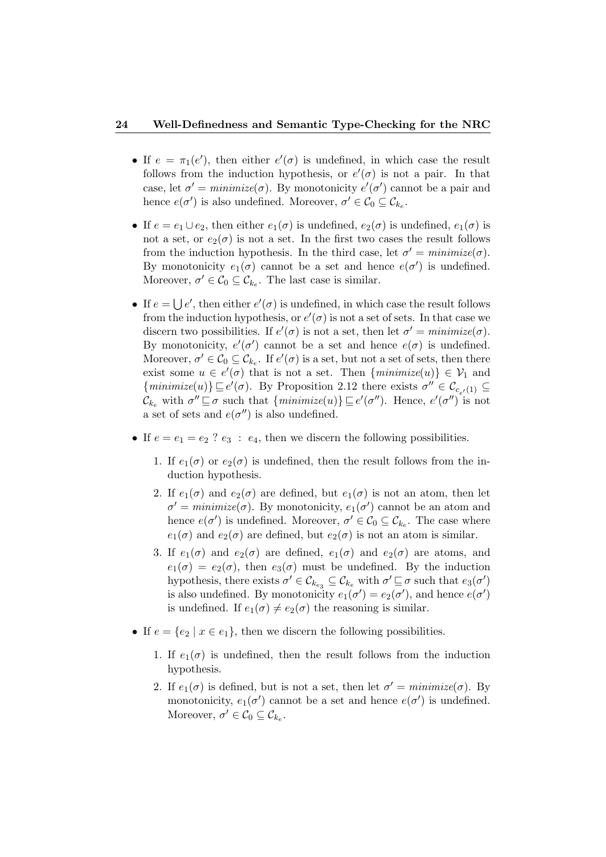#### 24 Well-Definedness and Semantic Type-Checking for the NRC

- If  $e = \pi_1(e')$ , then either  $e'(\sigma)$  is undefined, in which case the result follows from the induction hypothesis, or  $e'(\sigma)$  is not a pair. In that case, let  $\sigma' = \text{minimize}(\sigma)$ . By monotonicity  $e'(\sigma')$  cannot be a pair and hence  $e(\sigma')$  is also undefined. Moreover,  $\sigma' \in \mathcal{C}_0 \subseteq \mathcal{C}_{k_e}$ .
- If  $e = e_1 \cup e_2$ , then either  $e_1(\sigma)$  is undefined,  $e_2(\sigma)$  is undefined,  $e_1(\sigma)$  is not a set, or  $e_2(\sigma)$  is not a set. In the first two cases the result follows from the induction hypothesis. In the third case, let  $\sigma' = \text{minimize}(\sigma)$ . By monotonicity  $e_1(\sigma)$  cannot be a set and hence  $e(\sigma')$  is undefined. Moreover,  $\sigma' \in C_0 \subseteq C_{k_e}$ . The last case is similar.
- If  $e = \bigcup e'$ , then either  $e'(\sigma)$  is undefined, in which case the result follows from the induction hypothesis, or  $e'(\sigma)$  is not a set of sets. In that case we discern two possibilities. If  $e'(\sigma)$  is not a set, then let  $\sigma' = \text{minimize}(\sigma)$ . By monotonicity,  $e'(\sigma')$  cannot be a set and hence  $e(\sigma)$  is undefined. Moreover,  $\sigma' \in \mathcal{C}_0 \subseteq \mathcal{C}_{k_e}$ . If  $e'(\sigma)$  is a set, but not a set of sets, then there exist some  $u \in e'(\sigma)$  that is not a set. Then  $\{minimize(u)\} \in V_1$  and  $\{minimize(u)\}\sqsubseteq e'(\sigma)$ . By Proposition 2.12 there exists  $\sigma'' \in \mathcal{C}_{c_{e'}(1)} \subseteq$  $\mathcal{C}_{k_e}$  with  $\sigma'' \sqsubseteq \sigma$  such that  $\{\text{minimize}(u)\} \sqsubseteq e'(\sigma'')$ . Hence,  $e'(\sigma'')$  is not a set of sets and  $e(\sigma'')$  is also undefined.
- If  $e = e_1 = e_2$  ?  $e_3 : e_4$ , then we discern the following possibilities.
	- 1. If  $e_1(\sigma)$  or  $e_2(\sigma)$  is undefined, then the result follows from the induction hypothesis.
	- 2. If  $e_1(\sigma)$  and  $e_2(\sigma)$  are defined, but  $e_1(\sigma)$  is not an atom, then let  $\sigma' = \text{minimize}(\sigma)$ . By monotonicity,  $e_1(\sigma')$  cannot be an atom and hence  $e(\sigma')$  is undefined. Moreover,  $\sigma' \in \mathcal{C}_0 \subseteq \mathcal{C}_{k_e}$ . The case where  $e_1(\sigma)$  and  $e_2(\sigma)$  are defined, but  $e_2(\sigma)$  is not an atom is similar.
	- 3. If  $e_1(\sigma)$  and  $e_2(\sigma)$  are defined,  $e_1(\sigma)$  and  $e_2(\sigma)$  are atoms, and  $e_1(\sigma) = e_2(\sigma)$ , then  $e_3(\sigma)$  must be undefined. By the induction hypothesis, there exists  $\sigma' \in \mathcal{C}_{k_{e_3}} \subseteq \mathcal{C}_{k_e}$  with  $\sigma' \sqsubseteq \sigma$  such that  $e_3(\sigma')$ is also undefined. By monotonicity  $e_1(\sigma') = e_2(\sigma')$ , and hence  $e(\sigma')$ is undefined. If  $e_1(\sigma) \neq e_2(\sigma)$  the reasoning is similar.
- If  $e = \{e_2 \mid x \in e_1\}$ , then we discern the following possibilities.
	- 1. If  $e_1(\sigma)$  is undefined, then the result follows from the induction hypothesis.
	- 2. If  $e_1(\sigma)$  is defined, but is not a set, then let  $\sigma' = \text{minimize}(\sigma)$ . By monotonicity,  $e_1(\sigma')$  cannot be a set and hence  $e(\sigma')$  is undefined. Moreover,  $\sigma' \in \mathcal{C}_0 \subseteq \mathcal{C}_{k_e}$ .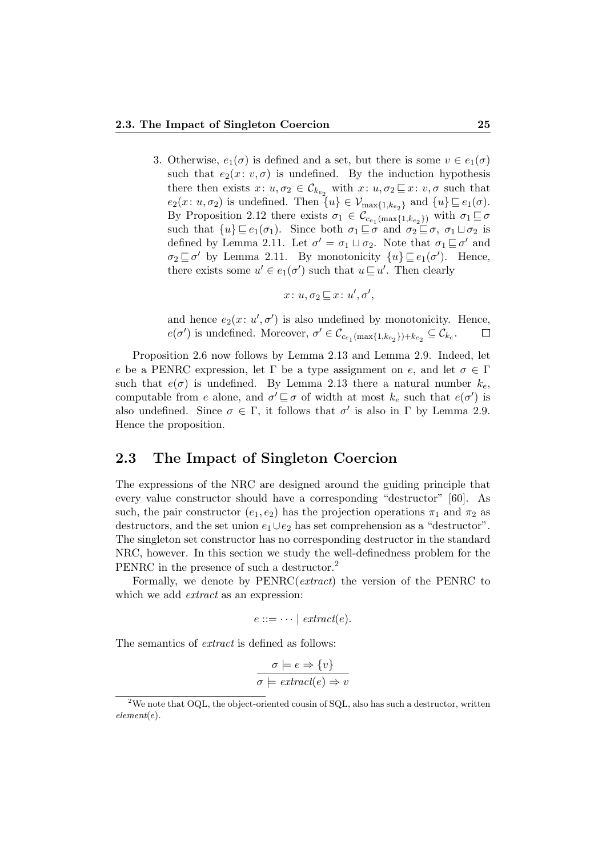3. Otherwise,  $e_1(\sigma)$  is defined and a set, but there is some  $v \in e_1(\sigma)$ such that  $e_2(x: v, \sigma)$  is undefined. By the induction hypothesis there then exists  $x: u, \sigma_2 \in \mathcal{C}_{k_{e_2}}$  with  $x: u, \sigma_2 \sqsubseteq x: v, \sigma$  such that  $e_2(x: u, \sigma_2)$  is undefined. Then  $\{u\} \in \mathcal{V}_{\max\{1, k_{e_2}\}}$  and  $\{u\} \sqsubseteq e_1(\sigma)$ . By Proposition 2.12 there exists  $\sigma_1 \in \mathcal{C}_{c_{e_1}(\max\{1, k_{e_2}\})}$  with  $\sigma_1 \sqsubseteq \sigma$ such that  $\{u\} \sqsubseteq e_1(\sigma_1)$ . Since both  $\sigma_1 \sqsubseteq \sigma$  and  $\sigma_2 \sqsubseteq \sigma$ ,  $\sigma_1 \sqcup \sigma_2$  is defined by Lemma 2.11. Let  $\sigma' = \sigma_1 \sqcup \sigma_2$ . Note that  $\sigma_1 \sqsubseteq \sigma'$  and  $\sigma_2 \sqsubseteq \sigma'$  by Lemma 2.11. By monotonicity  $\{u\} \sqsubseteq e_1(\sigma')$ . Hence, there exists some  $u' \in e_1(\sigma')$  such that  $u \sqsubseteq u'$ . Then clearly

$$
x\colon u, \sigma_2 \sqsubseteq x\colon u', \sigma',
$$

and hence  $e_2(x: u', \sigma')$  is also undefined by monotonicity. Hence,  $e(\sigma')$  is undefined. Moreover,  $\sigma' \in \mathcal{C}_{c_{e_1}(\max\{1, k_{e_2}\}) + k_{e_2}} \subseteq \mathcal{C}_{k_e}.$  $\Box$ 

Proposition 2.6 now follows by Lemma 2.13 and Lemma 2.9. Indeed, let e be a PENRC expression, let Γ be a type assignment on e, and let  $\sigma \in \Gamma$ such that  $e(\sigma)$  is undefined. By Lemma 2.13 there a natural number  $k_e$ , computable from e alone, and  $\sigma' \sqsubseteq \sigma$  of width at most  $k_e$  such that  $e(\sigma')$  is also undefined. Since  $\sigma \in \Gamma$ , it follows that  $\sigma'$  is also in  $\Gamma$  by Lemma 2.9. Hence the proposition.

#### 2.3 The Impact of Singleton Coercion

The expressions of the NRC are designed around the guiding principle that every value constructor should have a corresponding "destructor" [60]. As such, the pair constructor  $(e_1, e_2)$  has the projection operations  $\pi_1$  and  $\pi_2$  as destructors, and the set union  $e_1 \cup e_2$  has set comprehension as a "destructor". The singleton set constructor has no corresponding destructor in the standard NRC, however. In this section we study the well-definedness problem for the PENRC in the presence of such a destructor.<sup>2</sup>

Formally, we denote by PENRC(*extract*) the version of the PENRC to which we add *extract* as an expression:

$$
e ::= \dots \mid extract(e).
$$

The semantics of *extract* is defined as follows:

$$
\sigma \models e \Rightarrow \{v\}
$$

$$
\sigma \models extract(e) \Rightarrow v
$$

<sup>&</sup>lt;sup>2</sup>We note that OQL, the object-oriented cousin of SQL, also has such a destructor, written element(e).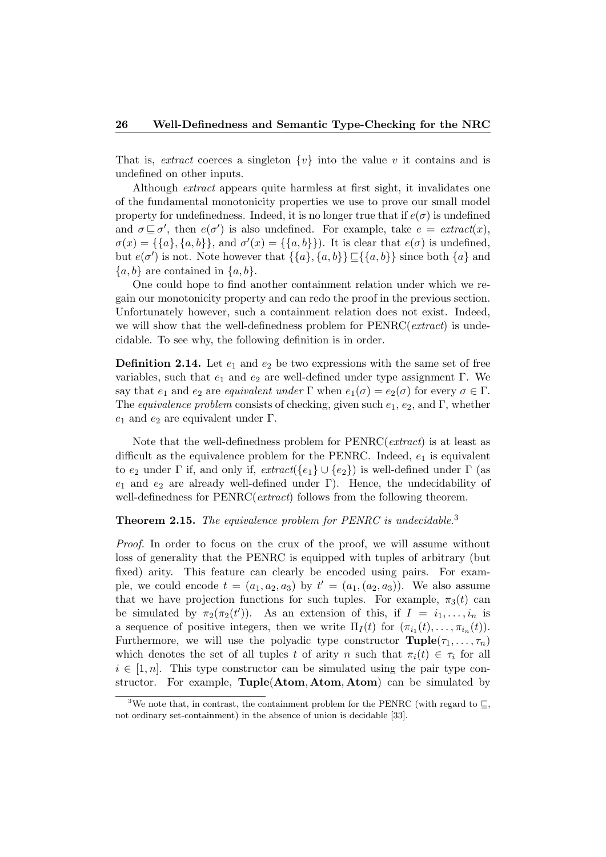That is, *extract* coerces a singleton  $\{v\}$  into the value v it contains and is undefined on other inputs.

Although *extract* appears quite harmless at first sight, it invalidates one of the fundamental monotonicity properties we use to prove our small model property for undefinedness. Indeed, it is no longer true that if  $e(\sigma)$  is undefined and  $\sigma \sqsubseteq \sigma'$ , then  $e(\sigma')$  is also undefined. For example, take  $e = \text{extract}(x)$ ,  $\sigma(x) = \{\{a\}, \{a, b\}\}\$ , and  $\sigma'(x) = \{\{a, b\}\}\$ . It is clear that  $e(\sigma)$  is undefined, but  $e(\sigma')$  is not. Note however that  $\{\{a\}, \{a, b\}\} \subseteq {\{\{a, b\}\}\$  since both  $\{a\}$  and  ${a, b}$  are contained in  ${a, b}$ .

One could hope to find another containment relation under which we regain our monotonicity property and can redo the proof in the previous section. Unfortunately however, such a containment relation does not exist. Indeed, we will show that the well-definedness problem for  $PENRC(extract)$  is undecidable. To see why, the following definition is in order.

**Definition 2.14.** Let  $e_1$  and  $e_2$  be two expressions with the same set of free variables, such that  $e_1$  and  $e_2$  are well-defined under type assignment Γ. We say that  $e_1$  and  $e_2$  are equivalent under  $\Gamma$  when  $e_1(\sigma) = e_2(\sigma)$  for every  $\sigma \in \Gamma$ . The equivalence problem consists of checking, given such  $e_1, e_2$ , and Γ, whether  $e_1$  and  $e_2$  are equivalent under Γ.

Note that the well-definedness problem for PENRC(extract) is at least as difficult as the equivalence problem for the PENRC. Indeed,  $e_1$  is equivalent to  $e_2$  under Γ if, and only if,  $extract({e_1} \cup {e_2})$  is well-defined under Γ (as  $e_1$  and  $e_2$  are already well-defined under Γ). Hence, the undecidability of well-definedness for PENRC(*extract*) follows from the following theorem.

#### **Theorem 2.15.** The equivalence problem for PENRC is undecidable.<sup>3</sup>

Proof. In order to focus on the crux of the proof, we will assume without loss of generality that the PENRC is equipped with tuples of arbitrary (but fixed) arity. This feature can clearly be encoded using pairs. For example, we could encode  $t = (a_1, a_2, a_3)$  by  $t' = (a_1, (a_2, a_3))$ . We also assume that we have projection functions for such tuples. For example,  $\pi_3(t)$  can be simulated by  $\pi_2(\pi_2(t'))$ . As an extension of this, if  $I = i_1, \ldots, i_n$  is a sequence of positive integers, then we write  $\Pi_I(t)$  for  $(\pi_{i_1}(t), \ldots, \pi_{i_n}(t))$ . Furthermore, we will use the polyadic type constructor  $\text{Tuple}(\tau_1, \ldots, \tau_n)$ which denotes the set of all tuples t of arity n such that  $\pi_i(t) \in \tau_i$  for all  $i \in [1, n]$ . This type constructor can be simulated using the pair type constructor. For example, Tuple(Atom, Atom, Atom) can be simulated by

 $^3\rm{We}$  note that, in contrast, the containment problem for the PENRC (with regard to  $\sqsubseteq,$ not ordinary set-containment) in the absence of union is decidable [33].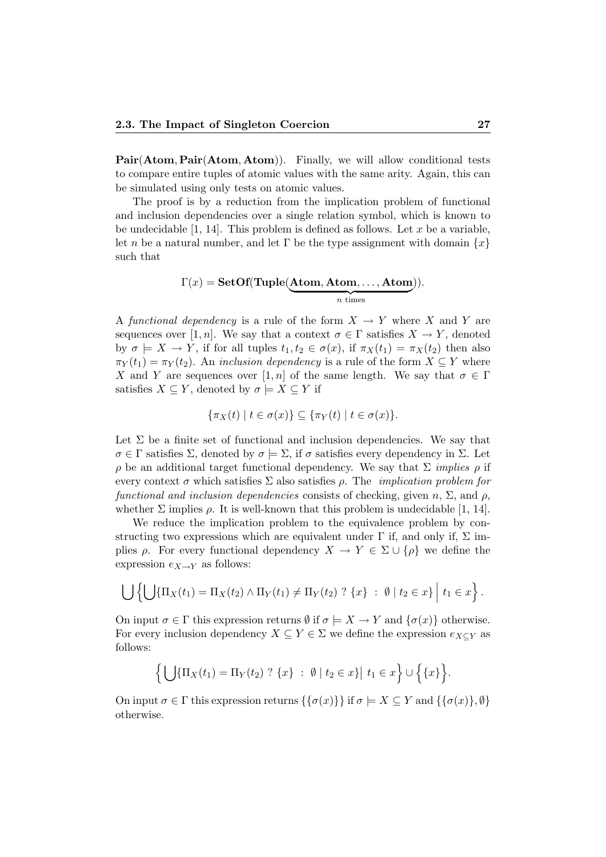Pair(Atom, Pair(Atom, Atom)). Finally, we will allow conditional tests to compare entire tuples of atomic values with the same arity. Again, this can be simulated using only tests on atomic values.

The proof is by a reduction from the implication problem of functional and inclusion dependencies over a single relation symbol, which is known to be undecidable  $[1, 14]$ . This problem is defined as follows. Let x be a variable, let n be a natural number, and let Γ be the type assignment with domain  $\{x\}$ such that

$$
\Gamma(x) = \mathbf{SetOf}(\mathbf{Tuple}(\underbrace{\mathbf{Atom}, \mathbf{Atom}, \dots, \mathbf{Atom}}_{n \text{ times}})).
$$

A functional dependency is a rule of the form  $X \to Y$  where X and Y are sequences over [1, n]. We say that a context  $\sigma \in \Gamma$  satisfies  $X \to Y$ , denoted by  $\sigma \models X \to Y$ , if for all tuples  $t_1, t_2 \in \sigma(x)$ , if  $\pi_X(t_1) = \pi_X(t_2)$  then also  $\pi_Y(t_1) = \pi_Y(t_2)$ . An inclusion dependency is a rule of the form  $X \subseteq Y$  where X and Y are sequences over [1, n] of the same length. We say that  $\sigma \in \Gamma$ satisfies  $X \subseteq Y$ , denoted by  $\sigma \models X \subseteq Y$  if

$$
\{\pi_X(t) \mid t \in \sigma(x)\} \subseteq \{\pi_Y(t) \mid t \in \sigma(x)\}.
$$

Let  $\Sigma$  be a finite set of functional and inclusion dependencies. We say that  $\sigma \in \Gamma$  satisfies  $\Sigma$ , denoted by  $\sigma \models \Sigma$ , if  $\sigma$  satisfies every dependency in  $\Sigma$ . Let ρ be an additional target functional dependency. We say that Σ implies ρ if every context  $\sigma$  which satisfies  $\Sigma$  also satisfies  $\rho$ . The *implication problem for* functional and inclusion dependencies consists of checking, given n,  $\Sigma$ , and  $\rho$ , whether  $\Sigma$  implies  $\rho$ . It is well-known that this problem is undecidable [1, 14].

We reduce the implication problem to the equivalence problem by constructing two expressions which are equivalent under  $\Gamma$  if, and only if,  $\Sigma$  implies  $\rho$ . For every functional dependency  $X \to Y \in \Sigma \cup \{\rho\}$  we define the expression  $e_{X\rightarrow Y}$  as follows:

$$
\bigcup \left\{ \bigcup \{\Pi_X(t_1) = \Pi_X(t_2) \wedge \Pi_Y(t_1) \neq \Pi_Y(t_2) \; ? \; \{x\} \; : \; \emptyset \; | \; t_2 \in x \right\} \; | \; t_1 \in x \right\}.
$$

On input  $\sigma \in \Gamma$  this expression returns  $\emptyset$  if  $\sigma \models X \to Y$  and  $\{\sigma(x)\}\$  otherwise. For every inclusion dependency  $X \subseteq Y \in \Sigma$  we define the expression  $e_{X\subseteq Y}$  as follows:

$$
\Big\{\bigcup\{\Pi_X(t_1)=\Pi_Y(t_2)\,?\,\{x\}\;:\;\emptyset\;|\;t_2\in x\}\big|\;t_1\in x\Big\}\cup\Big\{\{x\}\Big\}.
$$

On input  $\sigma \in \Gamma$  this expression returns  $\{\{\sigma(x)\}\}\$ if  $\sigma \models X \subseteq Y$  and  $\{\{\sigma(x)\}, \emptyset\}$ otherwise.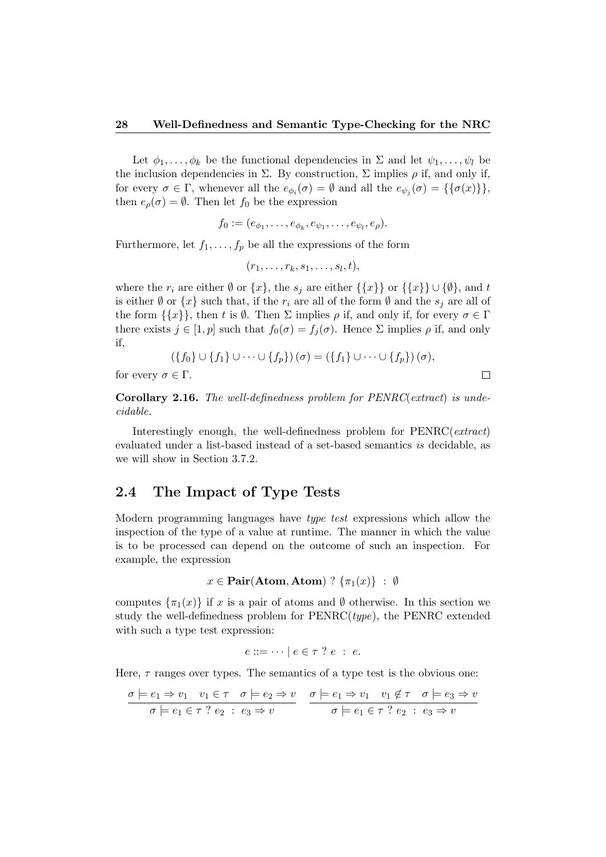Let  $\phi_1, \ldots, \phi_k$  be the functional dependencies in  $\Sigma$  and let  $\psi_1, \ldots, \psi_l$  be the inclusion dependencies in  $\Sigma$ . By construction,  $\Sigma$  implies  $\rho$  if, and only if, for every  $\sigma \in \Gamma$ , whenever all the  $e_{\phi_i}(\sigma) = \emptyset$  and all the  $e_{\psi_j}(\sigma) = {\{\{\sigma(x)\}\}},$ then  $e_{\rho}(\sigma) = \emptyset$ . Then let  $f_0$  be the expression

$$
f_0:=(e_{\phi_1},\ldots,e_{\phi_k},e_{\psi_1},\ldots,e_{\psi_l},e_{\rho}).
$$

Furthermore, let  $f_1, \ldots, f_p$  be all the expressions of the form

$$
(r_1,\ldots,r_k,s_1,\ldots,s_l,t),
$$

where the  $r_i$  are either  $\emptyset$  or  $\{x\}$ , the  $s_j$  are either  $\{\{x\}\}\$  or  $\{\{x\}\}\cup\{\emptyset\}$ , and t is either  $\emptyset$  or  $\{x\}$  such that, if the  $r_i$  are all of the form  $\emptyset$  and the  $s_j$  are all of the form  $\{\{x\}\}\,$ , then t is  $\emptyset$ . Then  $\Sigma$  implies  $\rho$  if, and only if, for every  $\sigma \in \Gamma$ there exists  $j \in [1, p]$  such that  $f_0(\sigma) = f_i(\sigma)$ . Hence  $\Sigma$  implies  $\rho$  if, and only if,

$$
(\lbrace f_0 \rbrace \cup \lbrace f_1 \rbrace \cup \cdots \cup \lbrace f_p \rbrace)(\sigma) = (\lbrace f_1 \rbrace \cup \cdots \cup \lbrace f_p \rbrace)(\sigma),
$$

 $\Box$ 

for every  $\sigma \in \Gamma$ .

Corollary 2.16. The well-definedness problem for PENRC(extract) is undecidable.

Interestingly enough, the well-definedness problem for PENRC(extract) evaluated under a list-based instead of a set-based semantics is decidable, as we will show in Section 3.7.2.

#### 2.4 The Impact of Type Tests

Modern programming languages have type test expressions which allow the inspection of the type of a value at runtime. The manner in which the value is to be processed can depend on the outcome of such an inspection. For example, the expression

$$
x \in \textbf{Pair}(\textbf{Atom}, \textbf{Atom}) ? \{\pi_1(x)\} : \emptyset
$$

computes  $\{\pi_1(x)\}\$ if x is a pair of atoms and Ø otherwise. In this section we study the well-definedness problem for  $PERRC(type)$ , the PENRC extended with such a type test expression:

$$
e ::= \cdots | e \in \tau ? e : e.
$$

Here,  $\tau$  ranges over types. The semantics of a type test is the obvious one:

$$
\frac{\sigma \models e_1 \Rightarrow v_1 \quad v_1 \in \tau \quad \sigma \models e_2 \Rightarrow v}{\sigma \models e_1 \in \tau \ ? \ e_2 \ : \ e_3 \Rightarrow v} \quad \frac{\sigma \models e_1 \Rightarrow v_1 \quad v_1 \notin \tau \quad \sigma \models e_3 \Rightarrow v}{\sigma \models e_1 \in \tau \ ? \ e_2 \ : \ e_3 \Rightarrow v}
$$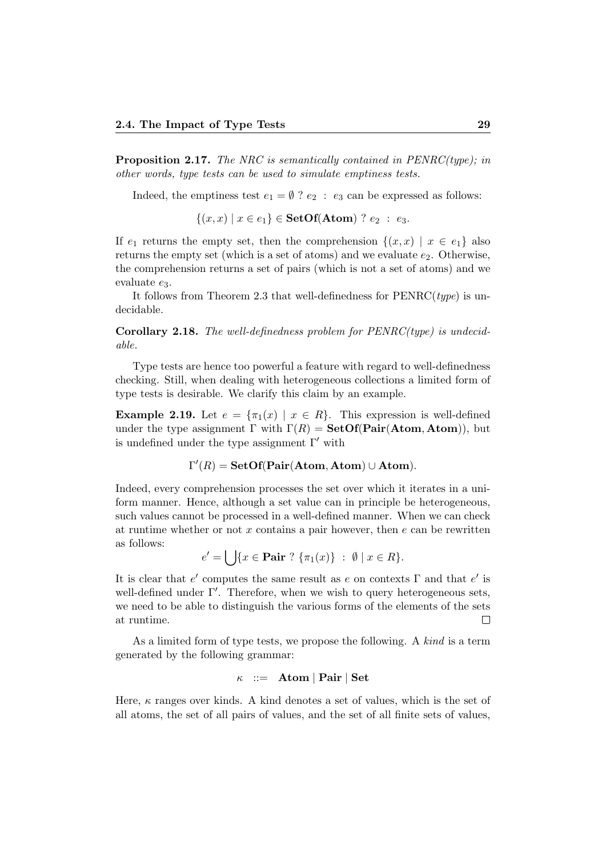Proposition 2.17. The NRC is semantically contained in PENRC(type); in other words, type tests can be used to simulate emptiness tests.

Indeed, the emptiness test  $e_1 = \emptyset$  ?  $e_2 : e_3$  can be expressed as follows:

 $\{(x, x) | x \in e_1\} \in \textbf{SetOf}(\textbf{Atom}) ? e_2 : e_3.$ 

If  $e_1$  returns the empty set, then the comprehension  $\{(x, x) | x \in e_1\}$  also returns the empty set (which is a set of atoms) and we evaluate  $e_2$ . Otherwise, the comprehension returns a set of pairs (which is not a set of atoms) and we evaluate  $e_3$ .

It follows from Theorem 2.3 that well-definedness for  $PENRC(type)$  is undecidable.

**Corollary 2.18.** The well-definedness problem for  $PENRC(type)$  is undecidable.

Type tests are hence too powerful a feature with regard to well-definedness checking. Still, when dealing with heterogeneous collections a limited form of type tests is desirable. We clarify this claim by an example.

**Example 2.19.** Let  $e = {\pi_1(x) | x \in R}$ . This expression is well-defined under the type assignment  $\Gamma$  with  $\Gamma(R) = \textbf{SetOf}(\textbf{Pair}(\textbf{Atom}, \textbf{Atom}))$ , but is undefined under the type assignment  $\Gamma'$  with

$$
\Gamma'(R) = \mathbf{SetOf}(\mathbf{Pair}(\mathbf{Atom}, \mathbf{Atom}) \cup \mathbf{Atom}).
$$

Indeed, every comprehension processes the set over which it iterates in a uniform manner. Hence, although a set value can in principle be heterogeneous, such values cannot be processed in a well-defined manner. When we can check at runtime whether or not  $x$  contains a pair however, then  $e$  can be rewritten as follows:

$$
e' = \bigcup \{ x \in \mathbf{Pair} \; ? \; \{ \pi_1(x) \} \; : \; \emptyset \; | \; x \in R \}.
$$

It is clear that  $e'$  computes the same result as e on contexts  $\Gamma$  and that  $e'$  is well-defined under  $\Gamma'$ . Therefore, when we wish to query heterogeneous sets, we need to be able to distinguish the various forms of the elements of the sets at runtime.  $\Box$ 

As a limited form of type tests, we propose the following. A kind is a term generated by the following grammar:

$$
\kappa \ ::= \ \mathbf{Atom} \ | \ \mathbf{Pair} \ | \ \mathbf{Set}
$$

Here,  $\kappa$  ranges over kinds. A kind denotes a set of values, which is the set of all atoms, the set of all pairs of values, and the set of all finite sets of values,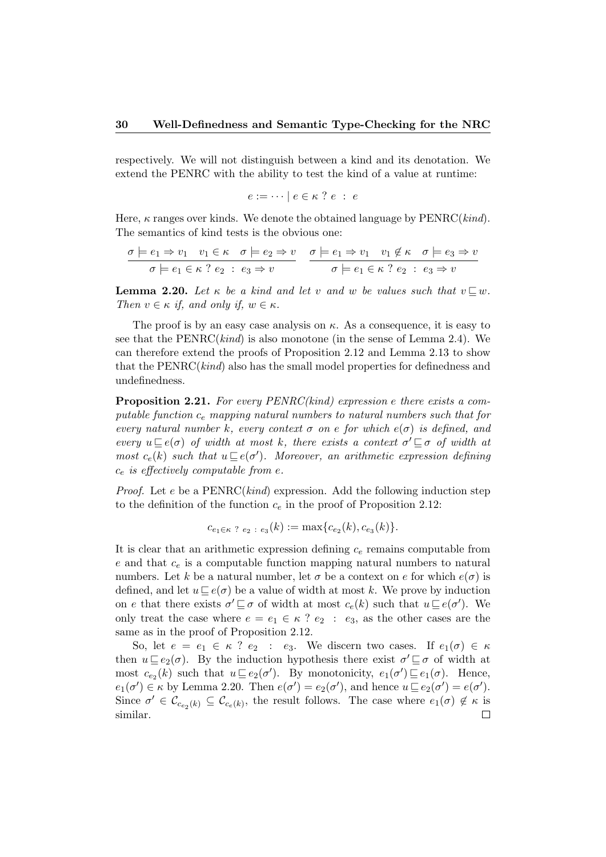respectively. We will not distinguish between a kind and its denotation. We extend the PENRC with the ability to test the kind of a value at runtime:

$$
e := \cdots \mid e \in \kappa \ ? \ e \ : \ e
$$

Here,  $\kappa$  ranges over kinds. We denote the obtained language by  $PERRC(kind)$ . The semantics of kind tests is the obvious one:

$$
\frac{\sigma \models e_1 \Rightarrow v_1 \quad v_1 \in \kappa \quad \sigma \models e_2 \Rightarrow v}{\sigma \models e_1 \in \kappa \quad ? \quad e_2 \; : \; e_3 \Rightarrow v} \quad \frac{\sigma \models e_1 \Rightarrow v_1 \quad v_1 \notin \kappa \quad \sigma \models e_3 \Rightarrow v}{\sigma \models e_1 \in \kappa \quad ? \quad e_2 \; : \; e_3 \Rightarrow v}
$$

**Lemma 2.20.** Let  $\kappa$  be a kind and let v and w be values such that  $v \sqsubseteq w$ . Then  $v \in \kappa$  if, and only if,  $w \in \kappa$ .

The proof is by an easy case analysis on  $\kappa$ . As a consequence, it is easy to see that the  $PERRC(kind)$  is also monotone (in the sense of Lemma 2.4). We can therefore extend the proofs of Proposition 2.12 and Lemma 2.13 to show that the  $PERRC(kind)$  also has the small model properties for definedness and undefinedness.

**Proposition 2.21.** For every  $PENRC(kind)$  expression e there exists a computable function  $c_e$  mapping natural numbers to natural numbers such that for every natural number k, every context  $\sigma$  on e for which  $e(\sigma)$  is defined, and every  $u \sqsubseteq e(\sigma)$  of width at most k, there exists a context  $\sigma' \sqsubseteq \sigma$  of width at most  $c_e(k)$  such that  $u \sqsubseteq e(\sigma')$ . Moreover, an arithmetic expression defining  $c_e$  is effectively computable from e.

*Proof.* Let  $e$  be a PENRC(*kind*) expression. Add the following induction step to the definition of the function  $c_e$  in the proof of Proposition 2.12:

$$
c_{e_1 \in \kappa} \, \gamma \, \epsilon_2 \, : \, e_3(k) := \max\{c_{e_2}(k), c_{e_3}(k)\}.
$$

It is clear that an arithmetic expression defining  $c_e$  remains computable from  $e$  and that  $c_e$  is a computable function mapping natural numbers to natural numbers. Let k be a natural number, let  $\sigma$  be a context on e for which  $e(\sigma)$  is defined, and let  $u \sqsubseteq e(\sigma)$  be a value of width at most k. We prove by induction on e that there exists  $\sigma' \sqsubseteq \sigma$  of width at most  $c_e(k)$  such that  $u \sqsubseteq e(\sigma')$ . We only treat the case where  $e = e_1 \in \kappa$  ?  $e_2 : e_3$ , as the other cases are the same as in the proof of Proposition 2.12.

So, let  $e = e_1 \in \kappa$  ?  $e_2 : e_3$ . We discern two cases. If  $e_1(\sigma) \in \kappa$ then  $u \sqsubseteq e_2(\sigma)$ . By the induction hypothesis there exist  $\sigma' \sqsubseteq \sigma$  of width at most  $c_{e_2}(k)$  such that  $u \sqsubseteq e_2(\sigma')$ . By monotonicity,  $e_1(\sigma') \sqsubseteq e_1(\sigma)$ . Hence,  $e_1(\sigma') \in \kappa$  by Lemma 2.20. Then  $e(\sigma') = e_2(\sigma')$ , and hence  $u \sqsubseteq e_2(\sigma') = e(\sigma')$ . Since  $\sigma' \in \mathcal{C}_{c_{e_2}(k)} \subseteq \mathcal{C}_{c_e(k)}$ , the result follows. The case where  $e_1(\sigma) \notin \kappa$  is similar. $\Box$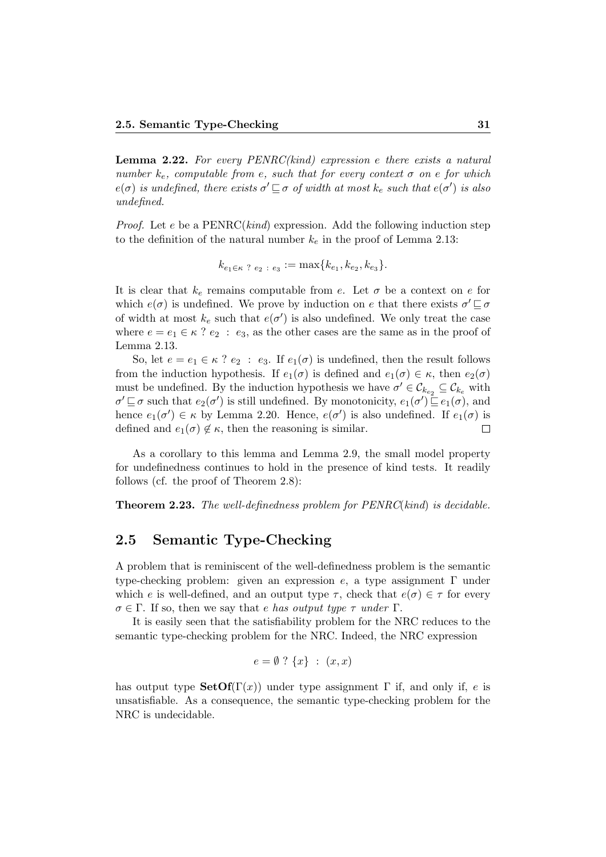**Lemma 2.22.** For every  $PERRC(kind)$  expression e there exists a natural number  $k_e$ , computable from e, such that for every context  $\sigma$  on e for which  $e(\sigma)$  is undefined, there exists  $\sigma' \sqsubseteq \sigma$  of width at most  $k_e$  such that  $e(\sigma')$  is also undefined.

*Proof.* Let e be a  $PERRC(kind)$  expression. Add the following induction step to the definition of the natural number  $k_e$  in the proof of Lemma 2.13:

$$
k_{e_1 \in \kappa} \, ? \, e_2 : e_3 := \max\{k_{e_1}, k_{e_2}, k_{e_3}\}.
$$

It is clear that  $k_e$  remains computable from e. Let  $\sigma$  be a context on e for which  $e(\sigma)$  is undefined. We prove by induction on e that there exists  $\sigma' \sqsubseteq \sigma$ of width at most  $k_e$  such that  $e(\sigma')$  is also undefined. We only treat the case where  $e = e_1 \in \kappa$  ?  $e_2 : e_3$ , as the other cases are the same as in the proof of Lemma 2.13.

So, let  $e = e_1 \in \kappa$  ?  $e_2 : e_3$ . If  $e_1(\sigma)$  is undefined, then the result follows from the induction hypothesis. If  $e_1(\sigma)$  is defined and  $e_1(\sigma) \in \kappa$ , then  $e_2(\sigma)$ must be undefined. By the induction hypothesis we have  $\sigma' \in \mathcal{C}_{k_{e_2}} \subseteq \mathcal{C}_{k_e}$  with  $\sigma' \sqsubseteq \sigma$  such that  $e_2(\sigma')$  is still undefined. By monotonicity,  $e_1(\sigma') \sqsubseteq e_1(\sigma)$ , and hence  $e_1(\sigma') \in \kappa$  by Lemma 2.20. Hence,  $e(\sigma')$  is also undefined. If  $e_1(\sigma)$  is defined and  $e_1(\sigma) \notin \kappa$ , then the reasoning is similar.  $\Box$ 

As a corollary to this lemma and Lemma 2.9, the small model property for undefinedness continues to hold in the presence of kind tests. It readily follows (cf. the proof of Theorem 2.8):

**Theorem 2.23.** The well-definedness problem for  $PENRC(kind)$  is decidable.

#### 2.5 Semantic Type-Checking

A problem that is reminiscent of the well-definedness problem is the semantic type-checking problem: given an expression  $e$ , a type assignment  $\Gamma$  under which e is well-defined, and an output type  $\tau$ , check that  $e(\sigma) \in \tau$  for every  $\sigma \in \Gamma$ . If so, then we say that e has output type  $\tau$  under  $\Gamma$ .

It is easily seen that the satisfiability problem for the NRC reduces to the semantic type-checking problem for the NRC. Indeed, the NRC expression

$$
e = \emptyset ? \{x\} : (x, x)
$$

has output type  $\text{SetOf}(\Gamma(x))$  under type assignment  $\Gamma$  if, and only if, e is unsatisfiable. As a consequence, the semantic type-checking problem for the NRC is undecidable.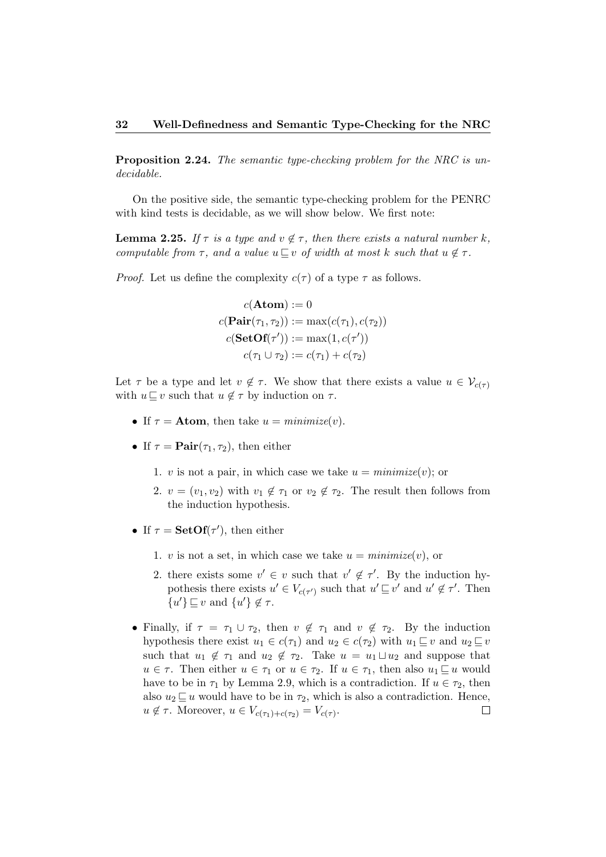Proposition 2.24. The semantic type-checking problem for the NRC is undecidable.

On the positive side, the semantic type-checking problem for the PENRC with kind tests is decidable, as we will show below. We first note:

**Lemma 2.25.** If  $\tau$  is a type and  $v \notin \tau$ , then there exists a natural number k, computable from  $\tau$ , and a value  $u \sqsubseteq v$  of width at most k such that  $u \notin \tau$ .

*Proof.* Let us define the complexity  $c(\tau)$  of a type  $\tau$  as follows.

$$
c(\mathbf{Atom}) := 0
$$
  

$$
c(\mathbf{Pair}(\tau_1, \tau_2)) := \max(c(\tau_1), c(\tau_2))
$$
  

$$
c(\mathbf{SetOf}(\tau')) := \max(1, c(\tau'))
$$
  

$$
c(\tau_1 \cup \tau_2) := c(\tau_1) + c(\tau_2)
$$

Let  $\tau$  be a type and let  $v \notin \tau$ . We show that there exists a value  $u \in V_{c(\tau)}$ with  $u \sqsubseteq v$  such that  $u \notin \tau$  by induction on  $\tau$ .

- If  $\tau =$  **Atom**, then take  $u = \text{minimize}(v)$ .
- If  $\tau = \text{Pair}(\tau_1, \tau_2)$ , then either
	- 1. v is not a pair, in which case we take  $u = \text{minimize}(v)$ ; or
	- 2.  $v = (v_1, v_2)$  with  $v_1 \notin \tau_1$  or  $v_2 \notin \tau_2$ . The result then follows from the induction hypothesis.
- If  $\tau = \text{SetOf}(\tau')$ , then either
	- 1. v is not a set, in which case we take  $u = \text{minimize}(v)$ , or
	- 2. there exists some  $v' \in v$  such that  $v' \notin \tau'$ . By the induction hypothesis there exists  $u' \in V_{c(\tau')}$  such that  $u' \sqsubseteq v'$  and  $u' \notin \tau'$ . Then  $\{u'\}\sqsubseteq v$  and  $\{u'\}\notin \tau$ .
- Finally, if  $\tau = \tau_1 \cup \tau_2$ , then  $v \notin \tau_1$  and  $v \notin \tau_2$ . By the induction hypothesis there exist  $u_1 \in c(\tau_1)$  and  $u_2 \in c(\tau_2)$  with  $u_1 \sqsubseteq v$  and  $u_2 \sqsubseteq v$ such that  $u_1 \notin \tau_1$  and  $u_2 \notin \tau_2$ . Take  $u = u_1 \sqcup u_2$  and suppose that  $u \in \tau$ . Then either  $u \in \tau_1$  or  $u \in \tau_2$ . If  $u \in \tau_1$ , then also  $u_1 \sqsubseteq u$  would have to be in  $\tau_1$  by Lemma 2.9, which is a contradiction. If  $u \in \tau_2$ , then also  $u_2 \sqsubseteq u$  would have to be in  $\tau_2$ , which is also a contradiction. Hence,  $u \notin \tau$ . Moreover,  $u \in V_{c(\tau_1) + c(\tau_2)} = V_{c(\tau)}$ .  $\Box$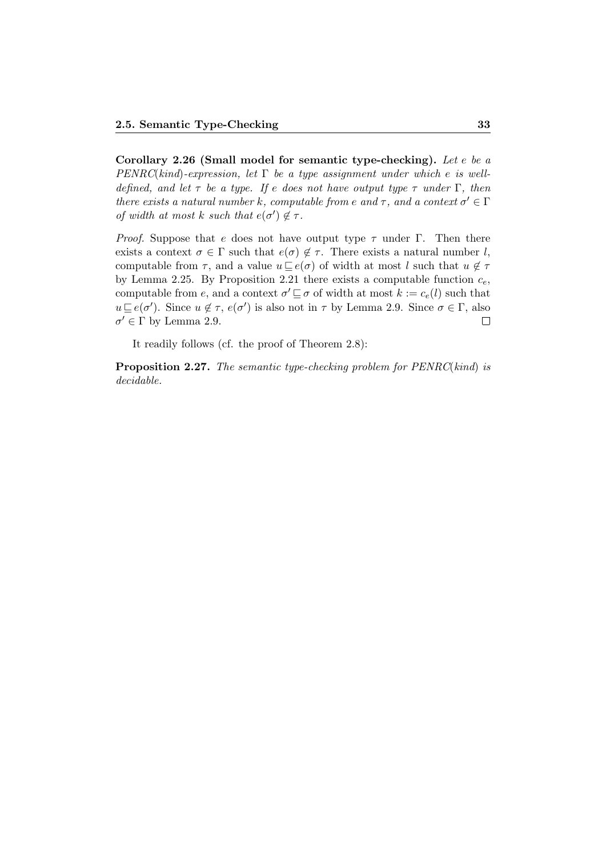Corollary 2.26 (Small model for semantic type-checking). Let e be a  $PENRC(kind)$ -expression, let  $\Gamma$  be a type assignment under which e is welldefined, and let  $\tau$  be a type. If e does not have output type  $\tau$  under  $\Gamma$ , then there exists a natural number k, computable from e and  $\tau$ , and a context  $\sigma' \in \Gamma$ of width at most k such that  $e(\sigma') \notin \tau$ .

*Proof.* Suppose that e does not have output type  $\tau$  under Γ. Then there exists a context  $\sigma \in \Gamma$  such that  $e(\sigma) \notin \tau$ . There exists a natural number l, computable from  $\tau$ , and a value  $u \sqsubseteq e(\sigma)$  of width at most l such that  $u \notin \tau$ by Lemma 2.25. By Proposition 2.21 there exists a computable function  $c_e$ , computable from e, and a context  $\sigma' \sqsubseteq \sigma$  of width at most  $k := c_e(l)$  such that  $u \sqsubseteq e(\sigma')$ . Since  $u \notin \tau$ ,  $e(\sigma')$  is also not in  $\tau$  by Lemma 2.9. Since  $\sigma \in \Gamma$ , also  $\sigma' \in \Gamma$  by Lemma 2.9.  $\Box$ 

It readily follows (cf. the proof of Theorem 2.8):

Proposition 2.27. The semantic type-checking problem for PENRC(kind) is decidable.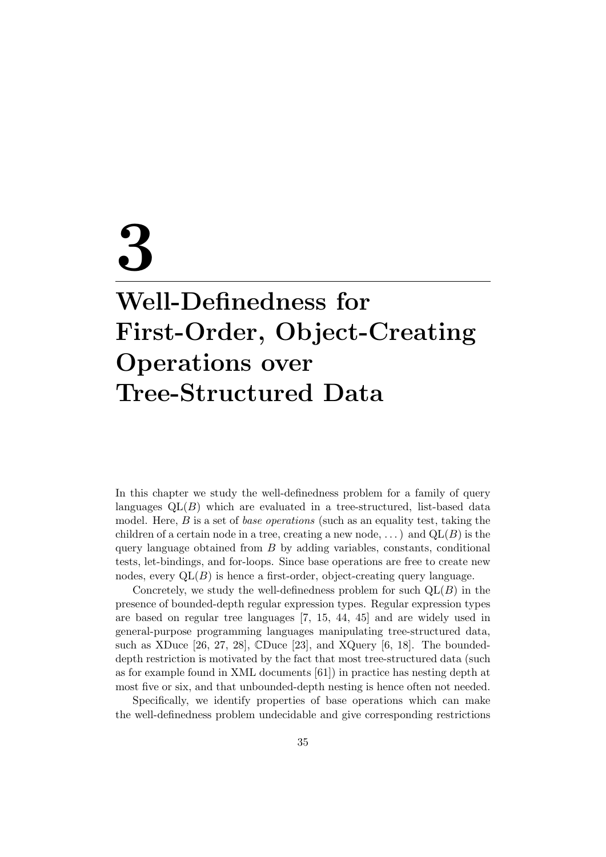# 3 Well-Definedness for First-Order, Object-Creating Operations over Tree-Structured Data

In this chapter we study the well-definedness problem for a family of query languages  $QL(B)$  which are evaluated in a tree-structured, list-based data model. Here,  $B$  is a set of *base operations* (such as an equality test, taking the children of a certain node in a tree, creating a new node,  $\dots$  and  $QL(B)$  is the query language obtained from  $B$  by adding variables, constants, conditional tests, let-bindings, and for-loops. Since base operations are free to create new nodes, every  $QL(B)$  is hence a first-order, object-creating query language.

Concretely, we study the well-definedness problem for such  $QL(B)$  in the presence of bounded-depth regular expression types. Regular expression types are based on regular tree languages [7, 15, 44, 45] and are widely used in general-purpose programming languages manipulating tree-structured data, such as XDuce [26, 27, 28], CDuce [23], and XQuery [6, 18]. The boundeddepth restriction is motivated by the fact that most tree-structured data (such as for example found in XML documents [61]) in practice has nesting depth at most five or six, and that unbounded-depth nesting is hence often not needed.

Specifically, we identify properties of base operations which can make the well-definedness problem undecidable and give corresponding restrictions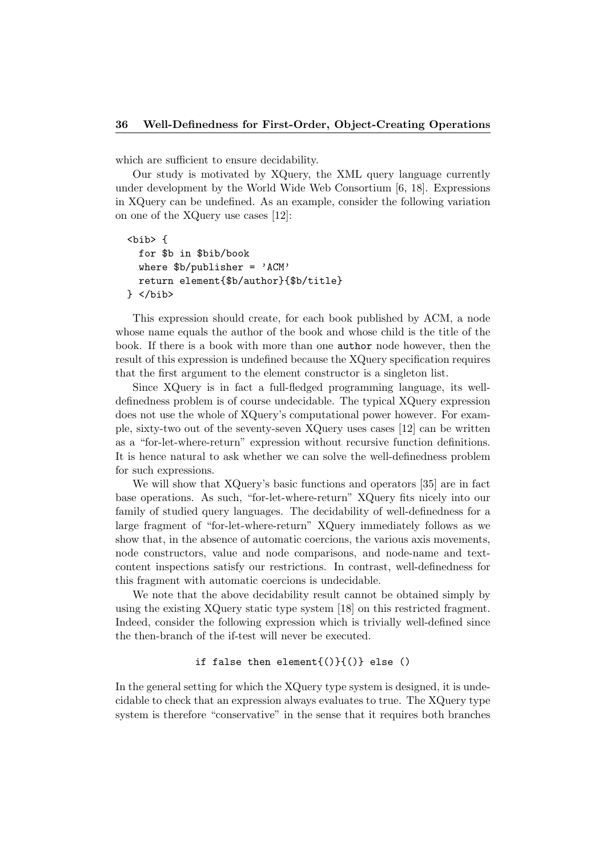which are sufficient to ensure decidability.

Our study is motivated by XQuery, the XML query language currently under development by the World Wide Web Consortium [6, 18]. Expressions in XQuery can be undefined. As an example, consider the following variation on one of the XQuery use cases [12]:

```
<bib> {
  for $b in $bib/book
 where b/publisher = 'ACM'return element{$b/author}{$b/title}
} </bib>
```
This expression should create, for each book published by ACM, a node whose name equals the author of the book and whose child is the title of the book. If there is a book with more than one author node however, then the result of this expression is undefined because the XQuery specification requires that the first argument to the element constructor is a singleton list.

Since XQuery is in fact a full-fledged programming language, its welldefinedness problem is of course undecidable. The typical XQuery expression does not use the whole of XQuery's computational power however. For example, sixty-two out of the seventy-seven XQuery uses cases [12] can be written as a "for-let-where-return" expression without recursive function definitions. It is hence natural to ask whether we can solve the well-definedness problem for such expressions.

We will show that XQuery's basic functions and operators [35] are in fact base operations. As such, "for-let-where-return" XQuery fits nicely into our family of studied query languages. The decidability of well-definedness for a large fragment of "for-let-where-return" XQuery immediately follows as we show that, in the absence of automatic coercions, the various axis movements, node constructors, value and node comparisons, and node-name and textcontent inspections satisfy our restrictions. In contrast, well-definedness for this fragment with automatic coercions is undecidable.

We note that the above decidability result cannot be obtained simply by using the existing XQuery static type system [18] on this restricted fragment. Indeed, consider the following expression which is trivially well-defined since the then-branch of the if-test will never be executed.

#### if false then element $\{()\}$ { $()\}$  else  $()$

In the general setting for which the XQuery type system is designed, it is undecidable to check that an expression always evaluates to true. The XQuery type system is therefore "conservative" in the sense that it requires both branches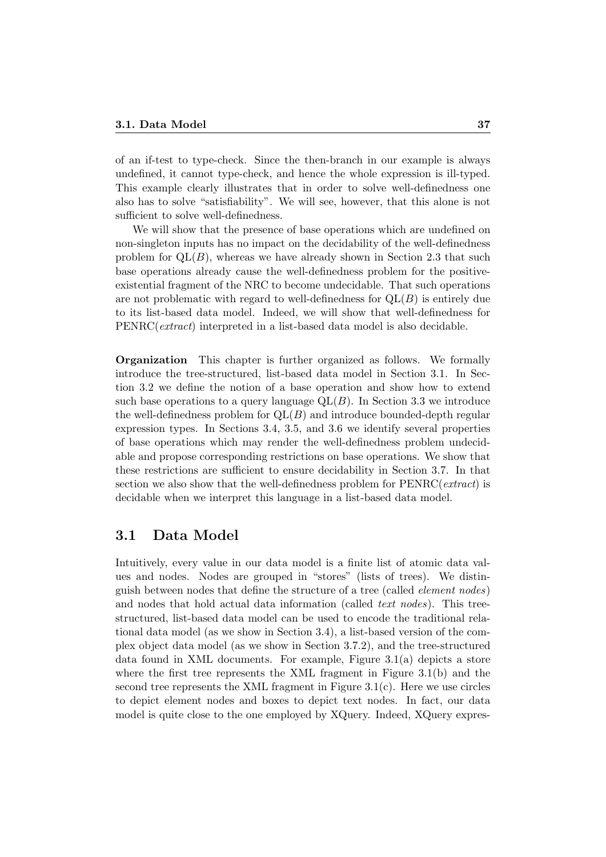of an if-test to type-check. Since the then-branch in our example is always undefined, it cannot type-check, and hence the whole expression is ill-typed. This example clearly illustrates that in order to solve well-definedness one also has to solve "satisfiability". We will see, however, that this alone is not sufficient to solve well-definedness.

We will show that the presence of base operations which are undefined on non-singleton inputs has no impact on the decidability of the well-definedness problem for  $QL(B)$ , whereas we have already shown in Section 2.3 that such base operations already cause the well-definedness problem for the positiveexistential fragment of the NRC to become undecidable. That such operations are not problematic with regard to well-definedness for  $\mathrm{OL}(B)$  is entirely due to its list-based data model. Indeed, we will show that well-definedness for PENRC(extract) interpreted in a list-based data model is also decidable.

Organization This chapter is further organized as follows. We formally introduce the tree-structured, list-based data model in Section 3.1. In Section 3.2 we define the notion of a base operation and show how to extend such base operations to a query language  $QL(B)$ . In Section 3.3 we introduce the well-definedness problem for  $QL(B)$  and introduce bounded-depth regular expression types. In Sections 3.4, 3.5, and 3.6 we identify several properties of base operations which may render the well-definedness problem undecidable and propose corresponding restrictions on base operations. We show that these restrictions are sufficient to ensure decidability in Section 3.7. In that section we also show that the well-definedness problem for  $PERRC(extract)$  is decidable when we interpret this language in a list-based data model.

## 3.1 Data Model

Intuitively, every value in our data model is a finite list of atomic data values and nodes. Nodes are grouped in "stores" (lists of trees). We distinguish between nodes that define the structure of a tree (called element nodes) and nodes that hold actual data information (called *text nodes*). This treestructured, list-based data model can be used to encode the traditional relational data model (as we show in Section 3.4), a list-based version of the complex object data model (as we show in Section 3.7.2), and the tree-structured data found in XML documents. For example, Figure 3.1(a) depicts a store where the first tree represents the XML fragment in Figure 3.1(b) and the second tree represents the XML fragment in Figure  $3.1(c)$ . Here we use circles to depict element nodes and boxes to depict text nodes. In fact, our data model is quite close to the one employed by XQuery. Indeed, XQuery expres-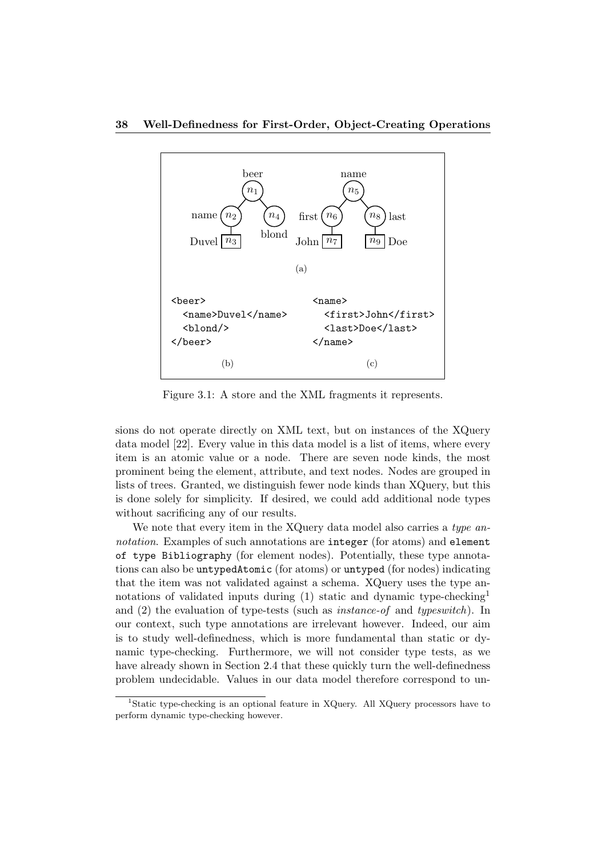

Figure 3.1: A store and the XML fragments it represents.

sions do not operate directly on XML text, but on instances of the XQuery data model [22]. Every value in this data model is a list of items, where every item is an atomic value or a node. There are seven node kinds, the most prominent being the element, attribute, and text nodes. Nodes are grouped in lists of trees. Granted, we distinguish fewer node kinds than XQuery, but this is done solely for simplicity. If desired, we could add additional node types without sacrificing any of our results.

We note that every item in the XQuery data model also carries a type annotation. Examples of such annotations are integer (for atoms) and element of type Bibliography (for element nodes). Potentially, these type annotations can also be untypedAtomic (for atoms) or untyped (for nodes) indicating that the item was not validated against a schema. XQuery uses the type annotations of validated inputs during  $(1)$  static and dynamic type-checking<sup>1</sup> and (2) the evaluation of type-tests (such as instance-of and typeswitch). In our context, such type annotations are irrelevant however. Indeed, our aim is to study well-definedness, which is more fundamental than static or dynamic type-checking. Furthermore, we will not consider type tests, as we have already shown in Section 2.4 that these quickly turn the well-definedness problem undecidable. Values in our data model therefore correspond to un-

<sup>&</sup>lt;sup>1</sup>Static type-checking is an optional feature in XQuery. All XQuery processors have to perform dynamic type-checking however.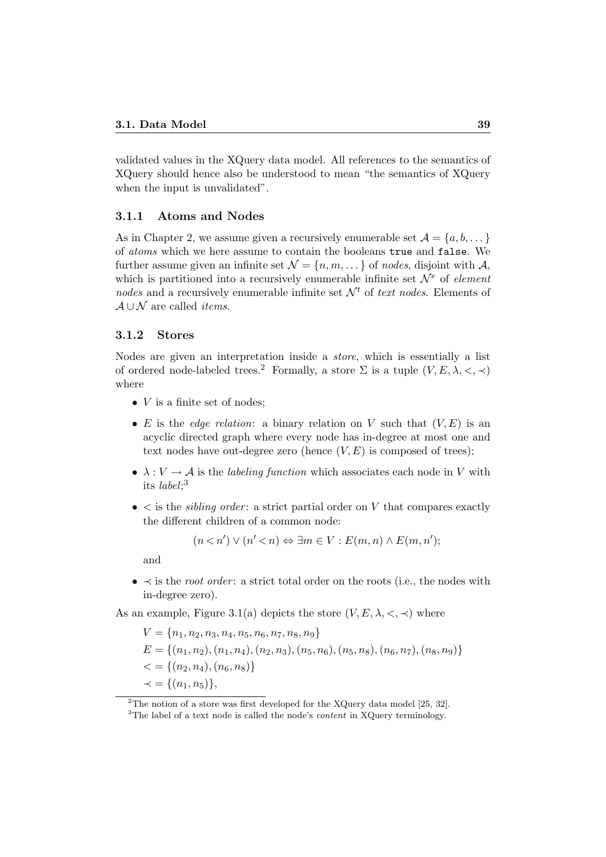validated values in the XQuery data model. All references to the semantics of XQuery should hence also be understood to mean "the semantics of XQuery when the input is unvalidated".

#### 3.1.1 Atoms and Nodes

As in Chapter 2, we assume given a recursively enumerable set  $\mathcal{A} = \{a, b, \dots\}$ of atoms which we here assume to contain the booleans true and false. We further assume given an infinite set  $\mathcal{N} = \{n, m, \dots\}$  of nodes, disjoint with A, which is partitioned into a recursively enumerable infinite set  $\mathcal{N}^e$  of element nodes and a recursively enumerable infinite set  $\mathcal{N}^t$  of text nodes. Elements of  $A \cup \mathcal{N}$  are called *items*.

#### 3.1.2 Stores

Nodes are given an interpretation inside a store, which is essentially a list of ordered node-labeled trees.<sup>2</sup> Formally, a store  $\Sigma$  is a tuple  $(V, E, \lambda, <, \prec)$ where

- $V$  is a finite set of nodes;
- E is the *edge relation*: a binary relation on V such that  $(V, E)$  is an acyclic directed graph where every node has in-degree at most one and text nodes have out-degree zero (hence  $(V, E)$  is composed of trees);
- $\lambda: V \to \mathcal{A}$  is the *labeling function* which associates each node in V with its label; 3
- $\bullet$   $\lt$  is the *sibling order*: a strict partial order on V that compares exactly the different children of a common node:

$$
(n < n') \lor (n' < n) \Leftrightarrow \exists m \in V : E(m, n) \land E(m, n');
$$

and

•  $\prec$  is the *root order*: a strict total order on the roots (i.e., the nodes with in-degree zero).

As an example, Figure 3.1(a) depicts the store  $(V, E, \lambda, \langle, \rangle)$  where

$$
V = \{n_1, n_2, n_3, n_4, n_5, n_6, n_7, n_8, n_9\}
$$
  
\n
$$
E = \{(n_1, n_2), (n_1, n_4), (n_2, n_3), (n_5, n_6), (n_5, n_8), (n_6, n_7), (n_8, n_9)\}
$$
  
\n
$$
< = \{(n_2, n_4), (n_6, n_8)\}
$$
  
\n
$$
\prec = \{(n_1, n_5)\},
$$

<sup>&</sup>lt;sup>2</sup>The notion of a store was first developed for the XQuery data model [25, 32].

<sup>&</sup>lt;sup>3</sup>The label of a text node is called the node's *content* in XQuery terminology.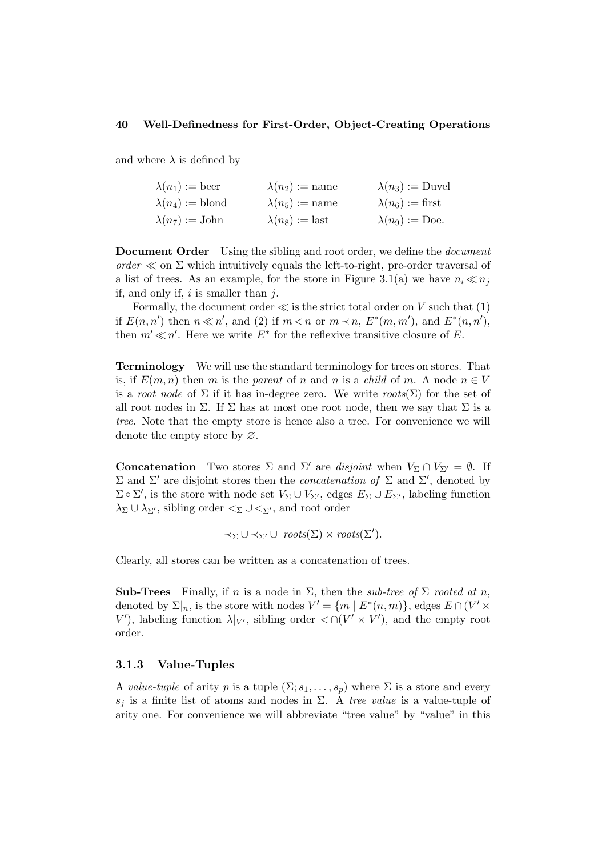and where  $\lambda$  is defined by

| $\lambda(n_1):= \text{beer}$   | $\lambda(n_2):=$ name  | $\lambda(n_3) := \text{Duvel}$ |
|--------------------------------|------------------------|--------------------------------|
| $\lambda(n_4) := \text{blond}$ | $\lambda(n_5):=$ name  | $\lambda(n_6) := \text{first}$ |
| $\lambda(n_7):= \text{John}$   | $\lambda(n_8) :=$ last | $\lambda(n_9) := \text{Doe}.$  |

Document Order Using the sibling and root order, we define the *document* order  $\ll$  on  $\Sigma$  which intuitively equals the left-to-right, pre-order traversal of a list of trees. As an example, for the store in Figure 3.1(a) we have  $n_i \ll n_j$ if, and only if,  $i$  is smaller than  $j$ .

Formally, the document order  $\ll$  is the strict total order on V such that (1) if  $E(n, n')$  then  $n \ll n'$ , and (2) if  $m < n$  or  $m \prec n$ ,  $E^*(m, m')$ , and  $E^*(n, n')$ , then  $m' \ll n'$ . Here we write  $E^*$  for the reflexive transitive closure of E.

Terminology We will use the standard terminology for trees on stores. That is, if  $E(m, n)$  then m is the parent of n and n is a child of m. A node  $n \in V$ is a root node of  $\Sigma$  if it has in-degree zero. We write roots( $\Sigma$ ) for the set of all root nodes in  $\Sigma$ . If  $\Sigma$  has at most one root node, then we say that  $\Sigma$  is a tree. Note that the empty store is hence also a tree. For convenience we will denote the empty store by ∅.

**Concatenation** Two stores  $\Sigma$  and  $\Sigma'$  are disjoint when  $V_{\Sigma} \cap V_{\Sigma'} = \emptyset$ . If Σ and Σ' are disjoint stores then the *concatenation of* Σ and Σ', denoted by  $\Sigma \circ \Sigma'$ , is the store with node set  $V_{\Sigma} \cup V_{\Sigma'}$ , edges  $E_{\Sigma} \cup E_{\Sigma'}$ , labeling function  $\lambda_{\Sigma} \cup \lambda_{\Sigma'}$ , sibling order  $\lt_{\Sigma} \cup \lt_{\Sigma'}$ , and root order

$$
\prec_{\Sigma} \cup \prec_{\Sigma'} \cup \; \mathit{roots}(\Sigma) \times \mathit{roots}(\Sigma').
$$

Clearly, all stores can be written as a concatenation of trees.

Sub-Trees Finally, if n is a node in  $\Sigma$ , then the sub-tree of  $\Sigma$  rooted at n, denoted by  $\Sigma|_n$ , is the store with nodes  $V' = \{m \mid E^*(n,m)\},$  edges  $E \cap (V' \times$ V'), labeling function  $\lambda|_{V'}$ , sibling order < ∩(V' × V'), and the empty root order.

#### 3.1.3 Value-Tuples

A value-tuple of arity p is a tuple  $(\Sigma; s_1, \ldots, s_n)$  where  $\Sigma$  is a store and every  $s_i$  is a finite list of atoms and nodes in  $\Sigma$ . A tree value is a value-tuple of arity one. For convenience we will abbreviate "tree value" by "value" in this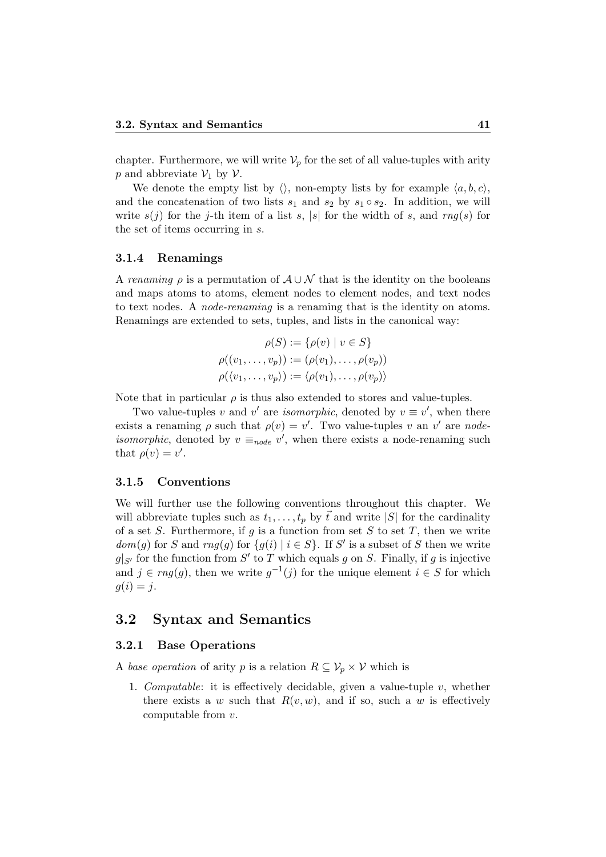chapter. Furthermore, we will write  $\mathcal{V}_p$  for the set of all value-tuples with arity p and abbreviate  $\mathcal{V}_1$  by  $\mathcal{V}$ .

We denote the empty list by  $\langle \rangle$ , non-empty lists by for example  $\langle a, b, c \rangle$ , and the concatenation of two lists  $s_1$  and  $s_2$  by  $s_1 \circ s_2$ . In addition, we will write  $s(j)$  for the j-th item of a list s, |s| for the width of s, and  $rng(s)$  for the set of items occurring in s.

#### 3.1.4 Renamings

A renaming  $\rho$  is a permutation of  $A \cup \mathcal{N}$  that is the identity on the booleans and maps atoms to atoms, element nodes to element nodes, and text nodes to text nodes. A node-renaming is a renaming that is the identity on atoms. Renamings are extended to sets, tuples, and lists in the canonical way:

$$
\rho(S) := \{ \rho(v) \mid v \in S \}
$$

$$
\rho((v_1, \dots, v_p)) := (\rho(v_1), \dots, \rho(v_p))
$$

$$
\rho(\langle v_1, \dots, v_p \rangle) := \langle \rho(v_1), \dots, \rho(v_p) \rangle
$$

Note that in particular  $\rho$  is thus also extended to stores and value-tuples.

Two value-tuples v and v' are *isomorphic*, denoted by  $v \equiv v'$ , when there exists a renaming  $\rho$  such that  $\rho(v) = v'$ . Two value-tuples v an v' are node*isomorphic*, denoted by  $v \equiv_{node} v'$ , when there exists a node-renaming such that  $\rho(v) = v'$ .

#### 3.1.5 Conventions

We will further use the following conventions throughout this chapter. We will abbreviate tuples such as  $t_1, \ldots, t_p$  by  $\vec{t}$  and write  $|S|$  for the cardinality of a set S. Furthermore, if g is a function from set S to set T, then we write  $dom(g)$  for S and  $rng(g)$  for  $\{g(i) | i \in S\}$ . If S' is a subset of S then we write  $g|_{S'}$  for the function from S' to T which equals g on S. Finally, if g is injective and  $j \in rng(g)$ , then we write  $g^{-1}(j)$  for the unique element  $i \in S$  for which  $g(i) = j.$ 

### 3.2 Syntax and Semantics

#### 3.2.1 Base Operations

A base operation of arity p is a relation  $R \subseteq V_p \times V$  which is

1. Computable: it is effectively decidable, given a value-tuple  $v$ , whether there exists a w such that  $R(v, w)$ , and if so, such a w is effectively computable from v.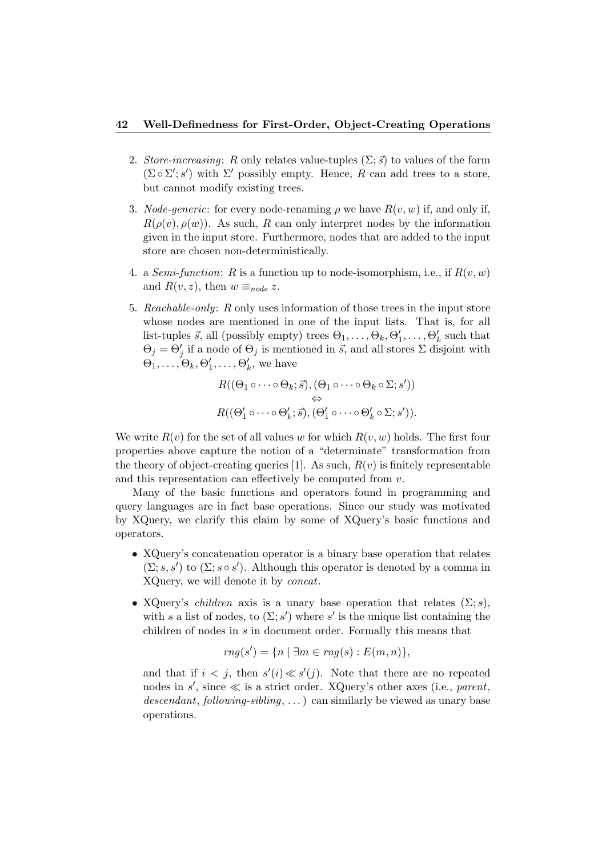#### 42 Well-Definedness for First-Order, Object-Creating Operations

- 2. Store-increasing: R only relates value-tuples  $(\Sigma; \vec{s})$  to values of the form  $(\Sigma \circ \Sigma'; s')$  with  $\Sigma'$  possibly empty. Hence, R can add trees to a store, but cannot modify existing trees.
- 3. *Node-generic*: for every node-renaming  $\rho$  we have  $R(v, w)$  if, and only if,  $R(\rho(v), \rho(w))$ . As such, R can only interpret nodes by the information given in the input store. Furthermore, nodes that are added to the input store are chosen non-deterministically.
- 4. a *Semi-function*: R is a function up to node-isomorphism, i.e., if  $R(v, w)$ and  $R(v, z)$ , then  $w \equiv_{node} z$ .
- 5. Reachable-only: R only uses information of those trees in the input store whose nodes are mentioned in one of the input lists. That is, for all list-tuples  $\vec{s}$ , all (possibly empty) trees  $\Theta_1, \ldots, \Theta_k, \Theta'_1, \ldots, \Theta'_k$  such that  $\Theta_j = \Theta'_j$  if a node of  $\Theta_j$  is mentioned in  $\vec{s}$ , and all stores  $\Sigma$  disjoint with  $\Theta_1, \ldots, \Theta_k, \Theta'_1, \ldots, \Theta'_k$ , we have

$$
R((\Theta_1 \circ \cdots \circ \Theta_k; \vec{s}), (\Theta_1 \circ \cdots \circ \Theta_k \circ \Sigma; s'))
$$
  
\n
$$
\Leftrightarrow
$$
  
\n
$$
R((\Theta'_1 \circ \cdots \circ \Theta'_k; \vec{s}), (\Theta'_1 \circ \cdots \circ \Theta'_k \circ \Sigma; s')).
$$

We write  $R(v)$  for the set of all values w for which  $R(v, w)$  holds. The first four properties above capture the notion of a "determinate" transformation from the theory of object-creating queries [1]. As such,  $R(v)$  is finitely representable and this representation can effectively be computed from v.

Many of the basic functions and operators found in programming and query languages are in fact base operations. Since our study was motivated by XQuery, we clarify this claim by some of XQuery's basic functions and operators.

- XQuery's concatenation operator is a binary base operation that relates  $(\Sigma; s, s')$  to  $(\Sigma; s \circ s')$ . Although this operator is denoted by a comma in XQuery, we will denote it by concat.
- XQuery's *children* axis is a unary base operation that relates  $(\Sigma; s)$ , with s a list of nodes, to  $(\Sigma; s')$  where s' is the unique list containing the children of nodes in s in document order. Formally this means that

$$
rng(s') = \{n \mid \exists m \in rng(s) : E(m, n)\},\
$$

and that if  $i < j$ , then  $s'(i) \ll s'(j)$ . Note that there are no repeated nodes in  $s'$ , since  $\ll$  is a strict order. XQuery's other axes (i.e., parent, descendant, following-sibling, ...) can similarly be viewed as unary base operations.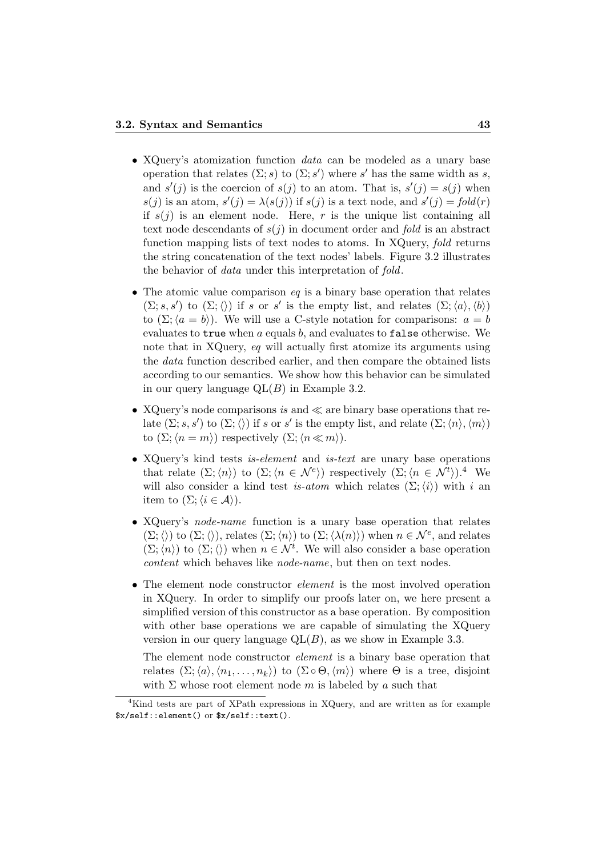- XQuery's atomization function data can be modeled as a unary base operation that relates  $(\Sigma; s)$  to  $(\Sigma; s')$  where s' has the same width as s, and  $s'(j)$  is the coercion of  $s(j)$  to an atom. That is,  $s'(j) = s(j)$  when  $s(j)$  is an atom,  $s'(j) = \lambda(s(j))$  if  $s(j)$  is a text node, and  $s'(j) = fold(r)$ if  $s(j)$  is an element node. Here, r is the unique list containing all text node descendants of  $s(j)$  in document order and fold is an abstract function mapping lists of text nodes to atoms. In XQuery, fold returns the string concatenation of the text nodes' labels. Figure 3.2 illustrates the behavior of data under this interpretation of fold.
- The atomic value comparison  $eq$  is a binary base operation that relates  $(\Sigma; s, s')$  to  $(\Sigma; \langle \rangle)$  if s or s' is the empty list, and relates  $(\Sigma; \langle a \rangle, \langle b \rangle)$ to  $(\Sigma; \langle a = b \rangle)$ . We will use a C-style notation for comparisons:  $a = b$ evaluates to true when  $a$  equals  $b$ , and evaluates to false otherwise. We note that in XQuery, eq will actually first atomize its arguments using the data function described earlier, and then compare the obtained lists according to our semantics. We show how this behavior can be simulated in our query language  $QL(B)$  in Example 3.2.
- XQuery's node comparisons is and  $\ll$  are binary base operations that relate  $(\Sigma; s, s')$  to  $(\Sigma; \langle \rangle)$  if s or s' is the empty list, and relate  $(\Sigma; \langle n \rangle, \langle m \rangle)$ to  $(\Sigma; \langle n = m \rangle)$  respectively  $(\Sigma; \langle n \ll m \rangle)$ .
- XQuery's kind tests *is-element* and *is-text* are unary base operations that relate  $(\Sigma; \langle n \rangle)$  to  $(\Sigma; \langle n \in \mathcal{N}^e \rangle)$  respectively  $(\Sigma; \langle n \in \mathcal{N}^t \rangle)$ .<sup>4</sup> We will also consider a kind test is-atom which relates  $(\Sigma;\langle i \rangle)$  with i an item to  $(\Sigma; \langle i \in \mathcal{A} \rangle)$ .
- XQuery's node-name function is a unary base operation that relates  $(\Sigma; \langle\rangle)$  to  $(\Sigma; \langle\rangle)$ , relates  $(\Sigma; \langle n \rangle)$  to  $(\Sigma; \langle \lambda(n) \rangle)$  when  $n \in \mathcal{N}^e$ , and relates  $(\Sigma; \langle n \rangle)$  to  $(\Sigma; \langle \rangle)$  when  $n \in \mathcal{N}^t$ . We will also consider a base operation content which behaves like node-name, but then on text nodes.
- The element node constructor *element* is the most involved operation in XQuery. In order to simplify our proofs later on, we here present a simplified version of this constructor as a base operation. By composition with other base operations we are capable of simulating the XQuery version in our query language  $QL(B)$ , as we show in Example 3.3.

The element node constructor element is a binary base operation that relates  $(\Sigma;\langle a\rangle,\langle n_1,\ldots,n_k\rangle)$  to  $(\Sigma\circ\Theta,\langle m\rangle)$  where  $\Theta$  is a tree, disjoint with  $\Sigma$  whose root element node m is labeled by a such that

<sup>4</sup>Kind tests are part of XPath expressions in XQuery, and are written as for example \$x/self::element() or \$x/self::text().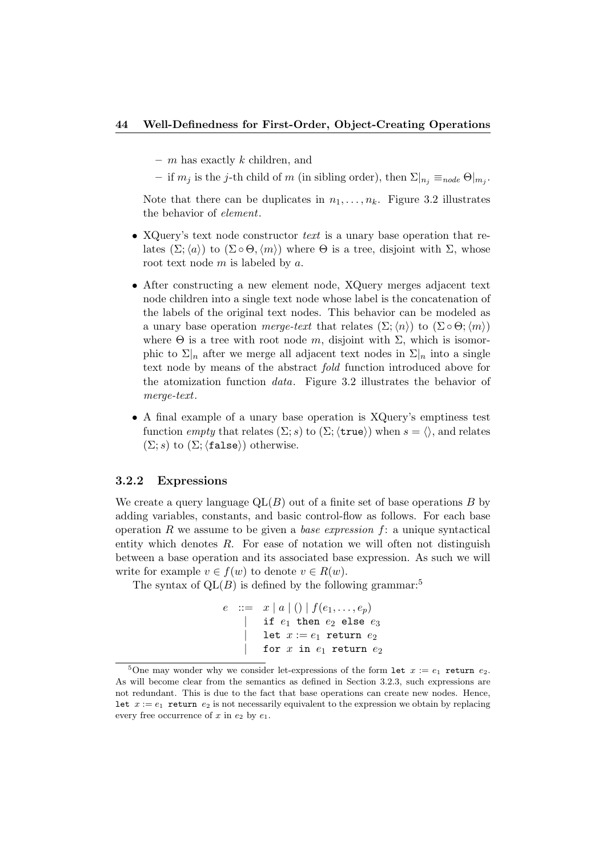#### 44 Well-Definedness for First-Order, Object-Creating Operations

- $-$  m has exactly k children, and
- if  $m_j$  is the j-th child of m (in sibling order), then  $\Sigma|_{n_j} \equiv_{node} \Theta|_{m_j}$ .

Note that there can be duplicates in  $n_1, \ldots, n_k$ . Figure 3.2 illustrates the behavior of element.

- XQuery's text node constructor text is a unary base operation that relates  $(\Sigma;\langle a \rangle)$  to  $(\Sigma \circ \Theta,\langle m \rangle)$  where  $\Theta$  is a tree, disjoint with  $\Sigma$ , whose root text node  $m$  is labeled by  $a$ .
- After constructing a new element node, XQuery merges adjacent text node children into a single text node whose label is the concatenation of the labels of the original text nodes. This behavior can be modeled as a unary base operation merge-text that relates  $(\Sigma;\langle n\rangle)$  to  $(\Sigma \circ \Theta;\langle m\rangle)$ where  $\Theta$  is a tree with root node m, disjoint with  $\Sigma$ , which is isomorphic to  $\Sigma|_n$  after we merge all adjacent text nodes in  $\Sigma|_n$  into a single text node by means of the abstract fold function introduced above for the atomization function data. Figure 3.2 illustrates the behavior of merge-text.
- A final example of a unary base operation is XQuery's emptiness test function empty that relates  $(\Sigma; s)$  to  $(\Sigma; \langle \text{true} \rangle)$  when  $s = \langle \rangle$ , and relates  $(\Sigma; s)$  to  $(\Sigma; \langle false \rangle)$  otherwise.

#### 3.2.2 Expressions

We create a query language  $QL(B)$  out of a finite set of base operations B by adding variables, constants, and basic control-flow as follows. For each base operation R we assume to be given a base expression  $f$ : a unique syntactical entity which denotes R. For ease of notation we will often not distinguish between a base operation and its associated base expression. As such we will write for example  $v \in f(w)$  to denote  $v \in R(w)$ .

The syntax of  $QL(B)$  is defined by the following grammar:<sup>5</sup>

 $e$  ::=  $x | a | () | f(e_1, \ldots, e_p)$  $\vert$  if  $e_1$  then  $e_2$  else  $e_3$ | let  $x := e_1$  return  $e_2$ | for  $x$  in  $e_1$  return  $e_2$ 

<sup>&</sup>lt;sup>5</sup>One may wonder why we consider let-expressions of the form let  $x := e_1$  return  $e_2$ . As will become clear from the semantics as defined in Section 3.2.3, such expressions are not redundant. This is due to the fact that base operations can create new nodes. Hence, let  $x := e_1$  return  $e_2$  is not necessarily equivalent to the expression we obtain by replacing every free occurrence of x in  $e_2$  by  $e_1$ .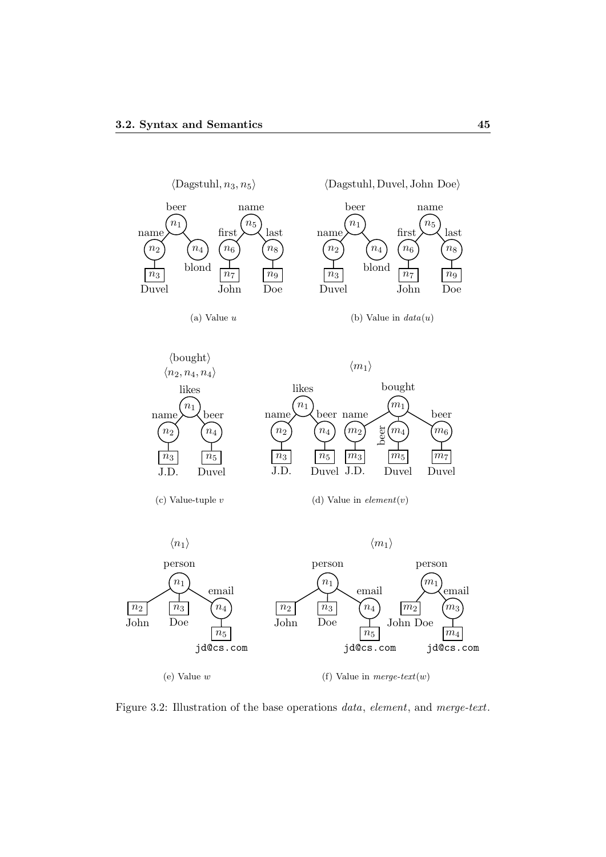

Figure 3.2: Illustration of the base operations data, element, and merge-text.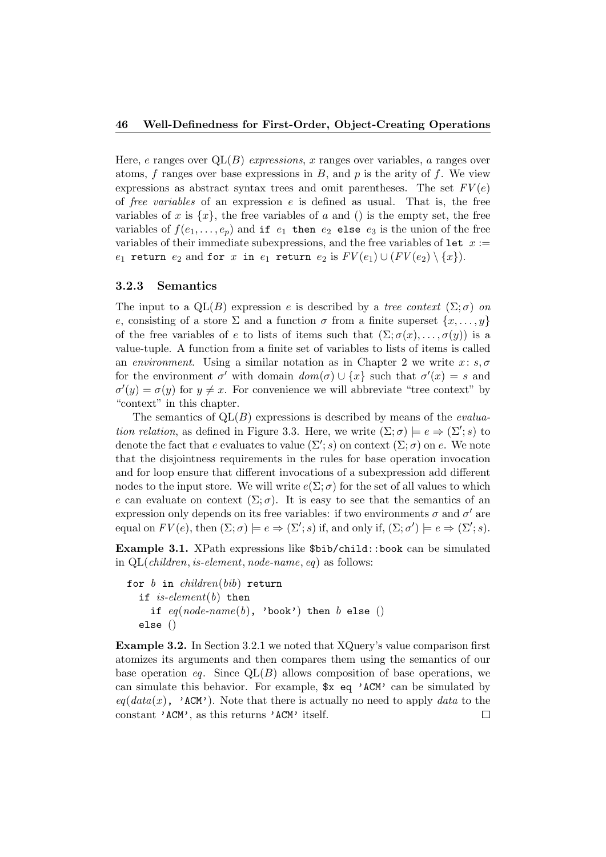Here, e ranges over  $QL(B)$  expressions, x ranges over variables, a ranges over atoms,  $f$  ranges over base expressions in  $B$ , and  $p$  is the arity of  $f$ . We view expressions as abstract syntax trees and omit parentheses. The set  $FV(e)$ of *free variables* of an expression  $e$  is defined as usual. That is, the free variables of x is  $\{x\}$ , the free variables of a and () is the empty set, the free variables of  $f(e_1, \ldots, e_p)$  and if  $e_1$  then  $e_2$  else  $e_3$  is the union of the free variables of their immediate subexpressions, and the free variables of  $1$ et  $x :=$  $e_1$  return  $e_2$  and for x in  $e_1$  return  $e_2$  is  $FV(e_1) \cup (FV(e_2) \setminus \{x\}).$ 

#### 3.2.3 Semantics

The input to a  $QL(B)$  expression e is described by a tree context  $(\Sigma; \sigma)$  on e, consisting of a store  $\Sigma$  and a function  $\sigma$  from a finite superset  $\{x, \ldots, y\}$ of the free variables of e to lists of items such that  $(\Sigma; \sigma(x), \ldots, \sigma(y))$  is a value-tuple. A function from a finite set of variables to lists of items is called an environment. Using a similar notation as in Chapter 2 we write  $x: s, \sigma$ for the environment  $\sigma'$  with domain  $dom(\sigma) \cup \{x\}$  such that  $\sigma'(x) = s$  and  $\sigma'(y) = \sigma(y)$  for  $y \neq x$ . For convenience we will abbreviate "tree context" by "context" in this chapter.

The semantics of  $QL(B)$  expressions is described by means of the *evalua*tion relation, as defined in Figure 3.3. Here, we write  $(\Sigma; \sigma) \models e \Rightarrow (\Sigma'; s)$  to denote the fact that e evaluates to value  $(\Sigma'; s)$  on context  $(\Sigma; \sigma)$  on e. We note that the disjointness requirements in the rules for base operation invocation and for loop ensure that different invocations of a subexpression add different nodes to the input store. We will write  $e(\Sigma; \sigma)$  for the set of all values to which e can evaluate on context  $(\Sigma;\sigma)$ . It is easy to see that the semantics of an expression only depends on its free variables: if two environments  $\sigma$  and  $\sigma'$  are equal on  $FV(e)$ , then  $(\Sigma; \sigma) \models e \Rightarrow (\Sigma'; s)$  if, and only if,  $(\Sigma; \sigma') \models e \Rightarrow (\Sigma'; s)$ .

Example 3.1. XPath expressions like \$bib/child::book can be simulated in QL(children, is-element, node-name, eq) as follows:

```
for b in children(bib) return
  if is-element(b) then
    if eq(node-name(b), 'book') then b else ()
  else ()
```
Example 3.2. In Section 3.2.1 we noted that XQuery's value comparison first atomizes its arguments and then compares them using the semantics of our base operation eq. Since  $QL(B)$  allows composition of base operations, we can simulate this behavior. For example, \$x eq 'ACM' can be simulated by  $eq(data(x), \cdot$  ACM'). Note that there is actually no need to apply data to the constant 'ACM', as this returns 'ACM' itself. $\Box$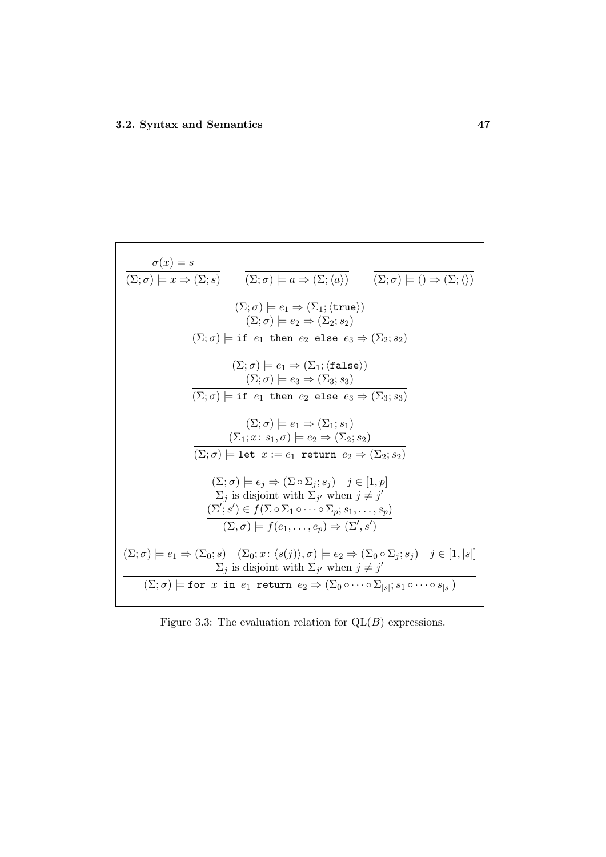$$
\frac{\sigma(x) = s}{(\Sigma; \sigma) \models x \Rightarrow (\Sigma; s)} \qquad (\overline{\Sigma; \sigma}) \models a \Rightarrow (\Sigma; \langle a \rangle) \qquad (\overline{\Sigma; \sigma}) \models () \Rightarrow (\Sigma; \langle \rangle)
$$
  

$$
(\Sigma; \sigma) \models e_1 \Rightarrow (\Sigma_1; \langle \text{true} \rangle)
$$
  

$$
(\Sigma; \sigma) \models e_2 \Rightarrow (\Sigma_2; s_2)
$$
  

$$
\overline{(\Sigma; \sigma)} \models \text{if } e_1 \text{ then } e_2 \text{ else } e_3 \Rightarrow (\Sigma_2; s_2)
$$
  

$$
(\Sigma; \sigma) \models e_1 \Rightarrow (\Sigma_1; \langle \text{false} \rangle)
$$
  

$$
(\Sigma; \sigma) \models e_1 \Rightarrow (\Sigma_1; \langle \text{false} \rangle)
$$
  

$$
(\Sigma; \sigma) \models e_3 \Rightarrow (\Sigma_3; s_3)
$$
  

$$
(\Sigma; \sigma) \models i \text{ then } e_2 \text{ else } e_3 \Rightarrow (\Sigma_3; s_3)
$$
  

$$
(\Sigma; \sigma) \models e_1 \Rightarrow (\Sigma_1; s_1)
$$
  

$$
(\Sigma; \sigma) \models e_1 \Rightarrow (\Sigma_1; s_1)
$$
  

$$
(\Sigma; \sigma) \models e_1 \Rightarrow (\Sigma_2; s_2)
$$
  

$$
(\Sigma; \sigma) \models \text{let } x := e_1 \text{ return } e_2 \Rightarrow (\Sigma_2; s_2)
$$
  

$$
(\Sigma; \sigma) \models e_j \Rightarrow (\Sigma \circ \Sigma_j; s_j) \quad j \in [1, p]
$$
  

$$
\Sigma_j \text{ is disjoint with } \Sigma_{j'} \text{ when } j \neq j'
$$
  

$$
(\Sigma; \sigma) \models e_1 \Rightarrow (\Sigma_0; s) \quad (\Sigma_0; x : \langle s(j) \rangle, \sigma) \models e_2 \Rightarrow (\Sigma_0 \circ \Sigma_j; s_j) \quad j \in [1, |s|]
$$
  

$$
\Sigma_j \text{ is disjoint with } \Sigma_{j'} \text{ when } j \neq j'
$$
  

$$
(\Sigma; \sigma) \models \text{for } x \text{ in } e_1 \text{ return } e_2 \Rightarrow (\Sigma_0 \circ \Sigma_j; s_j) \quad j \in [1, |s|]
$$

Figure 3.3: The evaluation relation for  $QL(B)$  expressions.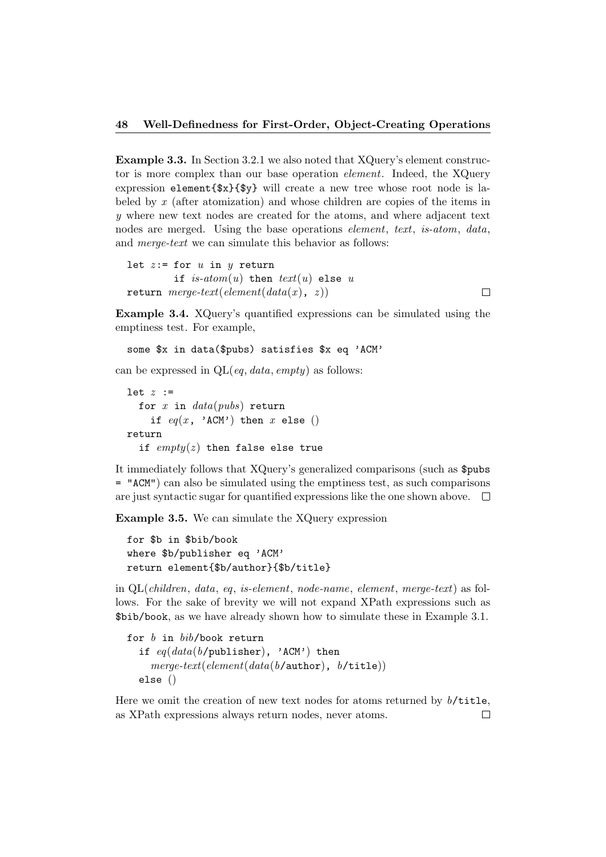Example 3.3. In Section 3.2.1 we also noted that XQuery's element constructor is more complex than our base operation element. Indeed, the XQuery expression element{\$x}{\$y} will create a new tree whose root node is labeled by x (after atomization) and whose children are copies of the items in y where new text nodes are created for the atoms, and where adjacent text nodes are merged. Using the base operations *element*, text, is-atom, data, and merge-text we can simulate this behavior as follows:

```
let z:= for u in u return
        if is-atom(u) then text(u) else u
return merge-text(element(data(x), z))
```
Example 3.4. XQuery's quantified expressions can be simulated using the emptiness test. For example,

 $\Box$ 

```
some $x in data($pubs) satisfies $x eq 'ACM'
```
can be expressed in  $QL(eq, data, empty)$  as follows:

```
let z :=for x in data(pubs) return
    if eq(x, 'ACM') then x else ()
return
  if empty(z) then false else true
```
It immediately follows that XQuery's generalized comparisons (such as \$pubs = "ACM") can also be simulated using the emptiness test, as such comparisons are just syntactic sugar for quantified expressions like the one shown above.  $\Box$ 

Example 3.5. We can simulate the XQuery expression

```
for $b in $bib/book
where $b/publisher eq 'ACM'
return element{$b/author}{$b/title}
```
in QL(children, data, eq, is-element, node-name, element, merge-text) as follows. For the sake of brevity we will not expand XPath expressions such as \$bib/book, as we have already shown how to simulate these in Example 3.1.

```
for b in bib/book return
  if eq(data(b/\text{public}), 'ACM') then
    merge\text{-}text(element(data(b/author), b/title))else ()
```
Here we omit the creation of new text nodes for atoms returned by  $b$ /title, as XPath expressions always return nodes, never atoms. $\Box$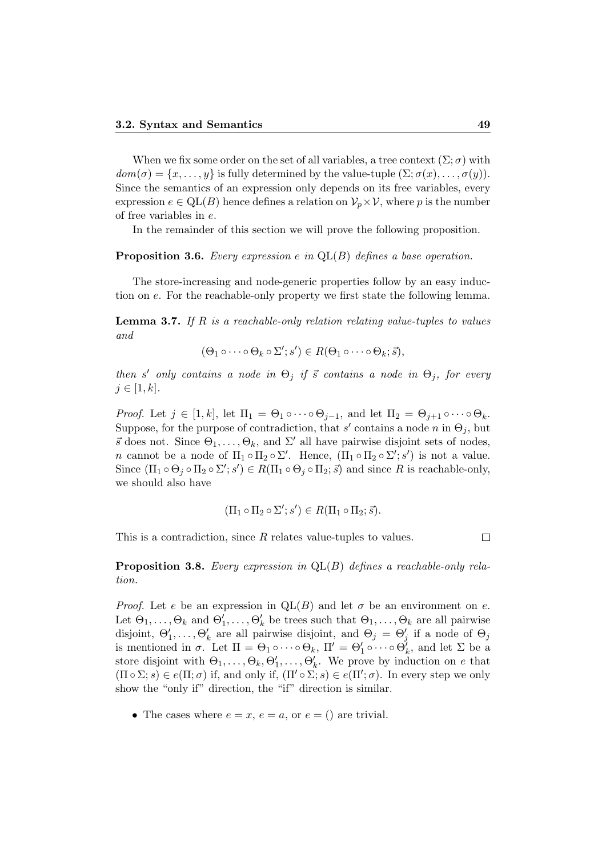When we fix some order on the set of all variables, a tree context  $(\Sigma; \sigma)$  with  $dom(\sigma) = \{x, \ldots, y\}$  is fully determined by the value-tuple  $(\Sigma; \sigma(x), \ldots, \sigma(y)).$ Since the semantics of an expression only depends on its free variables, every expression  $e \in QL(B)$  hence defines a relation on  $\mathcal{V}_p \times \mathcal{V}$ , where p is the number of free variables in e.

In the remainder of this section we will prove the following proposition.

**Proposition 3.6.** Every expression e in  $QL(B)$  defines a base operation.

The store-increasing and node-generic properties follow by an easy induction on e. For the reachable-only property we first state the following lemma.

**Lemma 3.7.** If R is a reachable-only relation relating value-tuples to values and

$$
(\Theta_1 \circ \cdots \circ \Theta_k \circ \Sigma'; s') \in R(\Theta_1 \circ \cdots \circ \Theta_k; \vec{s}),
$$

then s' only contains a node in  $\Theta_j$  if  $\vec{s}$  contains a node in  $\Theta_j$ , for every  $j \in [1, k]$ .

*Proof.* Let  $j \in [1, k]$ , let  $\Pi_1 = \Theta_1 \circ \cdots \circ \Theta_{j-1}$ , and let  $\Pi_2 = \Theta_{j+1} \circ \cdots \circ \Theta_k$ . Suppose, for the purpose of contradiction, that s' contains a node n in  $\Theta_j$ , but  $\vec{s}$  does not. Since  $\Theta_1, \ldots, \Theta_k$ , and  $\Sigma'$  all have pairwise disjoint sets of nodes, *n* cannot be a node of  $\Pi_1 \circ \Pi_2 \circ \Sigma'$ . Hence,  $(\Pi_1 \circ \Pi_2 \circ \Sigma'; s')$  is not a value. Since  $(\Pi_1 \circ \Theta_j \circ \Pi_2 \circ \Sigma'; s') \in R(\Pi_1 \circ \Theta_j \circ \Pi_2; \vec{s})$  and since R is reachable-only, we should also have

$$
(\Pi_1 \circ \Pi_2 \circ \Sigma'; s') \in R(\Pi_1 \circ \Pi_2; \vec{s}).
$$

This is a contradiction, since R relates value-tuples to values.

 $\Box$ 

**Proposition 3.8.** Every expression in  $QL(B)$  defines a reachable-only relation.

*Proof.* Let e be an expression in  $QL(B)$  and let  $\sigma$  be an environment on e. Let  $\Theta_1,\ldots,\Theta_k$  and  $\Theta'_1,\ldots,\Theta'_k$  be trees such that  $\Theta_1,\ldots,\Theta_k$  are all pairwise disjoint,  $\Theta'_1, \ldots, \Theta'_k$  are all pairwise disjoint, and  $\Theta_j = \Theta'_j$  if a node of  $\Theta_j$ is mentioned in  $\sigma$ . Let  $\Pi = \Theta_1 \circ \cdots \circ \Theta_k$ ,  $\Pi' = \Theta'_1 \circ \cdots \circ \Theta'_k$ , and let  $\Sigma$  be a store disjoint with  $\Theta_1, \ldots, \Theta_k, \Theta'_1, \ldots, \Theta'_k$ . We prove by induction on e that  $(\Pi \circ \Sigma; s) \in e(\Pi; \sigma)$  if, and only if,  $(\Pi' \circ \Sigma; s) \in e(\Pi'; \sigma)$ . In every step we only show the "only if" direction, the "if" direction is similar.

• The cases where  $e = x, e = a$ , or  $e = ()$  are trivial.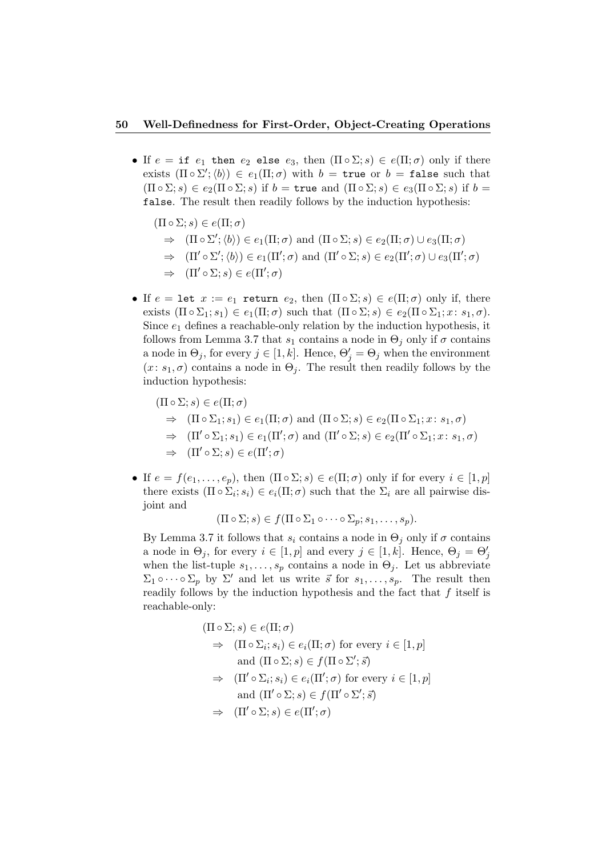#### 50 Well-Definedness for First-Order, Object-Creating Operations

- If  $e = \text{if } e_1$  then  $e_2$  else  $e_3$ , then  $(\Pi \circ \Sigma; s) \in e(\Pi; \sigma)$  only if there exists  $(\Pi \circ \Sigma'; \langle b \rangle) \in e_1(\Pi; \sigma)$  with  $b = \text{true}$  or  $b = \text{false}$  such that  $(\Pi \circ \Sigma; s) \in e_2(\Pi \circ \Sigma; s)$  if  $b = \text{true}$  and  $(\Pi \circ \Sigma; s) \in e_3(\Pi \circ \Sigma; s)$  if  $b =$ false. The result then readily follows by the induction hypothesis:
	- $(\Pi \circ \Sigma; s) \in e(\Pi; \sigma)$  $\Rightarrow$   $(\Pi \circ \Sigma'; \langle b \rangle) \in e_1(\Pi; \sigma)$  and  $(\Pi \circ \Sigma; s) \in e_2(\Pi; \sigma) \cup e_3(\Pi; \sigma)$  $\Rightarrow$   $(\Pi' \circ \Sigma'; \langle b \rangle) \in e_1(\Pi'; \sigma)$  and  $(\Pi' \circ \Sigma; s) \in e_2(\Pi'; \sigma) \cup e_3(\Pi'; \sigma)$  $\Rightarrow$   $(\Pi' \circ \Sigma; s) \in e(\Pi'; \sigma)$
- If  $e = \text{let } x := e_1$  return  $e_2$ , then  $(\Pi \circ \Sigma; s) \in e(\Pi; \sigma)$  only if, there exists  $(\Pi \circ \Sigma_1; s_1) \in e_1(\Pi; \sigma)$  such that  $(\Pi \circ \Sigma; s) \in e_2(\Pi \circ \Sigma_1; x: s_1, \sigma)$ . Since  $e_1$  defines a reachable-only relation by the induction hypothesis, it follows from Lemma 3.7 that  $s_1$  contains a node in  $\Theta_i$  only if  $\sigma$  contains a node in  $\Theta_j$ , for every  $j \in [1, k]$ . Hence,  $\Theta'_j = \Theta_j$  when the environment  $(x: s_1, \sigma)$  contains a node in  $\Theta_i$ . The result then readily follows by the induction hypothesis:
	- $(\Pi \circ \Sigma; s) \in e(\Pi; \sigma)$  $\Rightarrow$   $(\Pi \circ \Sigma_1; s_1) \in e_1(\Pi; \sigma)$  and  $(\Pi \circ \Sigma; s) \in e_2(\Pi \circ \Sigma_1; x: s_1, \sigma)$  $\Rightarrow$   $(\Pi' \circ \Sigma_1; s_1) \in e_1(\Pi'; \sigma)$  and  $(\Pi' \circ \Sigma; s) \in e_2(\Pi' \circ \Sigma_1; x: s_1, \sigma)$  $\Rightarrow$   $(\Pi' \circ \Sigma; s) \in e(\Pi'; \sigma)$
- If  $e = f(e_1, \ldots, e_p)$ , then  $(\Pi \circ \Sigma; s) \in e(\Pi; \sigma)$  only if for every  $i \in [1, p]$ there exists  $(\Pi \circ \Sigma_i; s_i) \in e_i(\Pi; \sigma)$  such that the  $\Sigma_i$  are all pairwise disjoint and

$$
(\Pi \circ \Sigma; s) \in f(\Pi \circ \Sigma_1 \circ \cdots \circ \Sigma_p; s_1, \ldots, s_p).
$$

By Lemma 3.7 it follows that  $s_i$  contains a node in  $\Theta_i$  only if  $\sigma$  contains a node in  $\Theta_j$ , for every  $i \in [1, p]$  and every  $j \in [1, k]$ . Hence,  $\Theta_j = \Theta'_j$ when the list-tuple  $s_1, \ldots, s_p$  contains a node in  $\Theta_i$ . Let us abbreviate  $\Sigma_1 \circ \cdots \circ \Sigma_p$  by  $\Sigma'$  and let us write  $\vec{s}$  for  $s_1, \ldots, s_p$ . The result then readily follows by the induction hypothesis and the fact that  $f$  itself is reachable-only:

$$
(\Pi \circ \Sigma; s) \in e(\Pi; \sigma)
$$
  
\n
$$
\Rightarrow (\Pi \circ \Sigma_i; s_i) \in e_i(\Pi; \sigma) \text{ for every } i \in [1, p]
$$
  
\nand  $(\Pi \circ \Sigma; s) \in f(\Pi \circ \Sigma'; \vec{s})$   
\n
$$
\Rightarrow (\Pi' \circ \Sigma_i; s_i) \in e_i(\Pi'; \sigma) \text{ for every } i \in [1, p]
$$
  
\nand  $(\Pi' \circ \Sigma; s) \in f(\Pi' \circ \Sigma'; \vec{s})$   
\n
$$
\Rightarrow (\Pi' \circ \Sigma; s) \in e(\Pi'; \sigma)
$$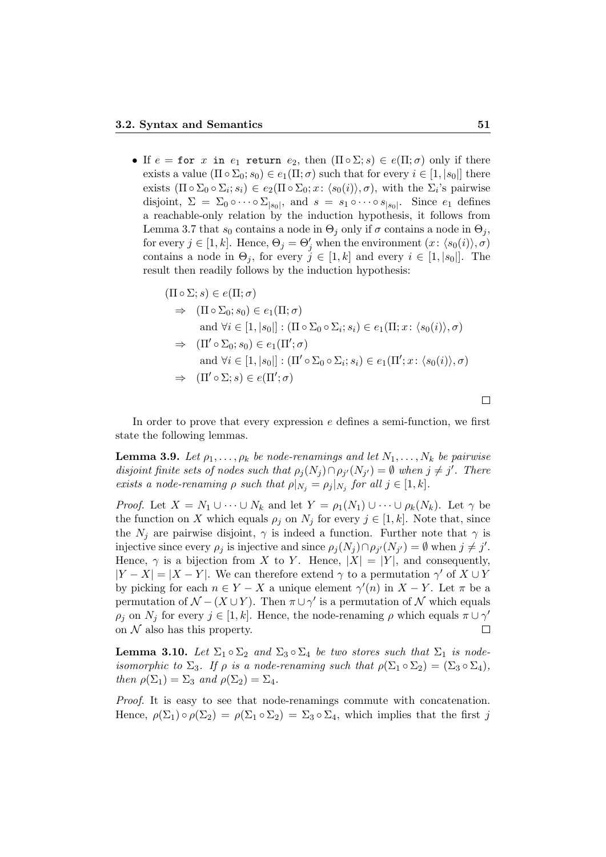• If  $e = \text{for } x$  in  $e_1$  return  $e_2$ , then  $(\Pi \circ \Sigma; s) \in e(\Pi; \sigma)$  only if there exists a value  $(\Pi \circ \Sigma_0; s_0) \in e_1(\Pi; \sigma)$  such that for every  $i \in [1, |s_0|]$  there exists  $(\Pi \circ \Sigma_0 \circ \Sigma_i; s_i) \in e_2(\Pi \circ \Sigma_0; x: \langle s_0(i) \rangle, \sigma)$ , with the  $\Sigma_i$ 's pairwise disjoint,  $\Sigma = \Sigma_0 \circ \cdots \circ \Sigma_{|s_0|}$ , and  $s = s_1 \circ \cdots \circ s_{|s_0|}$ . Since  $e_1$  defines a reachable-only relation by the induction hypothesis, it follows from Lemma 3.7 that  $s_0$  contains a node in  $\Theta_i$  only if  $\sigma$  contains a node in  $\Theta_i$ , for every  $j \in [1, k]$ . Hence,  $\Theta_j = \Theta'_j$  when the environment  $(x: \langle s_0(i) \rangle, \sigma)$ contains a node in  $\Theta_j$ , for every  $j \in [1, k]$  and every  $i \in [1, |s_0|]$ . The result then readily follows by the induction hypothesis:

$$
(\Pi \circ \Sigma; s) \in e(\Pi; \sigma)
$$
  
\n
$$
\Rightarrow (\Pi \circ \Sigma_0; s_0) \in e_1(\Pi; \sigma)
$$
  
\nand  $\forall i \in [1, |s_0|] : (\Pi \circ \Sigma_0 \circ \Sigma_i; s_i) \in e_1(\Pi; x : \langle s_0(i) \rangle, \sigma)$   
\n
$$
\Rightarrow (\Pi' \circ \Sigma_0; s_0) \in e_1(\Pi'; \sigma)
$$
  
\nand  $\forall i \in [1, |s_0|] : (\Pi' \circ \Sigma_0 \circ \Sigma_i; s_i) \in e_1(\Pi'; x : \langle s_0(i) \rangle, \sigma)$   
\n
$$
\Rightarrow (\Pi' \circ \Sigma; s) \in e(\Pi'; \sigma)
$$

In order to prove that every expression e defines a semi-function, we first state the following lemmas.

**Lemma 3.9.** Let  $\rho_1, \ldots, \rho_k$  be node-renamings and let  $N_1, \ldots, N_k$  be pairwise disjoint finite sets of nodes such that  $\rho_j(N_j) \cap \rho_{j'}(N_{j'}) = \emptyset$  when  $j \neq j'$ . There exists a node-renaming  $\rho$  such that  $\rho|_{N_j} = \rho_j|_{N_j}$  for all  $j \in [1, k]$ .

*Proof.* Let  $X = N_1 \cup \cdots \cup N_k$  and let  $Y = \rho_1(N_1) \cup \cdots \cup \rho_k(N_k)$ . Let  $\gamma$  be the function on X which equals  $\rho_j$  on  $N_j$  for every  $j \in [1, k]$ . Note that, since the  $N_i$  are pairwise disjoint,  $\gamma$  is indeed a function. Further note that  $\gamma$  is injective since every  $\rho_j$  is injective and since  $\rho_j(N_j) \cap \rho_{j'}(N_{j'}) = \emptyset$  when  $j \neq j'$ . Hence,  $\gamma$  is a bijection from X to Y. Hence,  $|X| = |Y|$ , and consequently,  $|Y - X| = |X - Y|$ . We can therefore extend  $\gamma$  to a permutation  $\gamma'$  of  $X \cup Y$ by picking for each  $n \in Y - X$  a unique element  $\gamma'(n)$  in  $X - Y$ . Let  $\pi$  be a permutation of  $\mathcal{N} - (X \cup Y)$ . Then  $\pi \cup \gamma'$  is a permutation of  $\mathcal N$  which equals  $\rho_j$  on  $N_j$  for every  $j \in [1, k]$ . Hence, the node-renaming  $\rho$  which equals  $\pi \cup \gamma'$ on  $\mathcal N$  also has this property.  $\Box$ 

**Lemma 3.10.** Let  $\Sigma_1 \circ \Sigma_2$  and  $\Sigma_3 \circ \Sigma_4$  be two stores such that  $\Sigma_1$  is nodeisomorphic to  $\Sigma_3$ . If  $\rho$  is a node-renaming such that  $\rho(\Sigma_1 \circ \Sigma_2) = (\Sigma_3 \circ \Sigma_4)$ , then  $\rho(\Sigma_1) = \Sigma_3$  and  $\rho(\Sigma_2) = \Sigma_4$ .

Proof. It is easy to see that node-renamings commute with concatenation. Hence,  $\rho(\Sigma_1) \circ \rho(\Sigma_2) = \rho(\Sigma_1 \circ \Sigma_2) = \Sigma_3 \circ \Sigma_4$ , which implies that the first j

 $\Box$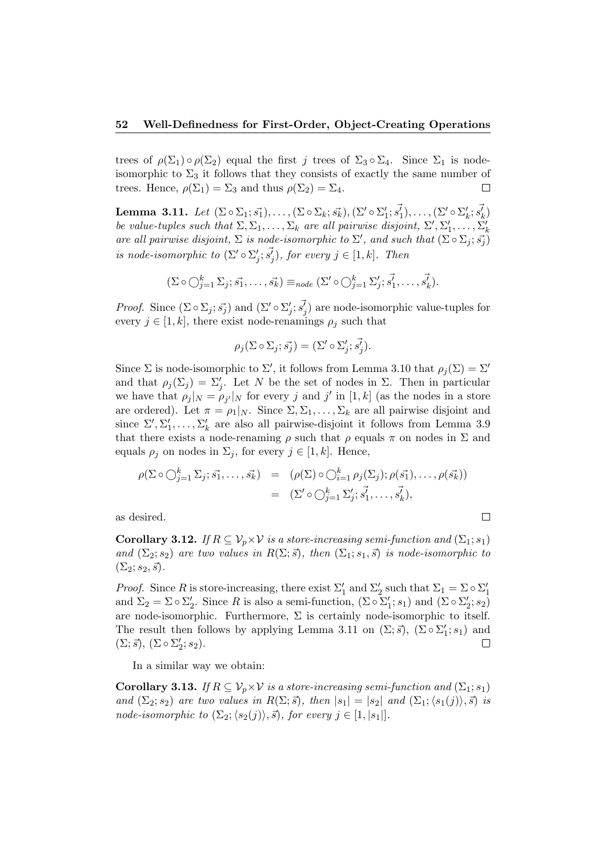#### 52 Well-Definedness for First-Order, Object-Creating Operations

trees of  $\rho(\Sigma_1) \circ \rho(\Sigma_2)$  equal the first j trees of  $\Sigma_3 \circ \Sigma_4$ . Since  $\Sigma_1$  is nodeisomorphic to  $\Sigma_3$  it follows that they consists of exactly the same number of trees. Hence,  $\rho(\Sigma_1) = \Sigma_3$  and thus  $\rho(\Sigma_2) = \Sigma_4$ .  $\Box$ 

Lemma 3.11. Let  $(\Sigma \circ \Sigma_1; \vec{s_1}), \ldots, (\Sigma \circ \Sigma_k; \vec{s_k}), (\Sigma' \circ \Sigma_1'; \vec{s_1}), \ldots, (\Sigma' \circ \Sigma_k'; \vec{s_k})$ be value-tuples such that  $\Sigma, \Sigma_1, \ldots, \Sigma_k$  are all pairwise disjoint,  $\Sigma', \Sigma'_1, \ldots, \Sigma'_k$ are all pairwise disjoint,  $\Sigma$  is node-isomorphic to  $\Sigma'$ , and such that  $(\Sigma \circ \Sigma_j; \vec{s}_j)$ is node-isomorphic to  $(\Sigma' \circ \Sigma'_j; \overrightarrow{s'_j})$ , for every  $j \in [1, k]$ . Then

$$
(\Sigma \circ \bigcirc_{j=1}^k \Sigma_j; \vec{s_1}, \dots, \vec{s_k}) \equiv_{node} (\Sigma' \circ \bigcirc_{j=1}^k \Sigma'_j; \vec{s_1}, \dots, \vec{s_k}).
$$

*Proof.* Since  $(\Sigma \circ \Sigma_j; \vec{s}_j)$  and  $(\Sigma' \circ \Sigma'_j; \vec{s}_j)$  are node-isomorphic value-tuples for every  $j \in [1, k]$ , there exist node-renamings  $\rho_j$  such that

$$
\rho_j(\Sigma \circ \Sigma_j; \vec{s_j}) = (\Sigma' \circ \Sigma'_j; \vec{s_j}).
$$

Since  $\Sigma$  is node-isomorphic to  $\Sigma'$ , it follows from Lemma 3.10 that  $\rho_j(\Sigma) = \Sigma'$ and that  $\rho_j(\Sigma_j) = \Sigma'_j$ . Let N be the set of nodes in  $\Sigma$ . Then in particular we have that  $\rho_j|_N = \rho_{j'}|_N$  for every j and j' in [1, k] (as the nodes in a store are ordered). Let  $\pi = \rho_1|_N$ . Since  $\Sigma, \Sigma_1, \ldots, \Sigma_k$  are all pairwise disjoint and since  $\Sigma', \Sigma'_1, \ldots, \Sigma'_k$  are also all pairwise-disjoint it follows from Lemma 3.9 that there exists a node-renaming  $\rho$  such that  $\rho$  equals  $\pi$  on nodes in  $\Sigma$  and equals  $\rho_j$  on nodes in  $\Sigma_j$ , for every  $j \in [1, k]$ . Hence,

$$
\rho(\Sigma \circ \bigcirc_{j=1}^k \Sigma_j; \vec{s_1}, \dots, \vec{s_k}) = (\rho(\Sigma) \circ \bigcirc_{i=1}^k \rho_j(\Sigma_j); \rho(\vec{s_1}), \dots, \rho(\vec{s_k}))
$$
  
= 
$$
(\Sigma' \circ \bigcirc_{j=1}^k \Sigma'_j; \vec{s_1}, \dots, \vec{s_k}),
$$

 $\Box$ 

as desired.

**Corollary 3.12.** If  $R \subseteq V_p \times V$  is a store-increasing semi-function and  $(\Sigma_1; s_1)$ and  $(\Sigma_2; s_2)$  are two values in  $R(\Sigma; \vec{s})$ , then  $(\Sigma_1; s_1, \vec{s})$  is node-isomorphic to  $(\Sigma_2; s_2, \vec{s}).$ 

*Proof.* Since R is store-increasing, there exist  $\Sigma'_1$  and  $\Sigma'_2$  such that  $\Sigma_1 = \Sigma \circ \Sigma'_1$ and  $\Sigma_2 = \Sigma \circ \Sigma'_2$ . Since R is also a semi-function,  $(\Sigma \circ \Sigma'_1; s_1)$  and  $(\Sigma \circ \Sigma'_2; s_2)$ are node-isomorphic. Furthermore,  $\Sigma$  is certainly node-isomorphic to itself. The result then follows by applying Lemma 3.11 on  $(\Sigma; \vec{s})$ ,  $(\Sigma \circ \Sigma'_1; s_1)$  and  $(\Sigma; \vec{s}), (\Sigma \circ \Sigma'_2; s_2).$  $\Box$ 

In a similar way we obtain:

**Corollary 3.13.** If  $R \subseteq V_p \times V$  is a store-increasing semi-function and  $(\Sigma_1; s_1)$ and  $(\Sigma_2; s_2)$  are two values in  $R(\Sigma; \vec{s})$ , then  $|s_1| = |s_2|$  and  $(\Sigma_1; \langle s_1(j)\rangle, \vec{s})$  is node-isomorphic to  $(\Sigma_2;\langle s_2(j)\rangle, \vec{s})$ , for every  $j \in [1, |s_1|]$ .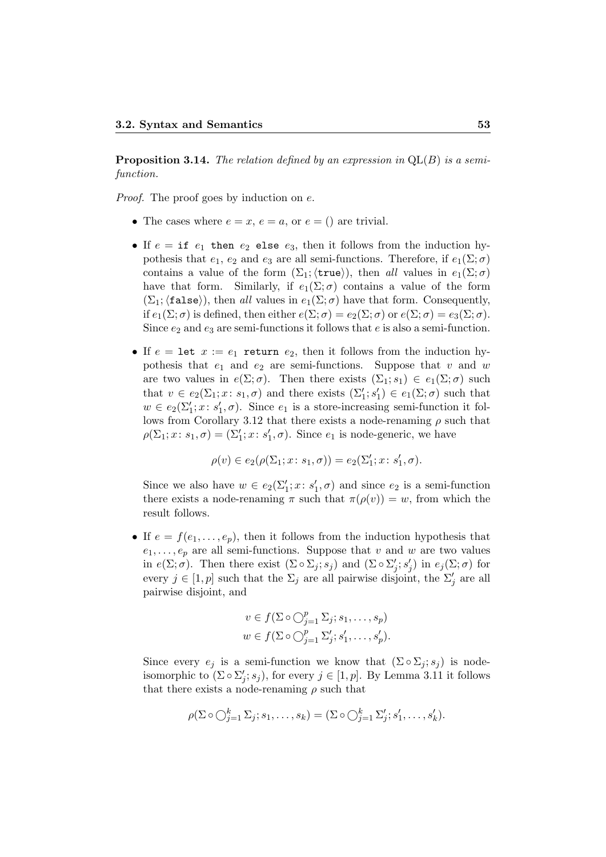**Proposition 3.14.** The relation defined by an expression in  $QL(B)$  is a semifunction.

Proof. The proof goes by induction on  $e$ .

- The cases where  $e = x, e = a$ , or  $e = ()$  are trivial.
- If  $e = if e_1 then e_2$  else  $e_3$ , then it follows from the induction hypothesis that  $e_1, e_2$  and  $e_3$  are all semi-functions. Therefore, if  $e_1(\Sigma; \sigma)$ contains a value of the form  $(\Sigma_1; \langle \text{true} \rangle)$ , then all values in  $e_1(\Sigma; \sigma)$ have that form. Similarly, if  $e_1(\Sigma;\sigma)$  contains a value of the form  $(\Sigma_1; \text{{\sf false}})$ , then all values in  $e_1(\Sigma; \sigma)$  have that form. Consequently, if  $e_1(\Sigma;\sigma)$  is defined, then either  $e(\Sigma;\sigma) = e_2(\Sigma;\sigma)$  or  $e(\Sigma;\sigma) = e_3(\Sigma;\sigma)$ . Since  $e_2$  and  $e_3$  are semi-functions it follows that e is also a semi-function.
- If  $e = \text{let } x := e_1$  return  $e_2$ , then it follows from the induction hypothesis that  $e_1$  and  $e_2$  are semi-functions. Suppose that v and w are two values in  $e(\Sigma;\sigma)$ . Then there exists  $(\Sigma_1;s_1) \in e_1(\Sigma;\sigma)$  such that  $v \in e_2(\Sigma_1; x: s_1, \sigma)$  and there exists  $(\Sigma'_1; s'_1) \in e_1(\Sigma; \sigma)$  such that  $w \in e_2(\Sigma_1'; x: s_1', \sigma)$ . Since  $e_1$  is a store-increasing semi-function it follows from Corollary 3.12 that there exists a node-renaming  $\rho$  such that  $\rho(\Sigma_1; x: s_1, \sigma) = (\Sigma_1'; x: s_1', \sigma)$ . Since  $e_1$  is node-generic, we have

$$
\rho(v) \in e_2(\rho(\Sigma_1; x: s_1, \sigma)) = e_2(\Sigma_1'; x: s_1', \sigma).
$$

Since we also have  $w \in e_2(\Sigma_1'; x; s_1', \sigma)$  and since  $e_2$  is a semi-function there exists a node-renaming  $\pi$  such that  $\pi(\rho(v)) = w$ , from which the result follows.

• If  $e = f(e_1, \ldots, e_p)$ , then it follows from the induction hypothesis that  $e_1, \ldots, e_p$  are all semi-functions. Suppose that v and w are two values in  $e(\Sigma; \sigma)$ . Then there exist  $(\Sigma \circ \Sigma_j; s_j)$  and  $(\Sigma \circ \Sigma'_j; s'_j)$  in  $e_j(\Sigma; \sigma)$  for every  $j \in [1, p]$  such that the  $\Sigma_j$  are all pairwise disjoint, the  $\Sigma'_j$  are all pairwise disjoint, and

$$
v \in f(\Sigma \circ \bigcirc_{j=1}^p \Sigma_j; s_1, \dots, s_p)
$$
  

$$
w \in f(\Sigma \circ \bigcirc_{j=1}^p \Sigma'_j; s'_1, \dots, s'_p).
$$

Since every  $e_j$  is a semi-function we know that  $(\Sigma \circ \Sigma_j; s_j)$  is nodeisomorphic to  $(\Sigma \circ \Sigma'_j; s_j)$ , for every  $j \in [1, p]$ . By Lemma 3.11 it follows that there exists a node-renaming  $\rho$  such that

$$
\rho(\Sigma \circ \bigcirc_{j=1}^k \Sigma_j; s_1, \dots, s_k) = (\Sigma \circ \bigcirc_{j=1}^k \Sigma'_j; s'_1, \dots, s'_k).
$$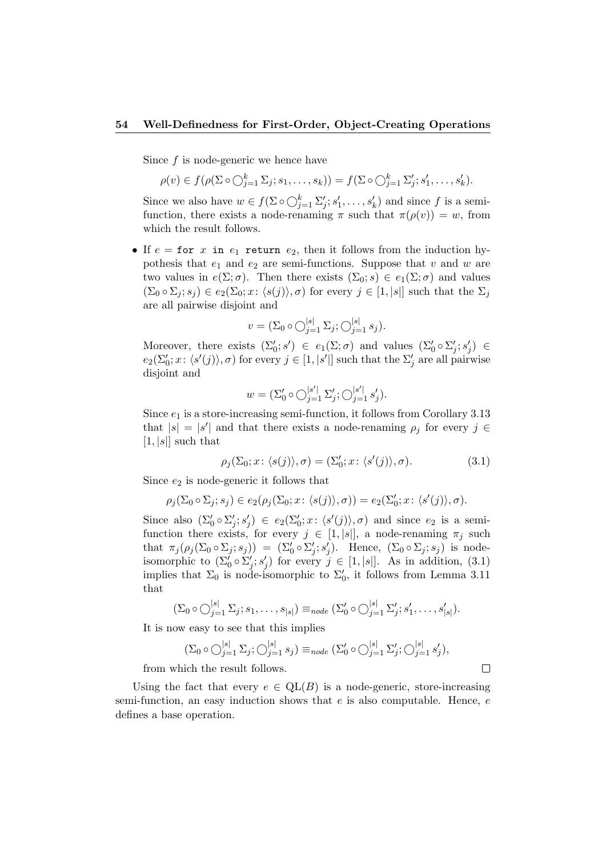#### 54 Well-Definedness for First-Order, Object-Creating Operations

Since  $f$  is node-generic we hence have

$$
\rho(v) \in f(\rho(\Sigma \circ \bigcirc_{j=1}^k \Sigma_j; s_1, \dots, s_k)) = f(\Sigma \circ \bigcirc_{j=1}^k \Sigma'_j; s'_1, \dots, s'_k).
$$

Since we also have  $w \in f(\Sigma \circ \bigcirc_{j=1}^k \Sigma'_j; s'_1, \ldots, s'_k)$  and since f is a semifunction, there exists a node-renaming  $\pi$  such that  $\pi(\rho(v)) = w$ , from which the result follows.

• If  $e =$  for x in  $e_1$  return  $e_2$ , then it follows from the induction hypothesis that  $e_1$  and  $e_2$  are semi-functions. Suppose that v and w are two values in  $e(\Sigma; \sigma)$ . Then there exists  $(\Sigma_0; s) \in e_1(\Sigma; \sigma)$  and values  $(\Sigma_0 \circ \Sigma_j; s_j) \in e_2(\Sigma_0; x: \langle s(j) \rangle, \sigma)$  for every  $j \in [1, |s|]$  such that the  $\Sigma_j$ are all pairwise disjoint and

$$
v = (\Sigma_0 \circ \bigcirc_{j=1}^{|s|} \Sigma_j; \bigcirc_{j=1}^{|s|} s_j).
$$

Moreover, there exists  $(\Sigma'_0; s') \in e_1(\Sigma; \sigma)$  and values  $(\Sigma'_0 \circ \Sigma'_j; s'_j) \in$  $e_2(\Sigma'_0; x: \langle s'(j) \rangle, \sigma)$  for every  $j \in [1, |s'|]$  such that the  $\Sigma'_j$  are all pairwise disjoint and

$$
w = (\Sigma_0' \circ \bigcirc_{j=1}^{|s'|} \Sigma_j'; \bigcirc_{j=1}^{|s'|} s_j').
$$

Since  $e_1$  is a store-increasing semi-function, it follows from Corollary 3.13 that  $|s| = |s'|$  and that there exists a node-renaming  $\rho_j$  for every  $j \in$  $[1, |s|]$  such that

$$
\rho_j(\Sigma_0; x; \langle s(j) \rangle, \sigma) = (\Sigma'_0; x; \langle s'(j) \rangle, \sigma). \tag{3.1}
$$

Since  $e_2$  is node-generic it follows that

$$
\rho_j(\Sigma_0 \circ \Sigma_j; s_j) \in e_2(\rho_j(\Sigma_0; x: \langle s(j) \rangle, \sigma)) = e_2(\Sigma'_0; x: \langle s'(j) \rangle, \sigma).
$$

Since also  $(\Sigma'_0 \circ \Sigma'_j; s'_j) \in e_2(\Sigma'_0; x: \langle s'(j) \rangle, \sigma)$  and since  $e_2$  is a semifunction there exists, for every  $j \in [1, |s|]$ , a node-renaming  $\pi_j$  such that  $\pi_j(\rho_j(\Sigma_0 \circ \Sigma_j; s_j)) = (\Sigma'_0 \circ \Sigma'_j; s'_j)$ . Hence,  $(\Sigma_0 \circ \Sigma_j; s_j)$  is nodeisomorphic to  $(\Sigma_0' \circ \Sigma_j'; s_j')$  for every  $j \in [1, |s|]$ . As in addition, (3.1) implies that  $\Sigma_0$  is node-isomorphic to  $\Sigma'_0$ , it follows from Lemma 3.11 that

$$
(\Sigma_0 \circ \bigcirc_{j=1}^{|s|} \Sigma_j; s_1, \ldots, s_{|s|}) \equiv_{node} (\Sigma'_0 \circ \bigcirc_{j=1}^{|s|} \Sigma'_j; s'_1, \ldots, s'_{|s|}).
$$

It is now easy to see that this implies

$$
(\Sigma_0 \circ \bigcirc_{j=1}^{|s|} \Sigma_j; \bigcirc_{j=1}^{|s|} s_j) \equiv_{node} (\Sigma'_0 \circ \bigcirc_{j=1}^{|s|} \Sigma'_j; \bigcirc_{j=1}^{|s|} s'_j),
$$

 $\Box$ 

from which the result follows.

Using the fact that every  $e \in QL(B)$  is a node-generic, store-increasing semi-function, an easy induction shows that  $e$  is also computable. Hence,  $e$ defines a base operation.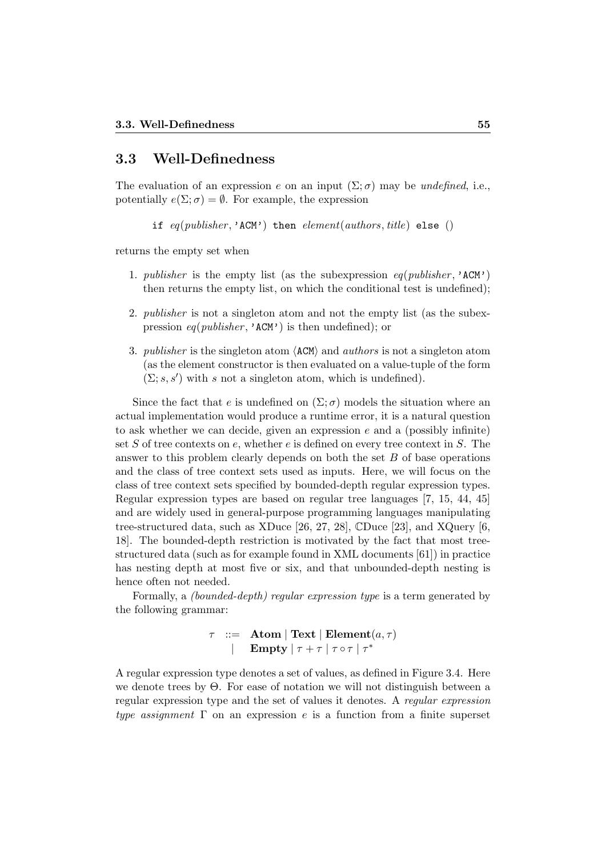## 3.3 Well-Definedness

The evaluation of an expression e on an input  $(\Sigma; \sigma)$  may be *undefined*, i.e., potentially  $e(\Sigma; \sigma) = \emptyset$ . For example, the expression

if  $eq(pubits her, 'ACM')$  then  $element(authors, title)$  else ()

returns the empty set when

- 1. publisher is the empty list (as the subexpression  $eq(publisher, 'ACM')$ ) then returns the empty list, on which the conditional test is undefined);
- 2. *publisher* is not a singleton atom and not the empty list (as the subexpression  $eq(publisher, 'ACM')$  is then undefined); or
- 3. *publisher* is the singleton atom  $\langle$  ACM $\rangle$  and *authors* is not a singleton atom (as the element constructor is then evaluated on a value-tuple of the form  $(\Sigma; s, s')$  with s not a singleton atom, which is undefined).

Since the fact that e is undefined on  $(\Sigma;\sigma)$  models the situation where an actual implementation would produce a runtime error, it is a natural question to ask whether we can decide, given an expression  $e$  and a (possibly infinite) set  $S$  of tree contexts on  $e$ , whether  $e$  is defined on every tree context in  $S$ . The answer to this problem clearly depends on both the set  $B$  of base operations and the class of tree context sets used as inputs. Here, we will focus on the class of tree context sets specified by bounded-depth regular expression types. Regular expression types are based on regular tree languages [7, 15, 44, 45] and are widely used in general-purpose programming languages manipulating tree-structured data, such as XDuce [26, 27, 28], CDuce [23], and XQuery [6, 18]. The bounded-depth restriction is motivated by the fact that most treestructured data (such as for example found in XML documents [61]) in practice has nesting depth at most five or six, and that unbounded-depth nesting is hence often not needed.

Formally, a (bounded-depth) regular expression type is a term generated by the following grammar:

> $\tau$  ::= Atom | Text | Element $(a,\tau)$ | Empty  $|\tau + \tau| \tau$  or  $|\tau^*$

A regular expression type denotes a set of values, as defined in Figure 3.4. Here we denote trees by Θ. For ease of notation we will not distinguish between a regular expression type and the set of values it denotes. A regular expression type assignment  $\Gamma$  on an expression e is a function from a finite superset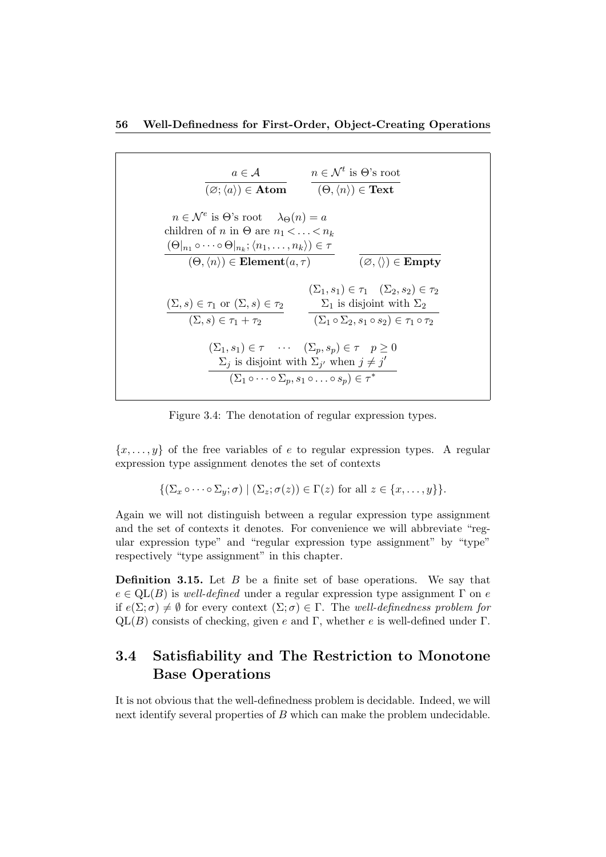

Figure 3.4: The denotation of regular expression types.

 ${x, \ldots, y}$  of the free variables of e to regular expression types. A regular expression type assignment denotes the set of contexts

$$
\{(\Sigma_x \circ \cdots \circ \Sigma_y; \sigma) \mid (\Sigma_z; \sigma(z)) \in \Gamma(z) \text{ for all } z \in \{x, \ldots, y\}\}.
$$

Again we will not distinguish between a regular expression type assignment and the set of contexts it denotes. For convenience we will abbreviate "regular expression type" and "regular expression type assignment" by "type" respectively "type assignment" in this chapter.

**Definition 3.15.** Let  $B$  be a finite set of base operations. We say that  $e \in QL(B)$  is well-defined under a regular expression type assignment  $\Gamma$  on e if  $e(\Sigma;\sigma) \neq \emptyset$  for every context  $(\Sigma;\sigma) \in \Gamma$ . The well-definedness problem for  $QL(B)$  consists of checking, given e and Γ, whether e is well-defined under Γ.

## 3.4 Satisfiability and The Restriction to Monotone Base Operations

It is not obvious that the well-definedness problem is decidable. Indeed, we will next identify several properties of B which can make the problem undecidable.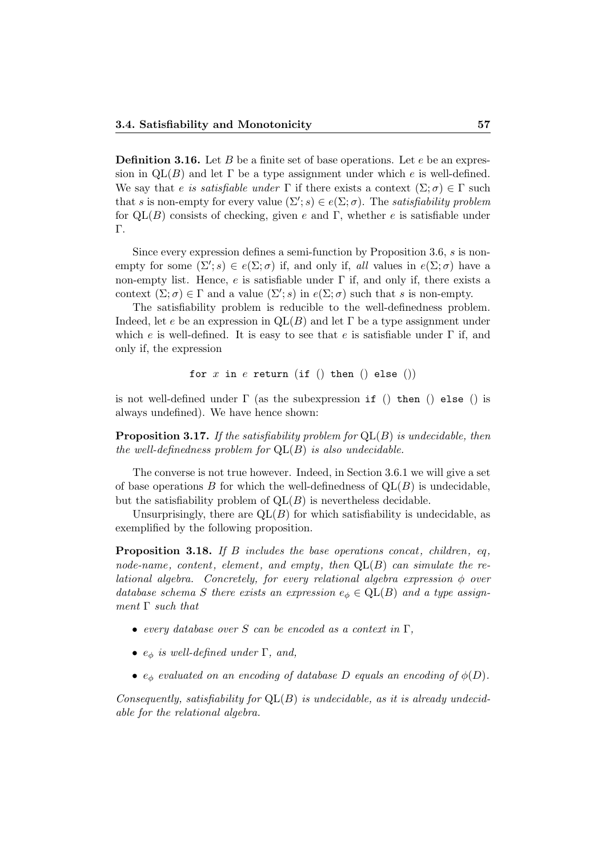**Definition 3.16.** Let  $B$  be a finite set of base operations. Let  $e$  be an expression in  $QL(B)$  and let  $\Gamma$  be a type assignment under which e is well-defined. We say that e is satisfiable under  $\Gamma$  if there exists a context  $(\Sigma;\sigma) \in \Gamma$  such that s is non-empty for every value  $(\Sigma'; s) \in e(\Sigma; \sigma)$ . The satisfiability problem for  $QL(B)$  consists of checking, given e and Γ, whether e is satisfiable under Γ.

Since every expression defines a semi-function by Proposition 3.6, s is nonempty for some  $(\Sigma'; s) \in e(\Sigma; \sigma)$  if, and only if, all values in  $e(\Sigma; \sigma)$  have a non-empty list. Hence, e is satisfiable under  $\Gamma$  if, and only if, there exists a context  $(\Sigma; \sigma) \in \Gamma$  and a value  $(\Sigma'; s)$  in  $e(\Sigma; \sigma)$  such that s is non-empty.

The satisfiability problem is reducible to the well-definedness problem. Indeed, let e be an expression in  $QL(B)$  and let  $\Gamma$  be a type assignment under which e is well-defined. It is easy to see that e is satisfiable under  $\Gamma$  if, and only if, the expression

```
for x in e return (if () then () else ())
```
is not well-defined under  $\Gamma$  (as the subexpression if () then () else () is always undefined). We have hence shown:

**Proposition 3.17.** If the satisfiability problem for  $QL(B)$  is undecidable, then the well-definedness problem for  $QL(B)$  is also undecidable.

The converse is not true however. Indeed, in Section 3.6.1 we will give a set of base operations  $B$  for which the well-definedness of  $QL(B)$  is undecidable, but the satisfiability problem of  $QL(B)$  is nevertheless decidable.

Unsurprisingly, there are  $QL(B)$  for which satisfiability is undecidable, as exemplified by the following proposition.

**Proposition 3.18.** If B includes the base operations concat, children, eq. node-name, content, element, and empty, then  $QL(B)$  can simulate the relational algebra. Concretely, for every relational algebra expression  $\phi$  over database schema S there exists an expression  $e_{\phi} \in \text{QL}(B)$  and a type assignment  $\Gamma$  such that

- every database over S can be encoded as a context in  $\Gamma$ ,
- $e_{\phi}$  is well-defined under Γ, and,
- $e_{\phi}$  evaluated on an encoding of database D equals an encoding of  $\phi(D)$ .

Consequently, satisfiability for  $QL(B)$  is undecidable, as it is already undecidable for the relational algebra.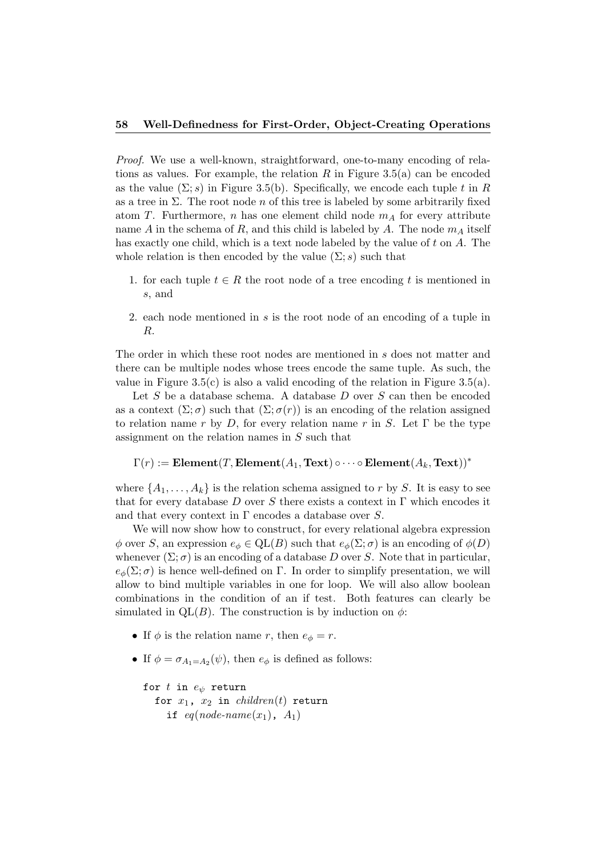Proof. We use a well-known, straightforward, one-to-many encoding of relations as values. For example, the relation R in Figure 3.5(a) can be encoded as the value  $(\Sigma; s)$  in Figure 3.5(b). Specifically, we encode each tuple t in R as a tree in  $\Sigma$ . The root node n of this tree is labeled by some arbitrarily fixed atom T. Furthermore, n has one element child node  $m_A$  for every attribute name A in the schema of R, and this child is labeled by A. The node  $m_A$  itself has exactly one child, which is a text node labeled by the value of  $t$  on  $A$ . The whole relation is then encoded by the value  $(\Sigma; s)$  such that

- 1. for each tuple  $t \in R$  the root node of a tree encoding t is mentioned in s, and
- 2. each node mentioned in s is the root node of an encoding of a tuple in R.

The order in which these root nodes are mentioned in s does not matter and there can be multiple nodes whose trees encode the same tuple. As such, the value in Figure 3.5(c) is also a valid encoding of the relation in Figure 3.5(a).

Let S be a database schema. A database  $D$  over S can then be encoded as a context  $(\Sigma; \sigma)$  such that  $(\Sigma; \sigma(r))$  is an encoding of the relation assigned to relation name r by D, for every relation name r in S. Let  $\Gamma$  be the type assignment on the relation names in S such that

```
\Gamma(r) := \textbf{Element}(T, \textbf{Element}(A_1, \textbf{Text}) \circ \cdots \circ \textbf{Element}(A_k, \textbf{Text}))^*
```
where  $\{A_1, \ldots, A_k\}$  is the relation schema assigned to r by S. It is easy to see that for every database D over S there exists a context in  $\Gamma$  which encodes it and that every context in  $\Gamma$  encodes a database over S.

We will now show how to construct, for every relational algebra expression  $\phi$  over S, an expression  $e_{\phi} \in \text{QL}(B)$  such that  $e_{\phi}(\Sigma; \sigma)$  is an encoding of  $\phi(D)$ whenever  $(\Sigma; \sigma)$  is an encoding of a database D over S. Note that in particular,  $e_{\phi}(\Sigma;\sigma)$  is hence well-defined on Γ. In order to simplify presentation, we will allow to bind multiple variables in one for loop. We will also allow boolean combinations in the condition of an if test. Both features can clearly be simulated in QL(B). The construction is by induction on  $\phi$ :

- If  $\phi$  is the relation name r, then  $e_{\phi} = r$ .
- If  $\phi = \sigma_{A_1 = A_2}(\psi)$ , then  $e_{\phi}$  is defined as follows:

```
for t in e_{\psi} return
  for x_1, x_2 in children(t) return
    if eq(node-name(x_1), A_1)
```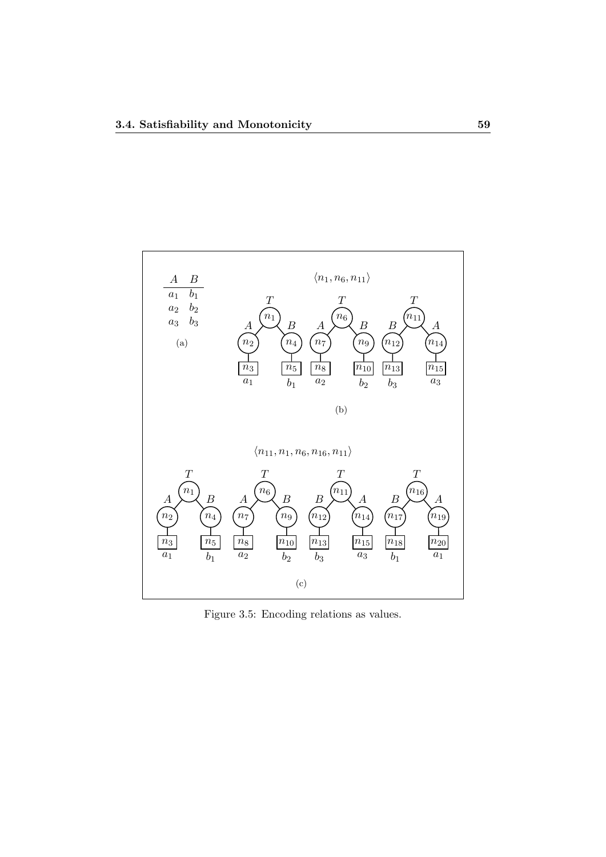

Figure 3.5: Encoding relations as values.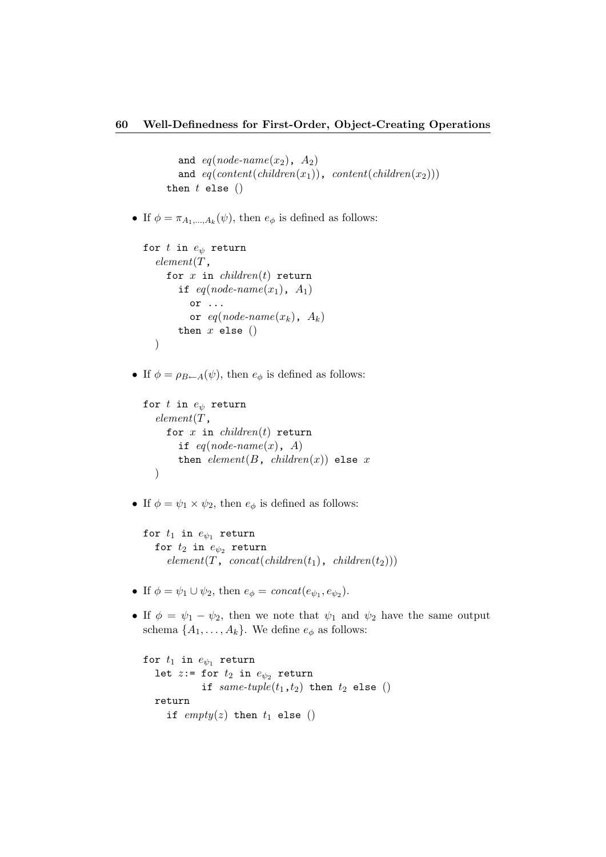```
and eq(node-name(x_2), A_2)and eq(content(children(x_1)), content(children(x_2)))then t else ()
```
• If  $\phi = \pi_{A_1,...,A_k}(\psi)$ , then  $e_{\phi}$  is defined as follows:

```
for t in e_{\psi} return
  element(T,for x in children(t) return
      if eq(node-name(x_1), A_1)or ...
         or eq(node-name(x_k), A_k)then x else ())
```
• If  $\phi = \rho_{B \leftarrow A}(\psi)$ , then  $e_{\phi}$  is defined as follows:

```
for t in e_{\psi} return
  element(T,for x in children(t) return
      if eq(node-name(x), A)then element(B, children(x)) else x
  )
```
• If  $\phi = \psi_1 \times \psi_2$ , then  $e_{\phi}$  is defined as follows:

```
for t_1 in e_{\psi_1} return
   for t_2 in e_{\psi_2} return
      element(T, concat(children(t<sub>1</sub>), children(t<sub>2</sub>)))
```
- If  $\phi = \psi_1 \cup \psi_2$ , then  $e_{\phi} = concat(e_{\psi_1}, e_{\psi_2})$ .
- If  $\phi = \psi_1 \psi_2$ , then we note that  $\psi_1$  and  $\psi_2$  have the same output schema  $\{A_1, \ldots, A_k\}$ . We define  $e_{\phi}$  as follows:

```
for t_1 in e_{\psi_1} return
  let z:= for t_2 in e_{\psi_2} return
            if same-tuple(t_1,t_2) then t_2 else ()
  return
    if empty(z) then t_1 else ()
```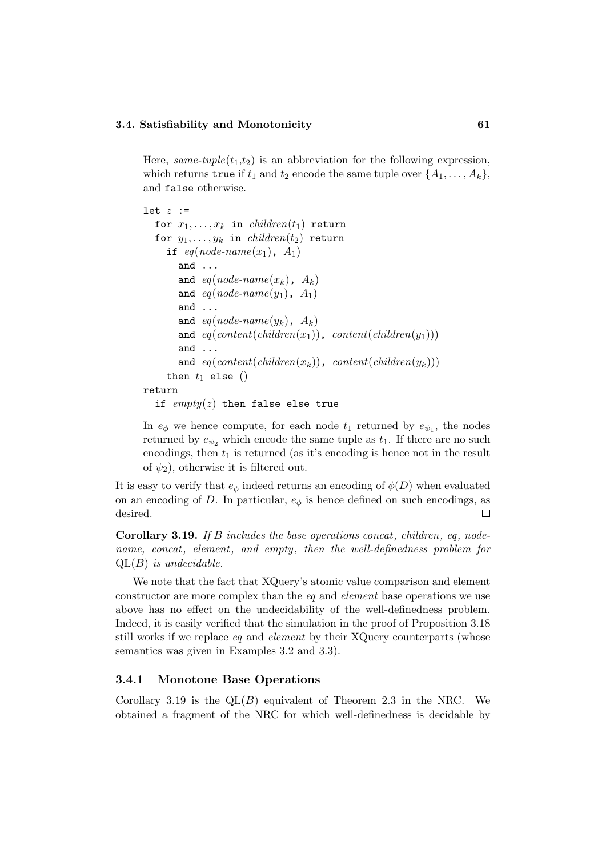Here, same-tuple( $t_1,t_2$ ) is an abbreviation for the following expression, which returns true if  $t_1$  and  $t_2$  encode the same tuple over  $\{A_1, \ldots, A_k\}$ , and false otherwise.

```
let z :=for x_1, \ldots, x_k in children(t_1) return
  for y_1, \ldots, y_k in children(t_2) return
    if eq(node-name(x_1), A_1)and ...
       and eq(node-name(x_k), A_k)and eq(node-name(y_1), A_1)and ...
       and eq(node-name(y_k), A_k)
       and eq(content(children(x_1)), content(children(y_1)))and ...
       and eq(content(children(x_k)), content(children(y_k)))then t_1 else ()
return
  if empty(z) then false else true
```
In  $e_{\phi}$  we hence compute, for each node  $t_1$  returned by  $e_{\psi_1}$ , the nodes returned by  $e_{\psi_2}$  which encode the same tuple as  $t_1$ . If there are no such encodings, then  $t_1$  is returned (as it's encoding is hence not in the result of  $\psi_2$ ), otherwise it is filtered out.

It is easy to verify that  $e_{\phi}$  indeed returns an encoding of  $\phi(D)$  when evaluated on an encoding of D. In particular,  $e_{\phi}$  is hence defined on such encodings, as desired.  $\Box$ 

**Corollary 3.19.** If B includes the base operations concat, children, eq. nodename, concat, element, and empty, then the well-definedness problem for  $QL(B)$  is undecidable.

We note that the fact that XQuery's atomic value comparison and element constructor are more complex than the eq and element base operations we use above has no effect on the undecidability of the well-definedness problem. Indeed, it is easily verified that the simulation in the proof of Proposition 3.18 still works if we replace eq and element by their XQuery counterparts (whose semantics was given in Examples 3.2 and 3.3).

#### 3.4.1 Monotone Base Operations

Corollary 3.19 is the  $QL(B)$  equivalent of Theorem 2.3 in the NRC. We obtained a fragment of the NRC for which well-definedness is decidable by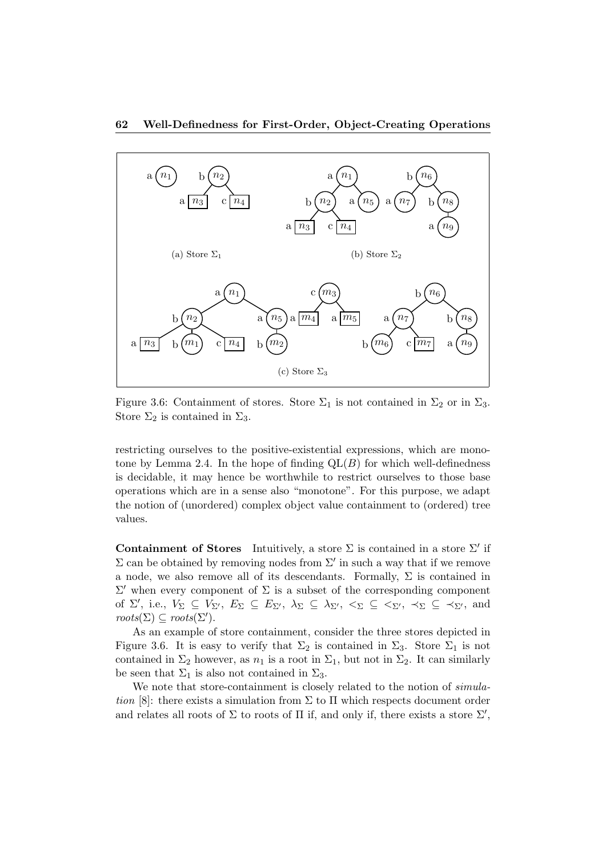

Figure 3.6: Containment of stores. Store  $\Sigma_1$  is not contained in  $\Sigma_2$  or in  $\Sigma_3$ . Store  $\Sigma_2$  is contained in  $\Sigma_3$ .

restricting ourselves to the positive-existential expressions, which are monotone by Lemma 2.4. In the hope of finding  $QL(B)$  for which well-definedness is decidable, it may hence be worthwhile to restrict ourselves to those base operations which are in a sense also "monotone". For this purpose, we adapt the notion of (unordered) complex object value containment to (ordered) tree values.

Containment of Stores Intuitively, a store  $\Sigma$  is contained in a store  $\Sigma'$  if  $\Sigma$  can be obtained by removing nodes from  $\Sigma'$  in such a way that if we remove a node, we also remove all of its descendants. Formally,  $\Sigma$  is contained in  $\Sigma'$  when every component of  $\Sigma$  is a subset of the corresponding component of  $\Sigma'$ , i.e.,  $V_{\Sigma} \subseteq V_{\Sigma'}$ ,  $E_{\Sigma} \subseteq E_{\Sigma'}$ ,  $\lambda_{\Sigma} \subseteq \lambda_{\Sigma'}$ ,  $\langle \Sigma \subseteq \langle \Sigma', \preceq_{\Sigma} \subseteq \langle \Sigma', \text{ and }$  $roots(\Sigma) \subseteq roots(\Sigma').$ 

As an example of store containment, consider the three stores depicted in Figure 3.6. It is easy to verify that  $\Sigma_2$  is contained in  $\Sigma_3$ . Store  $\Sigma_1$  is not contained in  $\Sigma_2$  however, as  $n_1$  is a root in  $\Sigma_1$ , but not in  $\Sigma_2$ . It can similarly be seen that  $\Sigma_1$  is also not contained in  $\Sigma_3$ .

We note that store-containment is closely related to the notion of simulation [8]: there exists a simulation from  $\Sigma$  to  $\Pi$  which respects document order and relates all roots of  $\Sigma$  to roots of  $\Pi$  if, and only if, there exists a store  $\Sigma'$ ,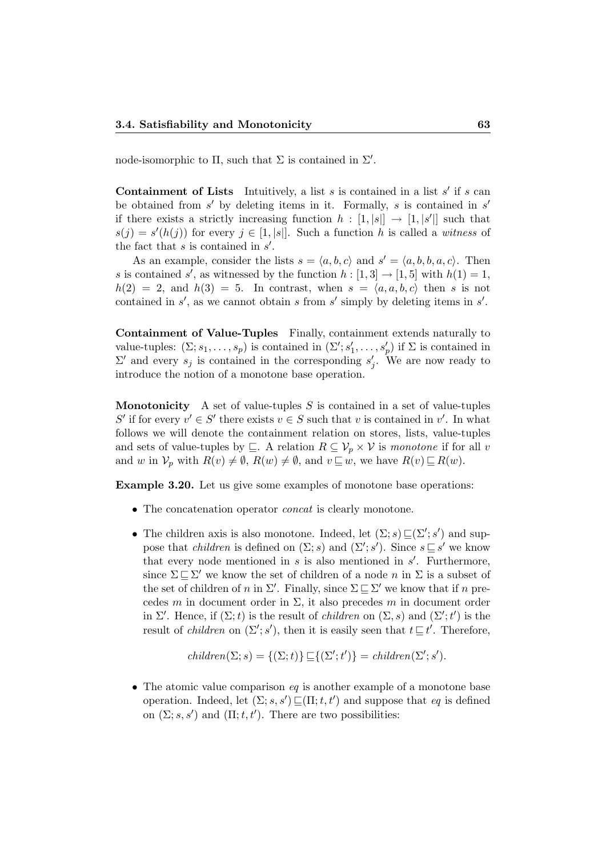node-isomorphic to  $\Pi$ , such that  $\Sigma$  is contained in  $\Sigma'$ .

**Containment of Lists** Intuitively, a list s is contained in a list s' if s can be obtained from  $s'$  by deleting items in it. Formally, s is contained in  $s'$ if there exists a strictly increasing function  $h : [1, |s|] \rightarrow [1, |s'|]$  such that  $s(j) = s'(h(j))$  for every  $j \in [1, |s|]$ . Such a function h is called a witness of the fact that  $s$  is contained in  $s'$ .

As an example, consider the lists  $s = \langle a, b, c \rangle$  and  $s' = \langle a, b, b, a, c \rangle$ . Then s is contained s', as witnessed by the function  $h : [1,3] \rightarrow [1,5]$  with  $h(1) = 1$ ,  $h(2) = 2$ , and  $h(3) = 5$ . In contrast, when  $s = \langle a, a, b, c \rangle$  then s is not contained in  $s'$ , as we cannot obtain s from  $s'$  simply by deleting items in  $s'$ .

Containment of Value-Tuples Finally, containment extends naturally to value-tuples:  $(\Sigma; s_1, \ldots, s_p)$  is contained in  $(\Sigma'; s'_1, \ldots, s'_p)$  if  $\Sigma$  is contained in  $\Sigma'$  and every  $s_j$  is contained in the corresponding  $s'_j$ . We are now ready to introduce the notion of a monotone base operation.

**Monotonicity** A set of value-tuples S is contained in a set of value-tuples S' if for every  $v' \in S'$  there exists  $v \in S$  such that v is contained in v'. In what follows we will denote the containment relation on stores, lists, value-tuples and sets of value-tuples by  $\subseteq$ . A relation  $R \subseteq V_p \times V$  is monotone if for all v and w in  $\mathcal{V}_p$  with  $R(v) \neq \emptyset$ ,  $R(w) \neq \emptyset$ , and  $v \sqsubseteq w$ , we have  $R(v) \sqsubseteq R(w)$ .

**Example 3.20.** Let us give some examples of monotone base operations:

- The concatenation operator concat is clearly monotone.
- The children axis is also monotone. Indeed, let  $(\Sigma; s) \sqsubseteq (\Sigma'; s')$  and suppose that *children* is defined on  $(\Sigma; s)$  and  $(\Sigma'; s')$ . Since  $s \sqsubseteq s'$  we know that every node mentioned in  $s$  is also mentioned in  $s'$ . Furthermore, since  $\Sigma \sqsubseteq \Sigma'$  we know the set of children of a node n in  $\Sigma$  is a subset of the set of children of n in  $\Sigma'$ . Finally, since  $\Sigma \sqsubseteq \Sigma'$  we know that if n precedes m in document order in  $\Sigma$ , it also precedes m in document order in  $\Sigma'$ . Hence, if  $(\Sigma; t)$  is the result of *children* on  $(\Sigma, s)$  and  $(\Sigma'; t')$  is the result of *children* on  $(\Sigma'; s')$ , then it is easily seen that  $t \sqsubseteq t'$ . Therefore,

$$
children(\Sigma; s) = \{(\Sigma; t)\} \sqsubseteq \{(\Sigma'; t')\} = children(\Sigma'; s').
$$

• The atomic value comparison  $eq$  is another example of a monotone base operation. Indeed, let  $(\Sigma; s, s') \sqsubseteq (\Pi; t, t')$  and suppose that eq is defined on  $(\Sigma; s, s')$  and  $(\Pi; t, t')$ . There are two possibilities: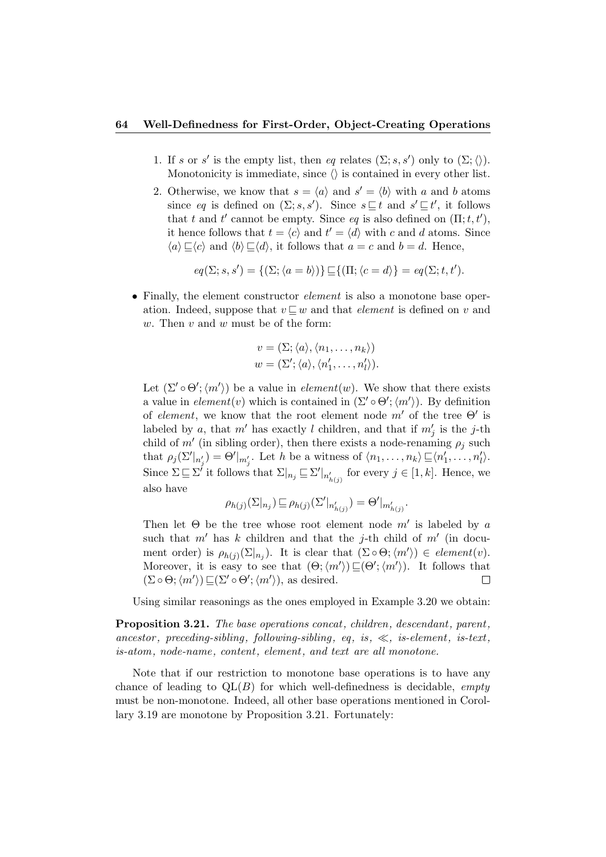#### 64 Well-Definedness for First-Order, Object-Creating Operations

- 1. If s or s' is the empty list, then eq relates  $(\Sigma; s, s')$  only to  $(\Sigma; \langle \rangle)$ . Monotonicity is immediate, since  $\langle \rangle$  is contained in every other list.
- 2. Otherwise, we know that  $s = \langle a \rangle$  and  $s' = \langle b \rangle$  with a and b atoms since eq is defined on  $(\Sigma; s, s')$ . Since  $s \sqsubseteq t$  and  $s' \sqsubseteq t'$ , it follows that t and t' cannot be empty. Since eq is also defined on  $(\Pi; t, t')$ , it hence follows that  $t = \langle c \rangle$  and  $t' = \langle d \rangle$  with c and d atoms. Since  $\langle a \rangle \sqsubseteq \langle c \rangle$  and  $\langle b \rangle \sqsubseteq \langle d \rangle$ , it follows that  $a = c$  and  $b = d$ . Hence,

$$
eq(\Sigma; s, s') = \{(\Sigma; \langle a = b \rangle) \} \sqsubseteq \{(\Pi; \langle c = d \rangle) = eq(\Sigma; t, t').
$$

• Finally, the element constructor *element* is also a monotone base operation. Indeed, suppose that  $v \sqsubseteq w$  and that *element* is defined on v and w. Then  $v$  and  $w$  must be of the form:

$$
v = (\Sigma; \langle a \rangle, \langle n_1, \dots, n_k \rangle)
$$
  

$$
w = (\Sigma'; \langle a \rangle, \langle n'_1, \dots, n'_l \rangle).
$$

Let  $(\Sigma' \circ \Theta'; \langle m' \rangle)$  be a value in *element* $(w)$ . We show that there exists a value in  $element(v)$  which is contained in  $(\Sigma' \circ \Theta'; \langle m' \rangle)$ . By definition of element, we know that the root element node  $m'$  of the tree  $\Theta'$  is labeled by a, that  $m'$  has exactly l children, and that if  $m'_j$  is the j-th child of  $m'$  (in sibling order), then there exists a node-renaming  $\rho_j$  such that  $\rho_j(\Sigma'|_{n'_j}) = \Theta'|_{m'_j}$ . Let h be a witness of  $\langle n_1, \ldots, n_k \rangle \sqsubseteq \langle n'_1, \ldots, n'_l \rangle$ . Since  $\Sigma \subseteq \Sigma^j$  it follows that  $\Sigma|_{n_j} \subseteq \Sigma'|_{n'_{h(j)}}$  for every  $j \in [1, k]$ . Hence, we also have

$$
\rho_{h(j)}(\Sigma|_{n_j}) \sqsubseteq \rho_{h(j)}(\Sigma'|_{n'_{h(j)}}) = \Theta'|_{m'_{h(j)}}.
$$

Then let  $\Theta$  be the tree whose root element node  $m'$  is labeled by a such that  $m'$  has k children and that the j-th child of  $m'$  (in document order) is  $\rho_{h(j)}(\Sigma|_{n_j})$ . It is clear that  $(\Sigma \circ \Theta; \langle m' \rangle) \in element(v)$ . Moreover, it is easy to see that  $(\Theta; \langle m' \rangle) \sqsubseteq (\Theta'; \langle m' \rangle)$ . It follows that  $(\Sigma \circ \Theta; \langle m' \rangle) \sqsubseteq (\Sigma' \circ \Theta'; \langle m' \rangle)$ , as desired.  $\Box$ 

Using similar reasonings as the ones employed in Example 3.20 we obtain:

Proposition 3.21. The base operations concat, children, descendant, parent, ancestor, preceding-sibling, following-sibling, eq. is,  $\ll$ , is-element, is-text, is-atom, node-name, content, element, and text are all monotone.

Note that if our restriction to monotone base operations is to have any chance of leading to  $QL(B)$  for which well-definedness is decidable, *empty* must be non-monotone. Indeed, all other base operations mentioned in Corollary 3.19 are monotone by Proposition 3.21. Fortunately: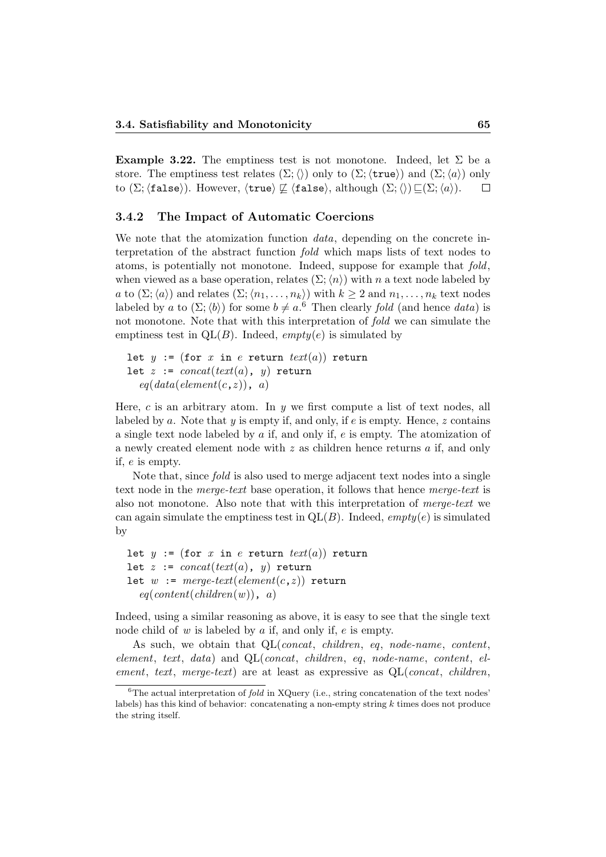**Example 3.22.** The emptiness test is not monotone. Indeed, let  $\Sigma$  be a store. The emptiness test relates  $(\Sigma;\langle\rangle)$  only to  $(\Sigma;\langle \text{true}\rangle)$  and  $(\Sigma;\langle a\rangle)$  only to (Σ;  $(f\text{alse})$ ). However,  $\langle \text{true} \rangle \not\sqsubseteq \langle \text{false} \rangle$ , although  $(\Sigma;\langle\rangle) \sqsubseteq (\Sigma;\langle a \rangle)$ .  $\Box$ 

#### 3.4.2 The Impact of Automatic Coercions

We note that the atomization function *data*, depending on the concrete interpretation of the abstract function fold which maps lists of text nodes to atoms, is potentially not monotone. Indeed, suppose for example that fold, when viewed as a base operation, relates  $(\Sigma;\langle n\rangle)$  with n a text node labeled by a to  $(\Sigma; \langle a \rangle)$  and relates  $(\Sigma; \langle n_1, \ldots, n_k \rangle)$  with  $k \geq 2$  and  $n_1, \ldots, n_k$  text nodes labeled by a to  $(\Sigma; \langle b \rangle)$  for some  $b \neq a$ .<sup>6</sup> Then clearly *fold* (and hence *data*) is not monotone. Note that with this interpretation of fold we can simulate the emptiness test in  $QL(B)$ . Indeed, *empty(e)* is simulated by

```
let y := (for x in e return text(a)) return
let z := concat(text(a), y) return
  eq(data(element(c, z)), a)
```
Here, c is an arbitrary atom. In  $y$  we first compute a list of text nodes, all labeled by a. Note that  $y$  is empty if, and only, if  $e$  is empty. Hence,  $z$  contains a single text node labeled by a if, and only if, e is empty. The atomization of a newly created element node with  $z$  as children hence returns  $a$  if, and only if, e is empty.

Note that, since fold is also used to merge adjacent text nodes into a single text node in the merge-text base operation, it follows that hence merge-text is also not monotone. Also note that with this interpretation of merge-text we can again simulate the emptiness test in  $QL(B)$ . Indeed, *empty(e)* is simulated by

```
let y := (\text{for } x \text{ in } e \text{ return } text(a)) return
let z := concat(text(a), y) return
let w := merge\text{-}text(element(c, z)) return
  eq(content(children(w)), a)
```
Indeed, using a similar reasoning as above, it is easy to see that the single text node child of  $w$  is labeled by  $\alpha$  if, and only if,  $e$  is empty.

As such, we obtain that  $QL(const, children, eq, node-name, content,$ element, text, data) and QL(concat, children, eq, node-name, content, element, text, merge-text) are at least as expressive as  $QL(const, children,$ 

 ${}^{6}$ The actual interpretation of *fold* in XQuery (i.e., string concatenation of the text nodes' labels) has this kind of behavior: concatenating a non-empty string k times does not produce the string itself.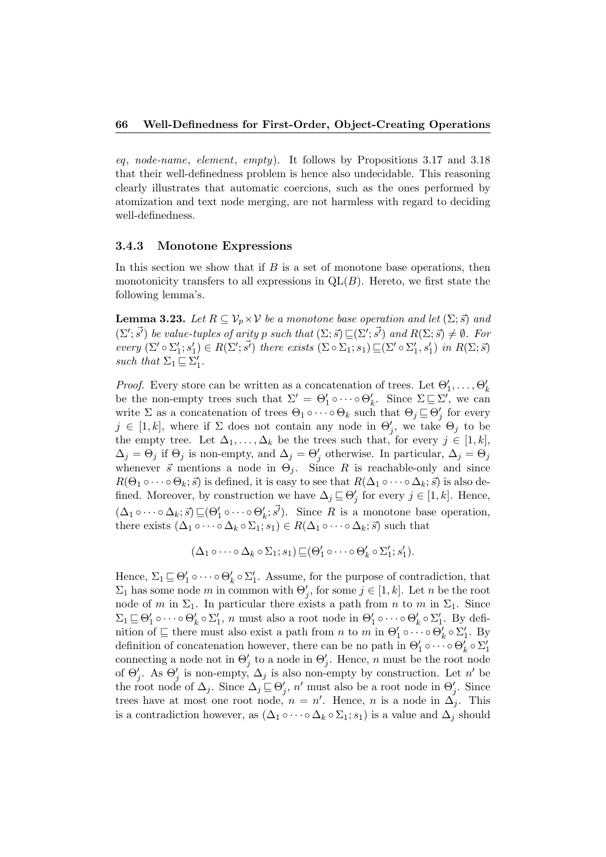eq, node-name, element, empty). It follows by Propositions 3.17 and 3.18 that their well-definedness problem is hence also undecidable. This reasoning clearly illustrates that automatic coercions, such as the ones performed by atomization and text node merging, are not harmless with regard to deciding well-definedness.

#### 3.4.3 Monotone Expressions

In this section we show that if  $B$  is a set of monotone base operations, then monotonicity transfers to all expressions in  $QL(B)$ . Hereto, we first state the following lemma's.

**Lemma 3.23.** Let  $R \subseteq V_n \times V$  be a monotone base operation and let  $(\Sigma; \vec{s})$  and  $(\Sigma'; \vec{s'})$  be value-tuples of arity p such that  $(\Sigma; \vec{s}) \sqsubseteq (\Sigma'; \vec{s'})$  and  $R(\Sigma; \vec{s}) \neq \emptyset$ . For every  $(\Sigma' \circ \Sigma_1'; s_1') \in R(\Sigma'; \vec{s'})$  there exists  $(\Sigma \circ \Sigma_1; s_1) \sqsubseteq (\Sigma' \circ \Sigma_1', s_1')$  in  $R(\Sigma; \vec{s})$ such that  $\Sigma_1 \sqsubseteq \Sigma'_1$ .

*Proof.* Every store can be written as a concatenation of trees. Let  $\Theta'_1, \ldots, \Theta'_k$ be the non-empty trees such that  $\Sigma' = \Theta'_1 \circ \cdots \circ \Theta'_k$ . Since  $\Sigma \sqsubseteq \Sigma'$ , we can write  $\Sigma$  as a concatenation of trees  $\Theta_1 \circ \cdots \circ \Theta_k$  such that  $\Theta_j \sqsubseteq \Theta'_j$  for every  $j \in [1, k]$ , where if  $\Sigma$  does not contain any node in  $\Theta'_j$ , we take  $\Theta_j$  to be the empty tree. Let  $\Delta_1, \ldots, \Delta_k$  be the trees such that, for every  $j \in [1, k]$ ,  $\Delta_j = \Theta_j$  if  $\Theta_j$  is non-empty, and  $\Delta_j = \Theta'_j$  otherwise. In particular,  $\Delta_j = \Theta_j$ whenever  $\vec{s}$  mentions a node in  $\Theta_j$ . Since R is reachable-only and since  $R(\Theta_1 \circ \cdots \circ \Theta_k; \vec{s})$  is defined, it is easy to see that  $R(\Delta_1 \circ \cdots \circ \Delta_k; \vec{s})$  is also defined. Moreover, by construction we have  $\Delta_j \sqsubseteq \Theta'_j$  for every  $j \in [1, k]$ . Hence,  $(\Delta_1 \circ \cdots \circ \Delta_k; \vec{s}) \sqsubseteq (\Theta'_1 \circ \cdots \circ \Theta'_k; \vec{s'})$ . Since R is a monotone base operation, there exists  $(\Delta_1 \circ \cdots \circ \Delta_k \circ \Sigma_1; s_1) \in R(\Delta_1 \circ \cdots \circ \Delta_k; \vec{s})$  such that

$$
(\Delta_1 \circ \cdots \circ \Delta_k \circ \Sigma_1; s_1) \sqsubseteq (\Theta'_1 \circ \cdots \circ \Theta'_k \circ \Sigma'_1; s'_1).
$$

Hence,  $\Sigma_1 \sqsubseteq \Theta'_1 \circ \cdots \circ \Theta'_k \circ \Sigma'_1$ . Assume, for the purpose of contradiction, that  $\Sigma_1$  has some node m in common with  $\Theta'_j$ , for some  $j \in [1, k]$ . Let n be the root node of m in  $\Sigma_1$ . In particular there exists a path from n to m in  $\Sigma_1$ . Since  $\Sigma_1 \sqsubseteq \Theta'_1 \circ \cdots \circ \Theta'_k \circ \Sigma'_1$ , n must also a root node in  $\Theta'_1 \circ \cdots \circ \Theta'_k \circ \Sigma'_1$ . By definition of  $\subseteq$  there must also exist a path from n to m in  $\Theta'_1 \circ \cdots \circ \Theta'_k \circ \Sigma'_1$ . By definition of concatenation however, there can be no path in  $\Theta'_1 \circ \cdots \circ \Theta'_k \circ \Sigma'_1$ connecting a node not in  $\Theta'_{j}$  to a node in  $\Theta'_{j}$ . Hence, n must be the root node of  $\Theta'_j$ . As  $\Theta'_j$  is non-empty,  $\Delta_j$  is also non-empty by construction. Let n' be the root node of  $\Delta_j$ . Since  $\Delta_j \sqsubseteq \Theta'_j$ , n' must also be a root node in  $\Theta'_j$ . Since trees have at most one root node,  $n = n'$ . Hence, n is a node in  $\Delta_j$ . This is a contradiction however, as  $(\Delta_1 \circ \cdots \circ \Delta_k \circ \Sigma_1; s_1)$  is a value and  $\Delta_j$  should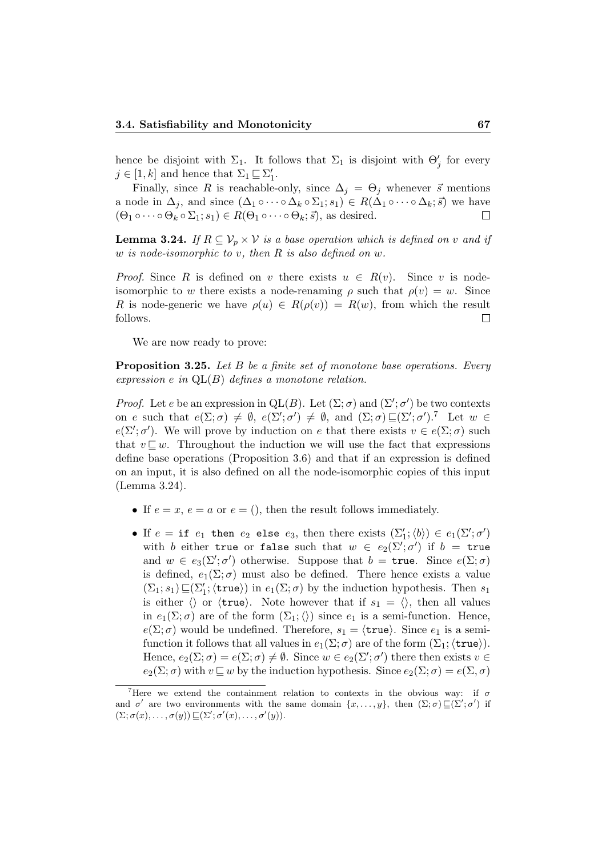hence be disjoint with  $\Sigma_1$ . It follows that  $\Sigma_1$  is disjoint with  $\Theta'_j$  for every  $j \in [1, k]$  and hence that  $\Sigma_1 \sqsubseteq \Sigma'_1$ .

Finally, since R is reachable-only, since  $\Delta_i = \Theta_i$  whenever  $\vec{s}$  mentions a node in  $\Delta_j$ , and since  $(\Delta_1 \circ \cdots \circ \Delta_k \circ \Sigma_1; s_1) \in R(\Delta_1 \circ \cdots \circ \Delta_k; \vec{s})$  we have  $(\Theta_1 \circ \cdots \circ \Theta_k \circ \Sigma_1; s_1) \in R(\Theta_1 \circ \cdots \circ \Theta_k; \vec{s})$ , as desired.  $\Box$ 

**Lemma 3.24.** If  $R \subseteq V_p \times V$  is a base operation which is defined on v and if w is node-isomorphic to v, then R is also defined on w.

*Proof.* Since R is defined on v there exists  $u \in R(v)$ . Since v is nodeisomorphic to w there exists a node-renaming  $\rho$  such that  $\rho(v) = w$ . Since R is node-generic we have  $\rho(u) \in R(\rho(v)) = R(w)$ , from which the result  $\Box$ follows.

We are now ready to prove:

Proposition 3.25. Let B be a finite set of monotone base operations. Every expression e in  $QL(B)$  defines a monotone relation.

*Proof.* Let e be an expression in  $QL(B)$ . Let  $(\Sigma; \sigma)$  and  $(\Sigma'; \sigma')$  be two contexts on e such that  $e(\Sigma;\sigma) \neq \emptyset$ ,  $e(\Sigma';\sigma') \neq \emptyset$ , and  $(\Sigma;\sigma) \sqsubseteq (\Sigma';\sigma')$ .<sup>7</sup> Let  $w \in$  $e(\Sigma'; \sigma')$ . We will prove by induction on e that there exists  $v \in e(\Sigma; \sigma)$  such that  $v \sqsubset w$ . Throughout the induction we will use the fact that expressions define base operations (Proposition 3.6) and that if an expression is defined on an input, it is also defined on all the node-isomorphic copies of this input (Lemma 3.24).

- If  $e = x, e = a$  or  $e = 0$ , then the result follows immediately.
- If  $e = \text{if } e_1 \text{ then } e_2 \text{ else } e_3 \text{, then there exists } (\sum_1'; \langle b \rangle) \in e_1(\Sigma'; \sigma')$ with b either true or false such that  $w \in e_2(\Sigma'; \sigma')$  if  $b =$  true and  $w \in e_3(\Sigma'; \sigma')$  otherwise. Suppose that  $b = \mathtt{true}$ . Since  $e(\Sigma; \sigma)$ is defined,  $e_1(\Sigma;\sigma)$  must also be defined. There hence exists a value  $(\Sigma_1; s_1) \sqsubseteq (\Sigma'_1; \langle \text{true} \rangle)$  in  $e_1(\Sigma; \sigma)$  by the induction hypothesis. Then  $s_1$ is either  $\langle \rangle$  or  $\langle \text{true} \rangle$ . Note however that if  $s_1 = \langle \rangle$ , then all values in  $e_1(\Sigma;\sigma)$  are of the form  $(\Sigma_1;\langle\rangle)$  since  $e_1$  is a semi-function. Hence,  $e(\Sigma;\sigma)$  would be undefined. Therefore,  $s_1 = \langle \text{true} \rangle$ . Since  $e_1$  is a semifunction it follows that all values in  $e_1(\Sigma;\sigma)$  are of the form  $(\Sigma_1;\langle \text{true}\rangle)$ . Hence,  $e_2(\Sigma; \sigma) = e(\Sigma; \sigma) \neq \emptyset$ . Since  $w \in e_2(\Sigma'; \sigma')$  there then exists  $v \in$  $e_2(\Sigma;\sigma)$  with  $v\mathbb{Z} w$  by the induction hypothesis. Since  $e_2(\Sigma;\sigma) = e(\Sigma,\sigma)$

<sup>&</sup>lt;sup>7</sup>Here we extend the containment relation to contexts in the obvious way: if  $\sigma$ and  $\sigma'$  are two environments with the same domain  $\{x, \ldots, y\}$ , then  $(\Sigma; \sigma) \sqsubseteq (\Sigma'; \sigma')$  if  $(\Sigma; \sigma(x), \ldots, \sigma(y)) \sqsubseteq (\Sigma'; \sigma'(x), \ldots, \sigma'(y)).$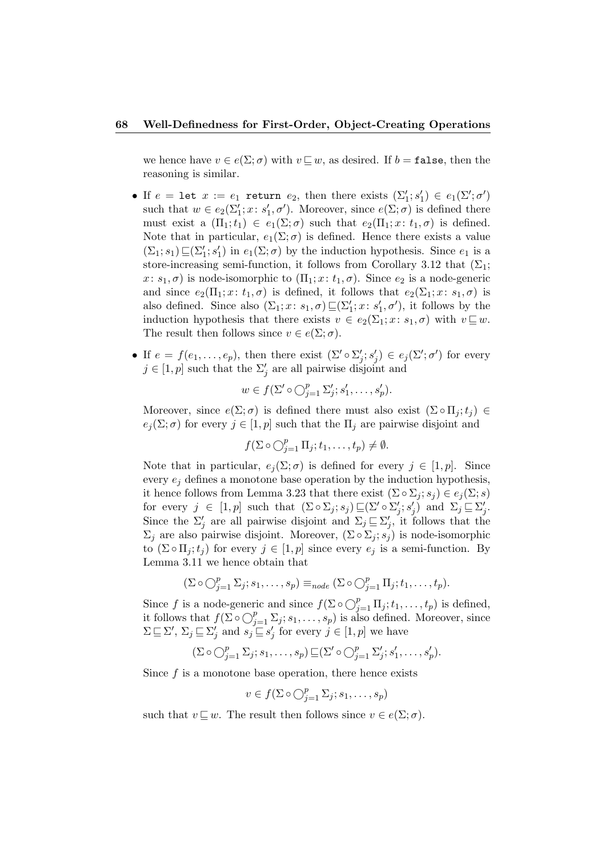we hence have  $v \in e(\Sigma; \sigma)$  with  $v \sqsubseteq w$ , as desired. If  $b = \mathtt{false}$ , then the reasoning is similar.

- If  $e = \text{let } x := e_1$  return  $e_2$ , then there exists  $(\Sigma'_1; s'_1) \in e_1(\Sigma'; \sigma')$ such that  $w \in e_2(\Sigma_1'; x; s_1', \sigma')$ . Moreover, since  $e(\Sigma; \sigma)$  is defined there must exist a  $(\Pi_1; t_1) \in e_1(\Sigma; \sigma)$  such that  $e_2(\Pi_1; x: t_1, \sigma)$  is defined. Note that in particular,  $e_1(\Sigma;\sigma)$  is defined. Hence there exists a value  $(\Sigma_1; s_1) \sqsubseteq (\Sigma_1'; s_1')$  in  $e_1(\Sigma; \sigma)$  by the induction hypothesis. Since  $e_1$  is a store-increasing semi-function, it follows from Corollary 3.12 that  $(\Sigma_1;$  $x: s_1, \sigma$  is node-isomorphic to  $(\Pi_1; x: t_1, \sigma)$ . Since  $e_2$  is a node-generic and since  $e_2(\Pi_1; x: t_1, \sigma)$  is defined, it follows that  $e_2(\Sigma_1; x: s_1, \sigma)$  is also defined. Since also  $(\Sigma_1; x: s_1, \sigma) \sqsubseteq (\Sigma'_1; x: s'_1, \sigma')$ , it follows by the induction hypothesis that there exists  $v \in e_2(\Sigma_1; x: s_1, \sigma)$  with  $v \sqsubseteq w$ . The result then follows since  $v \in e(\Sigma; \sigma)$ .
- If  $e = f(e_1, \ldots, e_p)$ , then there exist  $(\Sigma' \circ \Sigma'_j; s'_j) \in e_j(\Sigma'; \sigma')$  for every  $j \in [1, p]$  such that the  $\Sigma'_j$  are all pairwise disjoint and

$$
w \in f(\Sigma' \circ \bigcirc_{j=1}^p \Sigma'_j; s'_1, \dots, s'_p).
$$

Moreover, since  $e(\Sigma;\sigma)$  is defined there must also exist  $(\Sigma \circ \Pi_i;t_i) \in$  $e_j(\Sigma;\sigma)$  for every  $j\in[1,p]$  such that the  $\Pi_j$  are pairwise disjoint and

$$
f(\Sigma \circ \bigcirc_{j=1}^p \Pi_j; t_1, \ldots, t_p) \neq \emptyset.
$$

Note that in particular,  $e_i(\Sigma;\sigma)$  is defined for every  $j \in [1,p]$ . Since every  $e_i$  defines a monotone base operation by the induction hypothesis, it hence follows from Lemma 3.23 that there exist  $(\Sigma \circ \Sigma_i; s_i) \in e_i(\Sigma; s)$ for every  $j \in [1, p]$  such that  $(\Sigma \circ \Sigma_j; s_j) \sqsubseteq (\Sigma' \circ \Sigma'_j; s'_j)$  and  $\Sigma_j \sqsubseteq \Sigma'_j$ . Since the  $\Sigma'_j$  are all pairwise disjoint and  $\Sigma_j \sqsubseteq \Sigma'_j$ , it follows that the  $\Sigma_j$  are also pairwise disjoint. Moreover,  $(\Sigma \circ \Sigma_j; s_j)$  is node-isomorphic to  $(\Sigma \circ \Pi_j; t_j)$  for every  $j \in [1, p]$  since every  $e_j$  is a semi-function. By Lemma 3.11 we hence obtain that

$$
(\Sigma \circ \bigcirc_{j=1}^p \Sigma_j; s_1, \ldots, s_p) \equiv_{node} (\Sigma \circ \bigcirc_{j=1}^p \Pi_j; t_1, \ldots, t_p).
$$

Since f is a node-generic and since  $f(\Sigma \circ \bigcirc_{j=1}^p \Pi_j; t_1, \ldots, t_p)$  is defined, it follows that  $f(\Sigma \circ \bigcirc_{j=1}^p \Sigma_j; s_1, \ldots, s_p)$  is also defined. Moreover, since  $\Sigma \sqsubseteq \Sigma'$ ,  $\Sigma_j \sqsubseteq \Sigma'_j$  and  $s_j \sqsubseteq s'_j$  for every  $j \in [1, p]$  we have

$$
(\Sigma \circ \bigcirc_{j=1}^p \Sigma_j; s_1, \ldots, s_p) \sqsubseteq (\Sigma' \circ \bigcirc_{j=1}^p \Sigma'_j; s'_1, \ldots, s'_p).
$$

Since  $f$  is a monotone base operation, there hence exists

$$
v \in f(\Sigma \circ \bigcirc_{j=1}^p \Sigma_j; s_1, \ldots, s_p)
$$

such that  $v \sqsubseteq w$ . The result then follows since  $v \in e(\Sigma; \sigma)$ .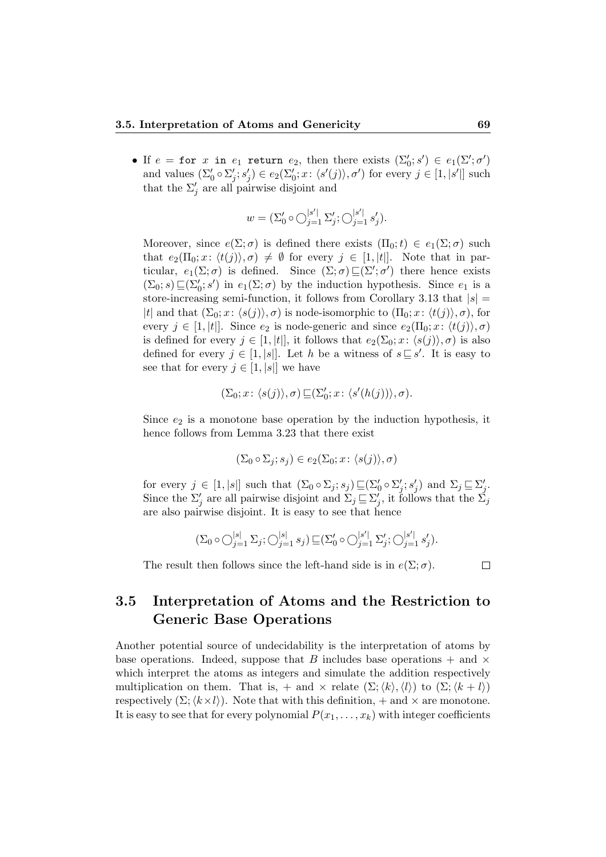• If  $e = \texttt{for } x$  in  $e_1$  return  $e_2$ , then there exists  $(\Sigma'_0; s') \in e_1(\Sigma'; \sigma')$ and values  $(\Sigma'_0 \circ \Sigma'_j; s'_j) \in e_2(\Sigma'_0; x: \langle s'(j) \rangle, \sigma')$  for every  $j \in [1, |s'|]$  such that the  $\Sigma_j'$  are all pairwise disjoint and

$$
w = (\Sigma_0' \circ \bigcirc_{j=1}^{|s'|} \Sigma_j'; \bigcirc_{j=1}^{|s'|} s_j').
$$

Moreover, since  $e(\Sigma;\sigma)$  is defined there exists  $(\Pi_0;t) \in e_1(\Sigma;\sigma)$  such that  $e_2(\Pi_0; x: \langle t(j) \rangle, \sigma) \neq \emptyset$  for every  $j \in [1, |t|].$  Note that in particular,  $e_1(\Sigma;\sigma)$  is defined. Since  $(\Sigma;\sigma) \sqsubseteq (\Sigma';\sigma')$  there hence exists  $(\Sigma_0; s) \sqsubseteq (\Sigma'_0; s')$  in  $e_1(\Sigma; \sigma)$  by the induction hypothesis. Since  $e_1$  is a store-increasing semi-function, it follows from Corollary 3.13 that  $|s| =$ |t| and that  $(\Sigma_0; x: \langle s(j) \rangle, \sigma)$  is node-isomorphic to  $(\Pi_0; x: \langle t(j) \rangle, \sigma)$ , for every  $j \in [1, |t|]$ . Since  $e_2$  is node-generic and since  $e_2(\Pi_0; x: \langle t(j) \rangle, \sigma)$ is defined for every  $j \in [1, |t|]$ , it follows that  $e_2(\Sigma_0; x: \langle s(j) \rangle, \sigma)$  is also defined for every  $j \in [1, |s|]$ . Let h be a witness of  $s \subseteq s'$ . It is easy to see that for every  $j \in [1, |s|]$  we have

$$
(\Sigma_0;x\colon \langle s(j)\rangle,\sigma)\sqsubseteq\!\!(\Sigma_0';x\colon \langle s'(h(j))\rangle,\sigma).
$$

Since  $e_2$  is a monotone base operation by the induction hypothesis, it hence follows from Lemma 3.23 that there exist

$$
(\Sigma_0 \circ \Sigma_j; s_j) \in e_2(\Sigma_0; x: \langle s(j) \rangle, \sigma)
$$

for every  $j \in [1, |s|]$  such that  $(\Sigma_0 \circ \Sigma_j; s_j) \sqsubseteq (\Sigma'_0 \circ \Sigma'_j; s'_j)$  and  $\Sigma_j \sqsubseteq \Sigma'_j$ . Since the  $\Sigma'_j$  are all pairwise disjoint and  $\Sigma_j \sqsubseteq \Sigma'_j$ , it follows that the  $\Sigma_j$ are also pairwise disjoint. It is easy to see that hence

$$
(\Sigma_0 \circ \bigcirc_{j=1}^{|s|} \Sigma_j; \bigcirc_{j=1}^{|s|} s_j) \sqsubseteq (\Sigma'_0 \circ \bigcirc_{j=1}^{|s'|} \Sigma'_j; \bigcirc_{j=1}^{|s'|} s'_j).
$$

The result then follows since the left-hand side is in  $e(\Sigma; \sigma)$ .

 $\Box$ 

# 3.5 Interpretation of Atoms and the Restriction to Generic Base Operations

Another potential source of undecidability is the interpretation of atoms by base operations. Indeed, suppose that B includes base operations  $+$  and  $\times$ which interpret the atoms as integers and simulate the addition respectively multiplication on them. That is, + and  $\times$  relate  $(\Sigma;\langle k\rangle,\langle l\rangle)$  to  $(\Sigma;\langle k+l\rangle)$ respectively  $(\Sigma;\langle k \times l \rangle)$ . Note that with this definition, + and  $\times$  are monotone. It is easy to see that for every polynomial  $P(x_1, \ldots, x_k)$  with integer coefficients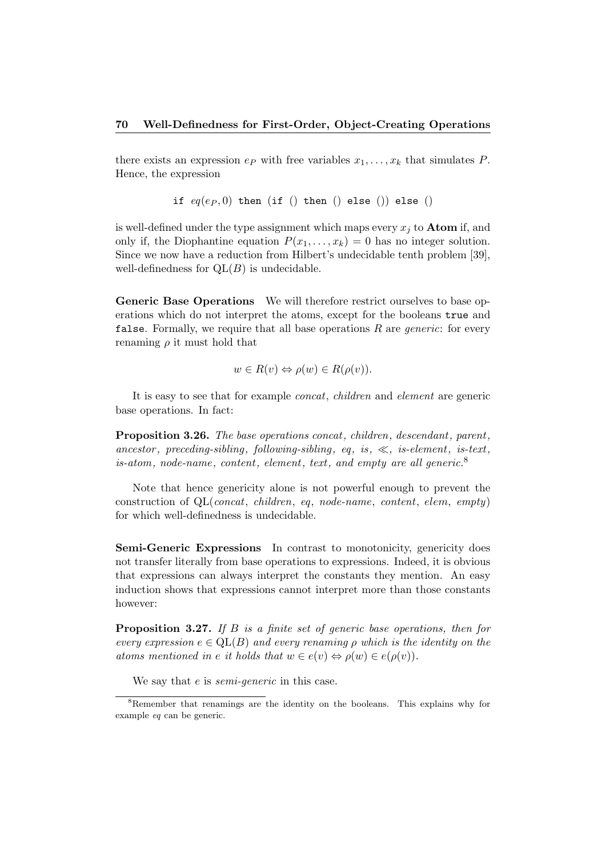there exists an expression  $e_P$  with free variables  $x_1, \ldots, x_k$  that simulates P. Hence, the expression

if  $eq(e_P, 0)$  then (if () then () else () else ()

is well-defined under the type assignment which maps every  $x_i$  to **Atom** if, and only if, the Diophantine equation  $P(x_1, \ldots, x_k) = 0$  has no integer solution. Since we now have a reduction from Hilbert's undecidable tenth problem [39], well-definedness for  $QL(B)$  is undecidable.

Generic Base Operations We will therefore restrict ourselves to base operations which do not interpret the atoms, except for the booleans true and false. Formally, we require that all base operations  $R$  are *generic*: for every renaming  $\rho$  it must hold that

$$
w \in R(v) \Leftrightarrow \rho(w) \in R(\rho(v)).
$$

It is easy to see that for example concat, children and element are generic base operations. In fact:

Proposition 3.26. The base operations concat, children, descendant, parent, ancestor, preceding-sibling, following-sibling, eq, is,  $\ll$ , is-element, is-text, is-atom, node-name, content, element, text, and empty are all generic.<sup>8</sup>

Note that hence genericity alone is not powerful enough to prevent the construction of  $QL$ (*concat, children, eq, node-name, content, elem, empty*) for which well-definedness is undecidable.

Semi-Generic Expressions In contrast to monotonicity, genericity does not transfer literally from base operations to expressions. Indeed, it is obvious that expressions can always interpret the constants they mention. An easy induction shows that expressions cannot interpret more than those constants however:

Proposition 3.27. If B is a finite set of generic base operations, then for every expression  $e \in QL(B)$  and every renaming  $\rho$  which is the identity on the atoms mentioned in e it holds that  $w \in e(v) \Leftrightarrow \rho(w) \in e(\rho(v))$ .

We say that *e* is *semi-generic* in this case.

<sup>8</sup>Remember that renamings are the identity on the booleans. This explains why for example eq can be generic.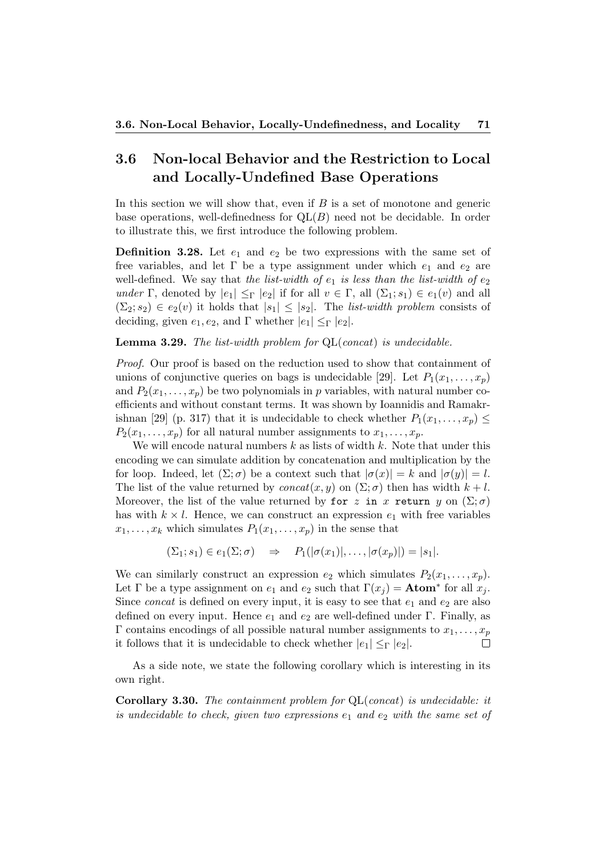# 3.6 Non-local Behavior and the Restriction to Local and Locally-Undefined Base Operations

In this section we will show that, even if  $B$  is a set of monotone and generic base operations, well-definedness for  $QL(B)$  need not be decidable. In order to illustrate this, we first introduce the following problem.

**Definition 3.28.** Let  $e_1$  and  $e_2$  be two expressions with the same set of free variables, and let  $\Gamma$  be a type assignment under which  $e_1$  and  $e_2$  are well-defined. We say that the list-width of  $e_1$  is less than the list-width of  $e_2$ under Γ, denoted by  $|e_1| \leq_\Gamma |e_2|$  if for all  $v \in \Gamma$ , all  $(\Sigma_1; s_1) \in e_1(v)$  and all  $(\Sigma_2; s_2) \in e_2(v)$  it holds that  $|s_1| \leq |s_2|$ . The *list-width problem* consists of deciding, given  $e_1, e_2$ , and Γ whether  $|e_1| \leq_\Gamma |e_2|$ .

**Lemma 3.29.** The list-width problem for  $QL(concat)$  is undecidable.

Proof. Our proof is based on the reduction used to show that containment of unions of conjunctive queries on bags is undecidable [29]. Let  $P_1(x_1, \ldots, x_p)$ and  $P_2(x_1, \ldots, x_p)$  be two polynomials in p variables, with natural number coefficients and without constant terms. It was shown by Ioannidis and Ramakrishnan [29] (p. 317) that it is undecidable to check whether  $P_1(x_1, \ldots, x_p) \leq$  $P_2(x_1, \ldots, x_p)$  for all natural number assignments to  $x_1, \ldots, x_p$ .

We will encode natural numbers  $k$  as lists of width  $k$ . Note that under this encoding we can simulate addition by concatenation and multiplication by the for loop. Indeed, let  $(\Sigma;\sigma)$  be a context such that  $|\sigma(x)| = k$  and  $|\sigma(y)| = l$ . The list of the value returned by  $concat(x, y)$  on  $(\Sigma; \sigma)$  then has width  $k + l$ . Moreover, the list of the value returned by for z in x return y on  $(\Sigma; \sigma)$ has with  $k \times l$ . Hence, we can construct an expression  $e_1$  with free variables  $x_1, \ldots, x_k$  which simulates  $P_1(x_1, \ldots, x_n)$  in the sense that

$$
(\Sigma_1; s_1) \in e_1(\Sigma; \sigma) \quad \Rightarrow \quad P_1(|\sigma(x_1)|, \ldots, |\sigma(x_p)|) = |s_1|.
$$

We can similarly construct an expression  $e_2$  which simulates  $P_2(x_1, \ldots, x_p)$ . Let  $\Gamma$  be a type assignment on  $e_1$  and  $e_2$  such that  $\Gamma(x_j) = \text{Atom}^*$  for all  $x_j$ . Since *concat* is defined on every input, it is easy to see that  $e_1$  and  $e_2$  are also defined on every input. Hence  $e_1$  and  $e_2$  are well-defined under Γ. Finally, as Γ contains encodings of all possible natural number assignments to  $x_1, \ldots, x_p$  $\Box$ it follows that it is undecidable to check whether  $|e_1| \leq_\Gamma |e_2|$ .

As a side note, we state the following corollary which is interesting in its own right.

Corollary 3.30. The containment problem for QL(concat) is undecidable: it is undecidable to check, given two expressions  $e_1$  and  $e_2$  with the same set of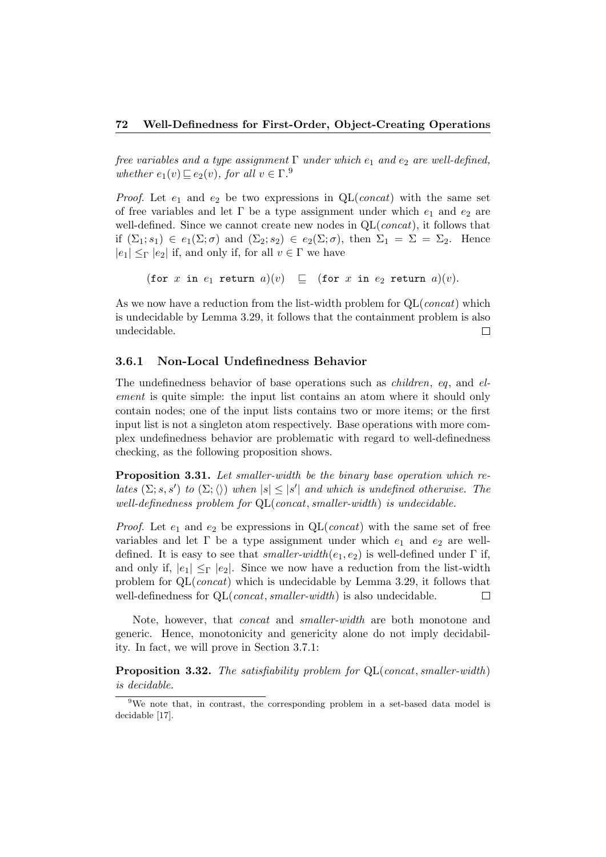free variables and a type assignment  $\Gamma$  under which  $e_1$  and  $e_2$  are well-defined, whether  $e_1(v) \sqsubseteq e_2(v)$ , for all  $v \in \Gamma$ .<sup>9</sup>

*Proof.* Let  $e_1$  and  $e_2$  be two expressions in QL(*concat*) with the same set of free variables and let  $\Gamma$  be a type assignment under which  $e_1$  and  $e_2$  are well-defined. Since we cannot create new nodes in  $QL(const)$ , it follows that if  $(\Sigma_1; s_1) \in e_1(\Sigma; \sigma)$  and  $(\Sigma_2; s_2) \in e_2(\Sigma; \sigma)$ , then  $\Sigma_1 = \Sigma = \Sigma_2$ . Hence  $|e_1| \leq_{\Gamma} |e_2|$  if, and only if, for all  $v \in \Gamma$  we have

(for x in  $e_1$  return  $a)(v) \subseteq$  (for x in  $e_2$  return  $a)(v)$ .

As we now have a reduction from the list-width problem for  $QL(const)$  which is undecidable by Lemma 3.29, it follows that the containment problem is also undecidable.  $\Box$ 

# 3.6.1 Non-Local Undefinedness Behavior

The undefinedness behavior of base operations such as *children*, eq, and element is quite simple: the input list contains an atom where it should only contain nodes; one of the input lists contains two or more items; or the first input list is not a singleton atom respectively. Base operations with more complex undefinedness behavior are problematic with regard to well-definedness checking, as the following proposition shows.

Proposition 3.31. Let smaller-width be the binary base operation which relates  $(\Sigma; s, s')$  to  $(\Sigma; \langle \rangle)$  when  $|s| \leq |s'|$  and which is undefined otherwise. The well-definedness problem for QL(concat, smaller-width) is undecidable.

*Proof.* Let  $e_1$  and  $e_2$  be expressions in QL(*concat*) with the same set of free variables and let  $\Gamma$  be a type assignment under which  $e_1$  and  $e_2$  are welldefined. It is easy to see that smaller-width $(e_1, e_2)$  is well-defined under  $\Gamma$  if, and only if,  $|e_1| \leq_F |e_2|$ . Since we now have a reduction from the list-width problem for  $QL(const)$  which is undecidable by Lemma 3.29, it follows that well-definedness for QL(*concat, smaller-width*) is also undecidable.  $\Box$ 

Note, however, that concat and smaller-width are both monotone and generic. Hence, monotonicity and genericity alone do not imply decidability. In fact, we will prove in Section 3.7.1:

**Proposition 3.32.** The satisfiability problem for  $QL$ (concat, smaller-width) is decidable.

<sup>&</sup>lt;sup>9</sup>We note that, in contrast, the corresponding problem in a set-based data model is decidable [17].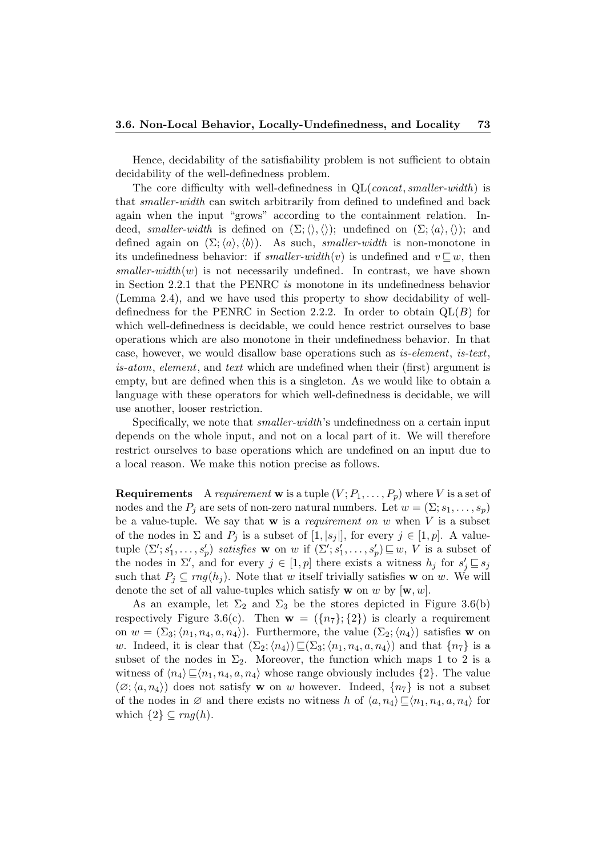Hence, decidability of the satisfiability problem is not sufficient to obtain decidability of the well-definedness problem.

The core difficulty with well-definedness in  $QL$ (*concat, smaller-width*) is that smaller-width can switch arbitrarily from defined to undefined and back again when the input "grows" according to the containment relation. Indeed, smaller-width is defined on  $(\Sigma;\langle\rangle,\langle\rangle);$  undefined on  $(\Sigma;\langle a\rangle,\langle\rangle);$  and defined again on  $(\Sigma;\langle a \rangle,\langle b \rangle)$ . As such, *smaller-width* is non-monotone in its undefinedness behavior: if smaller-width $(v)$  is undefined and  $v \sqsubseteq w$ , then  $smaller-width(w)$  is not necessarily undefined. In contrast, we have shown in Section 2.2.1 that the PENRC is monotone in its undefinedness behavior (Lemma 2.4), and we have used this property to show decidability of welldefinedness for the PENRC in Section 2.2.2. In order to obtain  $QL(B)$  for which well-definedness is decidable, we could hence restrict ourselves to base operations which are also monotone in their undefinedness behavior. In that case, however, we would disallow base operations such as is-element, is-text, is-atom, element, and text which are undefined when their (first) argument is empty, but are defined when this is a singleton. As we would like to obtain a language with these operators for which well-definedness is decidable, we will use another, looser restriction.

Specifically, we note that smaller-width's undefinedness on a certain input depends on the whole input, and not on a local part of it. We will therefore restrict ourselves to base operations which are undefined on an input due to a local reason. We make this notion precise as follows.

**Requirements** A *requirement* w is a tuple  $(V; P_1, \ldots, P_p)$  where V is a set of nodes and the  $P_i$  are sets of non-zero natural numbers. Let  $w = (\Sigma; s_1, \ldots, s_p)$ be a value-tuple. We say that  $w$  is a requirement on  $w$  when  $V$  is a subset of the nodes in  $\Sigma$  and  $P_j$  is a subset of  $[1, |s_j|]$ , for every  $j \in [1, p]$ . A valuetuple  $(\Sigma'; s'_1, \ldots, s'_p)$  satisfies w on w if  $(\Sigma'; s'_1, \ldots, s'_p) \sqsubseteq w$ , V is a subset of the nodes in  $\Sigma'$ , and for every  $j \in [1, p]$  there exists a witness  $h_j$  for  $s'_j \sqsubseteq s_j$ such that  $P_i \subseteq rng(h_i)$ . Note that w itself trivially satisfies w on w. We will denote the set of all value-tuples which satisfy **w** on w by  $[\mathbf{w}, w]$ .

As an example, let  $\Sigma_2$  and  $\Sigma_3$  be the stores depicted in Figure 3.6(b) respectively Figure 3.6(c). Then  $\mathbf{w} = (\{n_7\}; \{2\})$  is clearly a requirement on  $w = (\Sigma_3; \langle n_1, n_4, a, n_4 \rangle)$ . Furthermore, the value  $(\Sigma_2; \langle n_4 \rangle)$  satisfies w on w. Indeed, it is clear that  $(\Sigma_2; \langle n_4 \rangle) \sqsubseteq (\Sigma_3; \langle n_1, n_4, a, n_4 \rangle)$  and that  $\{n_7\}$  is a subset of the nodes in  $\Sigma_2$ . Moreover, the function which maps 1 to 2 is a witness of  $\langle n_4 \rangle \sqsubseteq \langle n_1, n_4, a, n_4 \rangle$  whose range obviously includes  $\{2\}$ . The value  $(\varnothing; \langle a, n_4 \rangle)$  does not satisfy **w** on w however. Indeed,  $\{n_7\}$  is not a subset of the nodes in  $\varnothing$  and there exists no witness h of  $\langle a, n_4 \rangle \sqsubseteq \langle n_1, n_4, a, n_4 \rangle$  for which  $\{2\} \subseteq rng(h)$ .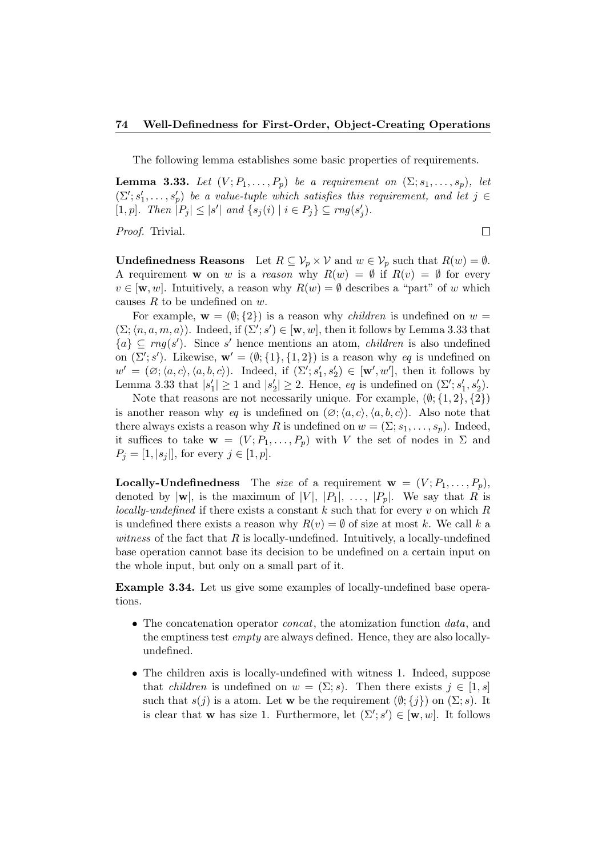The following lemma establishes some basic properties of requirements.

**Lemma 3.33.** Let  $(V; P_1, \ldots, P_p)$  be a requirement on  $(\Sigma; s_1, \ldots, s_p)$ , let  $(\Sigma'; s'_1, \ldots, s'_p)$  be a value-tuple which satisfies this requirement, and let  $j \in$ [1, p]. Then  $|P_j| \leq |s'|$  and  $\{s_j(i) | i \in P_j\} \subseteq rng(s'_j)$ .

 $\Box$ 

Proof. Trivial.

**Undefinedness Reasons** Let  $R \subseteq \mathcal{V}_p \times \mathcal{V}$  and  $w \in \mathcal{V}_p$  such that  $R(w) = \emptyset$ . A requirement w on w is a reason why  $R(w) = \emptyset$  if  $R(v) = \emptyset$  for every  $v \in [w, w]$ . Intuitively, a reason why  $R(w) = \emptyset$  describes a "part" of w which causes  $R$  to be undefined on  $w$ .

For example,  $\mathbf{w} = (\emptyset; \{2\})$  is a reason why *children* is undefined on  $w =$  $(\Sigma; \langle n, a, m, a \rangle)$ . Indeed, if  $(\Sigma'; s') \in [\mathbf{w}, w]$ , then it follows by Lemma 3.33 that  ${a} \subseteq rng(s')$ . Since s' hence mentions an atom, *children* is also undefined on  $(\Sigma'; s')$ . Likewise,  $\mathbf{w}' = (\emptyset; \{1\}, \{1, 2\})$  is a reason why eq is undefined on  $w' = (\emptyset; \langle a, c \rangle, \langle a, b, c \rangle)$ . Indeed, if  $(\Sigma'; s'_1, s'_2) \in [\mathbf{w}', w']$ , then it follows by Lemma 3.33 that  $|s'_1| \geq 1$  and  $|s'_2| \geq 2$ . Hence, eq is undefined on  $(\Sigma'; s'_1, s'_2)$ .

Note that reasons are not necessarily unique. For example,  $(\emptyset; \{1, 2\}, \{2\})$ is another reason why eq is undefined on  $(\varnothing; \langle a, c \rangle, \langle a, b, c \rangle)$ . Also note that there always exists a reason why R is undefined on  $w = (\Sigma; s_1, \ldots, s_p)$ . Indeed, it suffices to take  $\mathbf{w} = (V; P_1, \ldots, P_p)$  with V the set of nodes in  $\Sigma$  and  $P_j = [1, |s_j|],$  for every  $j \in [1, p].$ 

**Locally-Undefinedness** The size of a requirement  $\mathbf{w} = (V; P_1, \ldots, P_p)$ , denoted by  $|\mathbf{w}|$ , is the maximum of  $|V|, |P_1|, \ldots, |P_p|$ . We say that R is locally-undefined if there exists a constant  $k$  such that for every  $v$  on which  $R$ is undefined there exists a reason why  $R(v) = \emptyset$  of size at most k. We call k a witness of the fact that  $R$  is locally-undefined. Intuitively, a locally-undefined base operation cannot base its decision to be undefined on a certain input on the whole input, but only on a small part of it.

Example 3.34. Let us give some examples of locally-undefined base operations.

- The concatenation operator *concat*, the atomization function *data*, and the emptiness test *empty* are always defined. Hence, they are also locallyundefined.
- The children axis is locally-undefined with witness 1. Indeed, suppose that *children* is undefined on  $w = (\Sigma; s)$ . Then there exists  $j \in [1, s]$ such that  $s(j)$  is a atom. Let w be the requirement  $(\emptyset; \{j\})$  on  $(\Sigma; s)$ . It is clear that w has size 1. Furthermore, let  $(\Sigma'; s') \in [\mathbf{w}, w]$ . It follows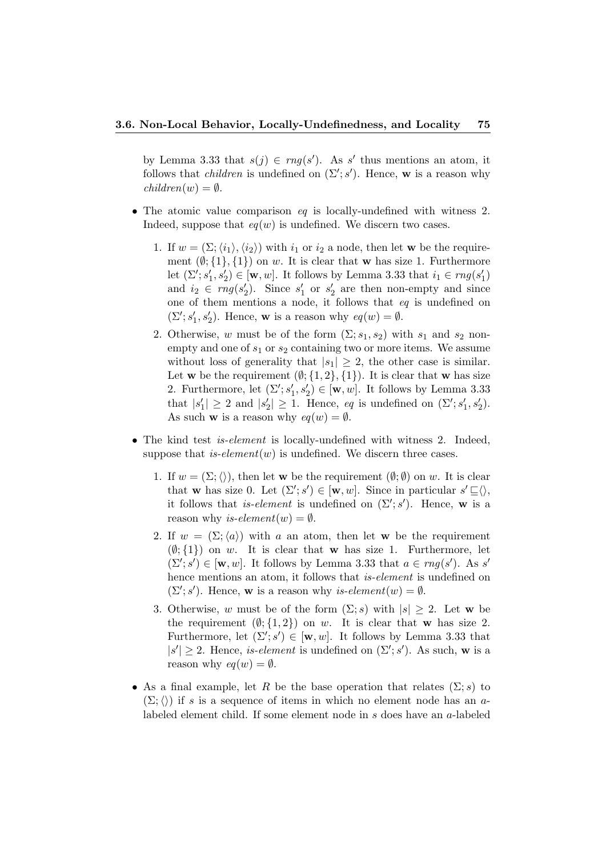by Lemma 3.33 that  $s(j) \in rng(s')$ . As s' thus mentions an atom, it follows that *children* is undefined on  $(\Sigma'; s')$ . Hence, w is a reason why  $children(w) = \emptyset.$ 

- The atomic value comparison eq is locally-undefined with witness 2. Indeed, suppose that  $eq(w)$  is undefined. We discern two cases.
	- 1. If  $w = (\Sigma; \langle i_1 \rangle, \langle i_2 \rangle)$  with  $i_1$  or  $i_2$  a node, then let w be the requirement  $(\emptyset; \{1\}, \{1\})$  on w. It is clear that w has size 1. Furthermore let  $(\Sigma'; s_1', s_2') \in [\mathbf{w}, w]$ . It follows by Lemma 3.33 that  $i_1 \in rng(s_1')$ and  $i_2 \in rng(s'_2)$ . Since  $s'_1$  or  $s'_2$  are then non-empty and since one of them mentions a node, it follows that eq is undefined on  $(\Sigma'; s_1', s_2')$ . Hence, **w** is a reason why  $eq(w) = \emptyset$ .
	- 2. Otherwise, w must be of the form  $(\Sigma; s_1, s_2)$  with  $s_1$  and  $s_2$  nonempty and one of  $s_1$  or  $s_2$  containing two or more items. We assume without loss of generality that  $|s_1| \geq 2$ , the other case is similar. Let w be the requirement  $(\emptyset; \{1, 2\}, \{1\})$ . It is clear that w has size 2. Furthermore, let  $(\Sigma'; s_1', s_2') \in [\mathbf{w}, w]$ . It follows by Lemma 3.33 that  $|s'_1| \geq 2$  and  $|s'_2| \geq 1$ . Hence, eq is undefined on  $(\Sigma'; s'_1, s'_2)$ . As such **w** is a reason why  $eq(w) = \emptyset$ .
- The kind test *is-element* is locally-undefined with witness 2. Indeed, suppose that *is-element* $(w)$  is undefined. We discern three cases.
	- 1. If  $w = (\Sigma;\langle\rangle)$ , then let w be the requirement  $(\emptyset;\emptyset)$  on w. It is clear that **w** has size 0. Let  $(\Sigma'; s') \in [\mathbf{w}, w]$ . Since in particular  $s' \sqsubseteq \langle \rangle$ , it follows that *is-element* is undefined on  $(\Sigma'; s')$ . Hence, w is a reason why is-element $(w) = \emptyset$ .
	- 2. If  $w = (\Sigma; \langle a \rangle)$  with a an atom, then let w be the requirement  $(\emptyset; \{1\})$  on w. It is clear that w has size 1. Furthermore, let  $(\Sigma'; s') \in [\mathbf{w}, w]$ . It follows by Lemma 3.33 that  $a \in rng(s')$ . As s' hence mentions an atom, it follows that *is-element* is undefined on  $(\Sigma'; s')$ . Hence, **w** is a reason why *is-element* $(w) = \emptyset$ .
	- 3. Otherwise, w must be of the form  $(\Sigma; s)$  with  $|s| \geq 2$ . Let w be the requirement  $(\emptyset; \{1,2\})$  on w. It is clear that w has size 2. Furthermore, let  $(\Sigma'; s') \in [\mathbf{w}, w]$ . It follows by Lemma 3.33 that  $|s'| \geq 2$ . Hence, *is-element* is undefined on  $(\Sigma'; s')$ . As such, **w** is a reason why  $eq(w) = \emptyset$ .
- As a final example, let R be the base operation that relates  $(\Sigma; s)$  to  $(\Sigma;\langle\rangle)$  if s is a sequence of items in which no element node has an alabeled element child. If some element node in s does have an a-labeled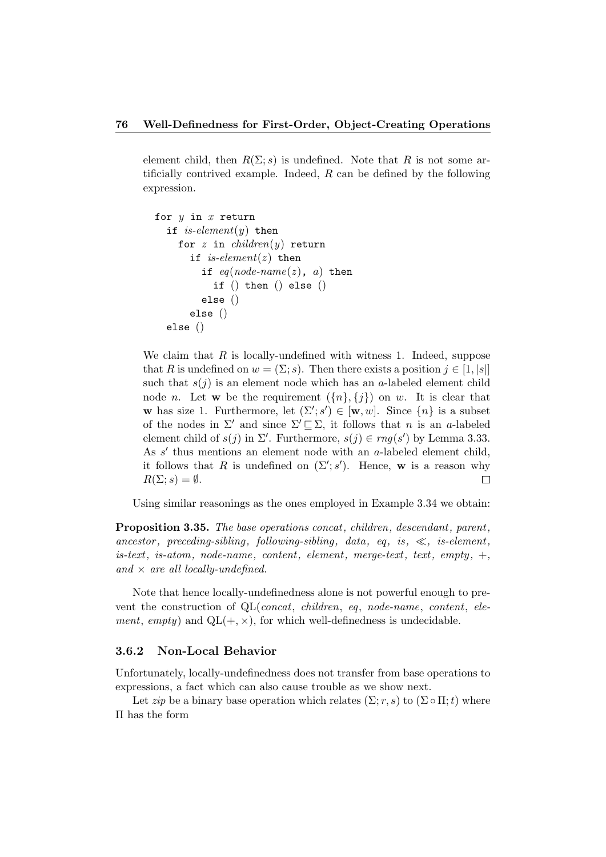element child, then  $R(\Sigma; s)$  is undefined. Note that R is not some artificially contrived example. Indeed,  $R$  can be defined by the following expression.

```
for y in x return
if is-element(y) then
  for z in children(y) return
    if is-element(z) then
       if eq(node-name(z), a) then
         if () then () else ()
       else ()
    else ()
else ()
```
We claim that  $R$  is locally-undefined with witness 1. Indeed, suppose that R is undefined on  $w = (\Sigma; s)$ . Then there exists a position  $j \in [1, |s|]$ such that  $s(j)$  is an element node which has an a-labeled element child node *n*. Let **w** be the requirement  $({n}, {j})$  on *w*. It is clear that w has size 1. Furthermore, let  $(\Sigma'; s') \in [\mathbf{w}, w]$ . Since  $\{n\}$  is a subset of the nodes in  $\Sigma'$  and since  $\Sigma' \sqsubseteq \Sigma$ , it follows that n is an a-labeled element child of  $s(j)$  in  $\Sigma'$ . Furthermore,  $s(j) \in rng(s')$  by Lemma 3.33. As  $s'$  thus mentions an element node with an  $a$ -labeled element child, it follows that R is undefined on  $(\Sigma'; s')$ . Hence, w is a reason why  $R(\Sigma; s) = \emptyset.$  $\Box$ 

Using similar reasonings as the ones employed in Example 3.34 we obtain:

Proposition 3.35. The base operations concat, children, descendant, parent, ancestor, preceding-sibling, following-sibling, data, eq. is,  $\ll$ , is-element.  $is\textrm{-}text, is\textrm{-}atom, node\textrm{-}name, content, element, merge\textrm{-}text, text, empty, +,$ and  $\times$  are all locally-undefined.

Note that hence locally-undefinedness alone is not powerful enough to prevent the construction of QL(*concat, children, eq, node-name, content, ele*ment, empty) and  $QL(+, \times)$ , for which well-definedness is undecidable.

# 3.6.2 Non-Local Behavior

Unfortunately, locally-undefinedness does not transfer from base operations to expressions, a fact which can also cause trouble as we show next.

Let *zip* be a binary base operation which relates  $(\Sigma; r, s)$  to  $(\Sigma \circ \Pi; t)$  where Π has the form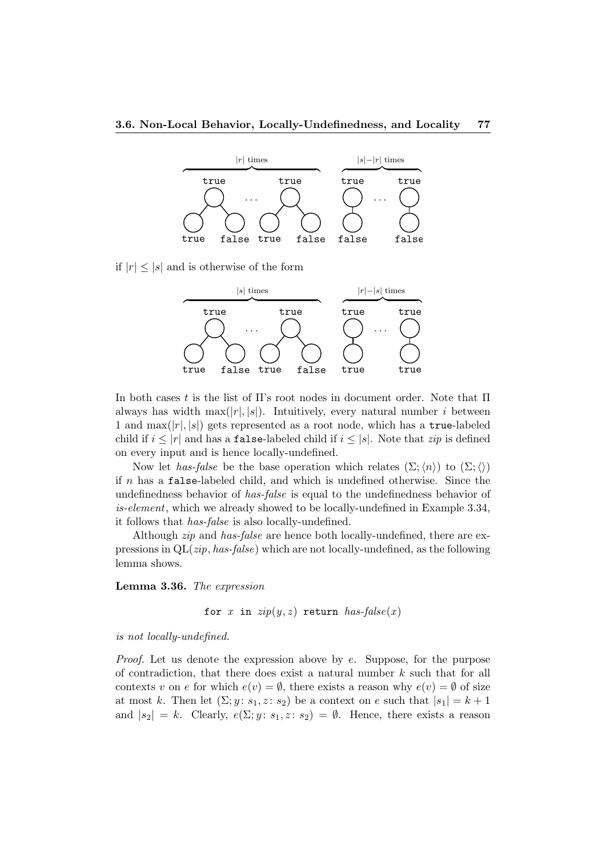

if  $|r| < |s|$  and is otherwise of the form



In both cases t is the list of  $\Pi$ 's root nodes in document order. Note that  $\Pi$ always has width max $(|r|, |s|)$ . Intuitively, every natural number *i* between 1 and  $\max(|r|, |s|)$  gets represented as a root node, which has a true-labeled child if  $i \leq |r|$  and has a **false-labeled child if**  $i \leq |s|$ . Note that *zip* is defined on every input and is hence locally-undefined.

Now let has-false be the base operation which relates  $(\Sigma;\langle n\rangle)$  to  $(\Sigma;\langle)$ if  $n$  has a false-labeled child, and which is undefined otherwise. Since the undefinedness behavior of has-false is equal to the undefinedness behavior of is-element, which we already showed to be locally-undefined in Example 3.34, it follows that has-false is also locally-undefined.

Although *zip* and *has-false* are hence both locally-undefined, there are expressions in  $QL(zip, has-false)$  which are not locally-undefined, as the following lemma shows.

Lemma 3.36. The expression

for x in  $zip(y, z)$  return  $has-false(x)$ 

is not locally-undefined.

*Proof.* Let us denote the expression above by  $e$ . Suppose, for the purpose of contradiction, that there does exist a natural number  $k$  such that for all contexts v on e for which  $e(v) = \emptyset$ , there exists a reason why  $e(v) = \emptyset$  of size at most k. Then let  $(\Sigma; y : s_1, z : s_2)$  be a context on e such that  $|s_1| = k + 1$ and  $|s_2| = k$ . Clearly,  $e(\Sigma; y : s_1, z : s_2) = \emptyset$ . Hence, there exists a reason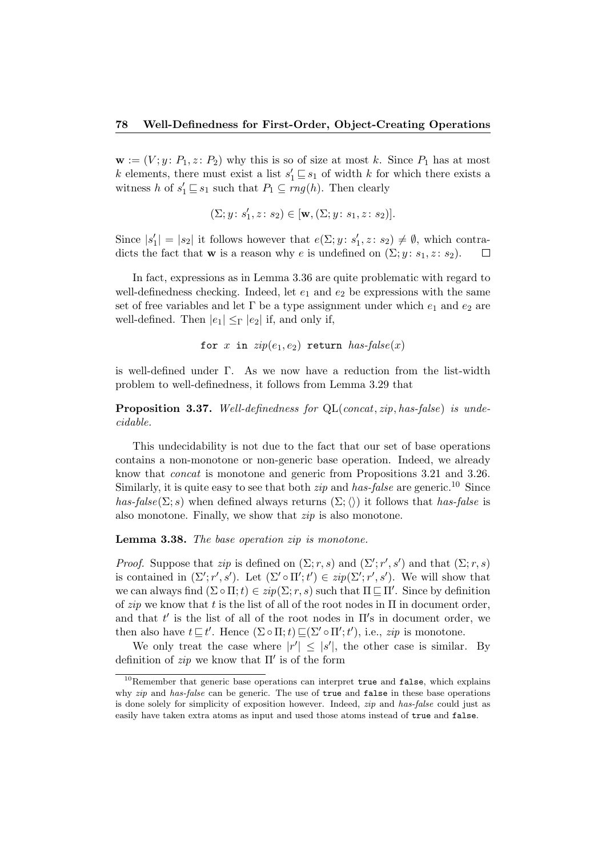$\mathbf{w} := (V; y: P_1, z: P_2)$  why this is so of size at most k. Since  $P_1$  has at most k elements, there must exist a list  $s'_1 \sqsubseteq s_1$  of width k for which there exists a witness h of  $s'_1 \sqsubseteq s_1$  such that  $P_1 \subseteq rng(h)$ . Then clearly

$$
(\Sigma; y \colon s'_1, z \colon s_2) \in [\mathbf{w}, (\Sigma; y \colon s_1, z \colon s_2)].
$$

Since  $|s'_1| = |s_2|$  it follows however that  $e(\Sigma; y : s'_1, z : s_2) \neq \emptyset$ , which contradicts the fact that **w** is a reason why e is undefined on  $(\Sigma; y: s_1, z: s_2)$ .  $\Box$ 

In fact, expressions as in Lemma 3.36 are quite problematic with regard to well-definedness checking. Indeed, let  $e_1$  and  $e_2$  be expressions with the same set of free variables and let  $\Gamma$  be a type assignment under which  $e_1$  and  $e_2$  are well-defined. Then  $|e_1| \leq_\Gamma |e_2|$  if, and only if,

for 
$$
x
$$
 in  $zip(e_1, e_2)$  return  $has-false(x)$ 

is well-defined under Γ. As we now have a reduction from the list-width problem to well-definedness, it follows from Lemma 3.29 that

Proposition 3.37. Well-definedness for QL(concat, zip, has-false) is undecidable.

This undecidability is not due to the fact that our set of base operations contains a non-monotone or non-generic base operation. Indeed, we already know that concat is monotone and generic from Propositions 3.21 and 3.26. Similarly, it is quite easy to see that both *zip* and has-false are generic.<sup>10</sup> Since  $has-false(\Sigma; s)$  when defined always returns  $(\Sigma; \langle \rangle)$  it follows that has-false is also monotone. Finally, we show that zip is also monotone.

Lemma 3.38. The base operation zip is monotone.

*Proof.* Suppose that zip is defined on  $(\Sigma; r, s)$  and  $(\Sigma'; r', s')$  and that  $(\Sigma; r, s)$ is contained in  $(\Sigma'; r', s')$ . Let  $(\Sigma' \circ \Pi'; t') \in zip(\Sigma'; r', s')$ . We will show that we can always find  $(\Sigma \circ \Pi; t) \in zip(\Sigma; r, s)$  such that  $\Pi \sqsubseteq \Pi'$ . Since by definition of zip we know that t is the list of all of the root nodes in  $\Pi$  in document order, and that  $t'$  is the list of all of the root nodes in  $\Pi'$ s in document order, we then also have  $t \sqsubseteq t'$ . Hence  $(\Sigma \circ \Pi; t) \sqsubseteq (\Sigma' \circ \Pi'; t')$ , i.e.,  $zip$  is monotone.

We only treat the case where  $|r'| \leq |s'|$ , the other case is similar. By definition of  $zip$  we know that  $\Pi'$  is of the form

 $10$ Remember that generic base operations can interpret true and false, which explains why *zip* and has-false can be generic. The use of true and false in these base operations is done solely for simplicity of exposition however. Indeed, zip and has-false could just as easily have taken extra atoms as input and used those atoms instead of true and false.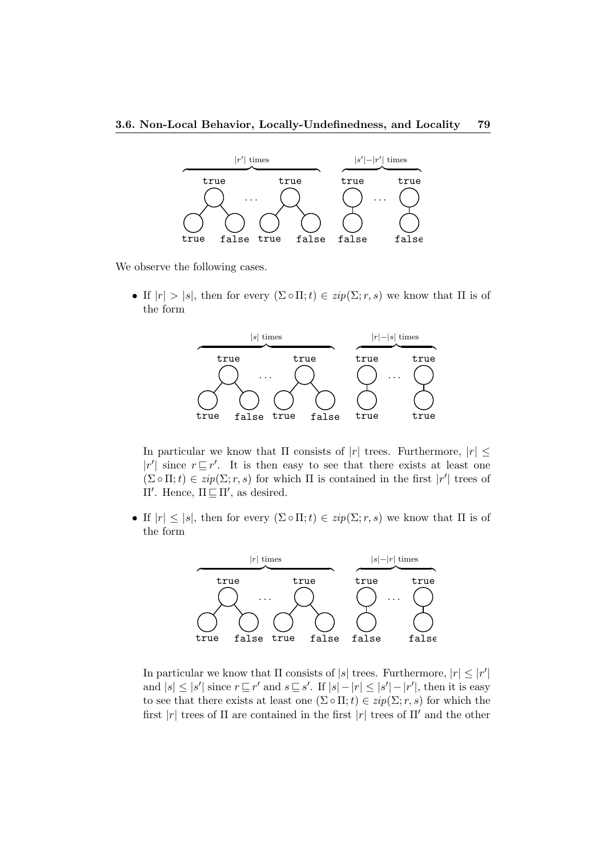

We observe the following cases.

• If  $|r| > |s|$ , then for every  $(\Sigma \circ \Pi; t) \in zip(\Sigma; r, s)$  we know that  $\Pi$  is of the form



In particular we know that  $\Pi$  consists of  $|r|$  trees. Furthermore,  $|r| \leq$  $|r'|$  since  $r \sqsubseteq r'$ . It is then easy to see that there exists at least one  $(\Sigma \circ \Pi; t) \in zip(\Sigma; r, s)$  for which  $\Pi$  is contained in the first  $|r'|$  trees of Π'. Hence,  $\Pi \subseteq \Pi'$ , as desired.

• If  $|r| \leq |s|$ , then for every  $(\Sigma \circ \Pi; t) \in zip(\Sigma; r, s)$  we know that  $\Pi$  is of the form



In particular we know that  $\Pi$  consists of  $|s|$  trees. Furthermore,  $|r| \leq |r'|$ and  $|s| \leq |s'|$  since  $r \sqsubseteq r'$  and  $s \sqsubseteq s'$ . If  $|s| - |r| \leq |s'| - |r'|$ , then it is easy to see that there exists at least one  $(\Sigma \circ \Pi; t) \in zip(\Sigma; r, s)$  for which the first |r| trees of  $\Pi$  are contained in the first |r| trees of  $\Pi'$  and the other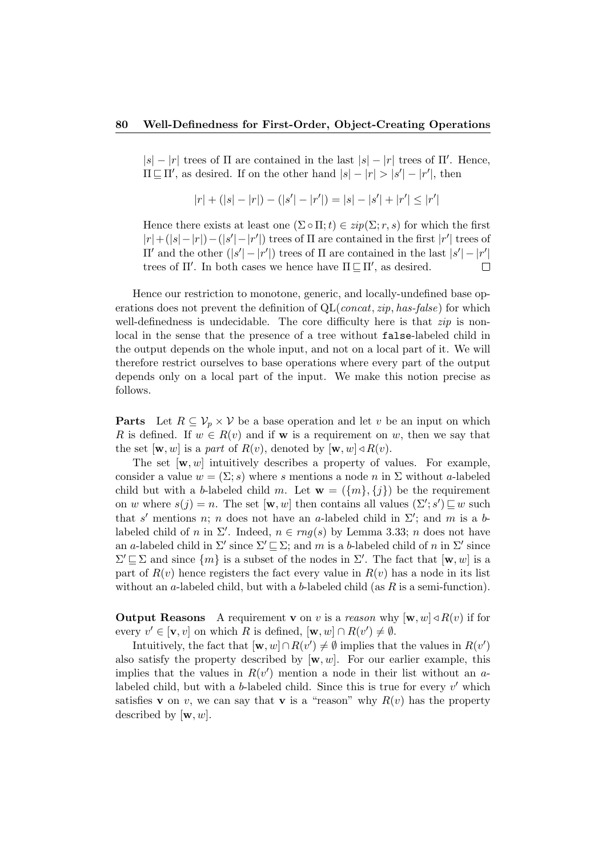$|s| - |r|$  trees of  $\Pi$  are contained in the last  $|s| - |r|$  trees of  $\Pi'$ . Hence,  $\Pi \subseteq \Pi'$ , as desired. If on the other hand  $|s| - |r| > |s'| - |r'|$ , then

$$
|r| + (|s| - |r|) - (|s'| - |r'|) = |s| - |s'| + |r'| \le |r'|
$$

Hence there exists at least one  $(\Sigma \circ \Pi; t) \in zip(\Sigma; r, s)$  for which the first  $|r| + (|s| - |r|) - (|s'|-|r'|)$  trees of  $\Pi$  are contained in the first  $|r'|$  trees of II' and the other  $(|s'|-|r'|)$  trees of Π are contained in the last  $|s'|-|r'|$ trees of  $\Pi'$ . In both cases we hence have  $\Pi \subseteq \Pi'$ , as desired.  $\Box$ 

Hence our restriction to monotone, generic, and locally-undefined base operations does not prevent the definition of  $QL$ (*concat, zip, has-false*) for which well-definedness is undecidable. The core difficulty here is that  $zip$  is nonlocal in the sense that the presence of a tree without false-labeled child in the output depends on the whole input, and not on a local part of it. We will therefore restrict ourselves to base operations where every part of the output depends only on a local part of the input. We make this notion precise as follows.

**Parts** Let  $R \subseteq V_p \times V$  be a base operation and let v be an input on which R is defined. If  $w \in R(v)$  and if **w** is a requirement on w, then we say that the set  $[\mathbf{w}, w]$  is a part of  $R(v)$ , denoted by  $[\mathbf{w}, w] \triangleleft R(v)$ .

The set  $[w, w]$  intuitively describes a property of values. For example, consider a value  $w = (\Sigma; s)$  where s mentions a node n in  $\Sigma$  without a-labeled child but with a b-labeled child m. Let  $\mathbf{w} = (\{m\}, \{j\})$  be the requirement on w where  $s(j) = n$ . The set  $[\mathbf{w}, w]$  then contains all values  $(\Sigma'; s') \sqsubseteq w$  such that s' mentions n; n does not have an a-labeled child in  $\Sigma'$ ; and m is a blabeled child of n in  $\Sigma'$ . Indeed,  $n \in rng(s)$  by Lemma 3.33; n does not have an a-labeled child in  $\Sigma'$  since  $\Sigma' \sqsubseteq \Sigma$ ; and m is a b-labeled child of n in  $\Sigma'$  since  $\Sigma' \sqsubseteq \Sigma$  and since  $\{m\}$  is a subset of the nodes in  $\Sigma'$ . The fact that  $[w, w]$  is a part of  $R(v)$  hence registers the fact every value in  $R(v)$  has a node in its list without an a-labeled child, but with a b-labeled child (as  $R$  is a semi-function).

**Output Reasons** A requirement **v** on v is a reason why  $[\mathbf{w}, w] \triangleleft R(v)$  if for every  $v' \in [\mathbf{v}, v]$  on which R is defined,  $[\mathbf{w}, w] \cap R(v') \neq \emptyset$ .

Intuitively, the fact that  $[w, w] \cap R(v') \neq \emptyset$  implies that the values in  $R(v')$ also satisfy the property described by  $[w, w]$ . For our earlier example, this implies that the values in  $R(v')$  mention a node in their list without an  $a$ labeled child, but with a b-labeled child. Since this is true for every  $v'$  which satisfies **v** on v, we can say that **v** is a "reason" why  $R(v)$  has the property described by  $[w, w]$ .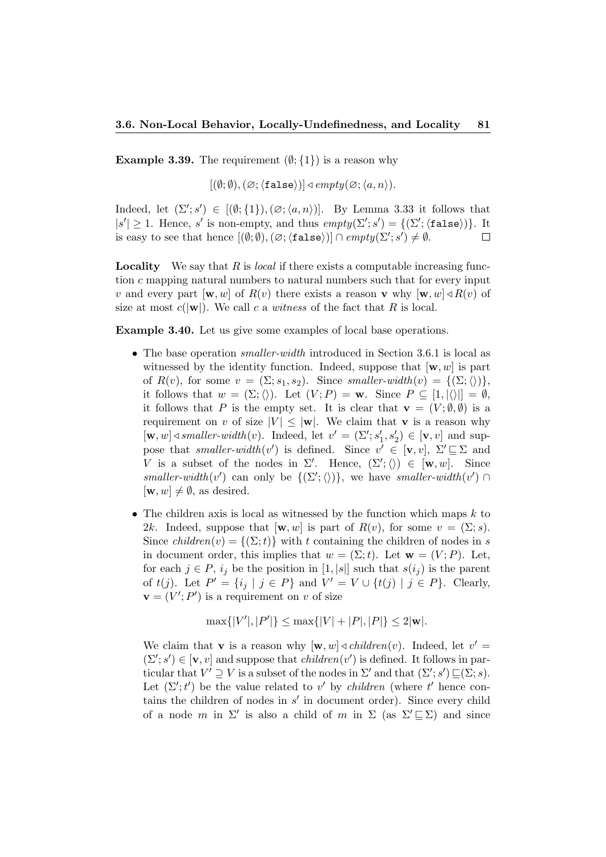**Example 3.39.** The requirement  $(\emptyset; \{1\})$  is a reason why

 $[(\emptyset;\emptyset),(\emptyset;\langle \mathtt{false}\rangle)] \triangleleft empty(\emptyset;\langle a,n\rangle).$ 

Indeed, let  $(\Sigma'; s') \in [(\emptyset; \{1\}), (\emptyset; \langle a, n \rangle)]$ . By Lemma 3.33 it follows that  $|s'| \geq 1$ . Hence, s' is non-empty, and thus  $empty(\Sigma'; s') = \{(\Sigma'; \langle false \rangle)\}\$ . It is easy to see that hence  $[(\emptyset; \emptyset), (\emptyset; \text{{\tt false}})] \cap empty(\Sigma'; s') \neq \emptyset$ .  $\Box$ 

**Locality** We say that  $R$  is *local* if there exists a computable increasing function c mapping natural numbers to natural numbers such that for every input v and every part  $[\mathbf{w}, w]$  of  $R(v)$  there exists a reason **v** why  $[\mathbf{w}, w] \triangleleft R(v)$  of size at most  $c(|w|)$ . We call c a witness of the fact that R is local.

Example 3.40. Let us give some examples of local base operations.

- The base operation *smaller-width* introduced in Section 3.6.1 is local as witnessed by the identity function. Indeed, suppose that  $[w, w]$  is part of  $R(v)$ , for some  $v = (\Sigma; s_1, s_2)$ . Since smaller-width $(v) = \{(\Sigma; \langle \rangle)\},$ it follows that  $w = (\Sigma; \langle \rangle)$ . Let  $(V; P) = \mathbf{w}$ . Since  $P \subseteq [1, |\langle \rangle|] = \emptyset$ , it follows that P is the empty set. It is clear that  $\mathbf{v} = (V; \emptyset, \emptyset)$  is a requirement on v of size  $|V| \leq |\mathbf{w}|$ . We claim that **v** is a reason why  $[\mathbf{w}, w] \triangleleft smaller-width(v)$ . Indeed, let  $v' = (\Sigma'; s_1', s_2') \in [\mathbf{v}, v]$  and suppose that smaller-width  $(v')$  is defined. Since  $v' \in [\mathbf{v}, v], \ \Sigma' \sqsubseteq \Sigma$  and V is a subset of the nodes in  $\Sigma'$ . Hence,  $(\Sigma'; \langle \rangle) \in [\mathbf{w}, w]$ . Since smaller-width(v') can only be  $\{(\Sigma'; \langle \rangle)\}\)$ , we have smaller-width(v')  $\cap$  $[\mathbf{w}, w] \neq \emptyset$ , as desired.
- The children axis is local as witnessed by the function which maps  $k$  to 2k. Indeed, suppose that  $[w, w]$  is part of  $R(v)$ , for some  $v = (\Sigma; s)$ . Since children(v) =  $\{(\Sigma; t)\}\$  with t containing the children of nodes in s in document order, this implies that  $w = (\Sigma; t)$ . Let  $\mathbf{w} = (V; P)$ . Let, for each  $j \in P$ ,  $i_j$  be the position in [1, |s|] such that  $s(i_j)$  is the parent of  $t(j)$ . Let  $P' = \{i_j | j \in P\}$  and  $V' = V \cup \{t(j) | j \in P\}$ . Clearly,  $\mathbf{v} = (V'; P')$  is a requirement on v of size

$$
\max\{|V'|, |P'|\} \le \max\{|V| + |P|, |P|\} \le 2|\mathbf{w}|.
$$

We claim that **v** is a reason why  $[\mathbf{w}, w] \triangleleft \text{children}(v)$ . Indeed, let  $v' =$  $(\Sigma'; s') \in [\mathbf{v}, v]$  and suppose that *children* $(v')$  is defined. It follows in particular that  $V' \supseteq V$  is a subset of the nodes in  $\Sigma'$  and that  $(\Sigma'; s') \sqsubseteq (\Sigma; s)$ . Let  $(\Sigma'; t')$  be the value related to v' by *children* (where t' hence contains the children of nodes in  $s'$  in document order). Since every child of a node m in  $\Sigma'$  is also a child of m in  $\Sigma$  (as  $\Sigma' \sqsubseteq \Sigma$ ) and since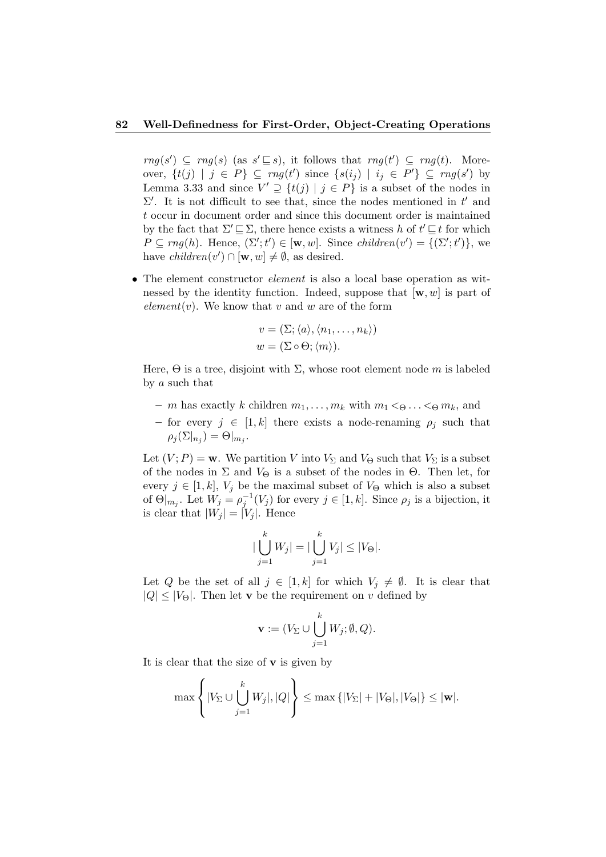$rng(s') \subseteq rng(s)$  (as  $s' \sqsubseteq s$ ), it follows that  $rng(t') \subseteq rng(t)$ . Moreover,  $\{t(j) | j \in P\} \subseteq rng(t')$  since  $\{s(i_j) | i_j \in P'\} \subseteq rng(s')$  by Lemma 3.33 and since  $V' \supseteq \{t(j) | j \in P\}$  is a subset of the nodes in  $\Sigma'$ . It is not difficult to see that, since the nodes mentioned in  $t'$  and t occur in document order and since this document order is maintained by the fact that  $\Sigma' \sqsubseteq \Sigma$ , there hence exists a witness h of  $t' \sqsubseteq t$  for which  $P \subseteq rng(h)$ . Hence,  $(\Sigma'; t') \in [\mathbf{w}, w]$ . Since children $(v') = \{(\Sigma'; t')\}$ , we have  $children(v') \cap [\mathbf{w}, w] \neq \emptyset$ , as desired.

• The element constructor *element* is also a local base operation as witnessed by the identity function. Indeed, suppose that  $[w, w]$  is part of element(v). We know that v and w are of the form

$$
v = (\Sigma; \langle a \rangle, \langle n_1, \dots, n_k \rangle)
$$
  

$$
w = (\Sigma \circ \Theta; \langle m \rangle).
$$

Here,  $\Theta$  is a tree, disjoint with  $\Sigma$ , whose root element node m is labeled by a such that

- m has exactly k children  $m_1, \ldots, m_k$  with  $m_1 < \Theta \ldots < \Theta m_k$ , and
- for every  $j \in [1, k]$  there exists a node-renaming  $\rho_j$  such that  $\rho_j(\Sigma|_{n_j}) = \Theta|_{m_j}.$

Let  $(V; P) = \mathbf{w}$ . We partition V into  $V_{\Sigma}$  and  $V_{\Theta}$  such that  $V_{\Sigma}$  is a subset of the nodes in  $\Sigma$  and  $V_{\Theta}$  is a subset of the nodes in  $\Theta$ . Then let, for every  $j \in [1, k]$ ,  $V_j$  be the maximal subset of  $V_{\Theta}$  which is also a subset of  $\Theta|_{m_j}$ . Let  $W_j = \rho_j^{-1}(V_j)$  for every  $j \in [1, k]$ . Since  $\rho_j$  is a bijection, it is clear that  $|W_j| = |V_j|$ . Hence

$$
|\bigcup_{j=1}^{k} W_j| = |\bigcup_{j=1}^{k} V_j| \leq |V_{\Theta}|.
$$

Let Q be the set of all  $j \in [1, k]$  for which  $V_j \neq \emptyset$ . It is clear that  $|Q| \leq |V_{\Theta}|$ . Then let **v** be the requirement on v defined by

$$
\mathbf{v} := (V_{\Sigma} \cup \bigcup_{j=1}^{k} W_j; \emptyset, Q).
$$

It is clear that the size of  $\bf{v}$  is given by

$$
\max\left\{|V_{\Sigma}\cup\bigcup_{j=1}^k W_j|,|Q|\right\}\leq \max\left\{|V_{\Sigma}|+|V_{\Theta}|,|V_{\Theta}|\right\}\leq |\mathbf{w}|.
$$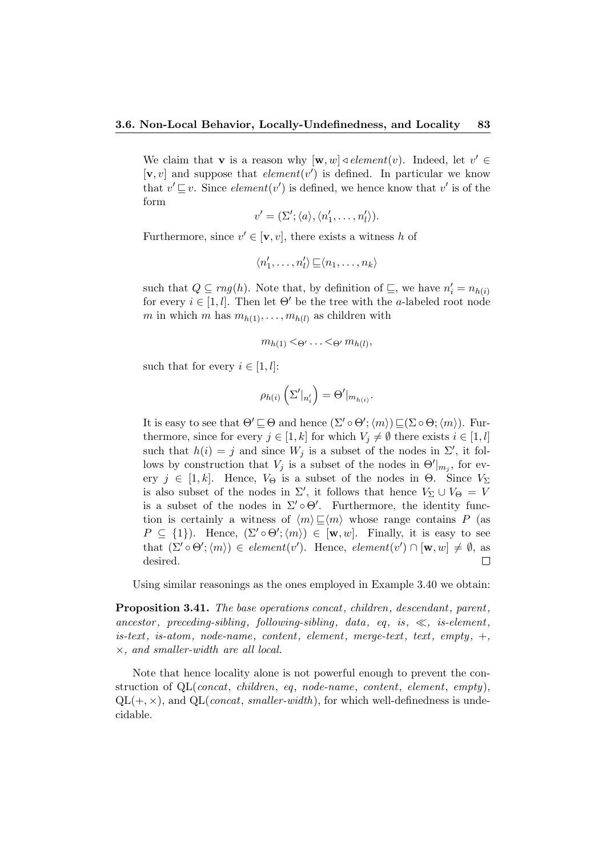We claim that **v** is a reason why  $[\mathbf{w}, w] \triangleleft element(v)$ . Indeed, let  $v' \in$  $[v, v]$  and suppose that *element* $(v')$  is defined. In particular we know that  $v' \sqsubseteq v$ . Since *element*(*v'*) is defined, we hence know that *v'* is of the form

$$
v' = (\Sigma'; \langle a \rangle, \langle n'_1, \ldots, n'_l \rangle).
$$

Furthermore, since  $v' \in [\mathbf{v}, v]$ , there exists a witness h of

$$
\langle n'_1, \ldots, n'_l \rangle \sqsubseteq \langle n_1, \ldots, n_k \rangle
$$

such that  $Q \subseteq rng(h)$ . Note that, by definition of  $\subseteq$ , we have  $n'_i = n_{h(i)}$ for every  $i \in [1, l]$ . Then let  $\Theta'$  be the tree with the a-labeled root node m in which m has  $m_{h(1)}, \ldots, m_{h(l)}$  as children with

$$
m_{h(1)} < \Theta' \ldots < \Theta' m_{h(l)},
$$

such that for every  $i \in [1, l]$ :

$$
\rho_{h(i)}\left(\Sigma'|_{n'_i}\right) = \Theta'|_{m_{h(i)}}.
$$

It is easy to see that  $\Theta' \sqsubseteq \Theta$  and hence  $(\Sigma' \circ \Theta';\langle m \rangle) \sqsubseteq (\Sigma \circ \Theta;\langle m \rangle)$ . Furthermore, since for every  $j \in [1, k]$  for which  $V_j \neq \emptyset$  there exists  $i \in [1, l]$ such that  $h(i) = j$  and since  $W_j$  is a subset of the nodes in  $\Sigma'$ , it follows by construction that  $V_j$  is a subset of the nodes in  $\Theta'|_{m_j}$ , for every  $j \in [1, k]$ . Hence,  $V_{\Theta}$  is a subset of the nodes in  $\Theta$ . Since  $V_{\Sigma}$ is also subset of the nodes in  $\Sigma'$ , it follows that hence  $V_{\Sigma} \cup V_{\Theta} = V$ is a subset of the nodes in  $\Sigma' \circ \Theta'$ . Furthermore, the identity function is certainly a witness of  $\langle m \rangle \sqsubseteq \langle m \rangle$  whose range contains P (as  $P \subseteq \{1\}$ . Hence,  $(\Sigma' \circ \Theta'; \langle m \rangle) \in [\mathbf{w}, w]$ . Finally, it is easy to see that  $(\Sigma' \circ \Theta'; \langle m \rangle) \in element(v')$ . Hence,  $element(v') \cap [\mathbf{w}, w] \neq \emptyset$ , as desired.  $\Box$ 

Using similar reasonings as the ones employed in Example 3.40 we obtain:

Proposition 3.41. The base operations concat, children, descendant, parent, ancestor, preceding-sibling, following-sibling, data, eq. is,  $\ll$ , is-element,  $is\textrm{-}text$ ,  $is\textrm{-}atom$ ,  $node\textrm{-}name$ ,  $content$ ,  $element$ ,  $merge\textrm{-}text$ ,  $text$ ,  $empty$ ,  $+,$ ×, and smaller-width are all local.

Note that hence locality alone is not powerful enough to prevent the construction of QL(concat, children, eq, node-name, content, element, empty),  $QL(+, \times)$ , and  $QL(const, smaller-width)$ , for which well-definedness is undecidable.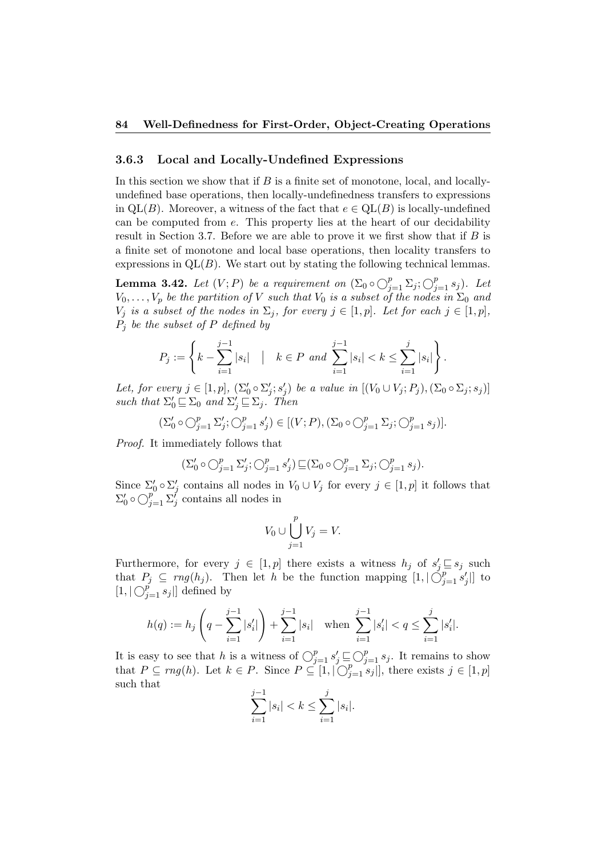## 3.6.3 Local and Locally-Undefined Expressions

In this section we show that if  $B$  is a finite set of monotone, local, and locallyundefined base operations, then locally-undefinedness transfers to expressions in  $QL(B)$ . Moreover, a witness of the fact that  $e \in QL(B)$  is locally-undefined can be computed from e. This property lies at the heart of our decidability result in Section 3.7. Before we are able to prove it we first show that if  $B$  is a finite set of monotone and local base operations, then locality transfers to expressions in  $QL(B)$ . We start out by stating the following technical lemmas.

**Lemma 3.42.** Let  $(V; P)$  be a requirement on  $(\Sigma_0 \circ \bigcirc_{j=1}^p \Sigma_j; \bigcirc_{j=1}^p s_j)$ . Let  $V_0, \ldots, V_p$  be the partition of V such that  $V_0$  is a subset of the nodes in  $\Sigma_0$  and  $V_j$  is a subset of the nodes in  $\Sigma_j$ , for every  $j \in [1, p]$ . Let for each  $j \in [1, p]$ ,  $P_j$  be the subset of P defined by

$$
P_j := \left\{ k - \sum_{i=1}^{j-1} |s_i| \mid k \in P \text{ and } \sum_{i=1}^{j-1} |s_i| < k \le \sum_{i=1}^{j} |s_i| \right\}.
$$

Let, for every  $j \in [1, p]$ ,  $(\Sigma'_0 \circ \Sigma'_j; s'_j)$  be a value in  $[(V_0 \cup V_j; P_j), (\Sigma_0 \circ \Sigma_j; s_j)]$ such that  $\Sigma'_0 \sqsubseteq \Sigma_0$  and  $\Sigma'_j \sqsubseteq \Sigma_j$ . Then

$$
(\Sigma'_0 \circ \bigcirc_{j=1}^p \Sigma'_j; \bigcirc_{j=1}^p s'_j) \in [(V;P), (\Sigma_0 \circ \bigcirc_{j=1}^p \Sigma_j; \bigcirc_{j=1}^p s_j)].
$$

Proof. It immediately follows that

$$
(\Sigma_0' \circ \bigcirc_{j=1}^p \Sigma_j'; \bigcirc_{j=1}^p s_j') \sqsubseteq (\Sigma_0 \circ \bigcirc_{j=1}^p \Sigma_j; \bigcirc_{j=1}^p s_j).
$$

Since  $\Sigma'_0 \circ \Sigma'_j$  contains all nodes in  $V_0 \cup V_j$  for every  $j \in [1, p]$  it follows that  $\Sigma'_0 \circ \bigcirc_{j=1}^p \Sigma'_j$  contains all nodes in

$$
V_0 \cup \bigcup_{j=1}^p V_j = V.
$$

Furthermore, for every  $j \in [1, p]$  there exists a witness  $h_j$  of  $s'_j \sqsubseteq s_j$  such that  $P_j \subseteq rng(h_j)$ . Then let h be the function mapping  $[1, |\bigcirc_{j=1}^p s'_j|]$  to  $[1, |\bigcirc_{j=1}^{p} s_j|]$  defined by

$$
h(q) := h_j\left(q - \sum_{i=1}^{j-1} |s'_i|\right) + \sum_{i=1}^{j-1} |s_i| \quad \text{when } \sum_{i=1}^{j-1} |s'_i| < q \le \sum_{i=1}^{j} |s'_i|.
$$

It is easy to see that h is a witness of  $\bigcirc_{j=1}^p s'_j \sqsubseteq \bigcirc_{j=1}^p s_j$ . It remains to show that  $P \subseteq rng(h)$ . Let  $k \in P$ . Since  $P \subseteq [1, |\bigcirc_{j=1}^p s_j|]$ , there exists  $j \in [1, p]$ such that

$$
\sum_{i=1}^{j-1} |s_i| < k \le \sum_{i=1}^{j} |s_i|.
$$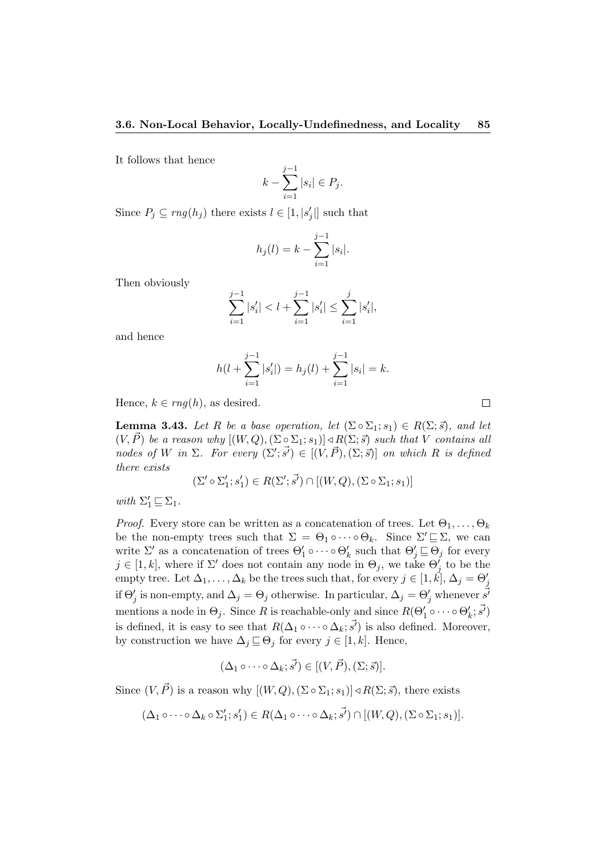It follows that hence

$$
k - \sum_{i=1}^{j-1} |s_i| \in P_j.
$$

Since  $P_j \subseteq rng(h_j)$  there exists  $l \in [1, |s'_j|]$  such that

$$
h_j(l) = k - \sum_{i=1}^{j-1} |s_i|.
$$

Then obviously

$$
\sum_{i=1}^{j-1} |s'_i| < l + \sum_{i=1}^{j-1} |s'_i| \le \sum_{i=1}^{j} |s'_i|,
$$

and hence

$$
h(l + \sum_{i=1}^{j-1} |s'_i|) = h_j(l) + \sum_{i=1}^{j-1} |s_i| = k.
$$

 $\Box$ 

Hence,  $k \in rng(h)$ , as desired.

**Lemma 3.43.** Let R be a base operation, let  $(\Sigma \circ \Sigma_1; s_1) \in R(\Sigma; \vec{s})$ , and let  $(V, \vec{P})$  be a reason why  $[(W, Q), (\Sigma \circ \Sigma_1; s_1)] \triangleleft R(\Sigma; \vec{s})$  such that V contains all nodes of W in  $\Sigma$ . For every  $(\Sigma'; \vec{s}') \in [(V, \vec{P}), (\Sigma; \vec{s})]$  on which R is defined there exists

$$
(\Sigma' \circ \Sigma_1'; s_1') \in R(\Sigma'; \vec{s'}) \cap [(W, Q), (\Sigma \circ \Sigma_1; s_1)]
$$

with  $\Sigma'_1 \sqsubseteq \Sigma_1$ .

*Proof.* Every store can be written as a concatenation of trees. Let  $\Theta_1, \ldots, \Theta_k$ be the non-empty trees such that  $\Sigma = \Theta_1 \circ \cdots \circ \Theta_k$ . Since  $\Sigma' \sqsubseteq \Sigma$ , we can write  $\Sigma'$  as a concatenation of trees  $\Theta'_1 \circ \cdots \circ \Theta'_k$  such that  $\Theta'_j \sqsubseteq \Theta_j$  for every  $j \in [1, k]$ , where if  $\Sigma'$  does not contain any node in  $\Theta_j$ , we take  $\Theta'_j$  to be the empty tree. Let  $\Delta_1, \ldots, \Delta_k$  be the trees such that, for every  $j \in [1, \check{k}], \Delta_j = \Theta'_j$ if  $\Theta'_j$  is non-empty, and  $\Delta_j = \Theta_j$  otherwise. In particular,  $\Delta_j = \Theta'_j$  whenever  $\vec{s'}$ mentions a node in  $\Theta_j$ . Since R is reachable-only and since  $R(\Theta'_1 \circ \cdots \circ \Theta'_k; \vec{s'})$ is defined, it is easy to see that  $R(\Delta_1 \circ \cdots \circ \Delta_k; \vec{s'})$  is also defined. Moreover, by construction we have  $\Delta_j \sqsubseteq \Theta_j$  for every  $j \in [1, k]$ . Hence,

$$
(\Delta_1 \circ \cdots \circ \Delta_k; \vec{s'}) \in [(V, \vec{P}), (\Sigma; \vec{s})].
$$

Since  $(V, \vec{P})$  is a reason why  $[(W, Q), (\Sigma \circ \Sigma_1; s_1)] \triangleleft R(\Sigma; \vec{s})$ , there exists

$$
(\Delta_1 \circ \cdots \circ \Delta_k \circ \Sigma_1'; s_1') \in R(\Delta_1 \circ \cdots \circ \Delta_k; \vec{s'}) \cap [(W, Q), (\Sigma \circ \Sigma_1; s_1)].
$$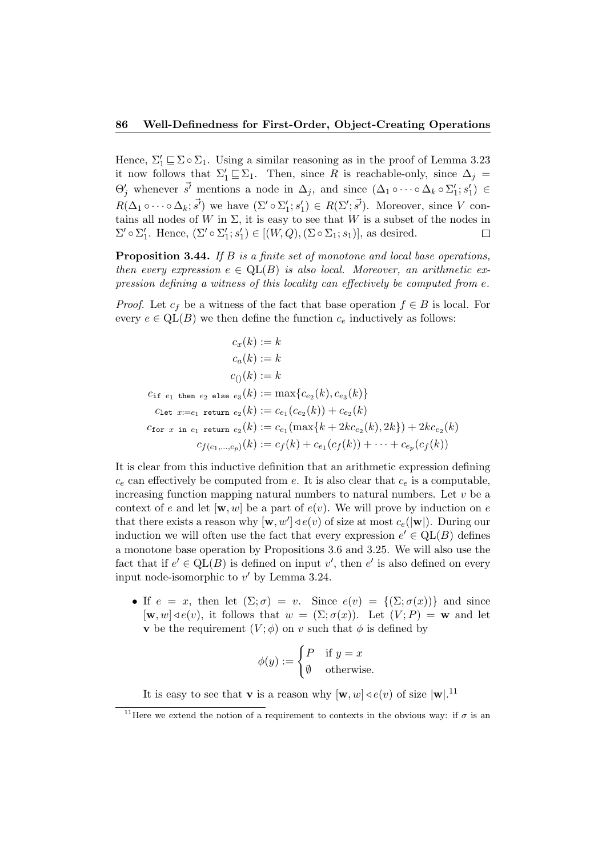Hence,  $\Sigma'_1 \sqsubseteq \Sigma \circ \Sigma_1$ . Using a similar reasoning as in the proof of Lemma 3.23 it now follows that  $\Sigma'_1 \sqsubseteq \Sigma_1$ . Then, since R is reachable-only, since  $\Delta_j =$  $\Theta'_j$  whenever  $\vec{s'}$  mentions a node in  $\Delta_j$ , and since  $(\Delta_1 \circ \cdots \circ \Delta_k \circ \Sigma'_1; s'_1) \in$  $R(\Delta_1 \circ \cdots \circ \Delta_k; \vec{s'})$  we have  $(\Sigma' \circ \Sigma'_1; s'_1) \in R(\Sigma'; \vec{s'})$ . Moreover, since V contains all nodes of W in  $\Sigma$ , it is easy to see that W is a subset of the nodes in  $\Sigma' \circ \Sigma'_1$ . Hence,  $(\Sigma' \circ \Sigma'_1; s'_1) \in [(W, Q), (\Sigma \circ \Sigma_1; s_1)],$  as desired.  $\Box$ 

Proposition 3.44. If B is a finite set of monotone and local base operations, then every expression  $e \in \text{QL}(B)$  is also local. Moreover, an arithmetic expression defining a witness of this locality can effectively be computed from e.

*Proof.* Let  $c_f$  be a witness of the fact that base operation  $f \in B$  is local. For every  $e \in QL(B)$  we then define the function  $c_e$  inductively as follows:

$$
c_x(k) := k
$$
  
\n
$$
c_a(k) := k
$$
  
\n
$$
c_0(k) := k
$$
  
\n
$$
c_1(k) := k
$$
  
\n
$$
c_{11} \text{ then } e_2 \text{ else } e_3(k) := \max\{c_{e_2}(k), c_{e_3}(k)\}
$$
  
\n
$$
c_{1} \text{let } x := e_1 \text{ return } e_2(k) := c_{e_1}(c_{e_2}(k)) + c_{e_2}(k)
$$
  
\n
$$
c_{1} \text{if } c_1 \text{ return } e_2(k) := c_{e_1}(\max\{k + 2kc_{e_2}(k), 2k\}) + 2kc_{e_2}(k)
$$
  
\n
$$
c_{f(e_1, \ldots, e_p)}(k) := c_f(k) + c_{e_1}(c_f(k)) + \cdots + c_{e_p}(c_f(k))
$$

It is clear from this inductive definition that an arithmetic expression defining  $c_e$  can effectively be computed from e. It is also clear that  $c_e$  is a computable, increasing function mapping natural numbers to natural numbers. Let  $v$  be a context of e and let  $[\mathbf{w}, w]$  be a part of  $e(v)$ . We will prove by induction on e that there exists a reason why  $[\mathbf{w}, w'] \triangleleft e(v)$  of size at most  $c_e(|\mathbf{w}|)$ . During our induction we will often use the fact that every expression  $e' \in QL(B)$  defines a monotone base operation by Propositions 3.6 and 3.25. We will also use the fact that if  $e' \in QL(B)$  is defined on input v', then e' is also defined on every input node-isomorphic to  $v'$  by Lemma 3.24.

• If  $e = x$ , then let  $(\Sigma; \sigma) = v$ . Since  $e(v) = \{(\Sigma; \sigma(x))\}$  and since  $[\mathbf{w}, w] \triangleleft e(v)$ , it follows that  $w = (\Sigma; \sigma(x))$ . Let  $(V; P) = \mathbf{w}$  and let v be the requirement  $(V; \phi)$  on v such that  $\phi$  is defined by

$$
\phi(y) := \begin{cases} P & \text{if } y = x \\ \emptyset & \text{otherwise.} \end{cases}
$$

It is easy to see that **v** is a reason why  $[w, w] \triangleleft e(v)$  of size  $|w|$ .<sup>11</sup>

<sup>&</sup>lt;sup>11</sup>Here we extend the notion of a requirement to contexts in the obvious way: if  $\sigma$  is an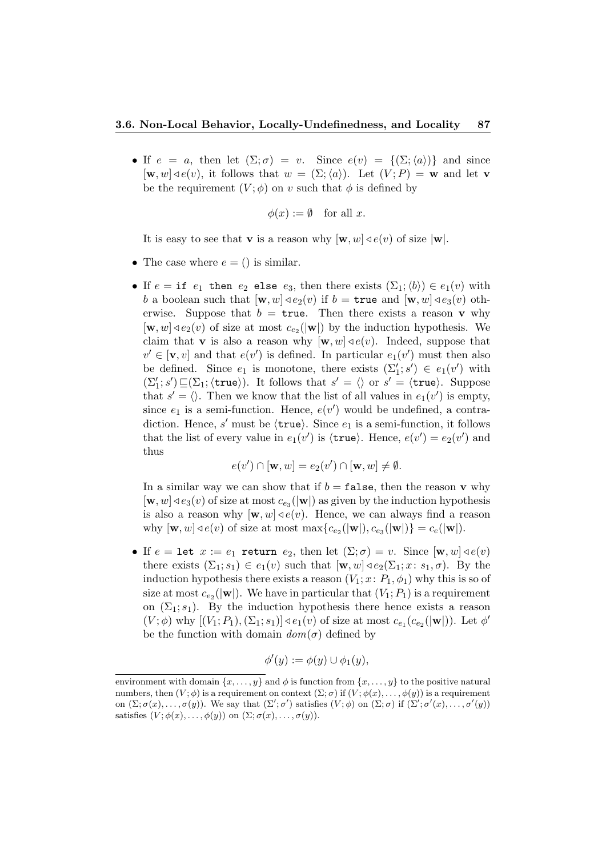• If  $e = a$ , then let  $(\Sigma; \sigma) = v$ . Since  $e(v) = \{(\Sigma; \langle a \rangle)\}\$ and since  $[\mathbf{w}, w] \triangleleft e(v)$ , it follows that  $w = (\Sigma; \langle a \rangle)$ . Let  $(V; P) = \mathbf{w}$  and let v be the requirement  $(V; \phi)$  on v such that  $\phi$  is defined by

$$
\phi(x) := \emptyset \quad \text{for all } x.
$$

It is easy to see that **v** is a reason why  $[w, w] \triangleleft e(v)$  of size  $|w|$ .

- The case where  $e = ()$  is similar.
- If  $e = \text{if } e_1$  then  $e_2$  else  $e_3$ , then there exists  $(\Sigma_1; \langle b \rangle) \in e_1(v)$  with b a boolean such that  $[\mathbf{w}, w] \triangleleft e_2(v)$  if  $b = \text{true}$  and  $[\mathbf{w}, w] \triangleleft e_3(v)$  otherwise. Suppose that  $b = \text{true}$ . Then there exists a reason **v** why  $[\mathbf{w}, w] \triangleleft e_2(v)$  of size at most  $c_{e_2}(|\mathbf{w}|)$  by the induction hypothesis. We claim that **v** is also a reason why  $[\mathbf{w}, w] \triangleleft e(v)$ . Indeed, suppose that  $v' \in [\mathbf{v}, v]$  and that  $e(v')$  is defined. In particular  $e_1(v')$  must then also be defined. Since  $e_1$  is monotone, there exists  $(\Sigma'_1; s') \in e_1(v')$  with  $(\Sigma_1'; s') \sqsubseteq (\Sigma_1; \langle \text{true} \rangle)$ . It follows that  $s' = \langle \rangle$  or  $s' = \langle \text{true} \rangle$ . Suppose that  $s' = \langle \rangle$ . Then we know that the list of all values in  $e_1(v')$  is empty, since  $e_1$  is a semi-function. Hence,  $e(v')$  would be undefined, a contradiction. Hence, s' must be  $\langle \text{true} \rangle$ . Since  $e_1$  is a semi-function, it follows that the list of every value in  $e_1(v')$  is  $\langle \text{true} \rangle$ . Hence,  $e(v') = e_2(v')$  and thus

$$
e(v') \cap [\mathbf{w}, w] = e_2(v') \cap [\mathbf{w}, w] \neq \emptyset.
$$

In a similar way we can show that if  $b = \texttt{false}$ , then the reason **v** why  $[w, w] \triangleleft e_3(v)$  of size at most  $c_{e_3}(|w|)$  as given by the induction hypothesis is also a reason why  $[w, w] \triangleleft e(v)$ . Hence, we can always find a reason why  $[\mathbf{w}, w] \triangleleft e(v)$  of size at most  $\max\{c_{e_2}(|\mathbf{w}|), c_{e_3}(|\mathbf{w}|)\} = c_e(|\mathbf{w}|).$ 

• If  $e = \text{let } x := e_1$  return  $e_2$ , then let  $(\Sigma; \sigma) = v$ . Since  $[\mathbf{w}, w] \triangleleft e(v)$ there exists  $(\Sigma_1; s_1) \in e_1(v)$  such that  $[w, w] \triangleleft e_2(\Sigma_1; x: s_1, \sigma)$ . By the induction hypothesis there exists a reason  $(V_1; x: P_1, \phi_1)$  why this is so of size at most  $c_{e_2}(|w|)$ . We have in particular that  $(V_1; P_1)$  is a requirement on  $(\Sigma_1; s_1)$ . By the induction hypothesis there hence exists a reason  $(V; \phi)$  why  $[(V_1; P_1), (\Sigma_1; s_1)] \triangleleft e_1(v)$  of size at most  $c_{e_1}(c_{e_2}(|\mathbf{w}|))$ . Let  $\phi'$ be the function with domain  $dom(\sigma)$  defined by

$$
\phi'(y) := \phi(y) \cup \phi_1(y),
$$

environment with domain  $\{x, \ldots, y\}$  and  $\phi$  is function from  $\{x, \ldots, y\}$  to the positive natural numbers, then  $(V; \phi)$  is a requirement on context  $(\Sigma; \sigma)$  if  $(V; \phi(x), \ldots, \phi(y))$  is a requirement on  $(\Sigma; \sigma(x), \ldots, \sigma(y))$ . We say that  $(\Sigma'; \sigma')$  satisfies  $(V; \phi)$  on  $(\Sigma; \sigma)$  if  $(\Sigma'; \sigma'(x), \ldots, \sigma'(y))$ satisfies  $(V; \phi(x), \ldots, \phi(y))$  on  $(\Sigma; \sigma(x), \ldots, \sigma(y)).$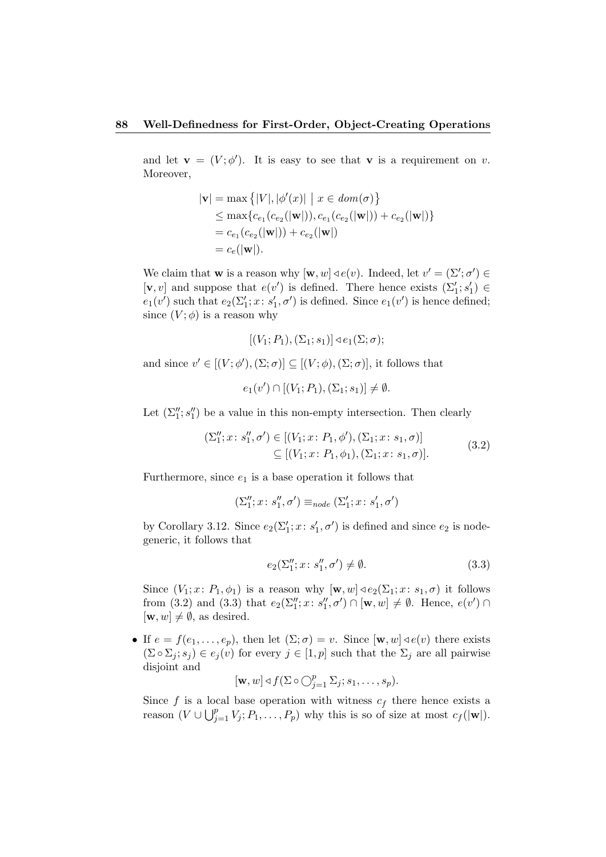and let  $\mathbf{v} = (V; \phi')$ . It is easy to see that **v** is a requirement on v. Moreover,

$$
|\mathbf{v}| = \max \{|V|, |\phi'(x)| \mid x \in dom(\sigma)\}
$$
  
\n
$$
\leq \max \{c_{e_1}(c_{e_2}(|\mathbf{w}|)), c_{e_1}(c_{e_2}(|\mathbf{w}|)) + c_{e_2}(|\mathbf{w}|)\}
$$
  
\n
$$
= c_{e_1}(c_{e_2}(|\mathbf{w}|)) + c_{e_2}(|\mathbf{w}|)
$$
  
\n
$$
= c_e(|\mathbf{w}|).
$$

We claim that **w** is a reason why  $[\mathbf{w}, w] \triangleleft e(v)$ . Indeed, let  $v' = (\Sigma'; \sigma') \in$  $[\mathbf v, v]$  and suppose that  $e(v')$  is defined. There hence exists  $(\Sigma_1'; s_1') \in$  $e_1(v')$  such that  $e_2(\Sigma_1'; x: s_1', \sigma')$  is defined. Since  $e_1(v')$  is hence defined; since  $(V; \phi)$  is a reason why

$$
[(V_1; P_1), (\Sigma_1; s_1)] \triangleleft e_1(\Sigma; \sigma);
$$

and since  $v' \in [(V; \phi'), (\Sigma; \sigma)] \subseteq [(V; \phi), (\Sigma; \sigma)]$ , it follows that

 $e_1(v') \cap [(V_1; P_1), (\Sigma_1; s_1)] \neq \emptyset.$ 

Let  $(\Sigma_1'', s_1'')$  be a value in this non-empty intersection. Then clearly

$$
(\Sigma_1''; x; s_1'', \sigma') \in [(V_1; x; P_1, \phi'), (\Sigma_1; x; s_1, \sigma)] \subseteq [(V_1; x; P_1, \phi_1), (\Sigma_1; x; s_1, \sigma)].
$$
\n(3.2)

Furthermore, since  $e_1$  is a base operation it follows that

$$
(\Sigma_1''; x \colon s_1'', \sigma') \equiv_{node} (\Sigma_1'; x \colon s_1', \sigma')
$$

by Corollary 3.12. Since  $e_2(\Sigma_1'; x; s_1', \sigma')$  is defined and since  $e_2$  is nodegeneric, it follows that

$$
e_2(\Sigma_1''; x; s_1'', \sigma') \neq \emptyset. \tag{3.3}
$$

Since  $(V_1; x: P_1, \phi_1)$  is a reason why  $[\mathbf{w}, w] \triangleleft e_2(\Sigma_1; x: s_1, \sigma)$  it follows from (3.2) and (3.3) that  $e_2(\Sigma_1''; x: s_1'', \sigma') \cap [\mathbf{w}, w] \neq \emptyset$ . Hence,  $e(v') \cap$  $[\mathbf{w}, w] \neq \emptyset$ , as desired.

• If  $e = f(e_1, \ldots, e_p)$ , then let  $(\Sigma; \sigma) = v$ . Since  $[\mathbf{w}, w] \triangleleft e(v)$  there exists  $(\Sigma \circ \Sigma_j; s_j) \in e_j(v)$  for every  $j \in [1, p]$  such that the  $\Sigma_j$  are all pairwise disjoint and

$$
[\mathbf{w}, w] \triangleleft f(\Sigma \circ \bigcirc_{j=1}^p \Sigma_j; s_1, \ldots, s_p).
$$

Since f is a local base operation with witness  $c_f$  there hence exists a reason  $(V \cup \bigcup_{j=1}^p V_j; P_1, \ldots, P_p)$  why this is so of size at most  $c_f(|w|)$ .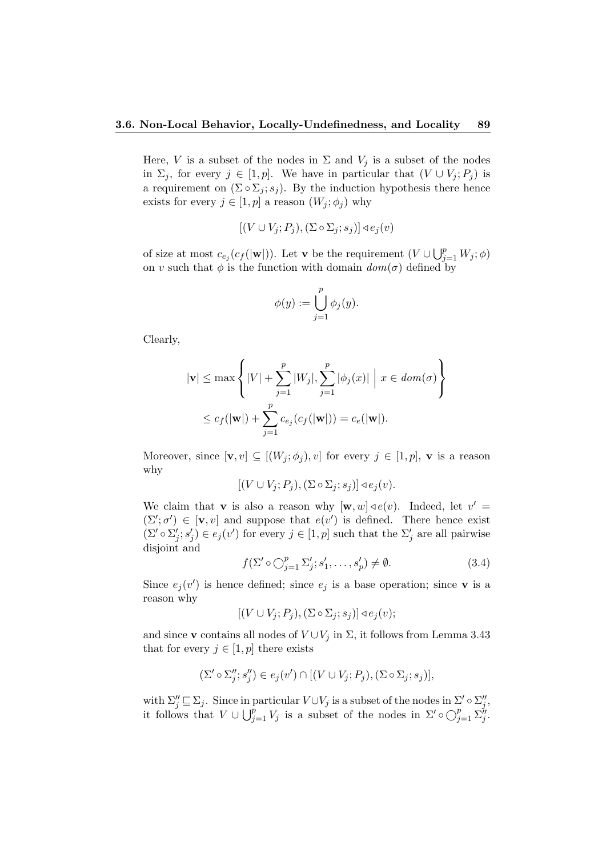Here, V is a subset of the nodes in  $\Sigma$  and  $V_j$  is a subset of the nodes in  $\Sigma_j$ , for every  $j \in [1, p]$ . We have in particular that  $(V \cup V_j; P_j)$  is a requirement on  $(\Sigma \circ \Sigma_i; s_i)$ . By the induction hypothesis there hence exists for every  $j \in [1, p]$  a reason  $(W_j; \phi_j)$  why

$$
[(V \cup V_j; P_j), (\Sigma \circ \Sigma_j; s_j)] \triangleleft e_j(v)
$$

of size at most  $c_{e_j}(c_f(|w|))$ . Let **v** be the requirement  $(V \cup \bigcup_{j=1}^p W_j; \phi)$ on v such that  $\phi$  is the function with domain  $dom(\sigma)$  defined by

$$
\phi(y) := \bigcup_{j=1}^p \phi_j(y).
$$

Clearly,

$$
|\mathbf{v}| \le \max\left\{|V| + \sum_{j=1}^p |W_j|, \sum_{j=1}^p |\phi_j(x)| \mid x \in dom(\sigma) \right\}
$$
  

$$
\le c_f(|\mathbf{w}|) + \sum_{j=1}^p c_{e_j}(c_f(|\mathbf{w}|)) = c_e(|\mathbf{w}|).
$$

Moreover, since  $[\mathbf{v}, v] \subseteq [(W_i; \phi_i), v]$  for every  $j \in [1, p]$ , **v** is a reason why

$$
[(V \cup V_j; P_j), (\Sigma \circ \Sigma_j; s_j)] \triangleleft e_j(v).
$$

We claim that **v** is also a reason why  $[\mathbf{w}, w] \triangleleft e(v)$ . Indeed, let  $v' =$  $(\Sigma'; \sigma') \in [\mathbf{v}, v]$  and suppose that  $e(v')$  is defined. There hence exist  $(\Sigma' \circ \Sigma'_j; s'_j) \in e_j(v')$  for every  $j \in [1, p]$  such that the  $\Sigma'_j$  are all pairwise disjoint and

$$
f(\Sigma' \circ \bigcirc_{j=1}^p \Sigma'_j; s'_1, \dots, s'_p) \neq \emptyset.
$$
 (3.4)

Since  $e_j(v')$  is hence defined; since  $e_j$  is a base operation; since **v** is a reason why

$$
[(V \cup V_j; P_j), (\Sigma \circ \Sigma_j; s_j)] \triangleleft e_j(v);
$$

and since **v** contains all nodes of  $V \cup V_j$  in  $\Sigma$ , it follows from Lemma 3.43 that for every  $j \in [1, p]$  there exists

$$
(\Sigma' \circ \Sigma''_j; s''_j) \in e_j(v') \cap [(V \cup V_j; P_j), (\Sigma \circ \Sigma_j; s_j)],
$$

with  $\Sigma''_j \sqsubseteq \Sigma_j$ . Since in particular  $V \cup V_j$  is a subset of the nodes in  $\Sigma' \circ \Sigma''_j$ , it follows that  $V \cup \bigcup_{j=1}^p V_j$  is a subset of the nodes in  $\Sigma' \circ \bigcirc_{j=1}^p \Sigma''_j$ .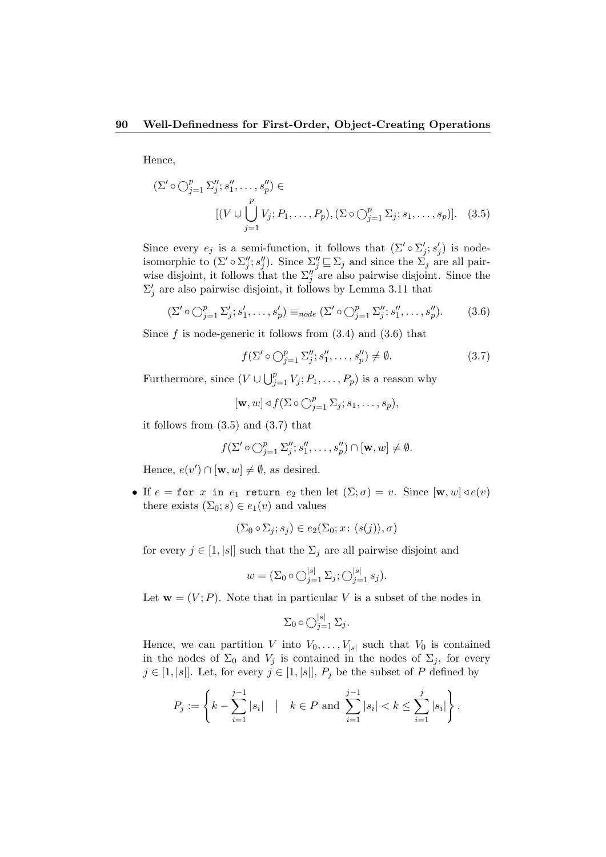Hence,

$$
(\Sigma' \circ \bigcirc_{j=1}^p \Sigma_j''; s_1'', \dots, s_p'') \in
$$
  
\n
$$
[(V \cup \bigcup_{j=1}^p V_j; P_1, \dots, P_p), (\Sigma \circ \bigcirc_{j=1}^p \Sigma_j; s_1, \dots, s_p)]. \quad (3.5)
$$

Since every  $e_j$  is a semi-function, it follows that  $(\Sigma' \circ \Sigma'_j; s'_j)$  is nodeisomorphic to  $(\Sigma' \circ \Sigma_j''; s_j'')$ . Since  $\Sigma_j' \sqsubseteq \Sigma_j$  and since the  $\Sigma_j$  are all pairwise disjoint, it follows that the  $\Sigma_j''$  are also pairwise disjoint. Since the  $\Sigma'_j$  are also pairwise disjoint, it follows by Lemma 3.11 that

$$
(\Sigma' \circ \bigcirc_{j=1}^p \Sigma'_j; s'_1, \dots, s'_p) \equiv_{node} (\Sigma' \circ \bigcirc_{j=1}^p \Sigma''_j; s''_1, \dots, s''_p).
$$
 (3.6)

Since f is node-generic it follows from  $(3.4)$  and  $(3.6)$  that

$$
f(\Sigma' \circ \bigcirc_{j=1}^p \Sigma_j''; s_1'', \dots, s_p'') \neq \emptyset. \tag{3.7}
$$

Furthermore, since  $(V \cup \bigcup_{j=1}^p V_j; P_1, \ldots, P_p)$  is a reason why

$$
[\mathbf{w}, w] \triangleleft f(\Sigma \circ \bigcirc_{j=1}^p \Sigma_j; s_1, \ldots, s_p),
$$

it follows from (3.5) and (3.7) that

$$
f(\Sigma' \circ \bigcirc_{j=1}^p \Sigma''_j; s''_1, \dots, s''_p) \cap [\mathbf{w}, w] \neq \emptyset.
$$

Hence,  $e(v') \cap [\mathbf{w}, w] \neq \emptyset$ , as desired.

• If  $e =$  for x in  $e_1$  return  $e_2$  then let  $(\Sigma; \sigma) = v$ . Since  $[\mathbf{w}, w] \triangleleft e(v)$ there exists  $(\Sigma_0; s) \in e_1(v)$  and values

$$
(\Sigma_0 \circ \Sigma_j; s_j) \in e_2(\Sigma_0; x: \langle s(j) \rangle, \sigma)
$$

for every  $j \in [1, |s|]$  such that the  $\Sigma_j$  are all pairwise disjoint and

$$
w = (\Sigma_0 \circ \bigcirc_{j=1}^{|s|} \Sigma_j; \bigcirc_{j=1}^{|s|} s_j).
$$

Let  $\mathbf{w} = (V; P)$ . Note that in particular V is a subset of the nodes in

$$
\Sigma_0 \circ \bigcirc_{j=1}^{|s|} \Sigma_j.
$$

Hence, we can partition V into  $V_0, \ldots, V_{|s|}$  such that  $V_0$  is contained in the nodes of  $\Sigma_0$  and  $V_j$  is contained in the nodes of  $\Sigma_j$ , for every  $j \in [1, |s|]$ . Let, for every  $j \in [1, |s|]$ ,  $P_j$  be the subset of P defined by

$$
P_j := \left\{ k - \sum_{i=1}^{j-1} |s_i| \mid k \in P \text{ and } \sum_{i=1}^{j-1} |s_i| < k \le \sum_{i=1}^{j} |s_i| \right\}.
$$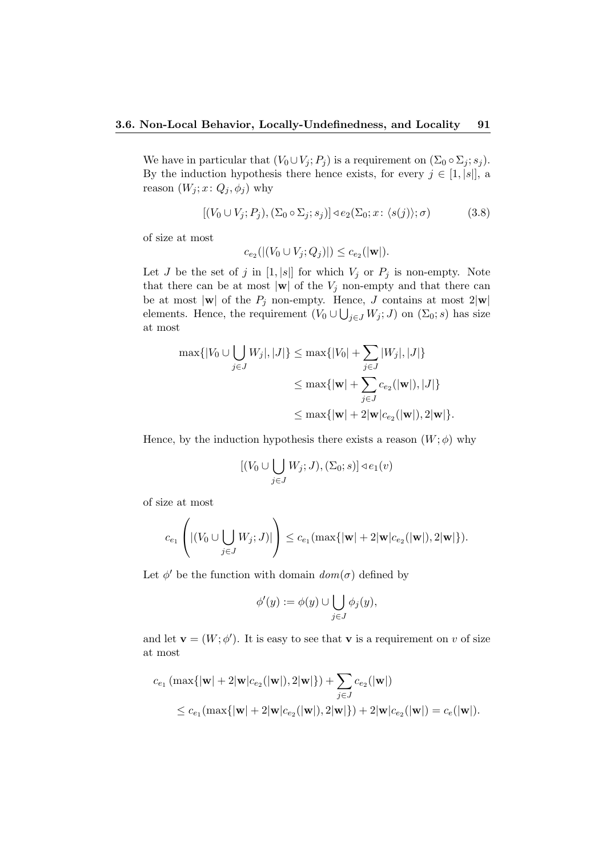We have in particular that  $(V_0 \cup V_j; P_j)$  is a requirement on  $(\Sigma_0 \circ \Sigma_j; s_j)$ . By the induction hypothesis there hence exists, for every  $j \in [1, |s|]$ , a reason  $(W_j; x: Q_j, \phi_j)$  why

$$
[(V_0 \cup V_j; P_j), (\Sigma_0 \circ \Sigma_j; s_j)] \triangleleft e_2(\Sigma_0; x; \langle s(j) \rangle; \sigma)
$$
\n(3.8)

of size at most

$$
c_{e_2}(|(V_0 \cup V_j; Q_j)|) \leq c_{e_2}(|\mathbf{w}|).
$$

Let J be the set of j in  $[1, |s|]$  for which  $V_j$  or  $P_j$  is non-empty. Note that there can be at most  $|\mathbf{w}|$  of the  $V_j$  non-empty and that there can be at most  $|\mathbf{w}|$  of the  $P_j$  non-empty. Hence, J contains at most  $2|\mathbf{w}|$ elements. Hence, the requirement  $(V_0 \cup \bigcup_{j \in J} W_j; J)$  on  $(\Sigma_0; s)$  has size at most

$$
\max\{|V_0 \cup \bigcup_{j \in J} W_j|, |J|\} \le \max\{|V_0| + \sum_{j \in J} |W_j|, |J|\}
$$
  

$$
\le \max\{|w| + \sum_{j \in J} c_{e_2}(|w|), |J|\}
$$
  

$$
\le \max\{|w| + 2|w|c_{e_2}(|w|), 2|w|\}.
$$

Hence, by the induction hypothesis there exists a reason  $(W; \phi)$  why

$$
[(V_0 \cup \bigcup_{j \in J} W_j; J), (\Sigma_0; s)] \triangleleft e_1(v)
$$

of size at most

$$
c_{e_1}\left(|(V_0\cup\bigcup_{j\in J}W_j;J)|\right)\leq c_{e_1}(\max\{|\mathbf{w}|+2|\mathbf{w}|c_{e_2}(|\mathbf{w}|),2|\mathbf{w}|\}).
$$

Let  $\phi'$  be the function with domain  $dom(\sigma)$  defined by

$$
\phi'(y) := \phi(y) \cup \bigcup_{j \in J} \phi_j(y),
$$

and let  $\mathbf{v} = (W; \phi')$ . It is easy to see that **v** is a requirement on v of size at most

$$
c_{e_1} \left( \max\{|\mathbf{w}| + 2|\mathbf{w}|c_{e_2}(|\mathbf{w}|), 2|\mathbf{w}|\} \right) + \sum_{j \in J} c_{e_2}(|\mathbf{w}|)
$$
  
\$\leq c\_{e\_1} (\max\{|\mathbf{w}| + 2|\mathbf{w}|c\_{e\_2}(|\mathbf{w}|), 2|\mathbf{w}|\}) + 2|\mathbf{w}|c\_{e\_2}(|\mathbf{w}|) = c\_e(|\mathbf{w}|).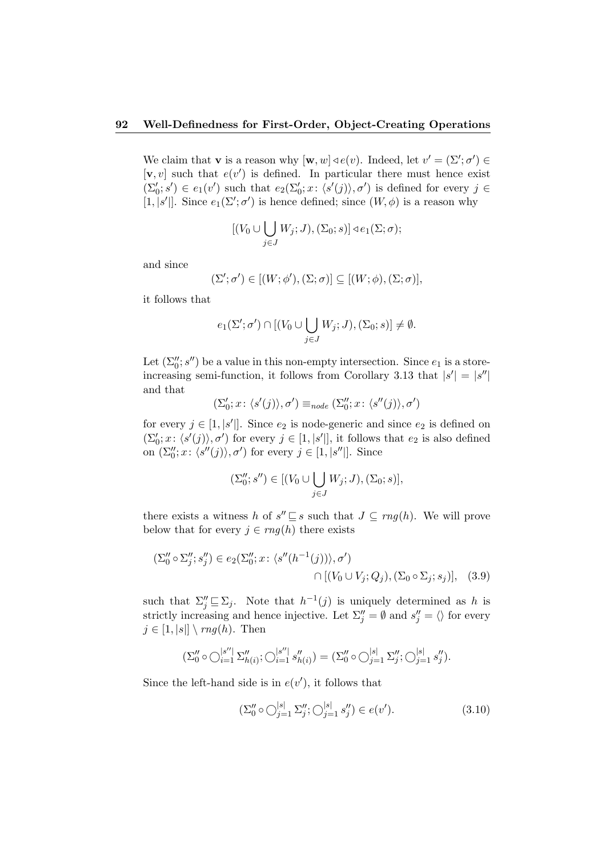We claim that **v** is a reason why  $[\mathbf{w}, w] \triangleleft e(v)$ . Indeed, let  $v' = (\Sigma'; \sigma') \in$  $[v, v]$  such that  $e(v')$  is defined. In particular there must hence exist  $(\Sigma'_0; s') \in e_1(v')$  such that  $e_2(\Sigma'_0; x: \langle s'(j) \rangle, \sigma')$  is defined for every  $j \in$ [1, |s'|]. Since  $e_1(\Sigma'; \sigma')$  is hence defined; since  $(W, \phi)$  is a reason why

$$
[(V_0 \cup \bigcup_{j \in J} W_j; J), (\Sigma_0; s)] \triangleleft e_1(\Sigma; \sigma);
$$

and since

$$
(\Sigma';\sigma')\in [(W;\phi'),(\Sigma;\sigma)]\subseteq [(W;\phi),(\Sigma;\sigma)],
$$

it follows that

$$
e_1(\Sigma';\sigma') \cap [(V_0 \cup \bigcup_{j \in J} W_j;J),(\Sigma_0;s)] \neq \emptyset.
$$

Let  $(\Sigma_0'', s'')$  be a value in this non-empty intersection. Since  $e_1$  is a storeincreasing semi-function, it follows from Corollary 3.13 that  $|s'| = |s''|$ and that

$$
(\Sigma'_0;x\colon \langle s'(j)\rangle,\sigma')\equiv_{node}(\Sigma''_0;x\colon \langle s''(j)\rangle,\sigma')
$$

for every  $j \in [1, |s'|]$ . Since  $e_2$  is node-generic and since  $e_2$  is defined on  $(\Sigma'_0; x: \langle s'(j) \rangle, \sigma')$  for every  $j \in [1, |s'|]$ , it follows that  $e_2$  is also defined on  $(\Sigma_0''; x: \langle s''(j) \rangle, \sigma')$  for every  $j \in [1, |s''|]$ . Since

$$
(\Sigma_0''; s'') \in [(V_0 \cup \bigcup_{j \in J} W_j; J), (\Sigma_0; s)],
$$

there exists a witness h of  $s'' \sqsubseteq s$  such that  $J \subseteq rng(h)$ . We will prove below that for every  $j \in rng(h)$  there exists

$$
(\Sigma_0'' \circ \Sigma_j''; s_j'') \in e_2(\Sigma_0''; x: \langle s''(h^{-1}(j)) \rangle, \sigma')
$$
  

$$
\cap [(V_0 \cup V_j; Q_j), (\Sigma_0 \circ \Sigma_j; s_j)], \quad (3.9)
$$

such that  $\Sigma_j'' \sqsubseteq \Sigma_j$ . Note that  $h^{-1}(j)$  is uniquely determined as h is strictly increasing and hence injective. Let  $\Sigma_j'' = \emptyset$  and  $s_j'' = \langle \rangle$  for every  $j \in [1, |s|] \setminus rng(h)$ . Then

$$
(\Sigma_0'' \circ \bigcirc_{i=1}^{|s''|} \Sigma_{h(i)}''; \bigcirc_{i=1}^{|s''|} s_{h(i)}'') = (\Sigma_0'' \circ \bigcirc_{j=1}^{|s|} \Sigma_j''; \bigcirc_{j=1}^{|s|} s_j'').
$$

Since the left-hand side is in  $e(v')$ , it follows that

$$
(\Sigma_0'' \circ \bigcirc_{j=1}^{|s|} \Sigma_j''; \bigcirc_{j=1}^{|s|} s_j''\)in e(v'). \tag{3.10}
$$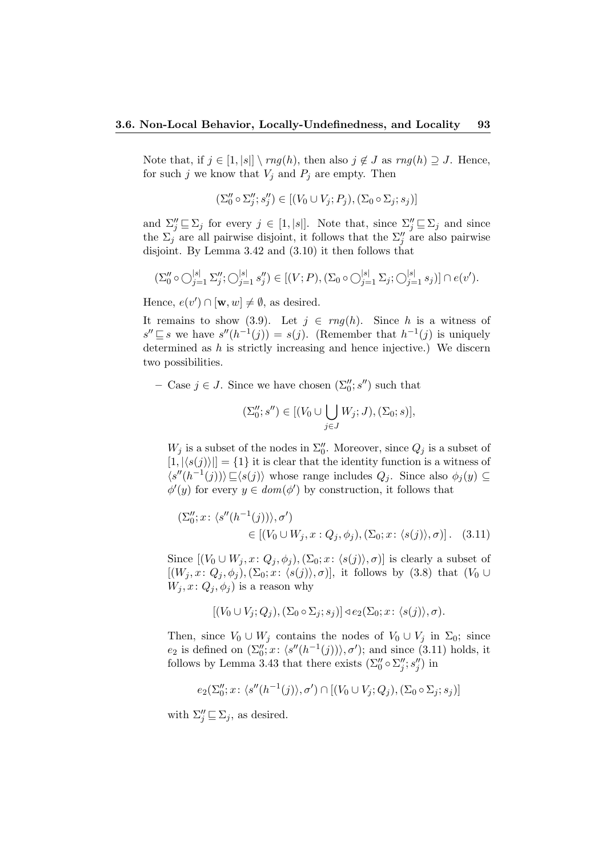Note that, if  $j \in [1, |s|] \setminus rng(h)$ , then also  $j \notin J$  as  $rng(h) \supseteq J$ . Hence, for such j we know that  $V_i$  and  $P_i$  are empty. Then

$$
(\Sigma''_0 \circ \Sigma''_j; s''_j) \in [(V_0 \cup V_j; P_j), (\Sigma_0 \circ \Sigma_j; s_j)]
$$

and  $\Sigma''_j \sqsubseteq \Sigma_j$  for every  $j \in [1, |s|]$ . Note that, since  $\Sigma''_j \sqsubseteq \Sigma_j$  and since the  $\Sigma_j$  are all pairwise disjoint, it follows that the  $\Sigma_j''$  are also pairwise disjoint. By Lemma 3.42 and (3.10) it then follows that

$$
(\Sigma_0'' \circ \bigcirc_{j=1}^{|s|} \Sigma_j''; \bigcirc_{j=1}^{|s|} s_j''') \in [(V;P), (\Sigma_0 \circ \bigcirc_{j=1}^{|s|} \Sigma_j; \bigcirc_{j=1}^{|s|} s_j)] \cap e(v').
$$

Hence,  $e(v') \cap [\mathbf{w}, w] \neq \emptyset$ , as desired.

It remains to show (3.9). Let  $j \in rng(h)$ . Since h is a witness of  $s'' ⊆ s$  we have  $s''(h^{-1}(j)) = s(j)$ . (Remember that  $h^{-1}(j)$  is uniquely determined as  $h$  is strictly increasing and hence injective.) We discern two possibilities.

- Case  $j \in J$ . Since we have chosen  $(\Sigma_0''; s'')$  such that

$$
(\Sigma_0''; s'') \in [(V_0 \cup \bigcup_{j \in J} W_j; J), (\Sigma_0; s)],
$$

 $W_j$  is a subset of the nodes in  $\Sigma_0''$ . Moreover, since  $Q_j$  is a subset of  $[1, |\langle s(j)\rangle|] = \{1\}$  it is clear that the identity function is a witness of  $\langle s''(h^{-1}(j)) \rangle \subseteq \langle s(j) \rangle$  whose range includes  $Q_j$ . Since also  $\phi_j(y) \subseteq$  $\phi'(y)$  for every  $y \in dom(\phi')$  by construction, it follows that

$$
(\Sigma_0''; x: \langle s''(h^{-1}(j)) \rangle, \sigma')
$$
  
\n
$$
\in [V_0 \cup W_j, x: Q_j, \phi_j), (\Sigma_0; x: \langle s(j) \rangle, \sigma)].
$$
 (3.11)

Since  $[(V_0 \cup W_j, x: Q_j, \phi_j), (\Sigma_0; x: \langle s(j) \rangle, \sigma)]$  is clearly a subset of  $[(W_i, x: Q_i, \phi_i), (\Sigma_0; x: \langle s(j) \rangle, \sigma)],$  it follows by (3.8) that  $(V_0 \cup$  $W_i, x: Q_i, \phi_i$  is a reason why

$$
[(V_0 \cup V_j; Q_j), (\Sigma_0 \circ \Sigma_j; s_j)] \triangleleft e_2(\Sigma_0; x: \langle s(j) \rangle, \sigma).
$$

Then, since  $V_0 \cup W_j$  contains the nodes of  $V_0 \cup V_j$  in  $\Sigma_0$ ; since  $e_2$  is defined on  $(\Sigma_0''; x: \langle s''(h^{-1}(j)) \rangle, \sigma')$ ; and since (3.11) holds, it follows by Lemma 3.43 that there exists  $(\Sigma_0'' \circ \Sigma_j''; s_j'')$  in

$$
e_2(\Sigma_0'';x\colon \langle s''(h^{-1}(j)\rangle,\sigma')\cap [(V_0\cup V_j;Q_j),(\Sigma_0\circ \Sigma_j;s_j)]
$$

with  $\Sigma''_j \sqsubseteq \Sigma_j$ , as desired.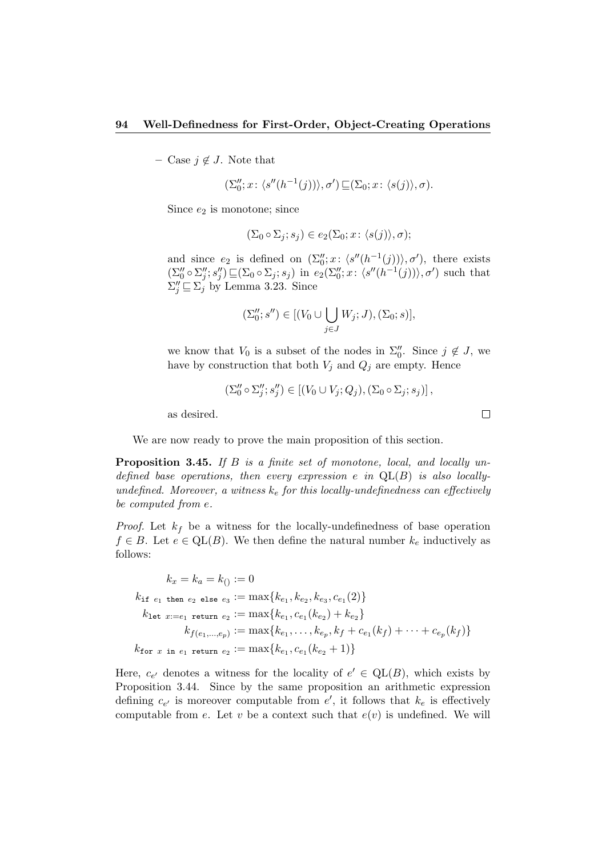– Case  $j \notin J$ . Note that

$$
(\Sigma_0''; x \colon \langle s''(h^{-1}(j)) \rangle, \sigma') \sqsubseteq (\Sigma_0; x \colon \langle s(j) \rangle, \sigma).
$$

Since  $e_2$  is monotone; since

$$
(\Sigma_0 \circ \Sigma_j; s_j) \in e_2(\Sigma_0; x: \langle s(j) \rangle, \sigma);
$$

and since  $e_2$  is defined on  $(\Sigma_0''; x: \langle s''(h^{-1}(j)) \rangle, \sigma')$ , there exists  $(\Sigma''_0 \circ \Sigma''_j; s''_j) \sqsubseteq (\Sigma_0 \circ \Sigma_j; s_j)$  in  $e_2(\Sigma''_0; x: \langle s''(h^{-1}(j)) \rangle, \sigma')$  such that  $\Sigma''_j \sqsubseteq \Sigma^j_j$  by Lemma 3.23. Since

$$
(\Sigma_0''; s'') \in [(V_0 \cup \bigcup_{j \in J} W_j; J), (\Sigma_0; s)],
$$

we know that  $V_0$  is a subset of the nodes in  $\Sigma_0''$ . Since  $j \notin J$ , we have by construction that both  $V_j$  and  $Q_j$  are empty. Hence

$$
(\Sigma_0'' \circ \Sigma_j''; s_j'') \in [(V_0 \cup V_j; Q_j), (\Sigma_0 \circ \Sigma_j; s_j)],
$$

as desired.

We are now ready to prove the main proposition of this section.

**Proposition 3.45.** If  $B$  is a finite set of monotone, local, and locally undefined base operations, then every expression e in  $QL(B)$  is also locallyundefined. Moreover, a witness  $k_e$  for this locally-undefinedness can effectively be computed from e.

*Proof.* Let  $k_f$  be a witness for the locally-undefinedness of base operation  $f \in B$ . Let  $e \in \text{QL}(B)$ . We then define the natural number  $k_e$  inductively as follows:

$$
k_x = k_a = k_{()} := 0
$$
  
\n
$$
k_{\text{if } e_1 \text{ then } e_2 \text{ else } e_3} := \max\{k_{e_1}, k_{e_2}, k_{e_3}, c_{e_1}(2)\}
$$
  
\n
$$
k_{\text{let } x := e_1 \text{ return } e_2} := \max\{k_{e_1}, c_{e_1}(k_{e_2}) + k_{e_2}\}
$$
  
\n
$$
k_{f(e_1, \ldots, e_p)} := \max\{k_{e_1}, \ldots, k_{e_p}, k_f + c_{e_1}(k_f) + \cdots + c_{e_p}(k_f)\}
$$
  
\n
$$
k_{\text{for } x \text{ in } e_1 \text{ return } e_2} := \max\{k_{e_1}, c_{e_1}(k_{e_2} + 1)\}
$$

Here,  $c_{e'}$  denotes a witness for the locality of  $e' \in \text{QL}(B)$ , which exists by Proposition 3.44. Since by the same proposition an arithmetic expression defining  $c_{e'}$  is moreover computable from  $e'$ , it follows that  $k_e$  is effectively computable from e. Let v be a context such that  $e(v)$  is undefined. We will

 $\Box$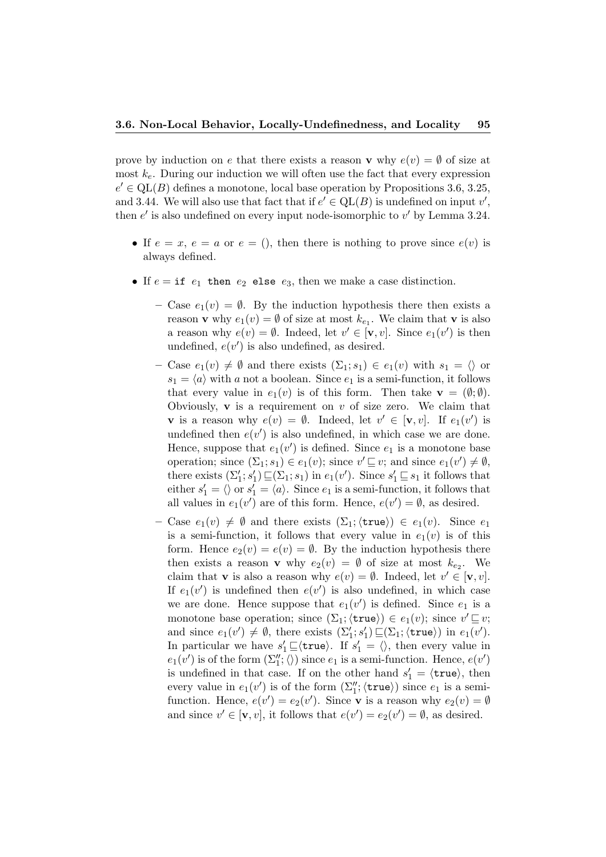prove by induction on e that there exists a reason **v** why  $e(v) = \emptyset$  of size at most  $k_e$ . During our induction we will often use the fact that every expression  $e' \in \text{QL}(B)$  defines a monotone, local base operation by Propositions 3.6, 3.25, and 3.44. We will also use that fact that if  $e' \in QL(B)$  is undefined on input  $v'$ , then  $e'$  is also undefined on every input node-isomorphic to  $v'$  by Lemma 3.24.

- If  $e = x, e = a$  or  $e = 0$ , then there is nothing to prove since  $e(v)$  is always defined.
- If  $e = if e_1 then e_2$  else  $e_3$ , then we make a case distinction.
	- Case  $e_1(v) = \emptyset$ . By the induction hypothesis there then exists a reason **v** why  $e_1(v) = \emptyset$  of size at most  $k_{e_1}$ . We claim that **v** is also a reason why  $e(v) = \emptyset$ . Indeed, let  $v' \in [\mathbf{v}, v]$ . Since  $e_1(v')$  is then undefined,  $e(v')$  is also undefined, as desired.
	- Case  $e_1(v) \neq \emptyset$  and there exists  $(\Sigma_1; s_1) \in e_1(v)$  with  $s_1 = \langle \rangle$  or  $s_1 = \langle a \rangle$  with a not a boolean. Since  $e_1$  is a semi-function, it follows that every value in  $e_1(v)$  is of this form. Then take  $\mathbf{v} = (\emptyset; \emptyset)$ . Obviously,  $\bf{v}$  is a requirement on  $v$  of size zero. We claim that **v** is a reason why  $e(v) = \emptyset$ . Indeed, let  $v' \in [\mathbf{v}, v]$ . If  $e_1(v')$  is undefined then  $e(v')$  is also undefined, in which case we are done. Hence, suppose that  $e_1(v')$  is defined. Since  $e_1$  is a monotone base operation; since  $(\Sigma_1; s_1) \in e_1(v)$ ; since  $v' \sqsubseteq v$ ; and since  $e_1(v') \neq \emptyset$ , there exists  $(\Sigma'_1; s'_1) \sqsubseteq (\Sigma_1; s_1)$  in  $e_1(v')$ . Since  $s'_1 \sqsubseteq s_1$  it follows that either  $s'_1 = \langle \rangle$  or  $s'_1 = \langle a \rangle$ . Since  $e_1$  is a semi-function, it follows that all values in  $e_1(v')$  are of this form. Hence,  $e(v') = \emptyset$ , as desired.
	- Case  $e_1(v) \neq \emptyset$  and there exists  $(\Sigma_1;\langle \text{true}\rangle) \in e_1(v)$ . Since  $e_1$ is a semi-function, it follows that every value in  $e_1(v)$  is of this form. Hence  $e_2(v) = e(v) = \emptyset$ . By the induction hypothesis there then exists a reason **v** why  $e_2(v) = \emptyset$  of size at most  $k_{e_2}$ . We claim that **v** is also a reason why  $e(v) = \emptyset$ . Indeed, let  $v' \in [\mathbf{v}, v]$ . If  $e_1(v')$  is undefined then  $e(v')$  is also undefined, in which case we are done. Hence suppose that  $e_1(v')$  is defined. Since  $e_1$  is a monotone base operation; since  $(\Sigma_1; \langle \text{true} \rangle) \in e_1(v)$ ; since  $v' \sqsubseteq v$ ; and since  $e_1(v') \neq \emptyset$ , there exists  $(\Sigma'_1; s'_1) \sqsubseteq (\Sigma_1; \langle \text{true} \rangle)$  in  $e_1(v')$ . In particular we have  $s'_1 \sqsubseteq \langle \text{true} \rangle$ . If  $s'_1 = \langle \rangle$ , then every value in  $e_1(v')$  is of the form  $(\Sigma_1''; \langle\rangle)$  since  $e_1$  is a semi-function. Hence,  $e(v')$ is undefined in that case. If on the other hand  $s'_1 = \langle \text{true} \rangle$ , then every value in  $e_1(v')$  is of the form  $(\Sigma''_1; \langle \text{true} \rangle)$  since  $e_1$  is a semifunction. Hence,  $e(v') = e_2(v')$ . Since **v** is a reason why  $e_2(v) = \emptyset$ and since  $v' \in [\mathbf{v}, v]$ , it follows that  $e(v') = e_2(v') = \emptyset$ , as desired.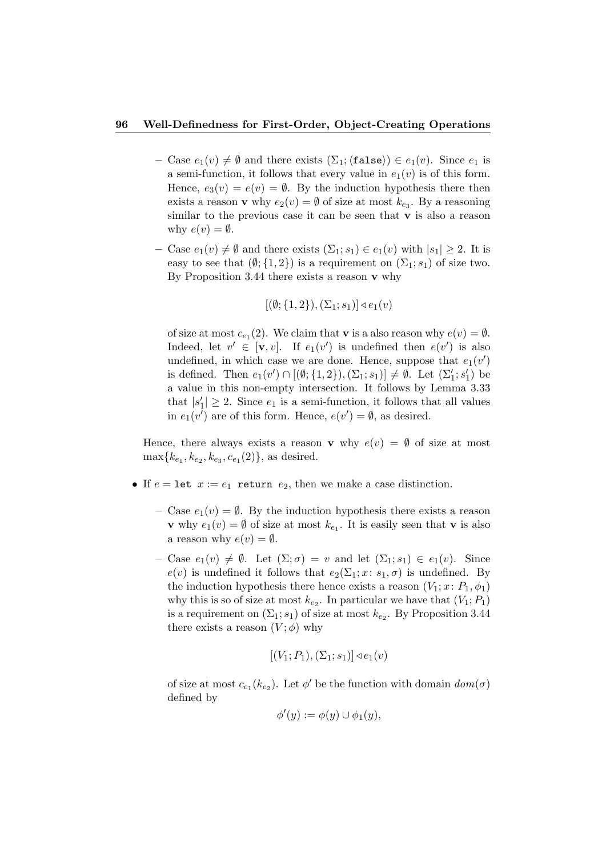- Case  $e_1(v) \neq \emptyset$  and there exists  $(\Sigma_1;\langle false \rangle) \in e_1(v)$ . Since  $e_1$  is a semi-function, it follows that every value in  $e_1(v)$  is of this form. Hence,  $e_3(v) = e(v) = \emptyset$ . By the induction hypothesis there then exists a reason **v** why  $e_2(v) = \emptyset$  of size at most  $k_{e_3}$ . By a reasoning similar to the previous case it can be seen that  $\bf{v}$  is also a reason why  $e(v) = \emptyset$ .
- Case  $e_1(v) \neq \emptyset$  and there exists  $(\Sigma_1; s_1) \in e_1(v)$  with  $|s_1| \geq 2$ . It is easy to see that  $(\emptyset; \{1,2\})$  is a requirement on  $(\Sigma_1; s_1)$  of size two. By Proposition 3.44 there exists a reason **v** why

$$
[(\emptyset; \{1,2\}), (\Sigma_1; s_1)] \triangleleft e_1(v)
$$

of size at most  $c_{e_1}(2)$ . We claim that **v** is a also reason why  $e(v) = \emptyset$ . Indeed, let  $v' \in [\mathbf{v}, v]$ . If  $e_1(v')$  is undefined then  $e(v')$  is also undefined, in which case we are done. Hence, suppose that  $e_1(v')$ is defined. Then  $e_1(v') \cap [(\emptyset; \{1,2\}), (\Sigma_1; s_1)] \neq \emptyset$ . Let  $(\Sigma'_1; s'_1)$  be a value in this non-empty intersection. It follows by Lemma 3.33 that  $|s'_1| \geq 2$ . Since  $e_1$  is a semi-function, it follows that all values in  $e_1(v')$  are of this form. Hence,  $e(v') = \emptyset$ , as desired.

Hence, there always exists a reason **v** why  $e(v) = \emptyset$  of size at most  $\max\{k_{e_1}, k_{e_2}, k_{e_3}, c_{e_1}(2)\}\$ , as desired.

- If  $e = \text{let } x := e_1$  return  $e_2$ , then we make a case distinction.
	- Case  $e_1(v) = \emptyset$ . By the induction hypothesis there exists a reason **v** why  $e_1(v) = \emptyset$  of size at most  $k_{e_1}$ . It is easily seen that **v** is also a reason why  $e(v) = \emptyset$ .
	- Case  $e_1(v) \neq \emptyset$ . Let  $(\Sigma; \sigma) = v$  and let  $(\Sigma_1; s_1) \in e_1(v)$ . Since  $e(v)$  is undefined it follows that  $e_2(\Sigma_1; x: s_1, \sigma)$  is undefined. By the induction hypothesis there hence exists a reason  $(V_1; x: P_1, \phi_1)$ why this is so of size at most  $k_{e_2}$ . In particular we have that  $(V_1; P_1)$ is a requirement on  $(\Sigma_1; s_1)$  of size at most  $k_{e_2}$ . By Proposition 3.44 there exists a reason  $(V; \phi)$  why

$$
[(V_1; P_1), (\Sigma_1; s_1)] \triangleleft e_1(v)
$$

of size at most  $c_{e_1}(k_{e_2})$ . Let  $\phi'$  be the function with domain  $dom(\sigma)$ defined by

$$
\phi'(y) := \phi(y) \cup \phi_1(y),
$$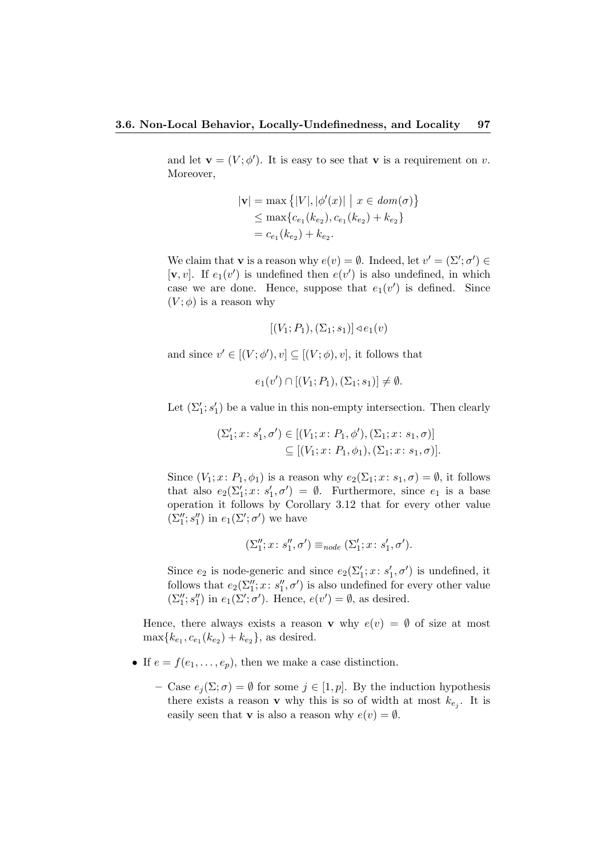and let  $\mathbf{v} = (V; \phi')$ . It is easy to see that **v** is a requirement on v. Moreover,

$$
|\mathbf{v}| = \max \{|V|, |\phi'(x)| \mid x \in dom(\sigma)\}
$$
  
\n
$$
\leq \max \{c_{e_1}(k_{e_2}), c_{e_1}(k_{e_2}) + k_{e_2}\}
$$
  
\n
$$
= c_{e_1}(k_{e_2}) + k_{e_2}.
$$

We claim that **v** is a reason why  $e(v) = \emptyset$ . Indeed, let  $v' = (\Sigma'; \sigma') \in$ [v, v]. If  $e_1(v')$  is undefined then  $e(v')$  is also undefined, in which case we are done. Hence, suppose that  $e_1(v')$  is defined. Since  $(V; \phi)$  is a reason why

$$
[(V_1; P_1), (\Sigma_1; s_1)] \triangleleft e_1(v)
$$

and since  $v' \in [(V; \phi'), v] \subseteq [(V; \phi), v]$ , it follows that

 $e_1(v') \cap [(V_1; P_1), (\Sigma_1; s_1)] \neq \emptyset.$ 

Let  $(\Sigma_1'; s_1')$  be a value in this non-empty intersection. Then clearly

$$
(\Sigma'_1; x; s'_1, \sigma') \in [(V_1; x; P_1, \phi'), (\Sigma_1; x; s_1, \sigma)]
$$
  

$$
\subseteq [(V_1; x; P_1, \phi_1), (\Sigma_1; x; s_1, \sigma)].
$$

Since  $(V_1; x: P_1, \phi_1)$  is a reason why  $e_2(\Sigma_1; x: s_1, \sigma) = \emptyset$ , it follows that also  $e_2(\Sigma_1'; x: s_1', \sigma') = \emptyset$ . Furthermore, since  $e_1$  is a base operation it follows by Corollary 3.12 that for every other value  $(\Sigma''_1; s''_1)$  in  $e_1(\Sigma'; \sigma')$  we have

$$
(\Sigma_1''; x \colon s_1'', \sigma') \equiv_{node} (\Sigma_1'; x \colon s_1', \sigma').
$$

Since  $e_2$  is node-generic and since  $e_2(\Sigma_1'; x: s_1', \sigma')$  is undefined, it follows that  $e_2(\Sigma_1''; x: s_1'', \sigma')$  is also undefined for every other value  $(\Sigma''_1; s''_1)$  in  $e_1(\Sigma'; \sigma')$ . Hence,  $e(v') = \emptyset$ , as desired.

Hence, there always exists a reason **v** why  $e(v) = \emptyset$  of size at most  $\max\{k_{e_1}, c_{e_1}(k_{e_2}) + k_{e_2}\}\$ , as desired.

- If  $e = f(e_1, \ldots, e_p)$ , then we make a case distinction.
	- Case  $e_i(\Sigma;\sigma) = \emptyset$  for some  $j \in [1,p]$ . By the induction hypothesis there exists a reason **v** why this is so of width at most  $k_{e_j}$ . It is easily seen that **v** is also a reason why  $e(v) = \emptyset$ .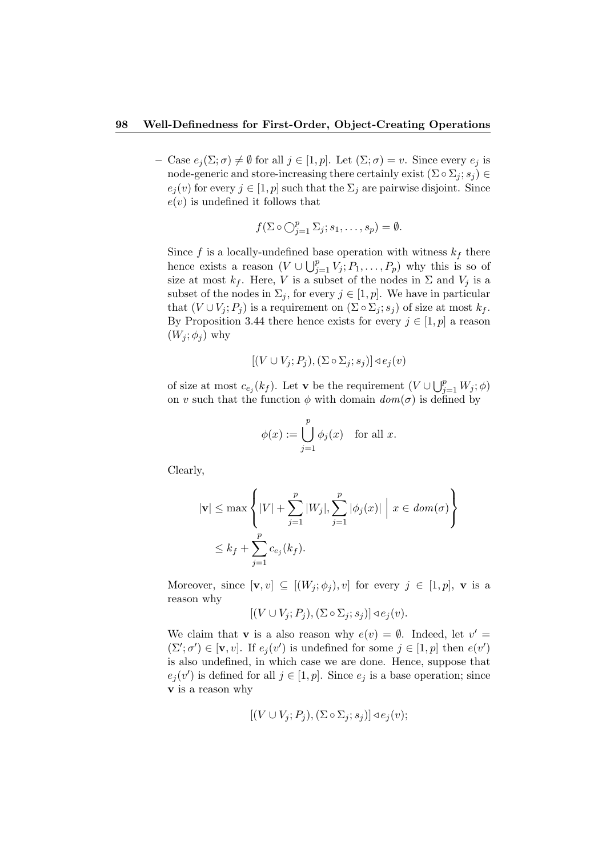– Case  $e_j(\Sigma;\sigma) \neq \emptyset$  for all  $j \in [1,p]$ . Let  $(\Sigma;\sigma) = v$ . Since every  $e_j$  is node-generic and store-increasing there certainly exist  $(\Sigma \circ \Sigma_i; s_i) \in$  $e_j(v)$  for every  $j \in [1, p]$  such that the  $\Sigma_j$  are pairwise disjoint. Since  $e(v)$  is undefined it follows that

$$
f(\Sigma \circ \bigcirc_{j=1}^p \Sigma_j; s_1, \dots, s_p) = \emptyset.
$$

Since f is a locally-undefined base operation with witness  $k_f$  there hence exists a reason  $(V \cup \bigcup_{j=1}^{p} V_j; P_1, \ldots, P_p)$  why this is so of size at most  $k_f$ . Here, V is a subset of the nodes in  $\Sigma$  and  $V_j$  is a subset of the nodes in  $\Sigma_j$ , for every  $j \in [1, p]$ . We have in particular that  $(V \cup V_j; P_j)$  is a requirement on  $(\Sigma \circ \Sigma_j; s_j)$  of size at most  $k_f$ . By Proposition 3.44 there hence exists for every  $j \in [1, p]$  a reason  $(W_i; \phi_i)$  why

$$
[(V \cup V_j; P_j), (\Sigma \circ \Sigma_j; s_j)] \triangleleft e_j(v)
$$

of size at most  $c_{e_j}(k_f)$ . Let **v** be the requirement  $(V \cup \bigcup_{j=1}^p W_j; \phi)$ on v such that the function  $\phi$  with domain  $dom(\sigma)$  is defined by

$$
\phi(x) := \bigcup_{j=1}^p \phi_j(x) \quad \text{for all } x.
$$

Clearly,

$$
|\mathbf{v}| \le \max\left\{|V| + \sum_{j=1}^p |W_j|, \sum_{j=1}^p |\phi_j(x)| \mid x \in dom(\sigma) \right\}
$$
  

$$
\le k_f + \sum_{j=1}^p c_{e_j}(k_f).
$$

Moreover, since  $[\mathbf{v}, v] \subseteq [(W_j; \phi_j), v]$  for every  $j \in [1, p]$ , **v** is a reason why

 $[(V \cup V_i; P_i), (\Sigma \circ \Sigma_i; s_i)] \triangleleft e_i(v).$ 

We claim that **v** is a also reason why  $e(v) = \emptyset$ . Indeed, let  $v' =$  $(\Sigma'; \sigma') \in [\mathbf{v}, v]$ . If  $e_j(v')$  is undefined for some  $j \in [1, p]$  then  $e(v')$ is also undefined, in which case we are done. Hence, suppose that  $e_j(v')$  is defined for all  $j \in [1, p]$ . Since  $e_j$  is a base operation; since v is a reason why

$$
[(V \cup V_j; P_j), (\Sigma \circ \Sigma_j; s_j)] \triangleleft e_j(v);
$$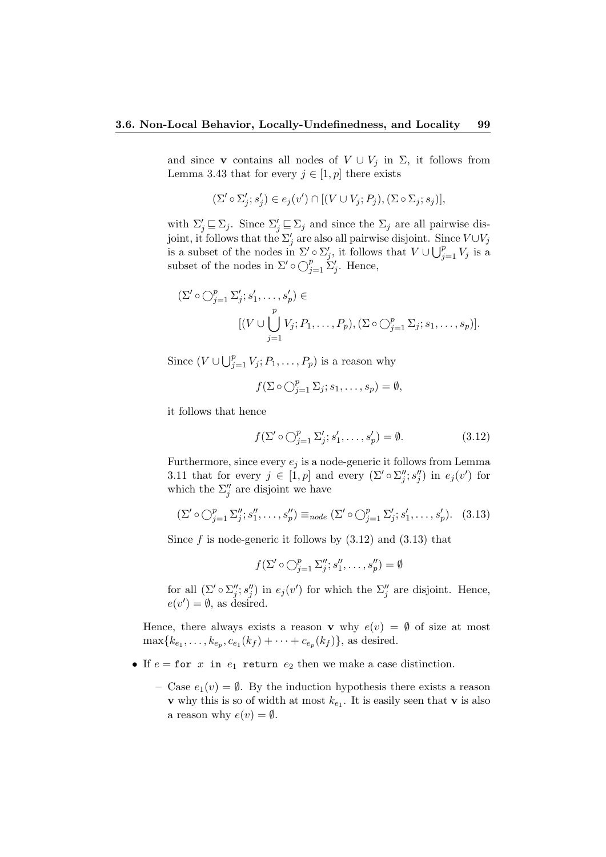and since v contains all nodes of  $V \cup V_j$  in  $\Sigma$ , it follows from Lemma 3.43 that for every  $j \in [1, p]$  there exists

$$
(\Sigma' \circ \Sigma'_j; s'_j) \in e_j(v') \cap [(V \cup V_j; P_j), (\Sigma \circ \Sigma_j; s_j)],
$$

with  $\Sigma'_j \sqsubseteq \Sigma_j$ . Since  $\Sigma'_j \sqsubseteq \Sigma_j$  and since the  $\Sigma_j$  are all pairwise disjoint, it follows that the  $\Sigma'_j$  are also all pairwise disjoint. Since  $V \cup V_j$ is a subset of the nodes in  $\Sigma' \circ \Sigma'_{j}$ , it follows that  $V \cup \bigcup_{j=1}^{p} V_{j}$  is a subset of the nodes in  $\Sigma' \circ \bigcirc_{j=1}^p \Sigma'_j$ . Hence,

$$
(\Sigma' \circ \bigcirc_{j=1}^p \Sigma'_j; s'_1, \dots, s'_p) \in
$$
  
\n
$$
[(V \cup \bigcup_{j=1}^p V_j; P_1, \dots, P_p), (\Sigma \circ \bigcirc_{j=1}^p \Sigma_j; s_1, \dots, s_p)].
$$

Since  $(V \cup \bigcup_{j=1}^p V_j; P_1, \ldots, P_p)$  is a reason why

$$
f(\Sigma \circ \bigcirc_{j=1}^p \Sigma_j; s_1, \ldots, s_p) = \emptyset,
$$

it follows that hence

$$
f(\Sigma' \circ \bigcirc_{j=1}^p \Sigma'_j; s'_1, \dots, s'_p) = \emptyset.
$$
 (3.12)

Furthermore, since every  $e_i$  is a node-generic it follows from Lemma 3.11 that for every  $j \in [1, p]$  and every  $(\Sigma' \circ \Sigma''_j; s''_j)$  in  $e_j(v')$  for which the  $\Sigma''_j$  are disjoint we have

$$
(\Sigma' \circ \bigcirc_{j=1}^p \Sigma_j''; s_1'', \dots, s_p'') \equiv_{node} (\Sigma' \circ \bigcirc_{j=1}^p \Sigma_j'; s_1', \dots, s_p').
$$
 (3.13)

Since  $f$  is node-generic it follows by  $(3.12)$  and  $(3.13)$  that

 $f(\Sigma' \circ \bigcirc_{j=1}^p \Sigma''_j; s''_1, \ldots, s''_p) = \emptyset$ 

for all  $(\Sigma' \circ \Sigma''_j; s''_j)$  in  $e_j(v')$  for which the  $\Sigma''_j$  are disjoint. Hence,  $e(v') = \emptyset$ , as desired.

Hence, there always exists a reason **v** why  $e(v) = \emptyset$  of size at most  $\max\{k_{e_1}, \ldots, k_{e_p}, c_{e_1}(k_f) + \cdots + c_{e_p}(k_f)\},\$ as desired.

- If  $e =$  for x in  $e_1$  return  $e_2$  then we make a case distinction.
	- Case  $e_1(v) = \emptyset$ . By the induction hypothesis there exists a reason **v** why this is so of width at most  $k_{e_1}$ . It is easily seen that **v** is also a reason why  $e(v) = \emptyset$ .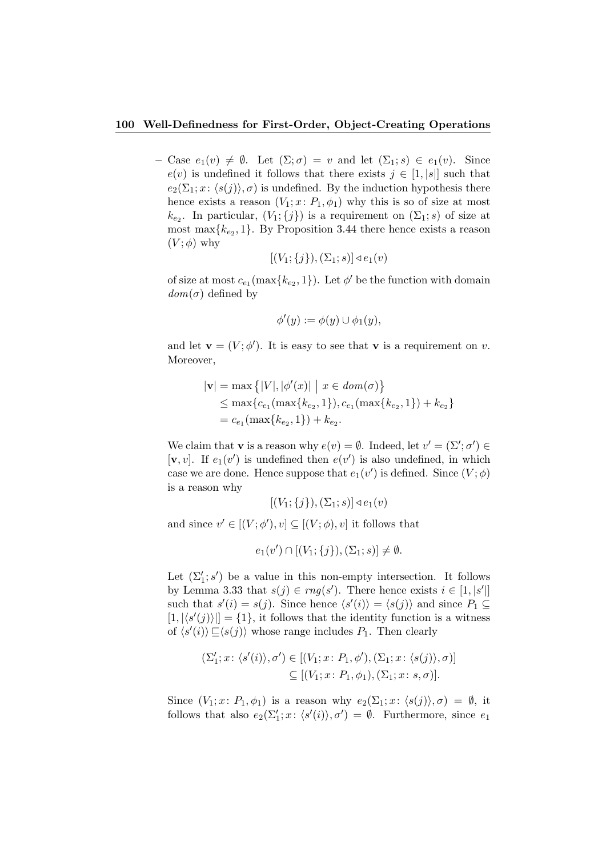– Case  $e_1(v) \neq \emptyset$ . Let  $(\Sigma; \sigma) = v$  and let  $(\Sigma_1; s) \in e_1(v)$ . Since  $e(v)$  is undefined it follows that there exists  $j \in [1, |s|]$  such that  $e_2(\Sigma_1; x: \langle s(j) \rangle, \sigma)$  is undefined. By the induction hypothesis there hence exists a reason  $(V_1; x: P_1, \phi_1)$  why this is so of size at most  $k_{e_2}$ . In particular,  $(V_1; \{j\})$  is a requirement on  $(\Sigma_1; s)$  of size at most max $\{k_{e_2}, 1\}$ . By Proposition 3.44 there hence exists a reason  $(V; \phi)$  why

$$
[(V_1; \{j\}), (\Sigma_1; s)] \triangleleft e_1(v)
$$

of size at most  $c_{e_1}(\max\{k_{e_2}, 1\})$ . Let  $\phi'$  be the function with domain  $dom(\sigma)$  defined by

$$
\phi'(y) := \phi(y) \cup \phi_1(y),
$$

and let  $\mathbf{v} = (V; \phi')$ . It is easy to see that **v** is a requirement on v. Moreover,

$$
|\mathbf{v}| = \max \{|V|, |\phi'(x)| \mid x \in dom(\sigma)\}
$$
  
\n
$$
\leq \max \{c_{e_1}(\max\{k_{e_2}, 1\}), c_{e_1}(\max\{k_{e_2}, 1\}) + k_{e_2}\}
$$
  
\n
$$
= c_{e_1}(\max\{k_{e_2}, 1\}) + k_{e_2}.
$$

We claim that **v** is a reason why  $e(v) = \emptyset$ . Indeed, let  $v' = (\Sigma'; \sigma') \in$ [**v**, *v*]. If  $e_1(v')$  is undefined then  $e(v')$  is also undefined, in which case we are done. Hence suppose that  $e_1(v')$  is defined. Since  $(V; \phi)$ is a reason why

$$
[(V_1; \{j\}), (\Sigma_1; s)] \triangleleft e_1(v)
$$

and since  $v' \in [(V; \phi'), v] \subseteq [(V; \phi), v]$  it follows that

 $e_1(v') \cap [(V_1; \{j\}), (\Sigma_1; s)] \neq \emptyset.$ 

Let  $(\Sigma_1'; s')$  be a value in this non-empty intersection. It follows by Lemma 3.33 that  $s(j) \in rng(s')$ . There hence exists  $i \in [1, |s'|]$ such that  $s'(i) = s(j)$ . Since hence  $\langle s'(i) \rangle = \langle s(j) \rangle$  and since  $P_1 \subseteq$  $[1, |\langle s'(j) \rangle|] = \{1\}$ , it follows that the identity function is a witness of  $\langle s'(i) \rangle \sqsubseteq \langle s(j) \rangle$  whose range includes  $P_1$ . Then clearly

$$
(\Sigma'_1; x: \langle s'(i) \rangle, \sigma') \in [(V_1; x: P_1, \phi'), (\Sigma_1; x: \langle s(j) \rangle, \sigma)]
$$
  

$$
\subseteq [(V_1; x: P_1, \phi_1), (\Sigma_1; x: s, \sigma)].
$$

Since  $(V_1; x: P_1, \phi_1)$  is a reason why  $e_2(\Sigma_1; x: \langle s(j) \rangle, \sigma) = \emptyset$ , it follows that also  $e_2(\Sigma'_1; x: \langle s'(i) \rangle, \sigma') = \emptyset$ . Furthermore, since  $e_1$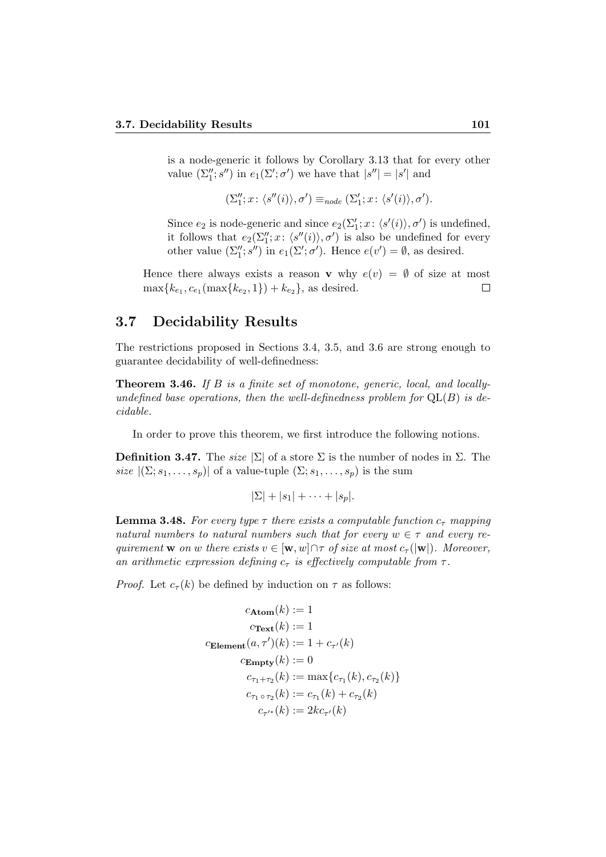is a node-generic it follows by Corollary 3.13 that for every other value  $(\Sigma''_1; s'')$  in  $e_1(\Sigma'; \sigma')$  we have that  $|s''| = |s'|$  and

$$
(\Sigma_1''; x \colon \langle s''(i) \rangle, \sigma') \equiv_{node} (\Sigma_1'; x \colon \langle s'(i) \rangle, \sigma').
$$

Since  $e_2$  is node-generic and since  $e_2(\Sigma'_1; x: \langle s'(i) \rangle, \sigma')$  is undefined, it follows that  $e_2(\Sigma_1''; x: \langle s''(i) \rangle, \sigma')$  is also be undefined for every other value  $(\Sigma''_1; s'')$  in  $e_1(\Sigma'; \sigma')$ . Hence  $e(v') = \emptyset$ , as desired.

Hence there always exists a reason **v** why  $e(v) = \emptyset$  of size at most  $\max\{k_{e_1}, c_{e_1}(\max\{k_{e_2}, 1\}) + k_{e_2}\}\$ , as desired.  $\Box$ 

# 3.7 Decidability Results

The restrictions proposed in Sections 3.4, 3.5, and 3.6 are strong enough to guarantee decidability of well-definedness:

Theorem 3.46. If B is a finite set of monotone, generic, local, and locallyundefined base operations, then the well-definedness problem for  $QL(B)$  is decidable.

In order to prove this theorem, we first introduce the following notions.

**Definition 3.47.** The size  $|\Sigma|$  of a store  $\Sigma$  is the number of nodes in  $\Sigma$ . The size  $|(\Sigma; s_1, \ldots, s_p)|$  of a value-tuple  $(\Sigma; s_1, \ldots, s_p)$  is the sum

$$
|\Sigma|+|s_1|+\cdots+|s_p|.
$$

**Lemma 3.48.** For every type  $\tau$  there exists a computable function  $c_{\tau}$  mapping natural numbers to natural numbers such that for every  $w \in \tau$  and every requirement **w** on w there exists  $v \in [\mathbf{w}, w] \cap \tau$  of size at most  $c_{\tau}(|\mathbf{w}|)$ . Moreover, an arithmetic expression defining  $c_{\tau}$  is effectively computable from  $\tau$ .

*Proof.* Let  $c_{\tau}(k)$  be defined by induction on  $\tau$  as follows:

$$
c_{\mathbf{Atom}}(k) := 1
$$
  
\n
$$
c_{\mathbf{Text}}(k) := 1
$$
  
\n
$$
c_{\mathbf{Element}}(a, \tau')(k) := 1 + c_{\tau'}(k)
$$
  
\n
$$
c_{\mathbf{Empty}}(k) := 0
$$
  
\n
$$
c_{\tau_1 + \tau_2}(k) := \max\{c_{\tau_1}(k), c_{\tau_2}(k)\}
$$
  
\n
$$
c_{\tau_1 \circ \tau_2}(k) := c_{\tau_1}(k) + c_{\tau_2}(k)
$$
  
\n
$$
c_{\tau'^*}(k) := 2kc_{\tau'}(k)
$$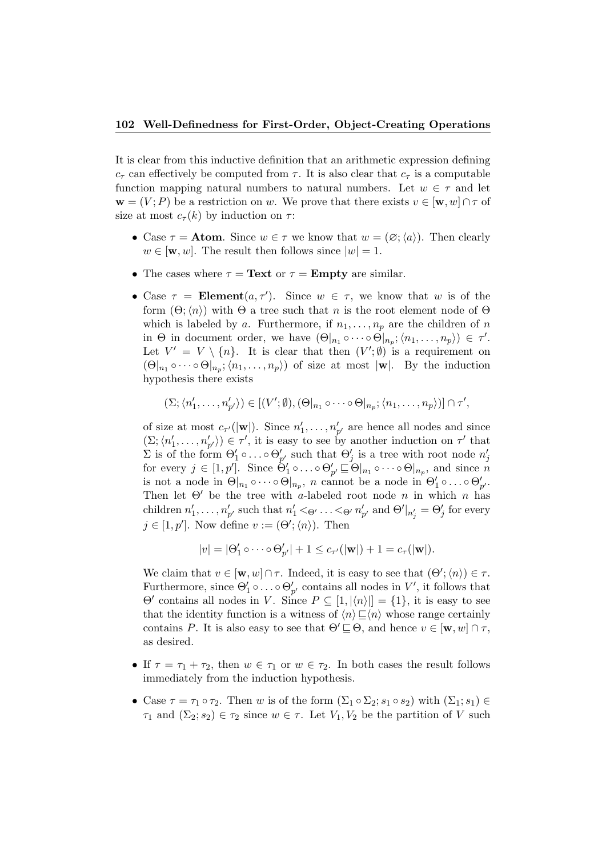It is clear from this inductive definition that an arithmetic expression defining  $c_{\tau}$  can effectively be computed from  $\tau$ . It is also clear that  $c_{\tau}$  is a computable function mapping natural numbers to natural numbers. Let  $w \in \tau$  and let  $\mathbf{w} = (V; P)$  be a restriction on w. We prove that there exists  $v \in [\mathbf{w}, w] \cap \tau$  of size at most  $c_{\tau}(k)$  by induction on  $\tau$ :

- Case  $\tau =$  **Atom**. Since  $w \in \tau$  we know that  $w = (\emptyset; \langle a \rangle)$ . Then clearly  $w \in [\mathbf{w}, w]$ . The result then follows since  $|w| = 1$ .
- The cases where  $\tau =$  Text or  $\tau =$  Empty are similar.
- Case  $\tau = \text{Element}(a, \tau')$ . Since  $w \in \tau$ , we know that w is of the form  $(\Theta; \langle n \rangle)$  with  $\Theta$  a tree such that n is the root element node of  $\Theta$ which is labeled by a. Furthermore, if  $n_1, \ldots, n_p$  are the children of n in  $\Theta$  in document order, we have  $(\Theta|_{n_1} \circ \cdots \circ \Theta|_{n_p}; \langle n_1, \ldots, n_p \rangle) \in \tau'.$ Let  $V' = V \setminus \{n\}$ . It is clear that then  $(V'; \emptyset)$  is a requirement on  $(\Theta|_{n_1} \circ \cdots \circ \Theta|_{n_p}; \langle n_1, \ldots, n_p \rangle)$  of size at most  $|\mathbf{w}|$ . By the induction hypothesis there exists

$$
(\Sigma; \langle n'_1, \ldots, n'_{p'} \rangle) \in [(V'; \emptyset), (\Theta|_{n_1} \circ \cdots \circ \Theta|_{n_p}; \langle n_1, \ldots, n_p \rangle)] \cap \tau',
$$

of size at most  $c_{\tau'}(|\mathbf{w}|)$ . Since  $n'_1, \ldots, n'_{p'}$  are hence all nodes and since  $(\Sigma; \langle n'_1, \ldots, n'_{p'} \rangle) \in \tau'$ , it is easy to see by another induction on  $\tau'$  that  $\Sigma$  is of the form  $\Theta'_1 \circ \ldots \circ \Theta'_{p'}$  such that  $\Theta'_j$  is a tree with root node  $n'_j$  for every  $j \in [1, p']$ . Since  $\Theta'_1 \circ \ldots \circ \Theta'_{p'} \sqsubseteq \Theta|_{n_1} \circ \cdots \circ \Theta|_{n_p}$ , and since n is not a node in  $\Theta|_{n_1} \circ \cdots \circ \Theta|_{n_p}$ , n cannot be a node in  $\Theta'_1 \circ \ldots \circ \Theta'_{p'}$ . Then let  $\Theta'$  be the tree with a-labeled root node n in which n has children  $n'_1, \ldots, n'_{p'}$  such that  $n'_1 < \varphi \ldots < \varphi n'_{p'}$  and  $\Theta'|_{n'_j} = \Theta'_j$  for every  $j \in [1, p']$ . Now define  $v := (\Theta'; \langle n \rangle)$ . Then

$$
|v| = |\Theta'_1 \circ \cdots \circ \Theta'_{p'}| + 1 \leq c_{\tau'}(|\mathbf{w}|) + 1 = c_{\tau}(|\mathbf{w}|).
$$

We claim that  $v \in [\mathbf{w}, w] \cap \tau$ . Indeed, it is easy to see that  $(\Theta'; \langle n \rangle) \in \tau$ . Furthermore, since  $\Theta'_1 \circ \ldots \circ \Theta'_{p'}$  contains all nodes in  $V'$ , it follows that  $\Theta'$  contains all nodes in V. Since  $P \subseteq [1, |\langle n \rangle|] = \{1\}$ , it is easy to see that the identity function is a witness of  $\langle n \rangle \sqsubseteq \langle n \rangle$  whose range certainly contains P. It is also easy to see that  $\Theta' \sqsubseteq \Theta$ , and hence  $v \in [\mathbf{w}, w] \cap \tau$ , as desired.

- If  $\tau = \tau_1 + \tau_2$ , then  $w \in \tau_1$  or  $w \in \tau_2$ . In both cases the result follows immediately from the induction hypothesis.
- Case  $\tau = \tau_1 \circ \tau_2$ . Then w is of the form  $(\Sigma_1 \circ \Sigma_2; s_1 \circ s_2)$  with  $(\Sigma_1; s_1) \in$  $\tau_1$  and  $(\Sigma_2; s_2) \in \tau_2$  since  $w \in \tau$ . Let  $V_1, V_2$  be the partition of V such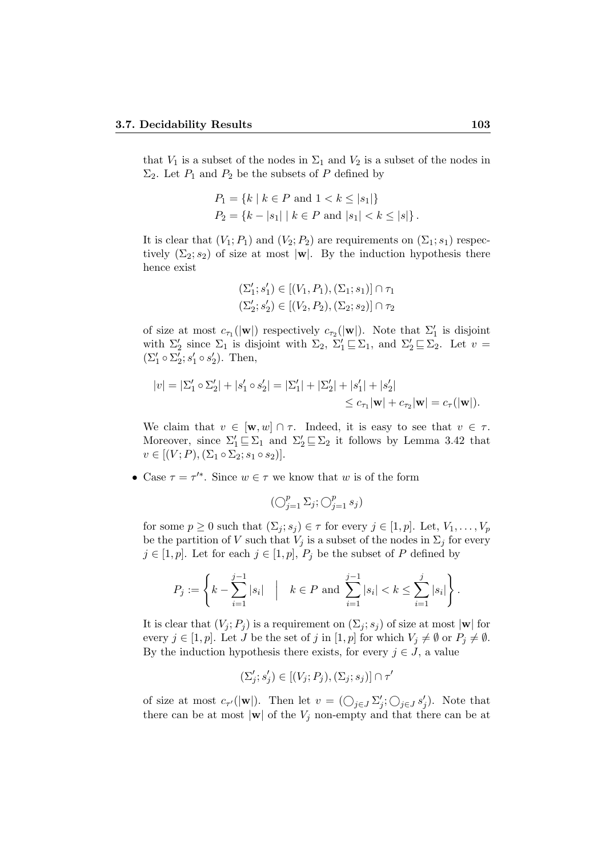that  $V_1$  is a subset of the nodes in  $\Sigma_1$  and  $V_2$  is a subset of the nodes in  $\Sigma_2$ . Let  $P_1$  and  $P_2$  be the subsets of P defined by

$$
P_1 = \{ k \mid k \in P \text{ and } 1 < k \le |s_1| \}
$$
  

$$
P_2 = \{ k - |s_1| \mid k \in P \text{ and } |s_1| < k \le |s| \}.
$$

It is clear that  $(V_1; P_1)$  and  $(V_2; P_2)$  are requirements on  $(\Sigma_1; s_1)$  respectively  $(\Sigma_2; s_2)$  of size at most  $|\mathbf{w}|$ . By the induction hypothesis there hence exist

$$
(\Sigma_1'; s_1') \in [(V_1, P_1), (\Sigma_1; s_1)] \cap \tau_1
$$
  

$$
(\Sigma_2'; s_2') \in [(V_2, P_2), (\Sigma_2; s_2)] \cap \tau_2
$$

of size at most  $c_{\tau_1}(|\mathbf{w}|)$  respectively  $c_{\tau_2}(|\mathbf{w}|)$ . Note that  $\Sigma'_1$  is disjoint with  $\Sigma'_2$  since  $\Sigma_1$  is disjoint with  $\Sigma_2$ ,  $\Sigma'_1 \sqsubseteq \Sigma_1$ , and  $\Sigma'_2 \sqsubseteq \Sigma_2$ . Let  $v =$  $(\Sigma'_1 \circ \Sigma'_2; s'_1 \circ s'_2)$ . Then,

$$
|v| = |\Sigma_1' \circ \Sigma_2'| + |s_1' \circ s_2'| = |\Sigma_1'| + |\Sigma_2'| + |s_1'| + |s_2'|
$$
  

$$
\leq c_{\tau_1} |\mathbf{w}| + c_{\tau_2} |\mathbf{w}| = c_{\tau}(|\mathbf{w}|).
$$

We claim that  $v \in [\mathbf{w}, w] \cap \tau$ . Indeed, it is easy to see that  $v \in \tau$ . Moreover, since  $\Sigma'_1 \sqsubseteq \Sigma_1$  and  $\Sigma'_2 \sqsubseteq \Sigma_2$  it follows by Lemma 3.42 that  $v \in [(V; P), (\Sigma_1 \circ \Sigma_2; s_1 \circ s_2)].$ 

• Case  $\tau = \tau'^*$ . Since  $w \in \tau$  we know that w is of the form

$$
(\bigcirc_{j=1}^p \Sigma_j; \bigcirc_{j=1}^p s_j)
$$

for some  $p \geq 0$  such that  $(\Sigma_j; s_j) \in \tau$  for every  $j \in [1, p]$ . Let,  $V_1, \ldots, V_p$ be the partition of V such that  $V_i$  is a subset of the nodes in  $\Sigma_i$  for every  $j \in [1, p]$ . Let for each  $j \in [1, p]$ ,  $P_j$  be the subset of P defined by

$$
P_j := \left\{ k - \sum_{i=1}^{j-1} |s_i| \mid k \in P \text{ and } \sum_{i=1}^{j-1} |s_i| < k \le \sum_{i=1}^{j} |s_i| \right\}.
$$

It is clear that  $(V_j; P_j)$  is a requirement on  $(\Sigma_j; s_j)$  of size at most  $|\mathbf{w}|$  for every  $j \in [1, p]$ . Let J be the set of j in  $[1, p]$  for which  $V_j \neq \emptyset$  or  $P_j \neq \emptyset$ . By the induction hypothesis there exists, for every  $j \in J$ , a value

$$
(\Sigma'_j; s'_j) \in [(V_j; P_j), (\Sigma_j; s_j)] \cap \tau'
$$

of size at most  $c_{\tau'}(|\mathbf{w}|)$ . Then let  $v = (\bigcirc_{j \in J} \Sigma'_j; \bigcirc_{j \in J} s'_j)$ . Note that there can be at most  $|\mathbf{w}|$  of the  $V_j$  non-empty and that there can be at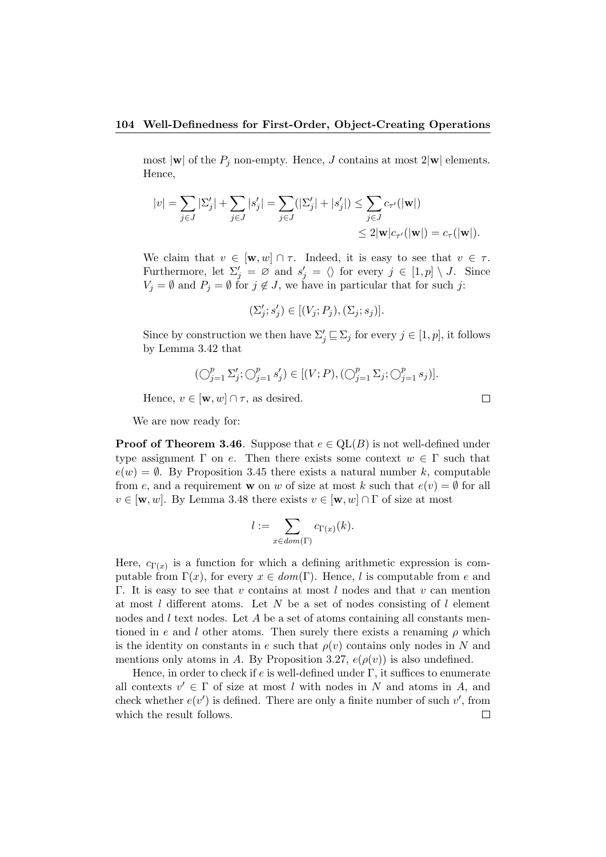most  $|\mathbf{w}|$  of the  $P_j$  non-empty. Hence, J contains at most  $2|\mathbf{w}|$  elements. Hence,

$$
|v| = \sum_{j \in J} |\Sigma'_j| + \sum_{j \in J} |s'_j| = \sum_{j \in J} (|\Sigma'_j| + |s'_j|) \le \sum_{j \in J} c_{\tau'}(|\mathbf{w}|)
$$
  

$$
\le 2|\mathbf{w}|c_{\tau'}(|\mathbf{w}|) = c_{\tau}(|\mathbf{w}|).
$$

We claim that  $v \in [\mathbf{w}, w] \cap \tau$ . Indeed, it is easy to see that  $v \in \tau$ . Furthermore, let  $\Sigma'_j = \emptyset$  and  $s'_j = \langle \rangle$  for every  $j \in [1, p] \setminus J$ . Since  $V_j = \emptyset$  and  $P_j = \emptyset$  for  $j \notin J$ , we have in particular that for such j:

$$
(\Sigma'_j;s'_j)\in [(V_j;P_j),(\Sigma_j;s_j)].
$$

Since by construction we then have  $\Sigma'_j \sqsubseteq \Sigma_j$  for every  $j \in [1, p]$ , it follows by Lemma 3.42 that

$$
(\bigcirc_{j=1}^p \Sigma'_j; \bigcirc_{j=1}^p s'_j) \in [(V;P), (\bigcirc_{j=1}^p \Sigma_j; \bigcirc_{j=1}^p s_j)].
$$

Hence,  $v \in [\mathbf{w}, w] \cap \tau$ , as desired.

We are now ready for:

**Proof of Theorem 3.46.** Suppose that  $e \in \text{QL}(B)$  is not well-defined under type assignment  $\Gamma$  on e. Then there exists some context  $w \in \Gamma$  such that  $e(w) = \emptyset$ . By Proposition 3.45 there exists a natural number k, computable from e, and a requirement w on w of size at most k such that  $e(v) = \emptyset$  for all  $v \in [w, w]$ . By Lemma 3.48 there exists  $v \in [w, w] \cap \Gamma$  of size at most

$$
l := \sum_{x \in dom(\Gamma)} c_{\Gamma(x)}(k).
$$

Here,  $c_{\Gamma(x)}$  is a function for which a defining arithmetic expression is computable from  $\Gamma(x)$ , for every  $x \in dom(\Gamma)$ . Hence, l is computable from e and Γ. It is easy to see that v contains at most l nodes and that v can mention at most  $l$  different atoms. Let  $N$  be a set of nodes consisting of  $l$  element nodes and  $l$  text nodes. Let  $A$  be a set of atoms containing all constants mentioned in e and l other atoms. Then surely there exists a renaming  $\rho$  which is the identity on constants in e such that  $\rho(v)$  contains only nodes in N and mentions only atoms in A. By Proposition 3.27,  $e(\rho(v))$  is also undefined.

Hence, in order to check if  $e$  is well-defined under  $\Gamma$ , it suffices to enumerate all contexts  $v' \in \Gamma$  of size at most l with nodes in N and atoms in A, and check whether  $e(v')$  is defined. There are only a finite number of such  $v'$ , from which the result follows. $\Box$ 

 $\Box$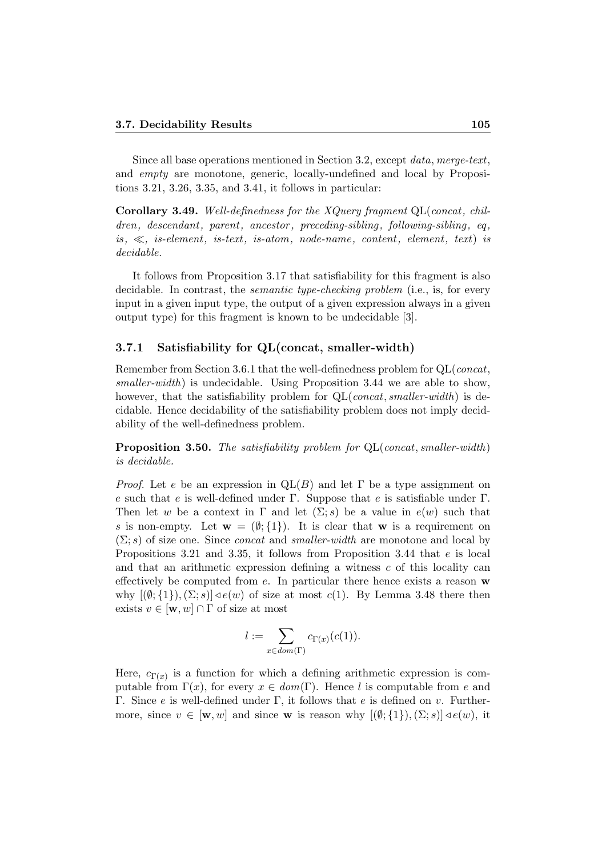Since all base operations mentioned in Section 3.2, except data, merge-text, and empty are monotone, generic, locally-undefined and local by Propositions 3.21, 3.26, 3.35, and 3.41, it follows in particular:

Corollary 3.49. Well-definedness for the  $XQuery$  fragment QL(concat, children, descendant, parent, ancestor, preceding-sibling, following-sibling, eq. is,  $\ll$ , is-element, is-text, is-atom, node-name, content, element, text) is decidable.

It follows from Proposition 3.17 that satisfiability for this fragment is also decidable. In contrast, the semantic type-checking problem (i.e., is, for every input in a given input type, the output of a given expression always in a given output type) for this fragment is known to be undecidable [3].

#### 3.7.1 Satisfiability for QL(concat, smaller-width)

Remember from Section 3.6.1 that the well-definedness problem for QL(concat, smaller-width) is undecidable. Using Proposition 3.44 we are able to show, however, that the satisfiability problem for  $QL$ (*concat, smaller-width*) is decidable. Hence decidability of the satisfiability problem does not imply decidability of the well-definedness problem.

**Proposition 3.50.** The satisfiability problem for  $QL$ (concat, smaller-width) is decidable.

*Proof.* Let e be an expression in  $QL(B)$  and let  $\Gamma$  be a type assignment on e such that e is well-defined under Γ. Suppose that e is satisfiable under Γ. Then let w be a context in  $\Gamma$  and let  $(\Sigma; s)$  be a value in  $e(w)$  such that s is non-empty. Let  $\mathbf{w} = (\emptyset; \{1\})$ . It is clear that w is a requirement on  $(\Sigma; s)$  of size one. Since *concat* and *smaller-width* are monotone and local by Propositions 3.21 and 3.35, it follows from Proposition 3.44 that e is local and that an arithmetic expression defining a witness c of this locality can effectively be computed from  $e$ . In particular there hence exists a reason  $\bf{w}$ why  $[(\emptyset; \{1\}), (\Sigma; s)] \triangleleft e(w)$  of size at most  $c(1)$ . By Lemma 3.48 there then exists  $v \in [\mathbf{w}, w] \cap \Gamma$  of size at most

$$
l := \sum_{x \in dom(\Gamma)} c_{\Gamma(x)}(c(1)).
$$

Here,  $c_{\Gamma(x)}$  is a function for which a defining arithmetic expression is computable from  $\Gamma(x)$ , for every  $x \in dom(\Gamma)$ . Hence l is computable from e and Γ. Since *e* is well-defined under Γ, it follows that *e* is defined on *v*. Furthermore, since  $v \in [\mathbf{w}, w]$  and since **w** is reason why  $[(\emptyset; \{1\}), (\Sigma; s)] \triangleleft e(w)$ , it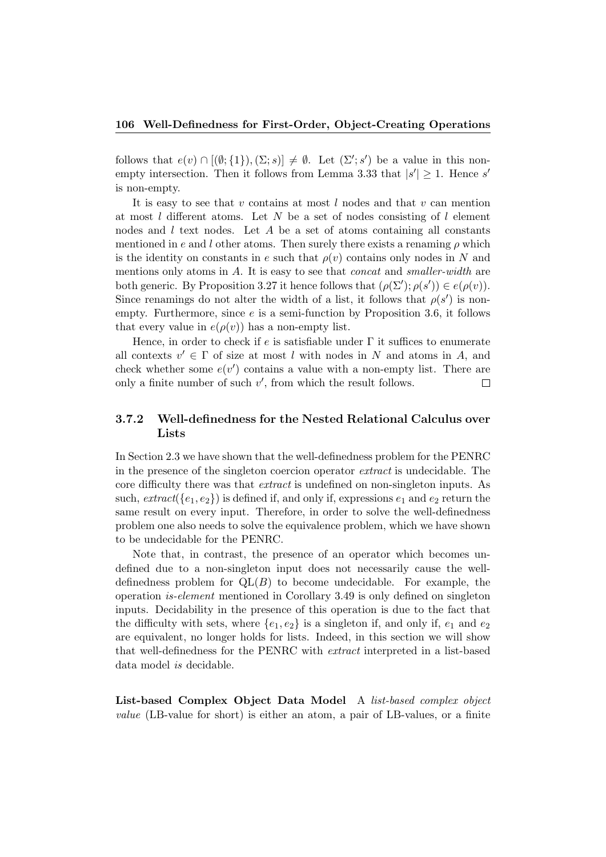follows that  $e(v) \cap [(\emptyset; \{1\}), (\Sigma; s)] \neq \emptyset$ . Let  $(\Sigma'; s')$  be a value in this nonempty intersection. Then it follows from Lemma 3.33 that  $|s'| \geq 1$ . Hence s' is non-empty.

It is easy to see that v contains at most  $l$  nodes and that v can mention at most  $l$  different atoms. Let  $N$  be a set of nodes consisting of  $l$  element nodes and  $l$  text nodes. Let  $A$  be a set of atoms containing all constants mentioned in e and l other atoms. Then surely there exists a renaming  $\rho$  which is the identity on constants in e such that  $\rho(v)$  contains only nodes in N and mentions only atoms in A. It is easy to see that *concat* and *smaller-width* are both generic. By Proposition 3.27 it hence follows that  $(\rho(\Sigma'); \rho(s')) \in e(\rho(v))$ . Since renamings do not alter the width of a list, it follows that  $\rho(s')$  is nonempty. Furthermore, since  $e$  is a semi-function by Proposition 3.6, it follows that every value in  $e(\rho(v))$  has a non-empty list.

Hence, in order to check if e is satisfiable under  $\Gamma$  it suffices to enumerate all contexts  $v' \in \Gamma$  of size at most l with nodes in N and atoms in A, and check whether some  $e(v')$  contains a value with a non-empty list. There are only a finite number of such  $v'$ , from which the result follows.  $\Box$ 

#### 3.7.2 Well-definedness for the Nested Relational Calculus over Lists

In Section 2.3 we have shown that the well-definedness problem for the PENRC in the presence of the singleton coercion operator extract is undecidable. The core difficulty there was that extract is undefined on non-singleton inputs. As such,  $extract({e_1, e_2})$  is defined if, and only if, expressions  $e_1$  and  $e_2$  return the same result on every input. Therefore, in order to solve the well-definedness problem one also needs to solve the equivalence problem, which we have shown to be undecidable for the PENRC.

Note that, in contrast, the presence of an operator which becomes undefined due to a non-singleton input does not necessarily cause the welldefinedness problem for  $QL(B)$  to become undecidable. For example, the operation is-element mentioned in Corollary 3.49 is only defined on singleton inputs. Decidability in the presence of this operation is due to the fact that the difficulty with sets, where  $\{e_1, e_2\}$  is a singleton if, and only if,  $e_1$  and  $e_2$ are equivalent, no longer holds for lists. Indeed, in this section we will show that well-definedness for the PENRC with extract interpreted in a list-based data model is decidable.

List-based Complex Object Data Model A list-based complex object value (LB-value for short) is either an atom, a pair of LB-values, or a finite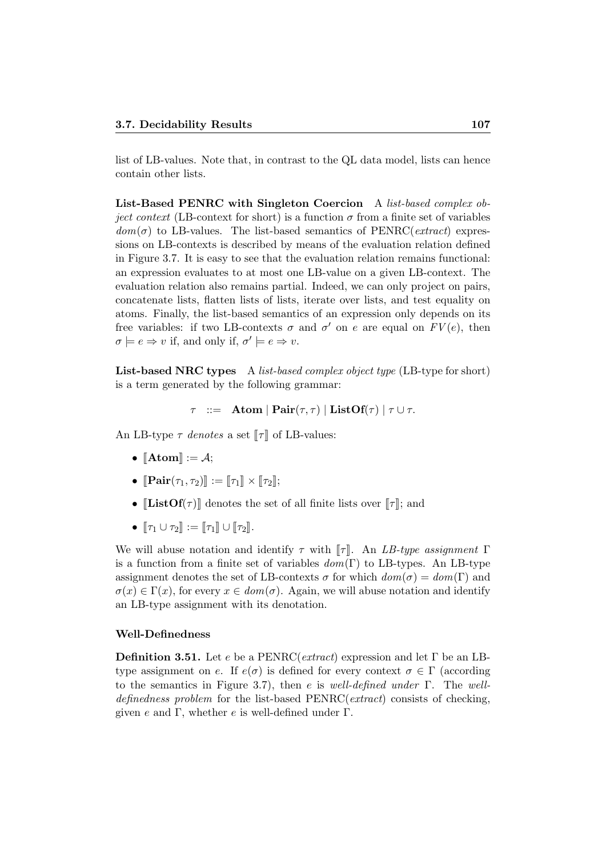list of LB-values. Note that, in contrast to the QL data model, lists can hence contain other lists.

List-Based PENRC with Singleton Coercion A list-based complex ob*ject context* (LB-context for short) is a function  $\sigma$  from a finite set of variables  $dom(\sigma)$  to LB-values. The list-based semantics of PENRC(*extract*) expressions on LB-contexts is described by means of the evaluation relation defined in Figure 3.7. It is easy to see that the evaluation relation remains functional: an expression evaluates to at most one LB-value on a given LB-context. The evaluation relation also remains partial. Indeed, we can only project on pairs, concatenate lists, flatten lists of lists, iterate over lists, and test equality on atoms. Finally, the list-based semantics of an expression only depends on its free variables: if two LB-contexts  $\sigma$  and  $\sigma'$  on e are equal on  $FV(e)$ , then  $\sigma \models e \Rightarrow v$  if, and only if,  $\sigma' \models e \Rightarrow v$ .

List-based NRC types A list-based complex object type (LB-type for short) is a term generated by the following grammar:

 $\tau$  ::= Atom | Pair( $\tau$ ,  $\tau$ ) | ListOf( $\tau$ ) |  $\tau \cup \tau$ .

An LB-type  $\tau$  denotes a set  $\llbracket \tau \rrbracket$  of LB-values:

- $\llbracket \text{Atom} \rrbracket := \mathcal{A}$ ;
- $\llbracket \mathbf{Pair}(\tau_1, \tau_2) \rrbracket := \llbracket \tau_1 \rrbracket \times \llbracket \tau_2 \rrbracket;$
- [ListOf( $\tau$ )] denotes the set of all finite lists over  $\llbracket \tau \rrbracket$ ; and
- $\lbrack \tau_1 \cup \tau_2 \rbrack$  :=  $\lbrack \lbrack \tau_1 \rbrack \rbrack \cup \lbrack \tau_2 \rbrack$ .

We will abuse notation and identify  $\tau$  with  $\llbracket \tau \rrbracket$ . An LB-type assignment  $\Gamma$ is a function from a finite set of variables  $dom(\Gamma)$  to LB-types. An LB-type assignment denotes the set of LB-contexts  $\sigma$  for which  $dom(\sigma) = dom(\Gamma)$  and  $\sigma(x) \in \Gamma(x)$ , for every  $x \in dom(\sigma)$ . Again, we will abuse notation and identify an LB-type assignment with its denotation.

#### Well-Definedness

**Definition 3.51.** Let e be a PENRC(extract) expression and let  $\Gamma$  be an LBtype assignment on e. If  $e(\sigma)$  is defined for every context  $\sigma \in \Gamma$  (according to the semantics in Figure 3.7), then e is well-defined under  $\Gamma$ . The welldefinedness problem for the list-based PENRC(extract) consists of checking, given e and Γ, whether e is well-defined under Γ.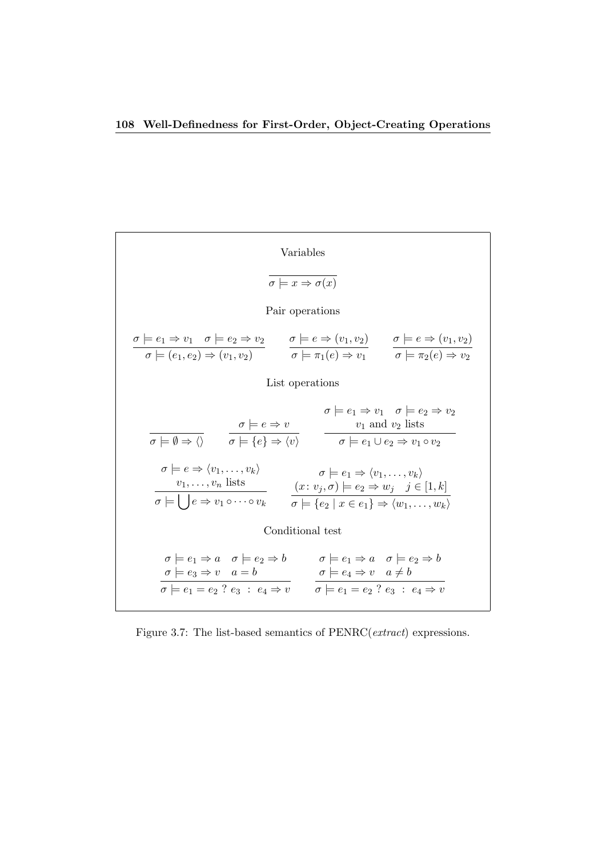Variables  
\n
$$
\overline{\sigma} \models x \Rightarrow \sigma(x)
$$
\nPair operations  
\n
$$
\underline{\sigma} \models e_1 \Rightarrow v_1 \quad \sigma \models e_2 \Rightarrow v_2 \qquad \sigma \models e \Rightarrow (v_1, v_2) \qquad \sigma \models e \Rightarrow (v_1, v_2)
$$
\nList operations  
\nList operations  
\n
$$
\overline{\sigma} \models (\overline{e_1, e_2}) \Rightarrow (v_1, v_2) \qquad \overline{\sigma} \models \pi_1(e) \Rightarrow v_1 \qquad \sigma \models \pi_2(e) \Rightarrow v_2
$$
\nList operations  
\n
$$
\overline{\sigma} \models \emptyset \Rightarrow \langle \rangle \qquad \overline{\sigma} \models e \Rightarrow \langle v \rangle \qquad \overline{\sigma} \models e_1 \Rightarrow v_1 \quad \sigma \models e_2 \Rightarrow v_2
$$
\n
$$
\overline{\sigma} \models \emptyset \Rightarrow \langle \rangle \qquad \overline{\sigma} \models \{e\} \Rightarrow \langle v \rangle \qquad \overline{\sigma} \models e_1 \Rightarrow \langle v_1, \dots, v_k \rangle
$$
\n
$$
\overline{\sigma} \models e \Rightarrow \langle v_1, \dots, v_k \rangle \qquad \sigma \models e_1 \Rightarrow \langle v_1, \dots, v_k \rangle
$$
\n
$$
\overline{\sigma} \models \bigcup e \Rightarrow v_1 \circ \dots \circ v_k \qquad \overline{\sigma} \models \{e_2 \mid x \in e_1\} \Rightarrow \langle w_1, \dots, w_k \rangle
$$
\nConditional test  
\n
$$
\sigma \models e_1 \Rightarrow a \quad \sigma \models e_2 \Rightarrow b \qquad \sigma \models e_1 \Rightarrow a \quad \sigma \models e_2 \Rightarrow b
$$
\n
$$
\overline{\sigma} \models e_3 \Rightarrow v \quad a = b \qquad \sigma \models e_4 \Rightarrow v \quad a \neq b
$$
\n
$$
\overline{\sigma} \models e_1 = e_2 \quad ? \quad e_3 \quad : e_4 \Rightarrow v \qquad \overline{\sigma} \models e_1 = e_2 \quad ? \quad e_3 \quad : e_4 \Rightarrow v
$$

Figure 3.7: The list-based semantics of PENRC(*extract*) expressions.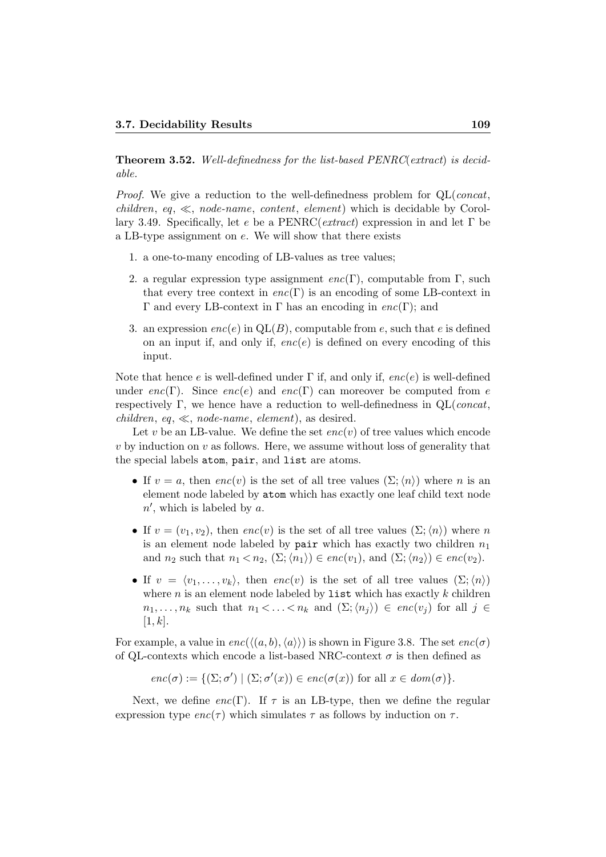Theorem 3.52. Well-definedness for the list-based PENRC(extract) is decidable.

Proof. We give a reduction to the well-definedness problem for QL(concat, children, eq,  $\ll$ , node-name, content, element) which is decidable by Corollary 3.49. Specifically, let e be a PENRC( $extract$ ) expression in and let  $\Gamma$  be a LB-type assignment on e. We will show that there exists

- 1. a one-to-many encoding of LB-values as tree values;
- 2. a regular expression type assignment  $enc(\Gamma)$ , computable from  $\Gamma$ , such that every tree context in  $enc(\Gamma)$  is an encoding of some LB-context in Γ and every LB-context in Γ has an encoding in  $enc(Γ)$ ; and
- 3. an expression  $enc(e)$  in  $QL(B)$ , computable from e, such that e is defined on an input if, and only if,  $enc(e)$  is defined on every encoding of this input.

Note that hence e is well-defined under  $\Gamma$  if, and only if,  $enc(e)$  is well-defined under enc(Γ). Since enc(e) and enc(Γ) can moreover be computed from e respectively Γ, we hence have a reduction to well-definedness in  $QL$ (*concat*, children, eq,  $\ll$ , node-name, element), as desired.

Let v be an LB-value. We define the set  $enc(v)$  of tree values which encode  $v$  by induction on  $v$  as follows. Here, we assume without loss of generality that the special labels atom, pair, and list are atoms.

- If  $v = a$ , then  $enc(v)$  is the set of all tree values  $(\Sigma; \langle n \rangle)$  where n is an element node labeled by atom which has exactly one leaf child text node  $n'$ , which is labeled by a.
- If  $v = (v_1, v_2)$ , then  $enc(v)$  is the set of all tree values  $(\Sigma; \langle n \rangle)$  where n is an element node labeled by pair which has exactly two children  $n_1$ and  $n_2$  such that  $n_1 < n_2$ ,  $(\Sigma; \langle n_1 \rangle) \in enc(v_1)$ , and  $(\Sigma; \langle n_2 \rangle) \in enc(v_2)$ .
- If  $v = \langle v_1, \ldots, v_k \rangle$ , then  $enc(v)$  is the set of all tree values  $(\Sigma; \langle n \rangle)$ where  $n$  is an element node labeled by list which has exactly  $k$  children  $n_1, \ldots, n_k$  such that  $n_1 < \ldots < n_k$  and  $(\Sigma; \langle n_i \rangle) \in enc(v_i)$  for all  $j \in$  $[1, k]$ .

For example, a value in  $enc(\langle (a, b), \langle a \rangle \rangle)$  is shown in Figure 3.8. The set  $enc(\sigma)$ of QL-contexts which encode a list-based NRC-context  $\sigma$  is then defined as

$$
enc(\sigma) := \{ (\Sigma; \sigma') \mid (\Sigma; \sigma'(x)) \in enc(\sigma(x)) \text{ for all } x \in dom(\sigma) \}.
$$

Next, we define enc(Γ). If  $\tau$  is an LB-type, then we define the regular expression type  $enc(\tau)$  which simulates  $\tau$  as follows by induction on  $\tau$ .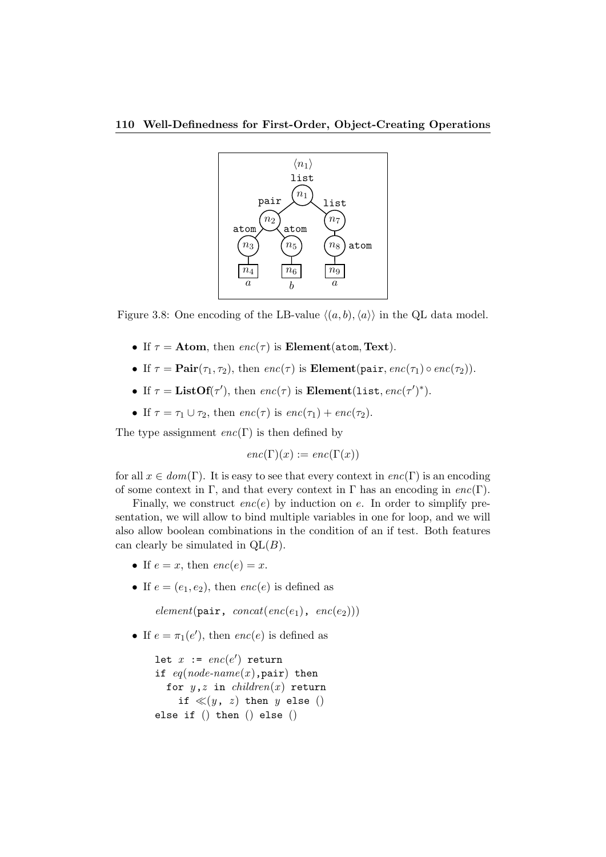

Figure 3.8: One encoding of the LB-value  $\langle (a, b), \langle a \rangle \rangle$  in the QL data model.

- If  $\tau =$  Atom, then  $enc(\tau)$  is Element(atom, Text).
- If  $\tau = \text{Pair}(\tau_1, \tau_2)$ , then  $enc(\tau)$  is **Element**(pair,  $enc(\tau_1) \circ enc(\tau_2)$ ).
- If  $\tau = \text{ListOf}(\tau')$ , then  $enc(\tau)$  is  $\text{Element}(list, enc(\tau')^*)$ .
- If  $\tau = \tau_1 \cup \tau_2$ , then  $enc(\tau)$  is  $enc(\tau_1) + enc(\tau_2)$ .

The type assignment  $enc(\Gamma)$  is then defined by

 $enc(\Gamma)(x) := enc(\Gamma(x))$ 

for all  $x \in dom(\Gamma)$ . It is easy to see that every context in  $enc(\Gamma)$  is an encoding of some context in Γ, and that every context in Γ has an encoding in  $enc(\Gamma)$ .

Finally, we construct  $enc(e)$  by induction on e. In order to simplify presentation, we will allow to bind multiple variables in one for loop, and we will also allow boolean combinations in the condition of an if test. Both features can clearly be simulated in  $QL(B)$ .

- If  $e = x$ , then  $enc(e) = x$ .
- If  $e = (e_1, e_2)$ , then  $enc(e)$  is defined as

 $element(\text{pair}, concat(enc(e_1), enc(e_2)))$ 

• If  $e = \pi_1(e')$ , then  $enc(e)$  is defined as

let  $x$  :=  $enc(e')$  return if  $eq(node-name(x)$ , pair) then for  $y,z$  in *children* $(x)$  return if  $\ll(y, z)$  then y else () else if () then () else ()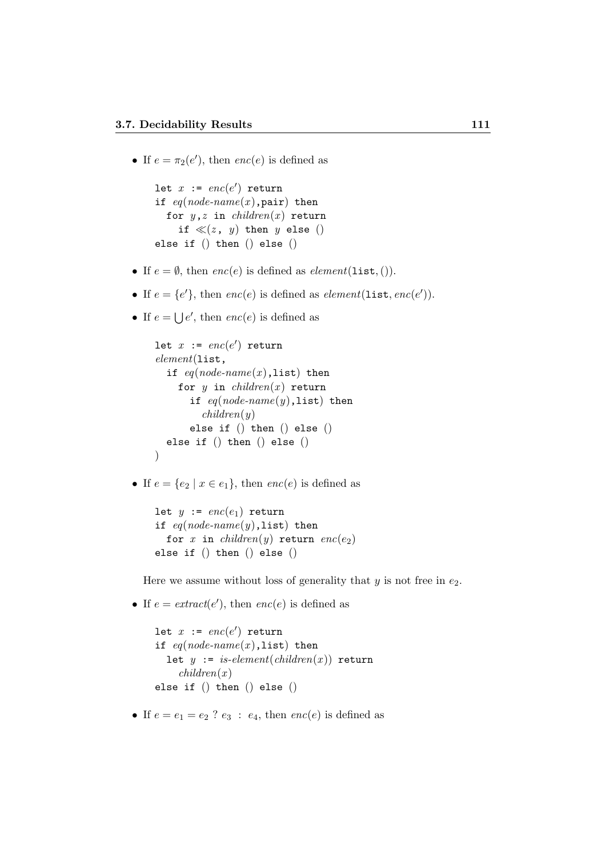• If  $e = \pi_2(e')$ , then  $enc(e)$  is defined as

```
let x := enc(e') return
if eq(node-name(x), pair) then
  for y,z in children(x) return
    if \ll(z, y) then y else ()
else if () then () else ()
```
- If  $e = \emptyset$ , then  $enc(e)$  is defined as  $element(\text{list},)).$
- If  $e = \{e'\}$ , then  $enc(e)$  is defined as  $element(\text{list}, enc(e'))$ .
- If  $e = \bigcup e'$ , then  $enc(e)$  is defined as

```
let x := enc(e') return
element(list,
  if eq(node-name(x), list) then
    for y in children(x) return
      if eq(node-name(y),list) then
         children(y)else if () then () else ()
  else if () then () else ()
)
```
• If  $e = \{e_2 \mid x \in e_1\}$ , then  $enc(e)$  is defined as

```
let y := enc(e_1) return
if eq(node-name(y),list) then
  for x in children(y) return enc(e_2)else if () then () else ()
```
Here we assume without loss of generality that  $y$  is not free in  $e_2$ .

• If  $e = \text{extract}(e'),$  then  $\text{enc}(e)$  is defined as

```
let x := enc(e') return
if eq(node-name(x), list) then
  let y := is-element(children(x)) return
    children(x)else if () then () else ()
```
• If  $e = e_1 = e_2$  ?  $e_3 : e_4$ , then  $enc(e)$  is defined as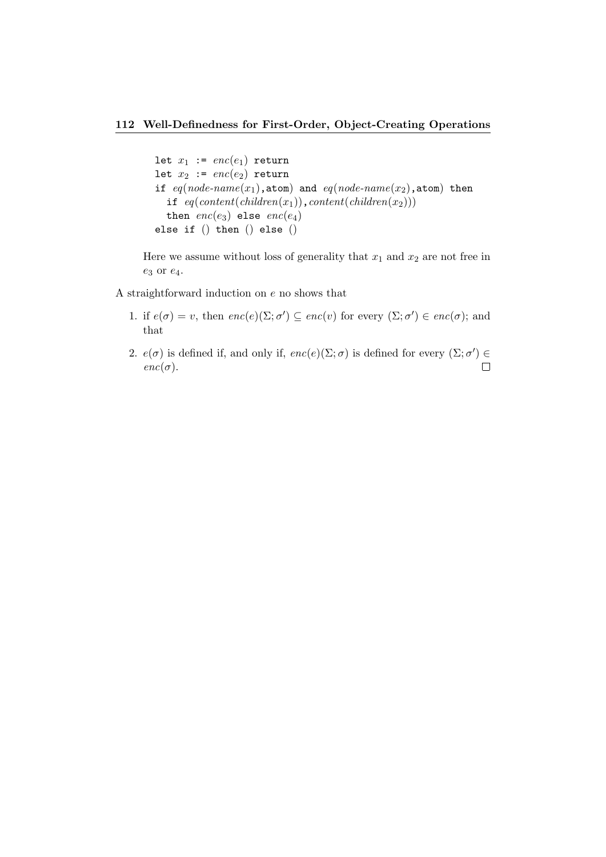#### 112 Well-Definedness for First-Order, Object-Creating Operations

```
let x_1 := enc(e_1) return
let x_2 := enc(e_2) return
if eq(node-name(x_1), atom) and eq(node-name(x_2), atom) then
  if eq(content(children(x_1)), content(children(x<sub>2</sub>)))
  then enc(e_3) else enc(e_4)else if () then () else ()
```
Here we assume without loss of generality that  $x_1$  and  $x_2$  are not free in  $e_3$  or  $e_4$ .

A straightforward induction on e no shows that

- 1. if  $e(\sigma) = v$ , then  $enc(e)(\Sigma; \sigma') \subseteq enc(v)$  for every  $(\Sigma; \sigma') \in enc(\sigma)$ ; and that
- 2.  $e(\sigma)$  is defined if, and only if,  $enc(e)(\Sigma; \sigma)$  is defined for every  $(\Sigma; \sigma') \in$  $enc(\sigma)$ .  $\Box$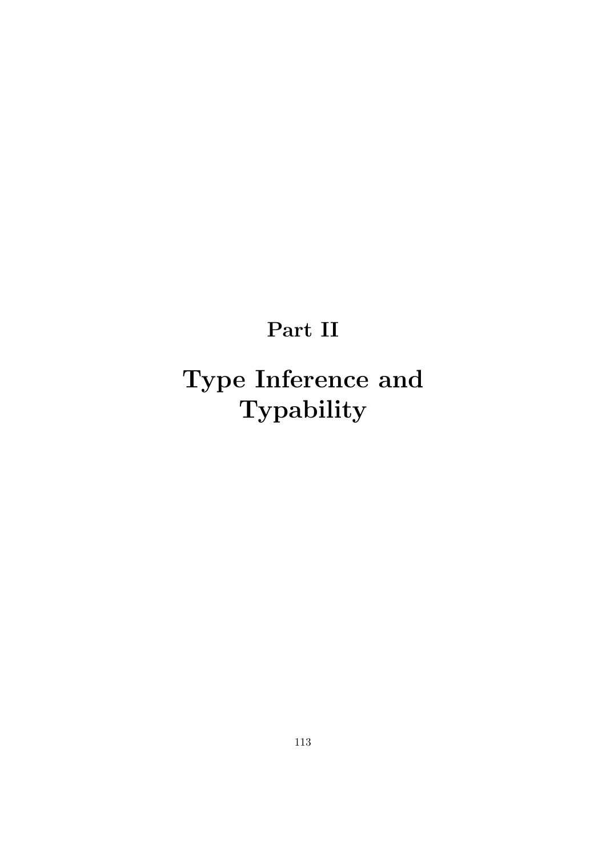## Part II

# Type Inference and Typability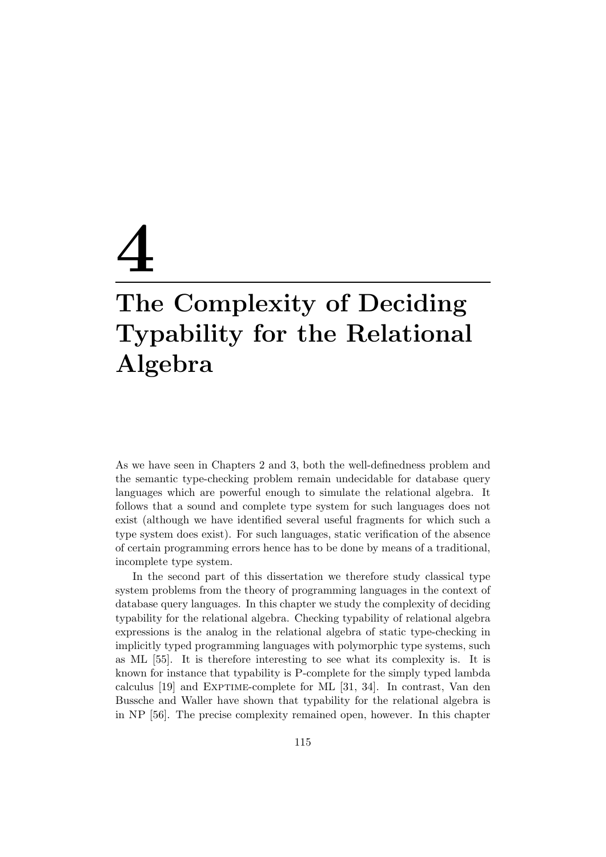# 4 The Complexity of Deciding Typability for the Relational

### Algebra

As we have seen in Chapters 2 and 3, both the well-definedness problem and the semantic type-checking problem remain undecidable for database query languages which are powerful enough to simulate the relational algebra. It follows that a sound and complete type system for such languages does not exist (although we have identified several useful fragments for which such a type system does exist). For such languages, static verification of the absence of certain programming errors hence has to be done by means of a traditional, incomplete type system.

In the second part of this dissertation we therefore study classical type system problems from the theory of programming languages in the context of database query languages. In this chapter we study the complexity of deciding typability for the relational algebra. Checking typability of relational algebra expressions is the analog in the relational algebra of static type-checking in implicitly typed programming languages with polymorphic type systems, such as ML [55]. It is therefore interesting to see what its complexity is. It is known for instance that typability is P-complete for the simply typed lambda calculus [19] and EXPTIME-complete for ML [31, 34]. In contrast, Van den Bussche and Waller have shown that typability for the relational algebra is in NP [56]. The precise complexity remained open, however. In this chapter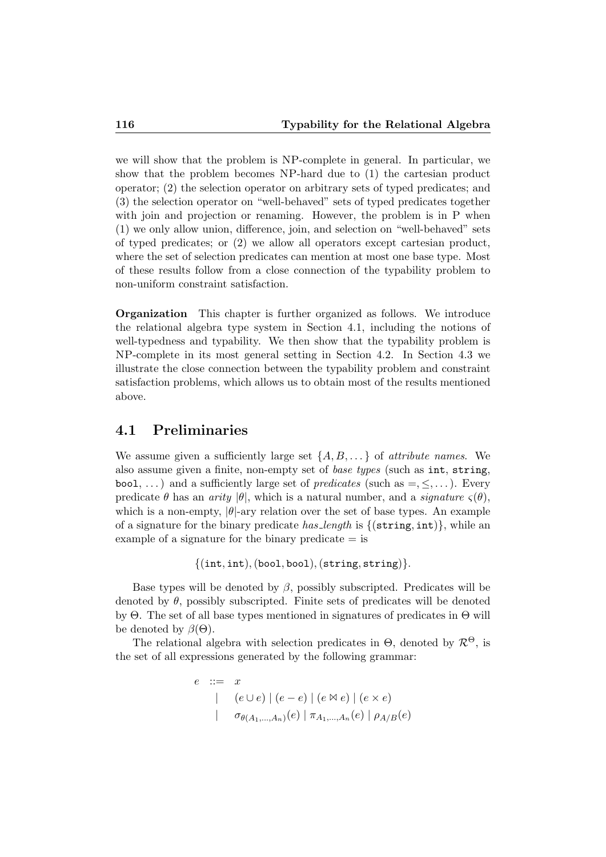we will show that the problem is NP-complete in general. In particular, we show that the problem becomes NP-hard due to (1) the cartesian product operator; (2) the selection operator on arbitrary sets of typed predicates; and (3) the selection operator on "well-behaved" sets of typed predicates together with join and projection or renaming. However, the problem is in P when (1) we only allow union, difference, join, and selection on "well-behaved" sets of typed predicates; or (2) we allow all operators except cartesian product, where the set of selection predicates can mention at most one base type. Most of these results follow from a close connection of the typability problem to non-uniform constraint satisfaction.

Organization This chapter is further organized as follows. We introduce the relational algebra type system in Section 4.1, including the notions of well-typedness and typability. We then show that the typability problem is NP-complete in its most general setting in Section 4.2. In Section 4.3 we illustrate the close connection between the typability problem and constraint satisfaction problems, which allows us to obtain most of the results mentioned above.

#### 4.1 Preliminaries

We assume given a sufficiently large set  $\{A, B, \dots\}$  of *attribute names*. We also assume given a finite, non-empty set of base types (such as int, string, bool, ...) and a sufficiently large set of *predicates* (such as  $=$ ,  $\leq$ ,...). Every predicate  $\theta$  has an *arity*  $|\theta|$ , which is a natural number, and a *signature*  $\varsigma(\theta)$ , which is a non-empty,  $|\theta|$ -ary relation over the set of base types. An example of a signature for the binary predicate has length is  $\{(\text{string}, \text{int})\}\$ , while an example of a signature for the binary predicate  $=$  is

```
\{(int, int), (bool, bool), (string, string)\}.
```
Base types will be denoted by  $\beta$ , possibly subscripted. Predicates will be denoted by  $\theta$ , possibly subscripted. Finite sets of predicates will be denoted by Θ. The set of all base types mentioned in signatures of predicates in Θ will be denoted by  $\beta(\Theta)$ .

The relational algebra with selection predicates in  $\Theta$ , denoted by  $\mathcal{R}^{\Theta}$ , is the set of all expressions generated by the following grammar:

$$
e ::= x
$$
  
\n
$$
| (e \cup e) | (e - e) | (e \bowtie e) | (e \times e)
$$
  
\n
$$
| \sigma_{\theta(A_1,...,A_n)}(e) | \pi_{A_1,...,A_n}(e) | \rho_{A/B}(e)
$$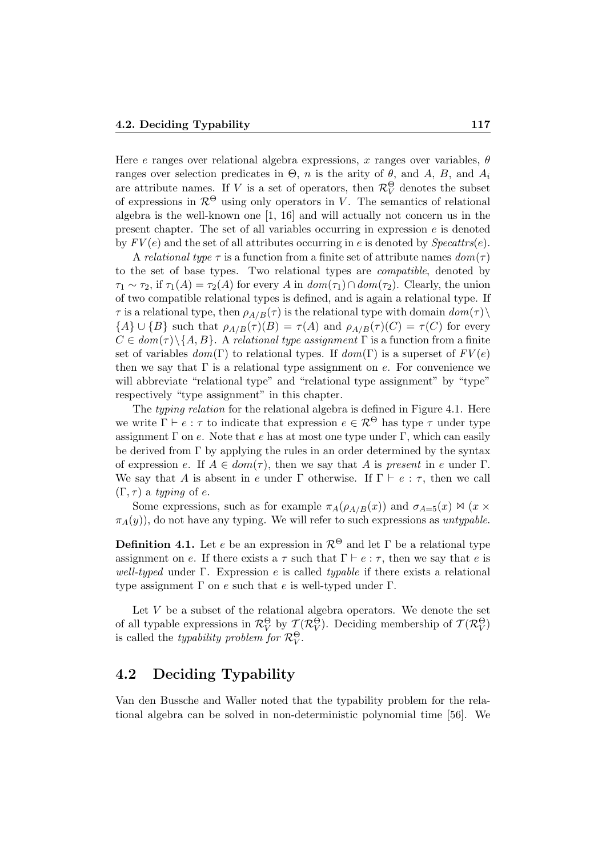Here e ranges over relational algebra expressions, x ranges over variables,  $\theta$ ranges over selection predicates in  $\Theta$ , n is the arity of  $\theta$ , and A, B, and A<sub>i</sub> are attribute names. If V is a set of operators, then  $\mathcal{R}_{V}^{\Theta}$  denotes the subset of expressions in  $\mathcal{R}^{\Theta}$  using only operators in V. The semantics of relational algebra is the well-known one [1, 16] and will actually not concern us in the present chapter. The set of all variables occurring in expression  $e$  is denoted by  $FV(e)$  and the set of all attributes occurring in e is denoted by  $Specttrs(e)$ .

A relational type  $\tau$  is a function from a finite set of attribute names  $dom(\tau)$ to the set of base types. Two relational types are compatible, denoted by  $\tau_1 \sim \tau_2$ , if  $\tau_1(A) = \tau_2(A)$  for every A in  $dom(\tau_1) \cap dom(\tau_2)$ . Clearly, the union of two compatible relational types is defined, and is again a relational type. If  $\tau$  is a relational type, then  $\rho_{A/B}(\tau)$  is the relational type with domain  $dom(\tau)\setminus$  ${A} \cup {B}$  such that  $\rho_{A/B}(\tau)(B) = \tau(A)$  and  $\rho_{A/B}(\tau)(C) = \tau(C)$  for every  $C \in dom(\tau) \backslash \{A, B\}$ . A relational type assignment  $\Gamma$  is a function from a finite set of variables  $dom(\Gamma)$  to relational types. If  $dom(\Gamma)$  is a superset of  $FV(e)$ then we say that  $\Gamma$  is a relational type assignment on e. For convenience we will abbreviate "relational type" and "relational type assignment" by "type" respectively "type assignment" in this chapter.

The typing relation for the relational algebra is defined in Figure 4.1. Here we write  $\Gamma \vdash e : \tau$  to indicate that expression  $e \in \mathcal{R}^{\Theta}$  has type  $\tau$  under type assignment  $\Gamma$  on e. Note that e has at most one type under  $\Gamma$ , which can easily be derived from Γ by applying the rules in an order determined by the syntax of expression e. If  $A \in dom(\tau)$ , then we say that A is present in e under  $\Gamma$ . We say that A is absent in e under  $\Gamma$  otherwise. If  $\Gamma \vdash e : \tau$ , then we call  $(\Gamma, \tau)$  a typing of e.

Some expressions, such as for example  $\pi_A(\rho_{A/B}(x))$  and  $\sigma_{A=5}(x) \bowtie (x \times$  $\pi_A(y)$ , do not have any typing. We will refer to such expressions as untypable.

**Definition 4.1.** Let e be an expression in  $\mathcal{R}^{\Theta}$  and let Γ be a relational type assignment on e. If there exists a  $\tau$  such that  $\Gamma \vdash e : \tau$ , then we say that e is well-typed under Γ. Expression e is called typable if there exists a relational type assignment  $\Gamma$  on e such that e is well-typed under  $\Gamma$ .

Let  $V$  be a subset of the relational algebra operators. We denote the set of all typable expressions in  $\mathcal{R}_V^{\Theta}$  by  $\mathcal{T}(\mathcal{R}_V^{\Theta})$ . Deciding membership of  $\mathcal{T}(\mathcal{R}_V^{\Theta})$ is called the *typability problem for*  $\mathcal{R}_V^{\Theta}$ .

#### 4.2 Deciding Typability

Van den Bussche and Waller noted that the typability problem for the relational algebra can be solved in non-deterministic polynomial time [56]. We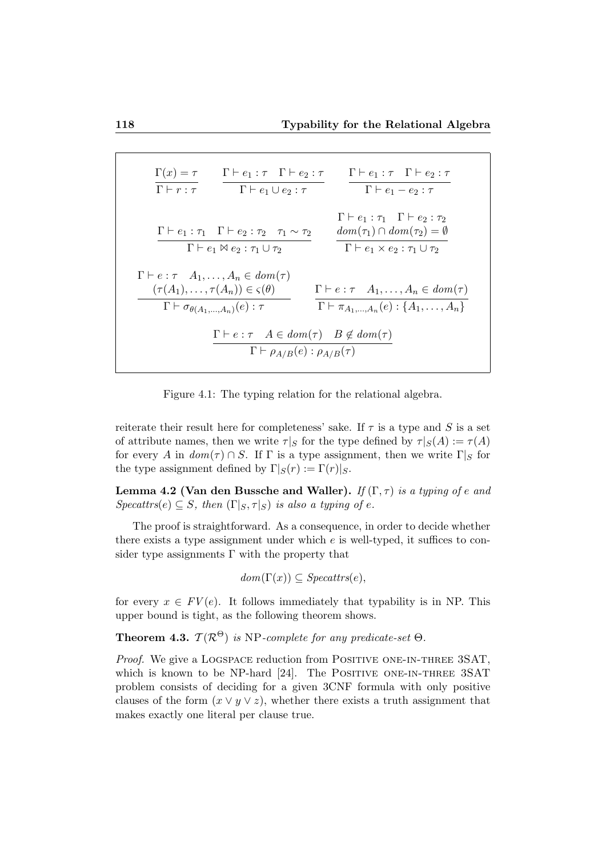$$
\frac{\Gamma(x) = \tau}{\Gamma \vdash r : \tau} \qquad \frac{\Gamma \vdash e_1 : \tau \quad \Gamma \vdash e_2 : \tau}{\Gamma \vdash e_1 \cup e_2 : \tau} \qquad \frac{\Gamma \vdash e_1 : \tau \quad \Gamma \vdash e_2 : \tau}{\Gamma \vdash e_1 - e_2 : \tau}
$$
\n
$$
\frac{\Gamma \vdash e_1 : \tau_1 \quad \Gamma \vdash e_2 : \tau_2 \quad \tau_1 \sim \tau_2}{\Gamma \vdash e_1 \bowtie e_2 : \tau_1 \cup \tau_2} \qquad \frac{dom(\tau_1) \cap dom(\tau_2) = \emptyset}{\Gamma \vdash e_1 \times e_2 : \tau_1 \cup \tau_2}
$$
\n
$$
\frac{\Gamma \vdash e : \tau \quad A_1, \dots, A_n \in dom(\tau)}{\Gamma \vdash \sigma_{\theta(A_1, \dots, A_n)}(e) : \tau} \qquad \frac{\Gamma \vdash e : \tau \quad A_1, \dots, A_n \in dom(\tau)}{\Gamma \vdash \tau_{A_1, \dots, A_n}(e) : \{A_1, \dots, A_n\}}
$$
\n
$$
\frac{\Gamma \vdash e : \tau \quad A \in dom(\tau) \quad B \notin dom(\tau)}{\Gamma \vdash \rho_{A/B}(e) : \rho_{A/B}(\tau)}
$$

Figure 4.1: The typing relation for the relational algebra.

reiterate their result here for completeness' sake. If  $\tau$  is a type and S is a set of attribute names, then we write  $\tau|_S$  for the type defined by  $\tau|_S(A) := \tau(A)$ for every A in  $dom(\tau) \cap S$ . If  $\Gamma$  is a type assignment, then we write  $\Gamma|_S$  for the type assignment defined by  $\Gamma |_{S}(r) := \Gamma(r)|_{S}$ .

Lemma 4.2 (Van den Bussche and Waller). If  $(\Gamma, \tau)$  is a typing of e and  $Specttrs(e) \subseteq S$ , then  $(\Gamma|_S, \tau|_S)$  is also a typing of e.

The proof is straightforward. As a consequence, in order to decide whether there exists a type assignment under which  $e$  is well-typed, it suffices to consider type assignments  $\Gamma$  with the property that

$$
dom(\Gamma(x)) \subseteq Spect trs(e),
$$

for every  $x \in FV(e)$ . It follows immediately that typability is in NP. This upper bound is tight, as the following theorem shows.

**Theorem 4.3.**  $\mathcal{T}(\mathcal{R}^{\Theta})$  is NP-complete for any predicate-set  $\Theta$ .

Proof. We give a LOGSPACE reduction from POSITIVE ONE-IN-THREE 3SAT, which is known to be NP-hard [24]. The POSITIVE ONE-IN-THREE 3SAT problem consists of deciding for a given 3CNF formula with only positive clauses of the form  $(x \vee y \vee z)$ , whether there exists a truth assignment that makes exactly one literal per clause true.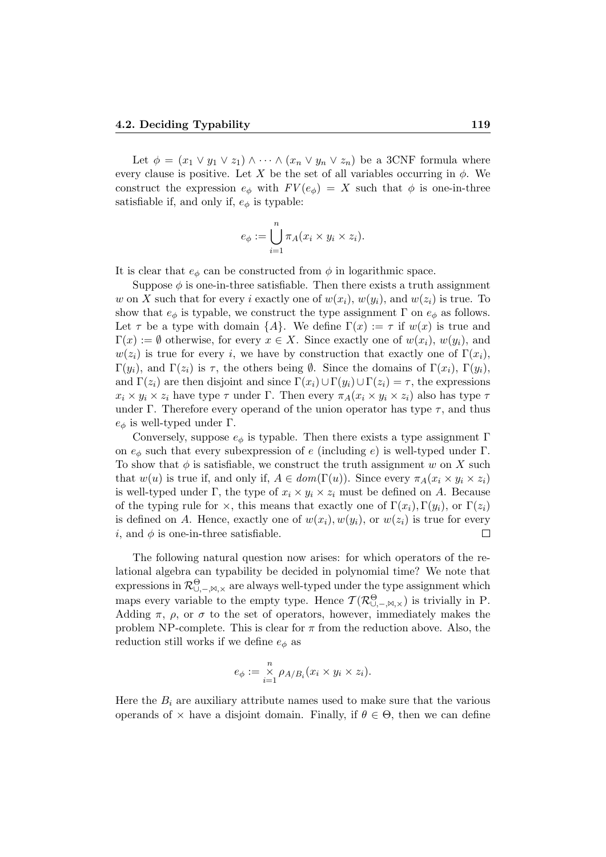Let  $\phi = (x_1 \vee y_1 \vee z_1) \wedge \cdots \wedge (x_n \vee y_n \vee z_n)$  be a 3CNF formula where every clause is positive. Let X be the set of all variables occurring in  $\phi$ . We construct the expression  $e_{\phi}$  with  $FV(e_{\phi}) = X$  such that  $\phi$  is one-in-three satisfiable if, and only if,  $e_{\phi}$  is typable:

$$
e_{\phi} := \bigcup_{i=1}^{n} \pi_A(x_i \times y_i \times z_i).
$$

It is clear that  $e_{\phi}$  can be constructed from  $\phi$  in logarithmic space.

Suppose  $\phi$  is one-in-three satisfiable. Then there exists a truth assignment w on X such that for every i exactly one of  $w(x_i)$ ,  $w(y_i)$ , and  $w(z_i)$  is true. To show that  $e_{\phi}$  is typable, we construct the type assignment  $\Gamma$  on  $e_{\phi}$  as follows. Let  $\tau$  be a type with domain  $\{A\}$ . We define  $\Gamma(x) := \tau$  if  $w(x)$  is true and  $\Gamma(x) := \emptyset$  otherwise, for every  $x \in X$ . Since exactly one of  $w(x_i)$ ,  $w(y_i)$ , and  $w(z_i)$  is true for every i, we have by construction that exactly one of  $\Gamma(x_i)$ ,  $\Gamma(y_i)$ , and  $\Gamma(z_i)$  is  $\tau$ , the others being  $\emptyset$ . Since the domains of  $\Gamma(x_i)$ ,  $\Gamma(y_i)$ , and  $\Gamma(z_i)$  are then disjoint and since  $\Gamma(x_i) \cup \Gamma(y_i) \cup \Gamma(z_i) = \tau$ , the expressions  $x_i \times y_i \times z_i$  have type  $\tau$  under Γ. Then every  $\pi_A(x_i \times y_i \times z_i)$  also has type  $\tau$ under Γ. Therefore every operand of the union operator has type  $\tau$ , and thus  $e_{\phi}$  is well-typed under Γ.

Conversely, suppose  $e_{\phi}$  is typable. Then there exists a type assignment  $\Gamma$ on  $e_{\phi}$  such that every subexpression of e (including e) is well-typed under Γ. To show that  $\phi$  is satisfiable, we construct the truth assignment w on X such that  $w(u)$  is true if, and only if,  $A \in dom(\Gamma(u))$ . Since every  $\pi_A(x_i \times y_i \times z_i)$ is well-typed under Γ, the type of  $x_i \times y_i \times z_i$  must be defined on A. Because of the typing rule for  $\times$ , this means that exactly one of  $\Gamma(x_i)$ ,  $\Gamma(y_i)$ , or  $\Gamma(z_i)$ is defined on A. Hence, exactly one of  $w(x_i), w(y_i)$ , or  $w(z_i)$  is true for every i, and  $\phi$  is one-in-three satisfiable.  $\Box$ 

The following natural question now arises: for which operators of the relational algebra can typability be decided in polynomial time? We note that expressions in  $\mathcal{R}^\Theta_{\cup,-,\bowtie,\times}$  are always well-typed under the type assignment which maps every variable to the empty type. Hence  $\mathcal{T}(\mathcal{R}^{\Theta}_{\cup,-,\bowtie,\times})$  is trivially in P. Adding  $\pi$ ,  $\rho$ , or  $\sigma$  to the set of operators, however, immediately makes the problem NP-complete. This is clear for  $\pi$  from the reduction above. Also, the reduction still works if we define  $e_{\phi}$  as

$$
e_{\phi} := \mathop{\times}\limits_{i=1}^{n} \rho_{A/B_i}(x_i \times y_i \times z_i).
$$

Here the  $B_i$  are auxiliary attribute names used to make sure that the various operands of  $\times$  have a disjoint domain. Finally, if  $\theta \in \Theta$ , then we can define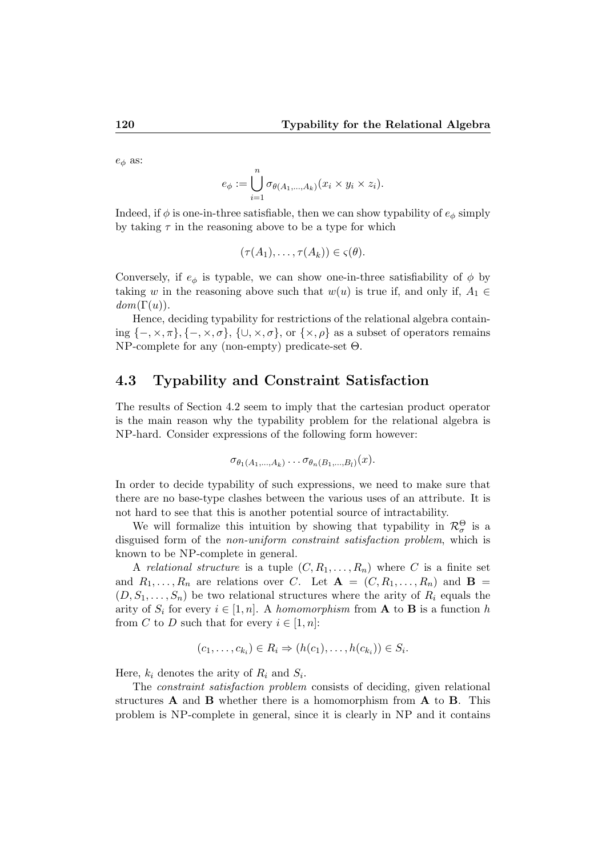$e_{\phi}$  as:

$$
e_{\phi} := \bigcup_{i=1}^{n} \sigma_{\theta(A_1,\ldots,A_k)}(x_i \times y_i \times z_i).
$$

Indeed, if  $\phi$  is one-in-three satisfiable, then we can show typability of  $e_{\phi}$  simply by taking  $\tau$  in the reasoning above to be a type for which

$$
(\tau(A_1),\ldots,\tau(A_k))\in \varsigma(\theta).
$$

Conversely, if  $e_{\phi}$  is typable, we can show one-in-three satisfiability of  $\phi$  by taking w in the reasoning above such that  $w(u)$  is true if, and only if,  $A_1 \in$  $dom(\Gamma(u)).$ 

Hence, deciding typability for restrictions of the relational algebra containing  $\{-, \times, \pi\}, \{-, \times, \sigma\}, \{\cup, \times, \sigma\}, \text{ or } \{\times, \rho\}$  as a subset of operators remains NP-complete for any (non-empty) predicate-set Θ.

#### 4.3 Typability and Constraint Satisfaction

The results of Section 4.2 seem to imply that the cartesian product operator is the main reason why the typability problem for the relational algebra is NP-hard. Consider expressions of the following form however:

$$
\sigma_{\theta_1(A_1,\ldots,A_k)}\ldots \sigma_{\theta_n(B_1,\ldots,B_l)}(x).
$$

In order to decide typability of such expressions, we need to make sure that there are no base-type clashes between the various uses of an attribute. It is not hard to see that this is another potential source of intractability.

We will formalize this intuition by showing that typability in  $\mathcal{R}_{\sigma}^{\Theta}$  is a disguised form of the non-uniform constraint satisfaction problem, which is known to be NP-complete in general.

A relational structure is a tuple  $(C, R_1, \ldots, R_n)$  where C is a finite set and  $R_1, \ldots, R_n$  are relations over C. Let  $\mathbf{A} = (C, R_1, \ldots, R_n)$  and  $\mathbf{B} =$  $(D, S_1, \ldots, S_n)$  be two relational structures where the arity of  $R_i$  equals the arity of  $S_i$  for every  $i \in [1, n]$ . A homomorphism from **A** to **B** is a function h from C to D such that for every  $i \in [1, n]$ :

$$
(c_1,\ldots,c_{k_i})\in R_i\Rightarrow (h(c_1),\ldots,h(c_{k_i}))\in S_i.
$$

Here,  $k_i$  denotes the arity of  $R_i$  and  $S_i$ .

The constraint satisfaction problem consists of deciding, given relational structures A and B whether there is a homomorphism from A to B. This problem is NP-complete in general, since it is clearly in NP and it contains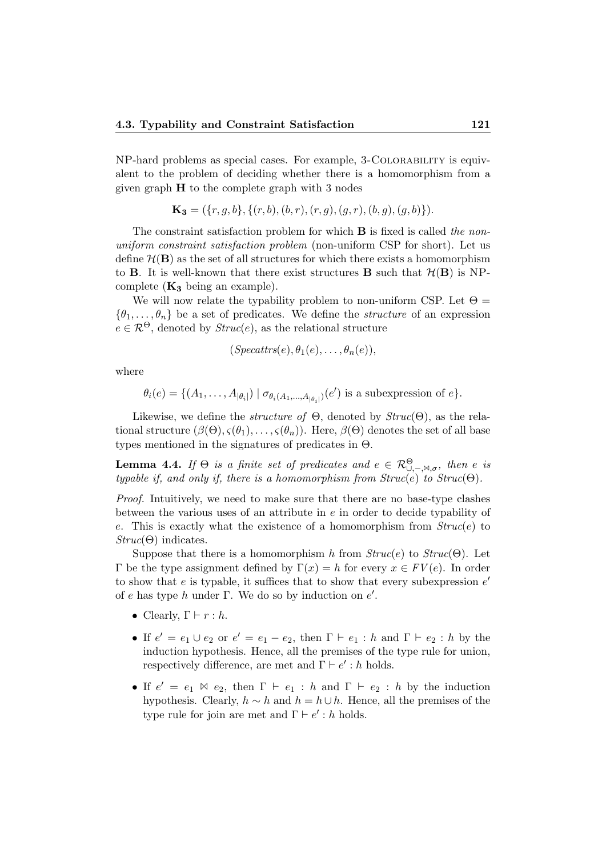NP-hard problems as special cases. For example, 3-Colorability is equivalent to the problem of deciding whether there is a homomorphism from a given graph  $H$  to the complete graph with 3 nodes

$$
\mathbf{K_3} = (\{r, g, b\}, \{(r, b), (b, r), (r, g), (g, r), (b, g), (g, b)\}).
$$

The constraint satisfaction problem for which **B** is fixed is called the nonuniform constraint satisfaction problem (non-uniform CSP for short). Let us define  $H(B)$  as the set of all structures for which there exists a homomorphism to **B**. It is well-known that there exist structures **B** such that  $\mathcal{H}(\mathbf{B})$  is NPcomplete  $(K_3)$  being an example).

We will now relate the typability problem to non-uniform CSP. Let  $\Theta =$  $\{\theta_1, \ldots, \theta_n\}$  be a set of predicates. We define the *structure* of an expression  $e \in \mathcal{R}^{\Theta}$ , denoted by  $Struc(e)$ , as the relational structure

$$
(Specttrs(e), \theta_1(e), \ldots, \theta_n(e)),
$$

where

$$
\theta_i(e) = \{ (A_1, \ldots, A_{|\theta_i|}) \mid \sigma_{\theta_i(A_1, \ldots, A_{|\theta_i|})}(e') \text{ is a subexpression of } e \}.
$$

Likewise, we define the *structure of*  $\Theta$ , denoted by  $Struc(\Theta)$ , as the relational structure  $(\beta(\Theta), \varsigma(\theta_1), \ldots, \varsigma(\theta_n))$ . Here,  $\beta(\Theta)$  denotes the set of all base types mentioned in the signatures of predicates in  $\Theta$ .

**Lemma 4.4.** If  $\Theta$  is a finite set of predicates and  $e \in \mathcal{R}^{\Theta}_{\cup,-,\bowtie,\sigma}$ , then e is typable if, and only if, there is a homomorphism from  $Struc(e)$  to  $Struc(\Theta)$ .

Proof. Intuitively, we need to make sure that there are no base-type clashes between the various uses of an attribute in e in order to decide typability of e. This is exactly what the existence of a homomorphism from  $Struc(e)$  to  $Struc(\Theta)$  indicates.

Suppose that there is a homomorphism h from  $Struc(e)$  to  $Struc(\Theta)$ . Let Γ be the type assignment defined by  $\Gamma(x) = h$  for every  $x \in FV(e)$ . In order to show that  $e$  is typable, it suffices that to show that every subexpression  $e'$ of e has type h under  $\Gamma$ . We do so by induction on  $e'$ .

- Clearly,  $\Gamma \vdash r : h$ .
- If  $e' = e_1 \cup e_2$  or  $e' = e_1 e_2$ , then  $\Gamma \vdash e_1 : h$  and  $\Gamma \vdash e_2 : h$  by the induction hypothesis. Hence, all the premises of the type rule for union, respectively difference, are met and  $\Gamma \vdash e' : h$  holds.
- If  $e' = e_1 \bowtie e_2$ , then  $\Gamma \vdash e_1 : h$  and  $\Gamma \vdash e_2 : h$  by the induction hypothesis. Clearly,  $h \sim h$  and  $h = h \cup h$ . Hence, all the premises of the type rule for join are met and  $\Gamma \vdash e' : h$  holds.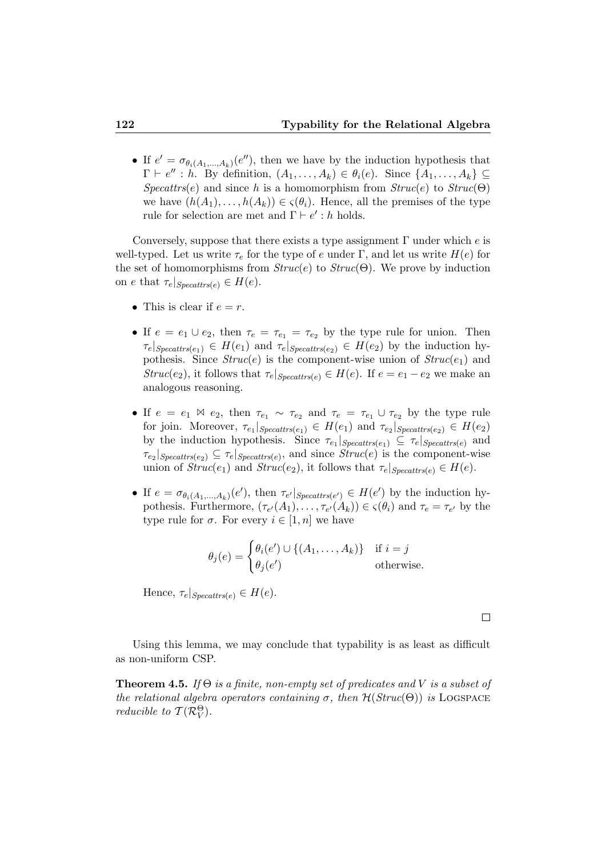• If  $e' = \sigma_{\theta_i(A_1,...,A_k)}(e'')$ , then we have by the induction hypothesis that  $\Gamma \vdash e'' : h.$  By definition,  $(A_1, \ldots, A_k) \in \theta_i(e)$ . Since  $\{A_1, \ldots, A_k\} \subseteq$  $Specttrs(e)$  and since h is a homomorphism from  $Struc(e)$  to  $Struc(\Theta)$ we have  $(h(A_1), \ldots, h(A_k)) \in \varsigma(\theta_i)$ . Hence, all the premises of the type rule for selection are met and  $\Gamma \vdash e' : h$  holds.

Conversely, suppose that there exists a type assignment  $\Gamma$  under which e is well-typed. Let us write  $\tau_e$  for the type of e under Γ, and let us write  $H(e)$  for the set of homomorphisms from  $Struc(e)$  to  $Struc(\Theta)$ . We prove by induction on e that  $\tau_e|_{Specttrs(e)} \in H(e)$ .

- This is clear if  $e = r$ .
- If  $e = e_1 \cup e_2$ , then  $\tau_e = \tau_{e_1} = \tau_{e_2}$  by the type rule for union. Then  $\tau_e|_{Specttrs(e_1)} \in H(e_1)$  and  $\tau_e|_{Specttrs(e_2)} \in H(e_2)$  by the induction hypothesis. Since  $Struc(e)$  is the component-wise union of  $Struc(e_1)$  and  $Struc(e_2)$ , it follows that  $\tau_e|_{Specttrs}(e) \in H(e)$ . If  $e = e_1 - e_2$  we make an analogous reasoning.
- If  $e = e_1 \bowtie e_2$ , then  $\tau_{e_1} \sim \tau_{e_2}$  and  $\tau_e = \tau_{e_1} \cup \tau_{e_2}$  by the type rule for join. Moreover,  $\tau_{e_1}|_{Specttrs(e_1)} \in H(e_1)$  and  $\tau_{e_2}|_{Specttrs(e_2)} \in H(e_2)$ by the induction hypothesis. Since  $\tau_{e_1}|_{Specatts(e_1)} \subseteq \tau_e|_{Specatts(e)}$  and  $\tau_{e_2}|_{Specttrs(e_2)} \subseteq \tau_e|_{Specttrs(e)},$  and since  $Struc(e)$  is the component-wise union of  $Struc(e_1)$  and  $Struc(e_2)$ , it follows that  $\tau_e|_{Specttrs(e)} \in H(e)$ .
- If  $e = \sigma_{\theta_i(A_1,...,A_k)}(e')$ , then  $\tau_{e'}|_{Specatts(e')} \in H(e')$  by the induction hypothesis. Furthermore,  $(\tau_{e'}(A_1), \ldots, \tau_{e'}(A_k)) \in \varsigma(\theta_i)$  and  $\tau_e = \tau_{e'}$  by the type rule for  $\sigma$ . For every  $i \in [1, n]$  we have

$$
\theta_j(e) = \begin{cases} \theta_i(e') \cup \{(A_1, \dots, A_k)\} & \text{if } i = j \\ \theta_j(e') & \text{otherwise.} \end{cases}
$$

Hence,  $\tau_e|_{Specttrs(e)} \in H(e)$ .

 $\Box$ 

Using this lemma, we may conclude that typability is as least as difficult as non-uniform CSP.

**Theorem 4.5.** If  $\Theta$  is a finite, non-empty set of predicates and V is a subset of the relational algebra operators containing  $\sigma$ , then  $\mathcal{H}(Struc(\Theta))$  is LOGSPACE reducible to  $\mathcal{T}(\mathcal{R}_V^{\Theta})$ .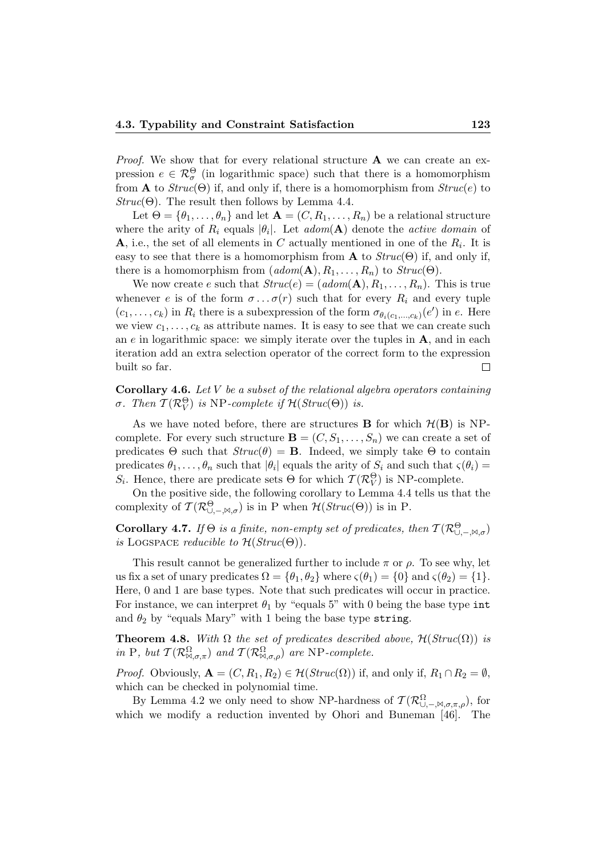*Proof.* We show that for every relational structure  $A$  we can create an expression  $e \in \mathcal{R}_{\sigma}^{\Theta}$  (in logarithmic space) such that there is a homomorphism from **A** to  $Struc(\Theta)$  if, and only if, there is a homomorphism from  $Struc(e)$  to  $Struc(\Theta)$ . The result then follows by Lemma 4.4.

Let  $\Theta = {\theta_1, \ldots, \theta_n}$  and let  $\mathbf{A} = (C, R_1, \ldots, R_n)$  be a relational structure where the arity of  $R_i$  equals  $|\theta_i|$ . Let  $\alpha dom(\mathbf{A})$  denote the  $\alpha$ ctive domain of **A**, i.e., the set of all elements in C actually mentioned in one of the  $R_i$ . It is easy to see that there is a homomorphism from **A** to  $Struc(\Theta)$  if, and only if, there is a homomorphism from  $(adom(\mathbf{A}), R_1, \ldots, R_n)$  to  $Struc(\Theta)$ .

We now create e such that  $Struc(e) = (adom(\mathbf{A}), R_1, \ldots, R_n)$ . This is true whenever e is of the form  $\sigma \dots \sigma(r)$  such that for every  $R_i$  and every tuple  $(c_1, \ldots, c_k)$  in  $R_i$  there is a subexpression of the form  $\sigma_{\theta_i(c_1,\ldots,c_k)}(e')$  in e. Here we view  $c_1, \ldots, c_k$  as attribute names. It is easy to see that we can create such an  $e$  in logarithmic space: we simply iterate over the tuples in  $A$ , and in each iteration add an extra selection operator of the correct form to the expression built so far.  $\Box$ 

**Corollary 4.6.** Let  $V$  be a subset of the relational algebra operators containing σ. Then  $\mathcal{T}(\mathcal{R}_V^{\Theta})$  is NP-complete if  $\mathcal{H}(Struc(\Theta))$  is.

As we have noted before, there are structures **B** for which  $\mathcal{H}(\mathbf{B})$  is NPcomplete. For every such structure  $\mathbf{B} = (C, S_1, \ldots, S_n)$  we can create a set of predicates  $\Theta$  such that  $Struc(\theta) = \mathbf{B}$ . Indeed, we simply take  $\Theta$  to contain predicates  $\theta_1, \ldots, \theta_n$  such that  $|\theta_i|$  equals the arity of  $S_i$  and such that  $\varsigma(\theta_i)$ S<sub>i</sub>. Hence, there are predicate sets  $\Theta$  for which  $\mathcal{T}(\mathcal{R}_V^{\Theta})$  is NP-complete.

On the positive side, the following corollary to Lemma 4.4 tells us that the complexity of  $T(\mathcal{R}^{\Theta}_{\cup,-,\bowtie,\sigma})$  is in P when  $\mathcal{H}(Struc(\Theta))$  is in P.

**Corollary 4.7.** If  $\Theta$  is a finite, non-empty set of predicates, then  $T(\mathcal{R}_{\cup,-,\bowtie,\sigma}^{\Theta})$ is LOGSPACE reducible to  $\mathcal{H}(Struc(\Theta)).$ 

This result cannot be generalized further to include  $\pi$  or  $\rho$ . To see why, let us fix a set of unary predicates  $\Omega = {\theta_1, \theta_2}$  where  $\varsigma(\theta_1) = {0}$  and  $\varsigma(\theta_2) = {1}$ . Here, 0 and 1 are base types. Note that such predicates will occur in practice. For instance, we can interpret  $\theta_1$  by "equals 5" with 0 being the base type int and  $\theta_2$  by "equals Mary" with 1 being the base type string.

**Theorem 4.8.** With  $\Omega$  the set of predicates described above,  $\mathcal{H}(Struc(\Omega))$  is in P, but  $T(\mathcal{R}_{\mathbb{M},\sigma,\pi}^{\Omega})$  and  $T(\mathcal{R}_{\mathbb{M},\sigma,\rho}^{\Omega})$  are NP-complete.

*Proof.* Obviously,  $\mathbf{A} = (C, R_1, R_2) \in \mathcal{H}(Struc(\Omega))$  if, and only if,  $R_1 \cap R_2 = \emptyset$ , which can be checked in polynomial time.

By Lemma 4.2 we only need to show NP-hardness of  $\mathcal{T}(\mathcal{R}^{\Omega}_{\cup,-\mathcal{M},\sigma,\pi,\rho}),$  for which we modify a reduction invented by Ohori and Buneman [46]. The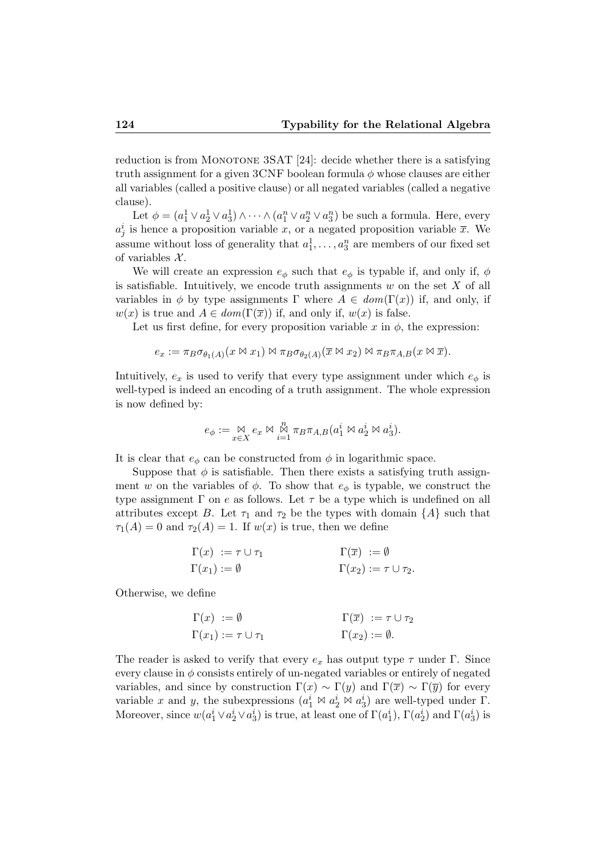reduction is from MONOTONE  $3SAT [24]$ : decide whether there is a satisfying truth assignment for a given 3CNF boolean formula  $\phi$  whose clauses are either all variables (called a positive clause) or all negated variables (called a negative clause).

Let  $\phi = (a_1^1 \vee a_2^1 \vee a_3^1) \wedge \cdots \wedge (a_1^n \vee a_2^n \vee a_3^n)$  be such a formula. Here, every  $a_j^i$  is hence a proposition variable x, or a negated proposition variable  $\overline{x}$ . We assume without loss of generality that  $a_1^1, \ldots, a_3^n$  are members of our fixed set of variables  $\mathcal{X}$ .

We will create an expression  $e_{\phi}$  such that  $e_{\phi}$  is typable if, and only if,  $\phi$ is satisfiable. Intuitively, we encode truth assignments  $w$  on the set  $X$  of all variables in  $\phi$  by type assignments  $\Gamma$  where  $A \in dom(\Gamma(x))$  if, and only, if  $w(x)$  is true and  $A \in dom(\Gamma(\overline{x}))$  if, and only if,  $w(x)$  is false.

Let us first define, for every proposition variable x in  $\phi$ , the expression:

$$
e_x := \pi_B \sigma_{\theta_1(A)}(x \bowtie x_1) \bowtie \pi_B \sigma_{\theta_2(A)}(\overline{x} \bowtie x_2) \bowtie \pi_B \pi_{A,B}(x \bowtie \overline{x}).
$$

Intuitively,  $e_x$  is used to verify that every type assignment under which  $e_{\phi}$  is well-typed is indeed an encoding of a truth assignment. The whole expression is now defined by:

$$
e_{\phi} := \underset{x \in X}{\bowtie} e_x \bowtie \underset{i=1}{\overset{n}{\bowtie}} \pi_B \pi_{A,B}(a_1^i \bowtie a_2^i \bowtie a_3^i).
$$

It is clear that  $e_{\phi}$  can be constructed from  $\phi$  in logarithmic space.

Suppose that  $\phi$  is satisfiable. Then there exists a satisfying truth assignment w on the variables of  $\phi$ . To show that  $e_{\phi}$  is typable, we construct the type assignment  $\Gamma$  on e as follows. Let  $\tau$  be a type which is undefined on all attributes except B. Let  $\tau_1$  and  $\tau_2$  be the types with domain  $\{A\}$  such that  $\tau_1(A) = 0$  and  $\tau_2(A) = 1$ . If  $w(x)$  is true, then we define

$$
\Gamma(x) := \tau \cup \tau_1 \qquad \qquad \Gamma(\overline{x}) := \emptyset \n\Gamma(x_1) := \emptyset \qquad \qquad \Gamma(x_2) := \tau \cup \tau_2.
$$

Otherwise, we define

$$
\Gamma(x) := \emptyset \qquad \qquad \Gamma(\overline{x}) := \tau \cup \tau_2
$$
  

$$
\Gamma(x_1) := \tau \cup \tau_1 \qquad \qquad \Gamma(x_2) := \emptyset.
$$

The reader is asked to verify that every  $e_x$  has output type  $\tau$  under Γ. Since every clause in  $\phi$  consists entirely of un-negated variables or entirely of negated variables, and since by construction  $\Gamma(x) \sim \Gamma(y)$  and  $\Gamma(\overline{x}) \sim \Gamma(\overline{y})$  for every variable x and y, the subexpressions  $(a_1^i \bowtie a_2^i \bowtie a_3^i)$  are well-typed under  $\Gamma$ . Moreover, since  $w(a_1^i \vee a_2^i \vee a_3^i)$  is true, at least one of  $\Gamma(a_1^i)$ ,  $\Gamma(a_2^i)$  and  $\Gamma(a_3^i)$  is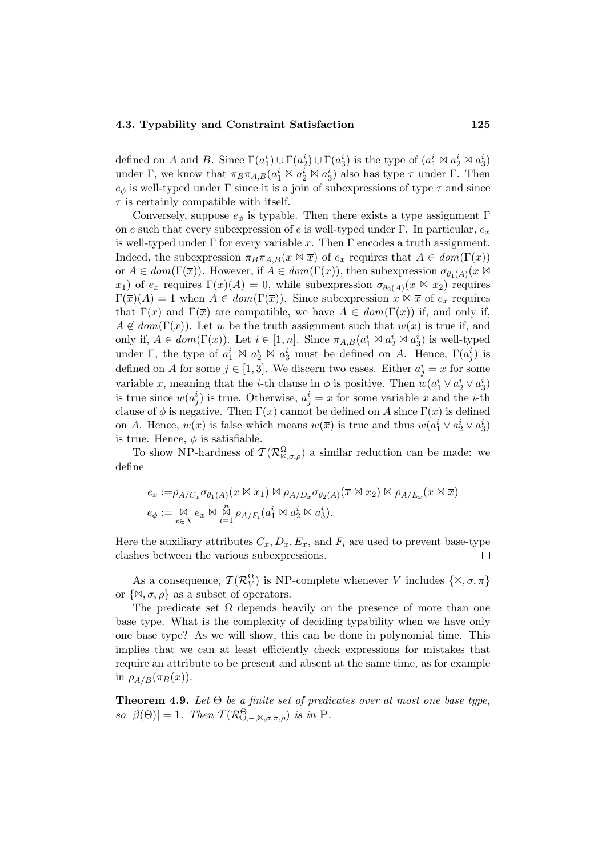defined on A and B. Since  $\Gamma(a_1^i) \cup \Gamma(a_2^i) \cup \Gamma(a_3^i)$  is the type of  $(a_1^i \bowtie a_2^i \bowtie a_3^i)$ under Γ, we know that  $\pi_B \pi_{A,B}(a_1^i \bowtie a_2^i \bowtie a_3^i)$  also has type  $\tau$  under Γ. Then  $e_{\phi}$  is well-typed under  $\Gamma$  since it is a join of subexpressions of type  $\tau$  and since  $\tau$  is certainly compatible with itself.

Conversely, suppose  $e_{\phi}$  is typable. Then there exists a type assignment  $\Gamma$ on e such that every subexpression of e is well-typed under Γ. In particular,  $e_x$ is well-typed under  $\Gamma$  for every variable x. Then  $\Gamma$  encodes a truth assignment. Indeed, the subexpression  $\pi_B \pi_{A,B}(x \bowtie \overline{x})$  of  $e_x$  requires that  $A \in dom(\Gamma(x))$ or  $A \in dom(\Gamma(\overline{x}))$ . However, if  $A \in dom(\Gamma(x))$ , then subexpression  $\sigma_{\theta_1(A)}(x \bowtie$  $x_1$ ) of  $e_x$  requires  $\Gamma(x)(A) = 0$ , while subexpression  $\sigma_{\theta_2(A)}(\overline{x} \bowtie x_2)$  requires  $\Gamma(\overline{x})(A) = 1$  when  $A \in dom(\Gamma(\overline{x}))$ . Since subexpression  $x \bowtie \overline{x}$  of  $e_x$  requires that  $\Gamma(x)$  and  $\Gamma(\overline{x})$  are compatible, we have  $A \in dom(\Gamma(x))$  if, and only if,  $A \notin dom(\Gamma(\overline{x}))$ . Let w be the truth assignment such that  $w(x)$  is true if, and only if,  $A \in dom(\Gamma(x))$ . Let  $i \in [1, n]$ . Since  $\pi_{A,B}(a_1^i \bowtie a_2^i \bowtie a_3^i)$  is well-typed under Γ, the type of  $a_1^i \bowtie a_2^i \bowtie a_3^i$  must be defined on A. Hence,  $\Gamma(a_j^i)$  is defined on A for some  $j \in [1,3]$ . We discern two cases. Either  $a_j^i = x$  for some variable x, meaning that the *i*-th clause in  $\phi$  is positive. Then  $w(a_1^i \vee a_2^i \vee a_3^i)$ is true since  $w(a_j^i)$  is true. Otherwise,  $a_j^i = \overline{x}$  for some variable x and the *i*-th clause of  $\phi$  is negative. Then  $\Gamma(x)$  cannot be defined on A since  $\Gamma(\overline{x})$  is defined on A. Hence,  $w(x)$  is false which means  $w(\overline{x})$  is true and thus  $w(a_1^i \vee a_2^i \vee a_3^i)$ is true. Hence,  $\phi$  is satisfiable.

To show NP-hardness of  $\mathcal{T}(\mathcal{R}^{\Omega}_{\bowtie,\sigma,\rho})$  a similar reduction can be made: we define

$$
e_x := \rho_{A/C_x} \sigma_{\theta_1(A)}(x \bowtie x_1) \bowtie \rho_{A/D_x} \sigma_{\theta_2(A)}(\overline{x} \bowtie x_2) \bowtie \rho_{A/E_x}(x \bowtie \overline{x})
$$
  

$$
e_{\phi} := \underset{x \in X}{\bowtie} e_x \bowtie \underset{i=1}{\overset{n}{\bowtie}} \rho_{A/F_i}(a_1^i \bowtie a_2^i \bowtie a_3^i).
$$

Here the auxiliary attributes  $C_x, D_x, E_x$ , and  $F_i$  are used to prevent base-type clashes between the various subexpressions.  $\Box$ 

As a consequence,  $\mathcal{T}(\mathcal{R}_V^{\Omega})$  is NP-complete whenever V includes  $\{\bowtie, \sigma, \pi\}$ or  $\{\mathbb{N}, \sigma, \rho\}$  as a subset of operators.

The predicate set  $\Omega$  depends heavily on the presence of more than one base type. What is the complexity of deciding typability when we have only one base type? As we will show, this can be done in polynomial time. This implies that we can at least efficiently check expressions for mistakes that require an attribute to be present and absent at the same time, as for example in  $\rho_{A/B}(\pi_B(x)).$ 

**Theorem 4.9.** Let  $\Theta$  be a finite set of predicates over at most one base type, so  $|\beta(\Theta)| = 1$ . Then  $\mathcal{T}(\mathcal{R}^{\Theta}_{\cup,-,\bowtie,\sigma,\pi,\rho})$  is in P.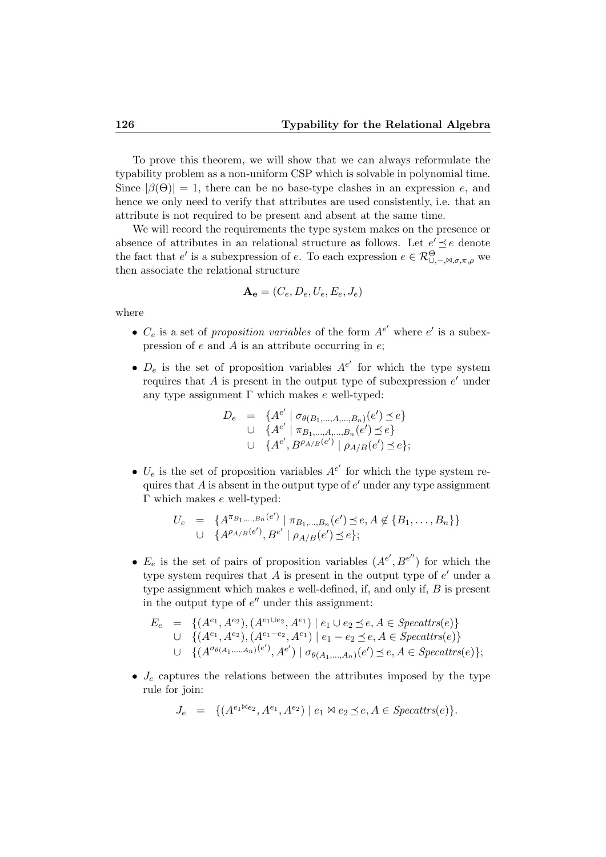To prove this theorem, we will show that we can always reformulate the typability problem as a non-uniform CSP which is solvable in polynomial time. Since  $|\beta(\Theta)| = 1$ , there can be no base-type clashes in an expression e, and hence we only need to verify that attributes are used consistently, i.e. that an attribute is not required to be present and absent at the same time.

We will record the requirements the type system makes on the presence or absence of attributes in an relational structure as follows. Let  $e' \preceq e$  denote the fact that e' is a subexpression of e. To each expression  $e \in \mathcal{R}^{\Theta}_{\cup,-\bowtie,\sigma,\pi,\rho}$  we then associate the relational structure

$$
\mathbf{A_e} = (C_e, D_e, U_e, E_e, J_e)
$$

where

- $C_e$  is a set of proposition variables of the form  $A^{e'}$  where  $e'$  is a subexpression of  $e$  and  $\overline{A}$  is an attribute occurring in  $e$ ;
- $D_e$  is the set of proposition variables  $A^{e'}$  for which the type system requires that  $A$  is present in the output type of subexpression  $e'$  under any type assignment Γ which makes  $e$  well-typed:

$$
D_e = \{ A^{e'} \mid \sigma_{\theta(B_1,\dots,A,\dots,B_n)}(e') \preceq e \}
$$
  
\n
$$
\cup \{ A^{e'} \mid \pi_{B_1,\dots,A,\dots,B_n}(e') \preceq e \}
$$
  
\n
$$
\cup \{ A^{e'}, B^{\rho_{A/B}(e')} \mid \rho_{A/B}(e') \preceq e \};
$$

•  $U_e$  is the set of proposition variables  $A^{e'}$  for which the type system requires that  $A$  is absent in the output type of  $e'$  under any type assignment Γ which makes e well-typed:

$$
U_e = \{A^{\pi_{B_1,...,B_n}(e')} | \pi_{B_1,...,B_n}(e') \preceq e, A \notin \{B_1,...,B_n\}\}\
$$
  

$$
\cup \{A^{\rho_{A/B}(e')}, B^{e'} | \rho_{A/B}(e') \preceq e\};
$$

•  $E_e$  is the set of pairs of proposition variables  $(A^{e'}, B^{e''})$  for which the type system requires that  $A$  is present in the output type of  $e'$  under a type assignment which makes  $e$  well-defined, if, and only if,  $B$  is present in the output type of  $e^{\prime\prime}$  under this assignment:

$$
E_e = \{ (A^{e_1}, A^{e_2}), (A^{e_1 \cup e_2}, A^{e_1}) \mid e_1 \cup e_2 \le e, A \in \text{Specttrs}(e) \} \cup \{ (A^{e_1}, A^{e_2}), (A^{e_1 - e_2}, A^{e_1}) \mid e_1 - e_2 \le e, A \in \text{Specttrs}(e) \} \cup \{ (A^{\sigma_{\theta(A_1,\dots,A_n)}(e'), A^{e'})} \mid \sigma_{\theta(A_1,\dots,A_n)}(e') \le e, A \in \text{Specttrs}(e) \};
$$

•  $J_e$  captures the relations between the attributes imposed by the type rule for join:

$$
J_e = \{ (A^{e_1 \bowtie e_2}, A^{e_1}, A^{e_2}) \mid e_1 \bowtie e_2 \preceq e, A \in \text{Specattrs}(e) \}.
$$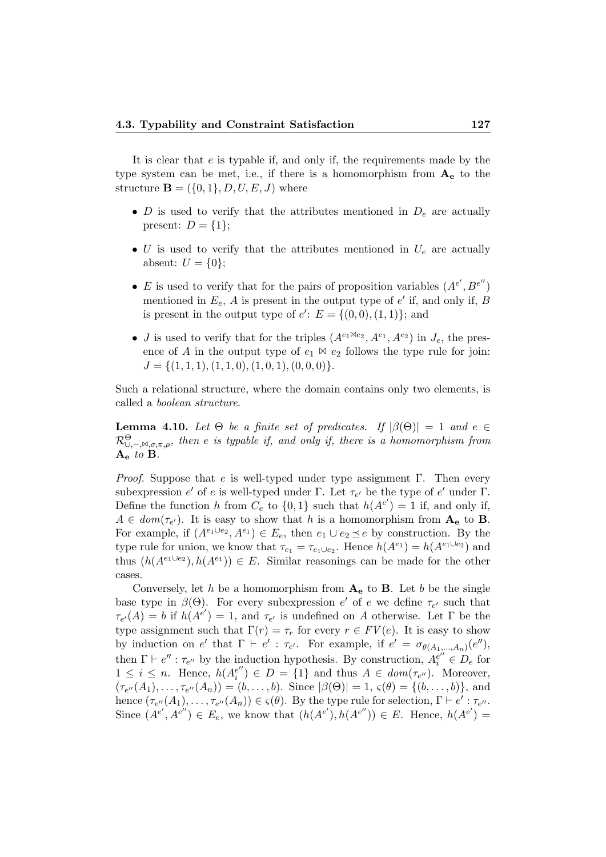It is clear that  $e$  is typable if, and only if, the requirements made by the type system can be met, i.e., if there is a homomorphism from  $A_{e}$  to the structure  $\mathbf{B} = (\{0, 1\}, D, U, E, J)$  where

- D is used to verify that the attributes mentioned in  $D_e$  are actually present:  $D = \{1\};$
- U is used to verify that the attributes mentioned in  $U_e$  are actually absent:  $U = \{0\};$
- E is used to verify that for the pairs of proposition variables  $(A^{e'}, B^{e''})$ mentioned in  $E_e$ , A is present in the output type of  $e'$  if, and only if, B is present in the output type of  $e'$ :  $E = \{(0,0), (1,1)\}$ ; and
- *J* is used to verify that for the triples  $(A^{e_1 \bowtie e_2}, A^{e_1}, A^{e_2})$  in  $J_e$ , the presence of A in the output type of  $e_1 \bowtie e_2$  follows the type rule for join:  $J = \{(1, 1, 1), (1, 1, 0), (1, 0, 1), (0, 0, 0)\}.$

Such a relational structure, where the domain contains only two elements, is called a boolean structure.

**Lemma 4.10.** Let  $\Theta$  be a finite set of predicates. If  $|\beta(\Theta)| = 1$  and  $e \in \Theta$  $\mathcal{R}^\Theta_{\cup,-,\bowtie,\sigma,\pi,\rho}$ , then e is typable if, and only if, there is a homomorphism from  $A_{\rm e}$  to  $B$ .

*Proof.* Suppose that e is well-typed under type assignment  $\Gamma$ . Then every subexpression  $e'$  of e is well-typed under  $\Gamma$ . Let  $\tau_{e'}$  be the type of  $e'$  under  $\Gamma$ . Define the function h from  $C_e$  to  $\{0,1\}$  such that  $h(A^{e'}) = 1$  if, and only if,  $A \in dom(\tau_{e'})$ . It is easy to show that h is a homomorphism from  $A_e$  to **B**. For example, if  $(A^{e_1 \cup e_2}, A^{e_1}) \in E_e$ , then  $e_1 \cup e_2 \preceq e$  by construction. By the type rule for union, we know that  $\tau_{e_1} = \tau_{e_1 \cup e_2}$ . Hence  $h(A^{e_1}) = h(A^{e_1 \cup e_2})$  and thus  $(h(A^{e_1 \cup e_2}), h(A^{e_1})) \in E$ . Similar reasonings can be made for the other cases.

Conversely, let h be a homomorphism from  $A_e$  to B. Let b be the single base type in  $\beta(\Theta)$ . For every subexpression e' of e we define  $\tau_{e'}$  such that  $\tau_{e'}(A) = b$  if  $h(A^{e'}) = 1$ , and  $\tau_{e'}$  is undefined on A otherwise. Let  $\Gamma$  be the type assignment such that  $\Gamma(r) = \tau_r$  for every  $r \in FV(e)$ . It is easy to show by induction on e' that  $\Gamma \vdash e' : \tau_{e'}$ . For example, if  $e' = \sigma_{\theta(A_1,...,A_n)}(e'')$ , then  $\Gamma \vdash e'' : \tau_{e''}$  by the induction hypothesis. By construction,  $A_i^{e''} \in D_e$  for  $1 \leq i \leq n$ . Hence,  $h(A_i^{e^{\prime\prime}})$  $e_i^{e'}$ )  $\in D = \{1\}$  and thus  $A \in dom(\tau_{e''})$ . Moreover,  $(\tau_{e''}(A_1), \ldots, \tau_{e''}(A_n)) = (b, \ldots, b).$  Since  $|\beta(\Theta)| = 1$ ,  $\varsigma(\theta) = \{(b, \ldots, b)\}\$ , and hence  $(\tau_{e''}(A_1), \ldots, \tau_{e''}(A_n)) \in \varsigma(\theta)$ . By the type rule for selection,  $\Gamma \vdash e' : \tau_{e''}.$ Since  $(A^{e'}, A^{e''}) \in E_e$ , we know that  $(h(A^{e'}), h(A^{e''})) \in E$ . Hence,  $h(A^{e'}) =$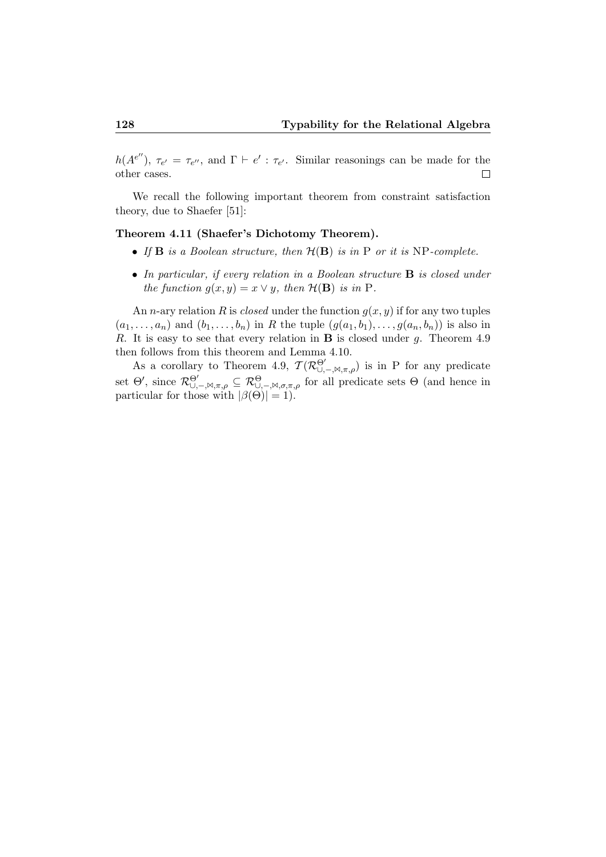$h(Ae'')$ ,  $\tau_{e'} = \tau_{e''}$ , and  $\Gamma \vdash e' : \tau_{e'}$ . Similar reasonings can be made for the other cases.  $\Box$ 

We recall the following important theorem from constraint satisfaction theory, due to Shaefer [51]:

#### Theorem 4.11 (Shaefer's Dichotomy Theorem).

- If  $\bf{B}$  is a Boolean structure, then  $\mathcal{H}(\bf{B})$  is in  $\bf{P}$  or it is NP-complete.
- In particular, if every relation in a Boolean structure **B** is closed under the function  $g(x, y) = x \vee y$ , then  $\mathcal{H}(\mathbf{B})$  is in P.

An *n*-ary relation R is *closed* under the function  $g(x, y)$  if for any two tuples  $(a_1, \ldots, a_n)$  and  $(b_1, \ldots, b_n)$  in R the tuple  $(g(a_1, b_1), \ldots, g(a_n, b_n))$  is also in R. It is easy to see that every relation in  $\bf{B}$  is closed under g. Theorem 4.9 then follows from this theorem and Lemma 4.10.

As a corollary to Theorem 4.9,  $\mathcal{T}(\mathcal{R}^{\Theta'}_{\cup,-},\mathbb{M},\pi,\rho)$  is in P for any predicate set  $\Theta'$ , since  $\mathcal{R}^{\Theta'}_{\cup,-,\bowtie,\pi,\rho} \subseteq \mathcal{R}^{\Theta}_{\cup,-,\bowtie,\sigma,\pi,\rho}$  for all predicate sets  $\Theta$  (and hence in particular for those with  $|\beta(\Theta)| = 1$ .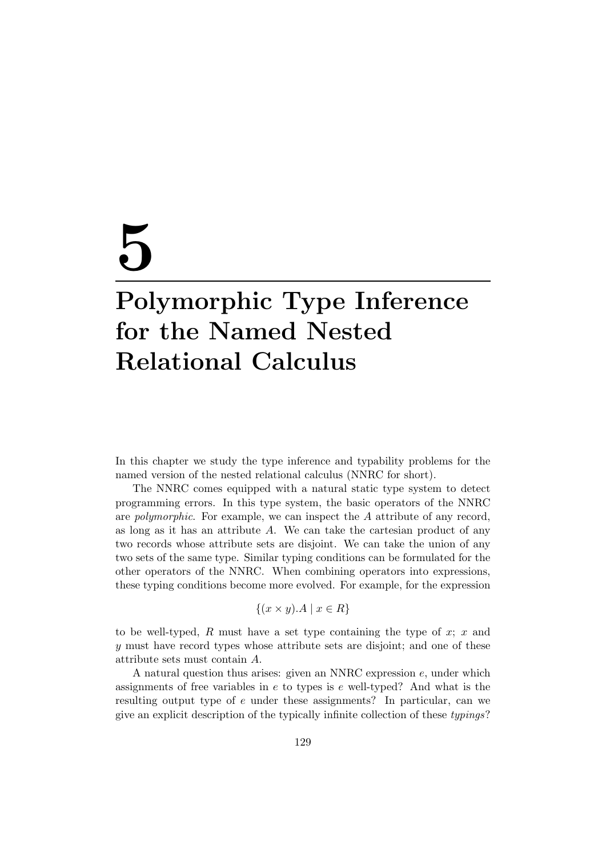# 5

# Polymorphic Type Inference for the Named Nested Relational Calculus

In this chapter we study the type inference and typability problems for the named version of the nested relational calculus (NNRC for short).

The NNRC comes equipped with a natural static type system to detect programming errors. In this type system, the basic operators of the NNRC are *polymorphic*. For example, we can inspect the  $A$  attribute of any record, as long as it has an attribute A. We can take the cartesian product of any two records whose attribute sets are disjoint. We can take the union of any two sets of the same type. Similar typing conditions can be formulated for the other operators of the NNRC. When combining operators into expressions, these typing conditions become more evolved. For example, for the expression

$$
\{(x \times y).A \mid x \in R\}
$$

to be well-typed,  $R$  must have a set type containing the type of  $x; x$  and y must have record types whose attribute sets are disjoint; and one of these attribute sets must contain A.

A natural question thus arises: given an NNRC expression  $e$ , under which assignments of free variables in  $e$  to types is  $e$  well-typed? And what is the resulting output type of e under these assignments? In particular, can we give an explicit description of the typically infinite collection of these typings?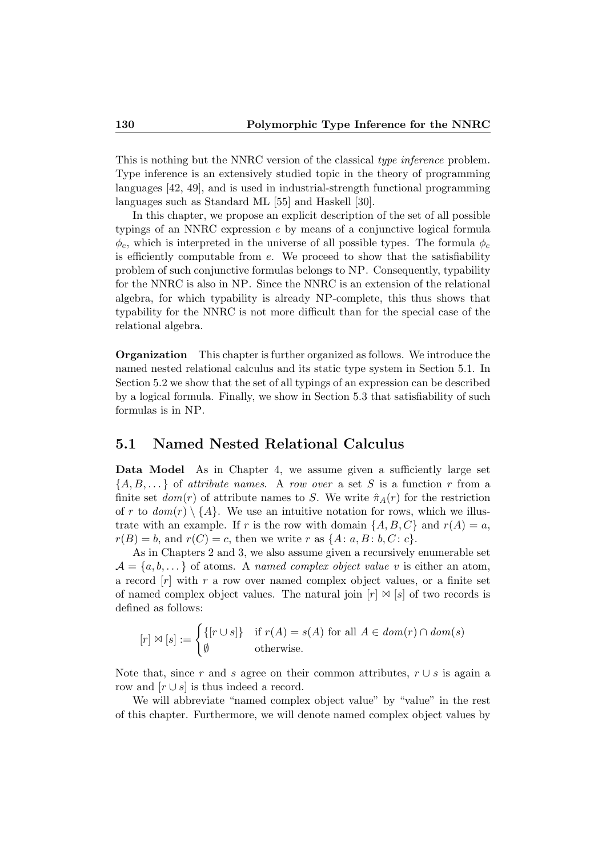This is nothing but the NNRC version of the classical type inference problem. Type inference is an extensively studied topic in the theory of programming languages [42, 49], and is used in industrial-strength functional programming languages such as Standard ML [55] and Haskell [30].

In this chapter, we propose an explicit description of the set of all possible typings of an NNRC expression e by means of a conjunctive logical formula  $\phi_e$ , which is interpreted in the universe of all possible types. The formula  $\phi_e$ is efficiently computable from e. We proceed to show that the satisfiability problem of such conjunctive formulas belongs to NP. Consequently, typability for the NNRC is also in NP. Since the NNRC is an extension of the relational algebra, for which typability is already NP-complete, this thus shows that typability for the NNRC is not more difficult than for the special case of the relational algebra.

Organization This chapter is further organized as follows. We introduce the named nested relational calculus and its static type system in Section 5.1. In Section 5.2 we show that the set of all typings of an expression can be described by a logical formula. Finally, we show in Section 5.3 that satisfiability of such formulas is in NP.

#### 5.1 Named Nested Relational Calculus

Data Model As in Chapter 4, we assume given a sufficiently large set  ${A, B, \ldots}$  of *attribute names.* A row over a set S is a function r from a finite set  $dom(r)$  of attribute names to S. We write  $\hat{\pi}_A(r)$  for the restriction of r to  $dom(r) \setminus \{A\}$ . We use an intuitive notation for rows, which we illustrate with an example. If r is the row with domain  $\{A, B, C\}$  and  $r(A) = a$ ,  $r(B) = b$ , and  $r(C) = c$ , then we write r as  $\{A: a, B: b, C: c\}.$ 

As in Chapters 2 and 3, we also assume given a recursively enumerable set  $\mathcal{A} = \{a, b, \dots\}$  of atoms. A named complex object value v is either an atom, a record  $[r]$  with r a row over named complex object values, or a finite set of named complex object values. The natural join  $[r] \bowtie [s]$  of two records is defined as follows:

$$
[r] \bowtie [s] := \begin{cases} \{ [r \cup s] \} & \text{if } r(A) = s(A) \text{ for all } A \in dom(r) \cap dom(s) \\ \emptyset & \text{otherwise.} \end{cases}
$$

Note that, since r and s agree on their common attributes,  $r \cup s$  is again a row and  $[r \cup s]$  is thus indeed a record.

We will abbreviate "named complex object value" by "value" in the rest of this chapter. Furthermore, we will denote named complex object values by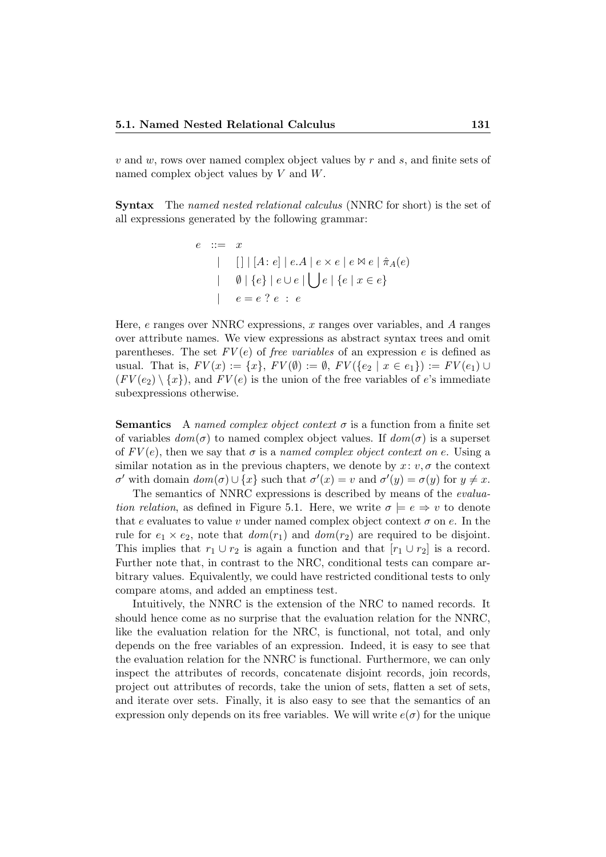$v$  and  $w$ , rows over named complex object values by  $r$  and  $s$ , and finite sets of named complex object values by V and W.

Syntax The named nested relational calculus (NNRC for short) is the set of all expressions generated by the following grammar:

$$
e ::= x
$$
  
\n
$$
| [ ] | [A : e] | e.A | e \times e | e \otimes e | \hat{\pi}_A(e)
$$
  
\n
$$
| \emptyset | \{e\} | e \cup e | \bigcup e | \{e | x \in e\}
$$
  
\n
$$
| e = e ? e : e
$$

Here,  $e$  ranges over NNRC expressions,  $x$  ranges over variables, and  $A$  ranges over attribute names. We view expressions as abstract syntax trees and omit parentheses. The set  $FV(e)$  of free variables of an expression e is defined as usual. That is,  $FV(x) := \{x\}$ ,  $FV(\emptyset) := \emptyset$ ,  $FV(\{e_2 \mid x \in e_1\}) := FV(e_1) \cup$  $(FV(e_2) \setminus \{x\})$ , and  $FV(e)$  is the union of the free variables of e's immediate subexpressions otherwise.

**Semantics** A named complex object context  $\sigma$  is a function from a finite set of variables  $dom(\sigma)$  to named complex object values. If  $dom(\sigma)$  is a superset of  $FV(e)$ , then we say that  $\sigma$  is a named complex object context on e. Using a similar notation as in the previous chapters, we denote by  $x: v, \sigma$  the context σ' with domain  $dom(σ) ∪ {x}$  such that  $σ'(x) = v$  and  $σ'(y) = σ(y)$  for  $y ≠ x$ .

The semantics of NNRC expressions is described by means of the evaluation relation, as defined in Figure 5.1. Here, we write  $\sigma \models e \Rightarrow v$  to denote that e evaluates to value v under named complex object context  $\sigma$  on e. In the rule for  $e_1 \times e_2$ , note that  $dom(r_1)$  and  $dom(r_2)$  are required to be disjoint. This implies that  $r_1 \cup r_2$  is again a function and that  $[r_1 \cup r_2]$  is a record. Further note that, in contrast to the NRC, conditional tests can compare arbitrary values. Equivalently, we could have restricted conditional tests to only compare atoms, and added an emptiness test.

Intuitively, the NNRC is the extension of the NRC to named records. It should hence come as no surprise that the evaluation relation for the NNRC, like the evaluation relation for the NRC, is functional, not total, and only depends on the free variables of an expression. Indeed, it is easy to see that the evaluation relation for the NNRC is functional. Furthermore, we can only inspect the attributes of records, concatenate disjoint records, join records, project out attributes of records, take the union of sets, flatten a set of sets, and iterate over sets. Finally, it is also easy to see that the semantics of an expression only depends on its free variables. We will write  $e(\sigma)$  for the unique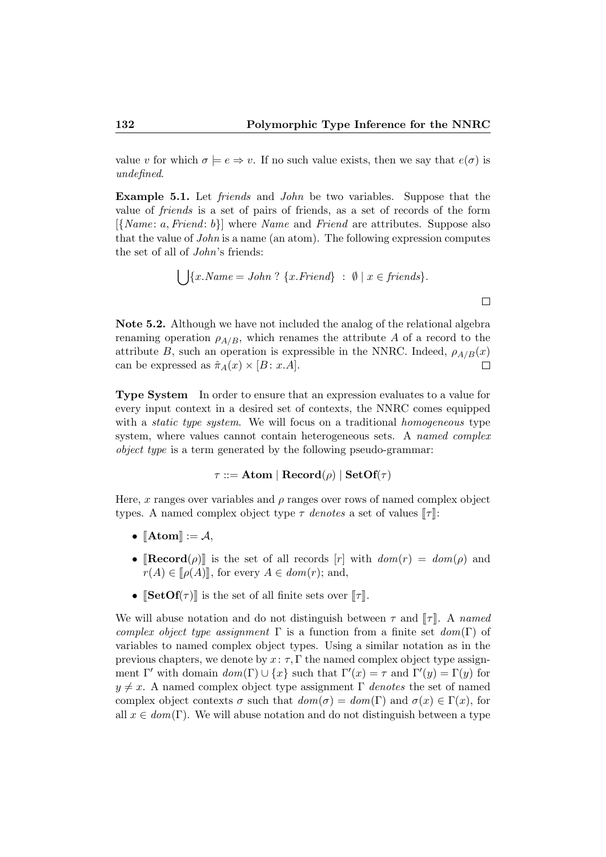value v for which  $\sigma \models e \Rightarrow v$ . If no such value exists, then we say that  $e(\sigma)$  is undefined.

Example 5.1. Let friends and John be two variables. Suppose that the value of friends is a set of pairs of friends, as a set of records of the form  $[\{Name: a, Friend: b\}]$  where *Name* and *Friend* are attributes. Suppose also that the value of John is a name (an atom). The following expression computes the set of all of John's friends:

$$
\bigcup \{x.Name = John ? \ \{x.Friend\} \ : \ \emptyset \mid x \in friends\}.
$$

Note 5.2. Although we have not included the analog of the relational algebra renaming operation  $\rho_{A/B}$ , which renames the attribute A of a record to the attribute B, such an operation is expressible in the NNRC. Indeed,  $\rho_{A/B}(x)$ can be expressed as  $\hat{\pi}_A(x) \times [B : x.A]$ .  $\Box$ 

Type System In order to ensure that an expression evaluates to a value for every input context in a desired set of contexts, the NNRC comes equipped with a *static type system*. We will focus on a traditional *homogeneous* type system, where values cannot contain heterogeneous sets. A named complex object type is a term generated by the following pseudo-grammar:

#### $\tau ::=$  Atom | Record $(\rho)$  | SetOf( $\tau$ )

Here, x ranges over variables and  $\rho$  ranges over rows of named complex object types. A named complex object type  $\tau$  denotes a set of values  $\llbracket \tau \rrbracket$ :

- $\llbracket \text{Atom} \rrbracket := \mathcal{A},$
- $\text{[Record}(\rho)\text{]}$  is the set of all records  $[r]$  with  $dom(r) = dom(\rho)$  and  $r(A) \in \llbracket \rho(A) \rrbracket$ , for every  $A \in \text{dom}(r)$ ; and,
- $[\text{SetOf}(\tau)]$  is the set of all finite sets over  $[\![\tau]\!]$ .

We will abuse notation and do not distinguish between  $\tau$  and  $\llbracket \tau \rrbracket$ . A named complex object type assignment  $\Gamma$  is a function from a finite set  $dom(\Gamma)$  of variables to named complex object types. Using a similar notation as in the previous chapters, we denote by  $x: \tau, \Gamma$  the named complex object type assignment Γ' with domain  $dom(\Gamma) \cup \{x\}$  such that  $\Gamma'(x) = \tau$  and  $\Gamma'(y) = \Gamma(y)$  for  $y \neq x$ . A named complex object type assignment  $\Gamma$  denotes the set of named complex object contexts  $\sigma$  such that  $dom(\sigma) = dom(\Gamma)$  and  $\sigma(x) \in \Gamma(x)$ , for all  $x \in dom(\Gamma)$ . We will abuse notation and do not distinguish between a type

 $\Box$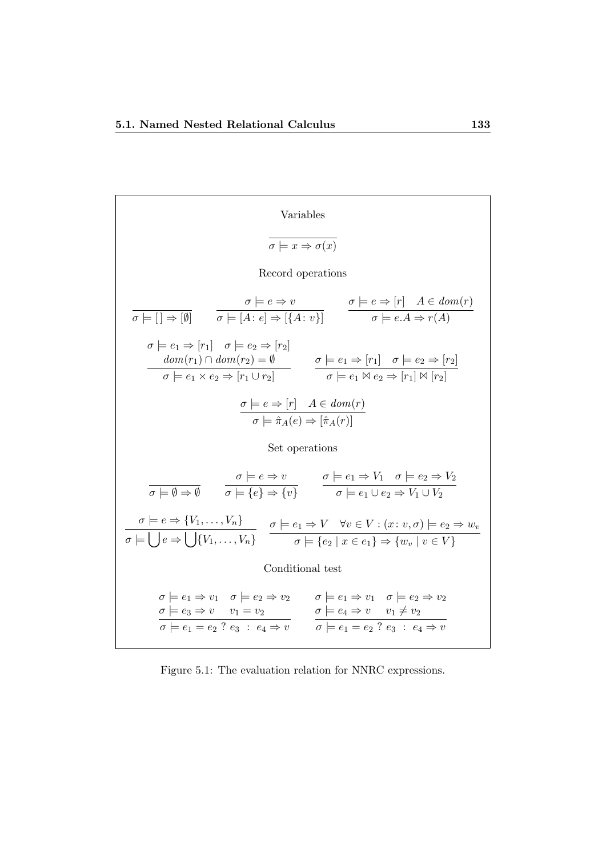Variables  
\n
$$
\overline{\sigma \models x \Rightarrow \sigma(x)}
$$
\nRecord operations  
\n
$$
\overline{\sigma \models [\ ] \Rightarrow [0]}
$$
\n
$$
\overline{\sigma \models [A : e] \Rightarrow [\{A : v\} ]}
$$
\n
$$
\sigma \models e \Rightarrow [r] \quad A \in dom(r)
$$
\n
$$
\sigma \models e_1 \Rightarrow [r_1] \quad \sigma \models e_2 \Rightarrow [r_2]
$$
\n
$$
\underline{dom(r_1) \cap dom(r_2) = 0}
$$
\n
$$
\sigma \models e_1 \Rightarrow [r_1] \quad \sigma \models e_2 \Rightarrow [r_2]
$$
\n
$$
\underline{dom(r_1) \cap dom(r_2) = 0}
$$
\n
$$
\sigma \models e_1 \Rightarrow [r_1] \quad \sigma \models e_2 \Rightarrow [r_2]
$$
\n
$$
\sigma \models e_1 \land e_2 \Rightarrow [r_1] \land [r_2]
$$
\n
$$
\sigma \models e \Rightarrow [r] \quad A \in dom(r)
$$
\n
$$
\sigma \models \hat{\pi}_A(e) \Rightarrow [\hat{\pi}_A(r)]
$$
\nSet operations  
\n
$$
\overline{\sigma \models \emptyset \Rightarrow \emptyset}
$$
\n
$$
\sigma \models [e] \Rightarrow \{v\}
$$
\n
$$
\sigma \models e_1 \lor \sigma \models e_2 \Rightarrow V_1 \cup V_2
$$
\n
$$
\sigma \models e \Rightarrow \{V_1, \ldots, V_n\}
$$
\n
$$
\sigma \models [e] \Rightarrow \{\overline{v} \} \quad \sigma \models e_1 \lor \forall v \in V : (x : v, \sigma) \models e_2 \Rightarrow w_v
$$
\n
$$
\sigma \models [\sigma \Rightarrow \bigcup \{V_1, \ldots, V_n\} \quad \sigma \models e_1 \Rightarrow V \quad \forall v \in V : (x : v, \sigma) \models e_2 \Rightarrow w_v
$$
\n
$$
\text{Conditional test}
$$
\n
$$
\sigma \models e_1 \Rightarrow v_1 \quad \sigma \models e_2 \Rightarrow v_2 \quad \sigma \models e_1 \Rightarrow v_1 \quad \sigma \models e_2 \Rightarrow v_2
$$
\n
$$
\sigma \models e_1 = e_2 \quad ? \quad e_3 : e_4 \Rightarrow v \quad \sigma \models e_1 = e_2 \quad ? \quad e_3 : e_4 \Rightarrow v
$$

Figure 5.1: The evaluation relation for NNRC expressions.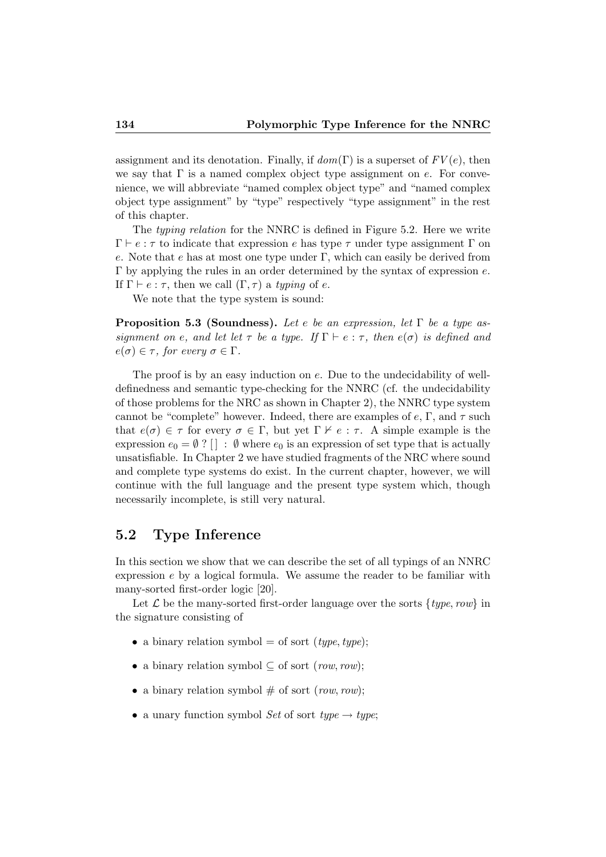assignment and its denotation. Finally, if  $dom(\Gamma)$  is a superset of  $FV(e)$ , then we say that  $\Gamma$  is a named complex object type assignment on e. For convenience, we will abbreviate "named complex object type" and "named complex object type assignment" by "type" respectively "type assignment" in the rest of this chapter.

The typing relation for the NNRC is defined in Figure 5.2. Here we write  $\Gamma \vdash e : \tau$  to indicate that expression e has type  $\tau$  under type assignment  $\Gamma$  on e. Note that  $e$  has at most one type under  $\Gamma$ , which can easily be derived from  $\Gamma$  by applying the rules in an order determined by the syntax of expression  $e$ . If  $\Gamma \vdash e : \tau$ , then we call  $(\Gamma, \tau)$  a typing of e.

We note that the type system is sound:

**Proposition 5.3 (Soundness).** Let e be an expression, let  $\Gamma$  be a type assignment on e, and let let  $\tau$  be a type. If  $\Gamma \vdash e : \tau$ , then  $e(\sigma)$  is defined and  $e(\sigma) \in \tau$ , for every  $\sigma \in \Gamma$ .

The proof is by an easy induction on e. Due to the undecidability of welldefinedness and semantic type-checking for the NNRC (cf. the undecidability of those problems for the NRC as shown in Chapter 2), the NNRC type system cannot be "complete" however. Indeed, there are examples of  $e, \Gamma$ , and  $\tau$  such that  $e(\sigma) \in \tau$  for every  $\sigma \in \Gamma$ , but yet  $\Gamma \nvdash e : \tau$ . A simple example is the expression  $e_0 = \emptyset$ ?  $\Box$ :  $\emptyset$  where  $e_0$  is an expression of set type that is actually unsatisfiable. In Chapter 2 we have studied fragments of the NRC where sound and complete type systems do exist. In the current chapter, however, we will continue with the full language and the present type system which, though necessarily incomplete, is still very natural.

#### 5.2 Type Inference

In this section we show that we can describe the set of all typings of an NNRC expression  $e$  by a logical formula. We assume the reader to be familiar with many-sorted first-order logic [20].

Let  $\mathcal L$  be the many-sorted first-order language over the sorts  $\{type, row\}$  in the signature consisting of

- a binary relation symbol = of sort (type, type);
- a binary relation symbol  $\subseteq$  of sort (row, row):
- a binary relation symbol  $\#$  of sort (row, row);
- a unary function symbol Set of sort type  $\rightarrow$  type;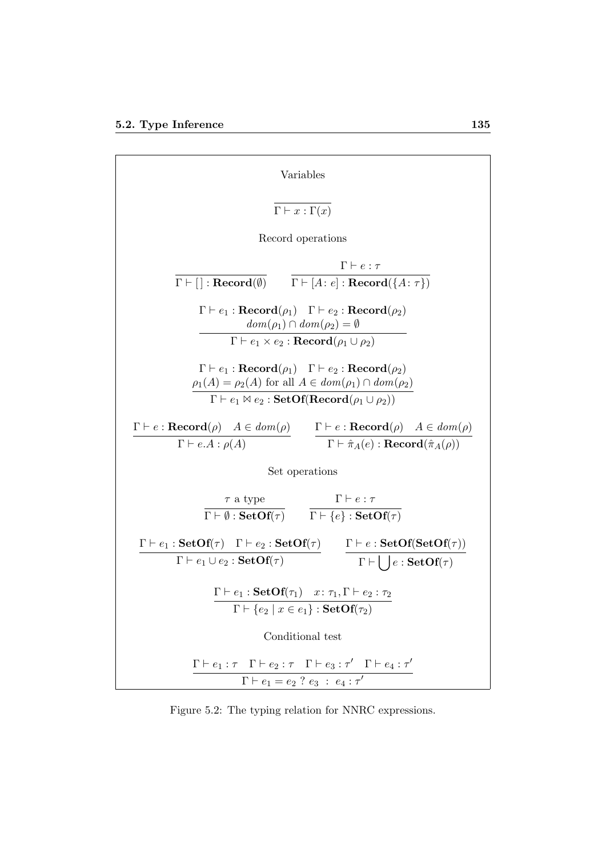| Variables                                                                                                                                                                                                                                                                      |
|--------------------------------------------------------------------------------------------------------------------------------------------------------------------------------------------------------------------------------------------------------------------------------|
| $\Gamma\vdash x:\Gamma(x)$                                                                                                                                                                                                                                                     |
| Record operations                                                                                                                                                                                                                                                              |
| $\Gamma\vdash e:\tau$                                                                                                                                                                                                                                                          |
| $\Gamma \vdash [\ ] : \textbf{Record}(\emptyset) \qquad \Gamma \vdash [A : e] : \textbf{Record}(\lbrace A : \tau \rbrace)$                                                                                                                                                     |
| $\Gamma \vdash e_1 : \textbf{Record}(\rho_1) \quad \Gamma \vdash e_2 : \textbf{Record}(\rho_2)$<br>$dom(\rho_1) \cap dom(\rho_2) = \emptyset$                                                                                                                                  |
| $\Gamma \vdash e_1 \times e_2 : \textbf{Record}(\rho_1 \cup \rho_2)$                                                                                                                                                                                                           |
| $\Gamma \vdash e_1 : \textbf{Record}(\rho_1) \quad \Gamma \vdash e_2 : \textbf{Record}(\rho_2)$<br>$\rho_1(A) = \rho_2(A)$ for all $A \in dom(\rho_1) \cap dom(\rho_2)$<br>$\overline{\Gamma \vdash e_1 \boxtimes e_2 : \textbf{SetOf}( \textbf{Record}(\rho_1 \cup \rho_2))}$ |
|                                                                                                                                                                                                                                                                                |
| $\Gamma \vdash e : \textbf{Reord}(\rho) \quad A \in dom(\rho) \qquad \Gamma \vdash e : \textbf{Reord}(\rho) \quad A \in dom(\rho)$<br>$\Gamma \vdash \hat{\pi}_A(e) : \textbf{Record}(\hat{\pi}_A(\rho))$<br>$\Gamma \vdash e.A : \rho(A)$                                     |
| Set operations                                                                                                                                                                                                                                                                 |
| $\Gamma\vdash e:\tau$                                                                                                                                                                                                                                                          |
| $\frac{\tau \text{ a type}}{\Gamma \vdash \emptyset : \textbf{SetOf}(\tau)}$ $\frac{\Gamma \vdash e : \tau}{\Gamma \vdash \{e\} : \textbf{SetOf}(\tau)}$                                                                                                                       |
| $\frac{\Gamma\vdash e_1:\textbf{SetOf}(\tau)\quad \Gamma\vdash e_2:\textbf{SetOf}(\tau)}{\Gamma\vdash e_1\cup e_2:\textbf{SetOf}(\tau)}\qquad \frac{\Gamma\vdash e:\textbf{SetOf}(\textbf{SetOf}(\tau))}{\Gamma\vdash \bigcup e:\textbf{SetOf}(\tau)}$                         |
| $\Gamma \vdash e_1 : \mathbf{SetOf}(\tau_1) \quad x : \tau_1, \Gamma \vdash e_2 : \tau_2$<br>$\Gamma \vdash \{e_2 \mid x \in e_1\} : \mathbf{SetOf}(\tau_2)$                                                                                                                   |
| Conditional test                                                                                                                                                                                                                                                               |
| $\Gamma \vdash e_1 : \tau \quad \Gamma \vdash e_2 : \tau \quad \Gamma \vdash e_3 : \tau' \quad \Gamma \vdash e_4 : \tau'$<br>$\Gamma \vdash e_1 = e_2 ? e_3 : e_4 : \tau'$                                                                                                     |

Figure 5.2: The typing relation for NNRC expressions.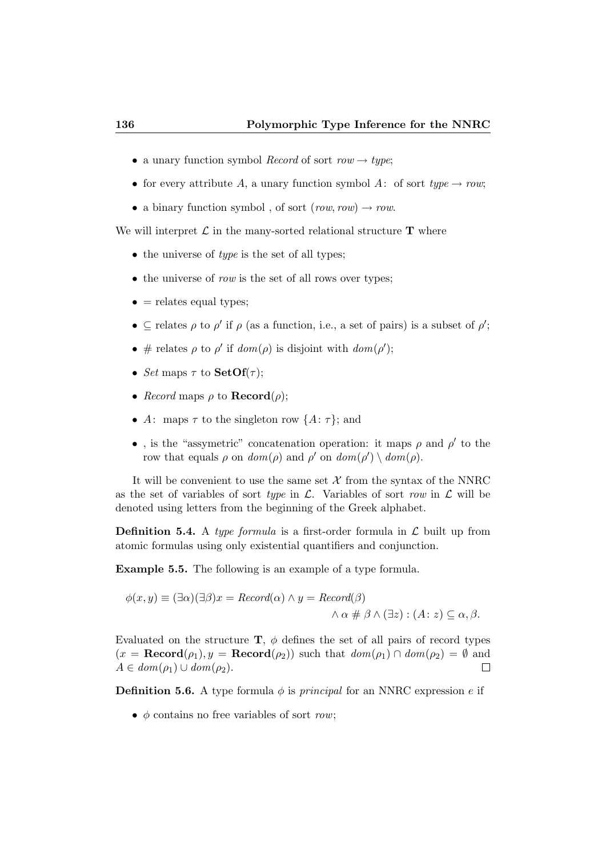- a unary function symbol *Record* of sort  $row \rightarrow type;$
- for every attribute A, a unary function symbol A: of sort type  $\rightarrow row;$
- a binary function symbol, of sort  $(row, row) \rightarrow row$ .

We will interpret  $\mathcal L$  in the many-sorted relational structure  $T$  where

- $\bullet$  the universe of *type* is the set of all types:
- $\bullet$  the universe of *row* is the set of all rows over types;
- $\bullet$  = relates equal types;
- $\subseteq$  relates  $\rho$  to  $\rho'$  if  $\rho$  (as a function, i.e., a set of pairs) is a subset of  $\rho'$ ;
- # relates  $\rho$  to  $\rho'$  if  $dom(\rho)$  is disjoint with  $dom(\rho')$ ;
- Set maps  $\tau$  to **SetOf**( $\tau$ );
- Record maps  $\rho$  to **Record** $(\rho)$ ;
- A: maps  $\tau$  to the singleton row  $\{A: \tau\}$ ; and
- •, is the "assymetric" concatenation operation: it maps  $\rho$  and  $\rho'$  to the row that equals  $\rho$  on  $dom(\rho)$  and  $\rho'$  on  $dom(\rho') \setminus dom(\rho)$ .

It will be convenient to use the same set  $X$  from the syntax of the NNRC as the set of variables of sort type in  $\mathcal{L}$ . Variables of sort row in  $\mathcal{L}$  will be denoted using letters from the beginning of the Greek alphabet.

**Definition 5.4.** A type formula is a first-order formula in  $\mathcal{L}$  built up from atomic formulas using only existential quantifiers and conjunction.

Example 5.5. The following is an example of a type formula.

$$
\phi(x, y) \equiv (\exists \alpha)(\exists \beta)x = Record(\alpha) \land y = Record(\beta)
$$

$$
\land \alpha \# \beta \land (\exists z) : (A : z) \subseteq \alpha, \beta.
$$

Evaluated on the structure  $\mathbf{T}$ ,  $\phi$  defines the set of all pairs of record types  $(x = \text{Record}(\rho_1), y = \text{Record}(\rho_2))$  such that  $dom(\rho_1) \cap dom(\rho_2) = \emptyset$  and  $A \in dom(\rho_1) \cup dom(\rho_2).$  $\Box$ 

**Definition 5.6.** A type formula  $\phi$  is *principal* for an NNRC expression e if

•  $\phi$  contains no free variables of sort row;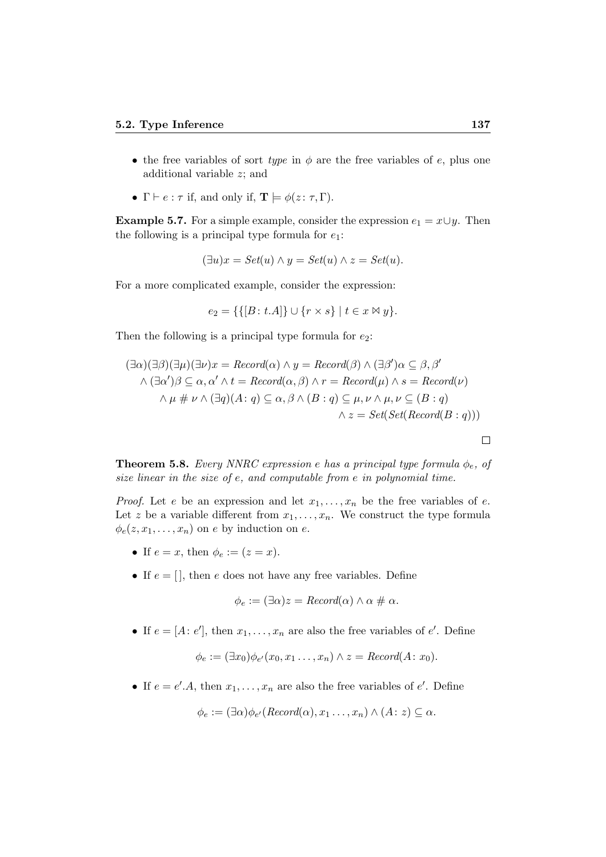- the free variables of sort type in  $\phi$  are the free variables of e, plus one additional variable z; and
- $\Gamma \vdash e : \tau$  if, and only if,  $\mathbf{T} \models \phi(z : \tau, \Gamma)$ .

**Example 5.7.** For a simple example, consider the expression  $e_1 = x \cup y$ . Then the following is a principal type formula for  $e_1$ :

$$
(\exists u)x = Set(u) \land y = Set(u) \land z = Set(u).
$$

For a more complicated example, consider the expression:

$$
e_2 = \{ \{ [B: t.A] \} \cup \{ r \times s \} \mid t \in x \bowtie y \}.
$$

Then the following is a principal type formula for  $e_2$ :

$$
(\exists \alpha)(\exists \beta)(\exists \mu)(\exists \nu)x = Record(\alpha) \land y = Record(\beta) \land (\exists \beta')\alpha \subseteq \beta, \beta'
$$
  
 
$$
\land (\exists \alpha')\beta \subseteq \alpha, \alpha' \land t = Record(\alpha, \beta) \land r = Record(\mu) \land s = Record(\nu)
$$
  
 
$$
\land \mu \# \nu \land (\exists q)(A: q) \subseteq \alpha, \beta \land (B: q) \subseteq \mu, \nu \land \mu, \nu \subseteq (B: q)
$$
  
 
$$
\land z = Set(Set(Record(B: q)))
$$

**Theorem 5.8.** Every NNRC expression e has a principal type formula  $\phi_e$ , of size linear in the size of e, and computable from e in polynomial time.

*Proof.* Let e be an expression and let  $x_1, \ldots, x_n$  be the free variables of e. Let z be a variable different from  $x_1, \ldots, x_n$ . We construct the type formula  $\phi_e(z, x_1, \ldots, x_n)$  on e by induction on e.

- If  $e = x$ , then  $\phi_e := (z = x)$ .
- If  $e = []$ , then e does not have any free variables. Define

$$
\phi_e := (\exists \alpha) z = \text{Record}(\alpha) \land \alpha \neq \alpha.
$$

• If  $e = [A : e'],$  then  $x_1, \ldots, x_n$  are also the free variables of  $e'.$  Define

$$
\phi_e := (\exists x_0) \phi_{e'}(x_0, x_1 \dots, x_n) \land z = Record(A: x_0).
$$

• If  $e = e' A$ , then  $x_1, \ldots, x_n$  are also the free variables of  $e'$ . Define

$$
\phi_e := (\exists \alpha) \phi_{e'}(Record(\alpha), x_1 \dots, x_n) \land (A : z) \subseteq \alpha.
$$

 $\Box$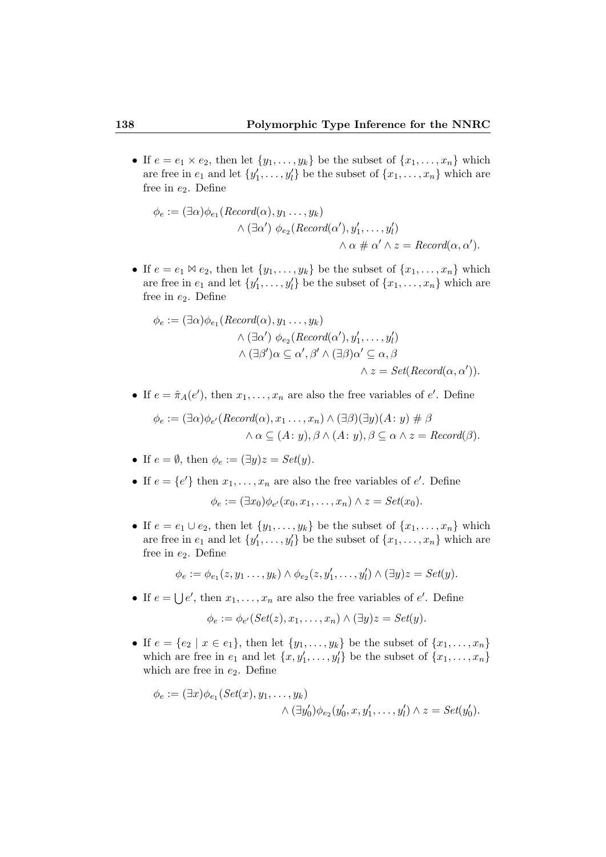• If  $e = e_1 \times e_2$ , then let  $\{y_1, \ldots, y_k\}$  be the subset of  $\{x_1, \ldots, x_n\}$  which are free in  $e_1$  and let  $\{y'_1, \ldots, y'_l\}$  be the subset of  $\{x_1, \ldots, x_n\}$  which are free in  $e_2$ . Define

$$
\phi_e := (\exists \alpha) \phi_{e_1}(Record(\alpha), y_1 \dots, y_k)
$$
  
 
$$
\land (\exists \alpha') \phi_{e_2}(Record(\alpha'), y'_1, \dots, y'_l)
$$
  
 
$$
\land \alpha \# \alpha' \land z = Record(\alpha, \alpha').
$$

• If  $e = e_1 \boxtimes e_2$ , then let  $\{y_1, \ldots, y_k\}$  be the subset of  $\{x_1, \ldots, x_n\}$  which are free in  $e_1$  and let  $\{y'_1, \ldots, y'_l\}$  be the subset of  $\{x_1, \ldots, x_n\}$  which are free in  $e_2$ . Define

$$
\phi_e := (\exists \alpha) \phi_{e_1}(Record(\alpha), y_1 \dots, y_k)
$$
  

$$
\land (\exists \alpha') \phi_{e_2}(Record(\alpha'), y'_1, \dots, y'_l)
$$
  

$$
\land (\exists \beta') \alpha \subseteq \alpha', \beta' \land (\exists \beta) \alpha' \subseteq \alpha, \beta
$$
  

$$
\land z = Set(Record(\alpha, \alpha')).
$$

• If  $e = \hat{\pi}_A(e')$ , then  $x_1, \ldots, x_n$  are also the free variables of  $e'$ . Define

$$
\phi_e := (\exists \alpha) \phi_{e'}(Record(\alpha), x_1 \dots, x_n) \land (\exists \beta)(\exists y)(A: y) \# \beta
$$
  

$$
\land \alpha \subseteq (A: y), \beta \land (A: y), \beta \subseteq \alpha \land z = Record(\beta).
$$

- If  $e = \emptyset$ , then  $\phi_e := (\exists y)z = Set(y)$ .
- If  $e = \{e'\}$  then  $x_1, \ldots, x_n$  are also the free variables of  $e'$ . Define

$$
\phi_e := (\exists x_0) \phi_{e'}(x_0, x_1, \dots, x_n) \wedge z = Set(x_0).
$$

• If  $e = e_1 \cup e_2$ , then let  $\{y_1, \ldots, y_k\}$  be the subset of  $\{x_1, \ldots, x_n\}$  which are free in  $e_1$  and let  $\{y'_1, \ldots, y'_l\}$  be the subset of  $\{x_1, \ldots, x_n\}$  which are free in  $e_2$ . Define

$$
\phi_e := \phi_{e_1}(z, y_1 \dots, y_k) \wedge \phi_{e_2}(z, y'_1, \dots, y'_l) \wedge (\exists y) z = Set(y).
$$

• If  $e = \bigcup e'$ , then  $x_1, \ldots, x_n$  are also the free variables of  $e'$ . Define

$$
\phi_e := \phi_{e'}(Set(z), x_1, \dots, x_n) \wedge (\exists y)z = Set(y).
$$

• If  $e = \{e_2 \mid x \in e_1\}$ , then let  $\{y_1, \ldots, y_k\}$  be the subset of  $\{x_1, \ldots, x_n\}$ which are free in  $e_1$  and let  $\{x, y'_1, \ldots, y'_l\}$  be the subset of  $\{x_1, \ldots, x_n\}$ which are free in  $e_2$ . Define

$$
\phi_e := (\exists x) \phi_{e_1}(Set(x), y_1, \dots, y_k)
$$

$$
\wedge (\exists y'_0) \phi_{e_2}(y'_0, x, y'_1, \dots, y'_l) \wedge z = Set(y'_0).
$$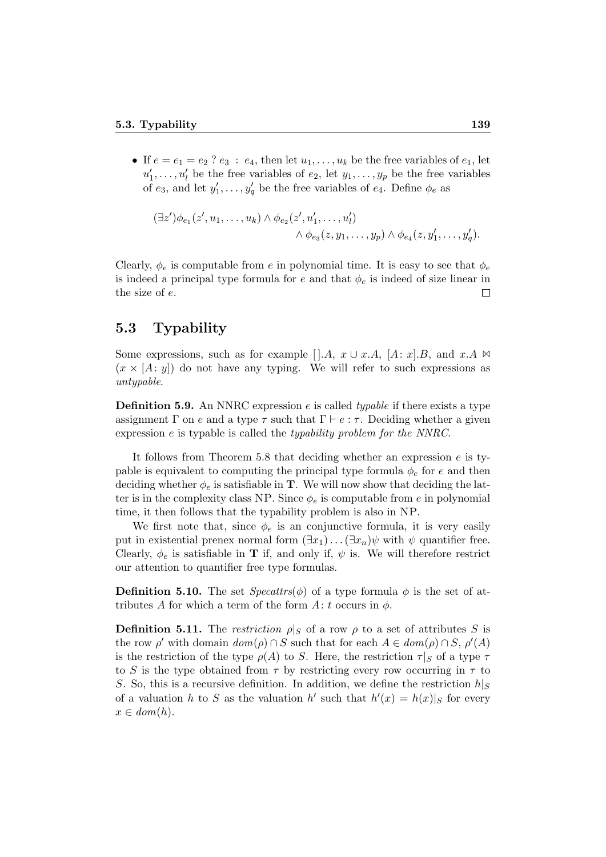• If  $e = e_1 = e_2$  ?  $e_3 : e_4$ , then let  $u_1, \ldots, u_k$  be the free variables of  $e_1$ , let  $u'_1, \ldots, u'_l$  be the free variables of  $e_2$ , let  $y_1, \ldots, y_p$  be the free variables of  $e_3$ , and let  $y'_1, \ldots, y'_q$  be the free variables of  $e_4$ . Define  $\phi_e$  as

$$
(\exists z')\phi_{e_1}(z', u_1, \dots, u_k) \wedge \phi_{e_2}(z', u'_1, \dots, u'_l)
$$
  
 
$$
\wedge \phi_{e_3}(z, y_1, \dots, y_p) \wedge \phi_{e_4}(z, y'_1, \dots, y'_q).
$$

Clearly,  $\phi_e$  is computable from e in polynomial time. It is easy to see that  $\phi_e$ is indeed a principal type formula for e and that  $\phi_e$  is indeed of size linear in the size of e.  $\Box$ 

#### 5.3 Typability

Some expressions, such as for example [].A,  $x \cup x.A$ , [A: x].B, and  $x.A \Join$  $(x \times [A: y])$  do not have any typing. We will refer to such expressions as untypable.

**Definition 5.9.** An NNRC expression e is called *typable* if there exists a type assignment Γ on e and a type  $\tau$  such that  $\Gamma \vdash e : \tau$ . Deciding whether a given expression e is typable is called the typability problem for the NNRC.

It follows from Theorem 5.8 that deciding whether an expression e is typable is equivalent to computing the principal type formula  $\phi_e$  for e and then deciding whether  $\phi_e$  is satisfiable in **T**. We will now show that deciding the latter is in the complexity class NP. Since  $\phi_e$  is computable from e in polynomial time, it then follows that the typability problem is also in NP.

We first note that, since  $\phi_e$  is an conjunctive formula, it is very easily put in existential prenex normal form  $(\exists x_1) \dots (\exists x_n) \psi$  with  $\psi$  quantifier free. Clearly,  $\phi_e$  is satisfiable in **T** if, and only if,  $\psi$  is. We will therefore restrict our attention to quantifier free type formulas.

**Definition 5.10.** The set  $Specttrs(\phi)$  of a type formula  $\phi$  is the set of attributes A for which a term of the form  $A: t$  occurs in  $\phi$ .

**Definition 5.11.** The restriction  $\rho|_S$  of a row  $\rho$  to a set of attributes S is the row  $\rho'$  with domain  $dom(\rho) \cap S$  such that for each  $A \in dom(\rho) \cap S$ ,  $\rho'(A)$ is the restriction of the type  $\rho(A)$  to S. Here, the restriction  $\tau|_S$  of a type  $\tau$ to S is the type obtained from  $\tau$  by restricting every row occurring in  $\tau$  to S. So, this is a recursive definition. In addition, we define the restriction  $h|_S$ of a valuation h to S as the valuation h' such that  $h'(x) = h(x)|_S$  for every  $x \in dom(h)$ .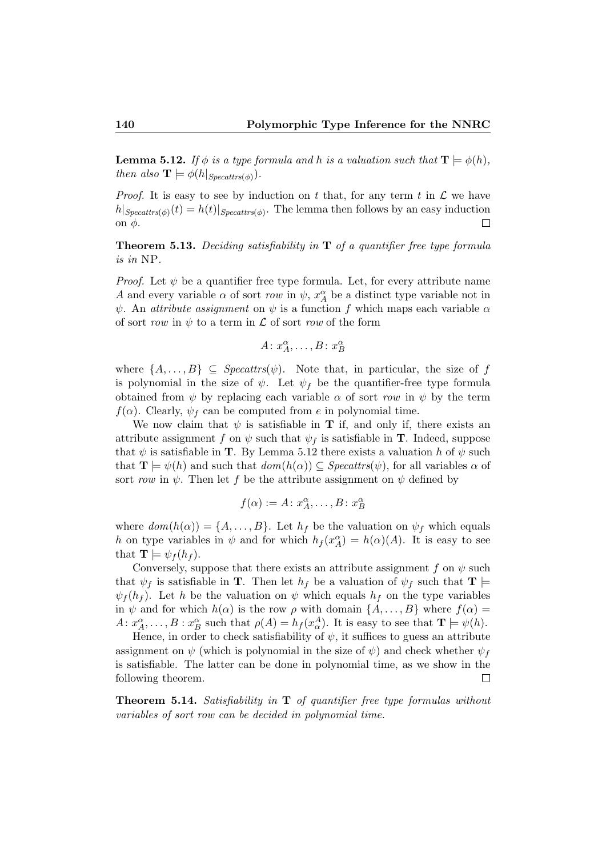**Lemma 5.12.** If  $\phi$  is a type formula and h is a valuation such that  $\mathbf{T} \models \phi(h)$ , then also  $\mathbf{T} \models \phi(h|_{Specattrs(\phi)})$ .

*Proof.* It is easy to see by induction on t that, for any term t in  $\mathcal{L}$  we have  $h|_{Specttrs(\phi)}(t) = h(t)|_{Specttrs(\phi)}$ . The lemma then follows by an easy induction on  $φ$ .  $\Box$ 

**Theorem 5.13.** Deciding satisfiability in  $T$  of a quantifier free type formula is in NP.

*Proof.* Let  $\psi$  be a quantifier free type formula. Let, for every attribute name A and every variable  $\alpha$  of sort row in  $\psi$ ,  $x_A^{\alpha}$  be a distinct type variable not in  $\psi$ . An *attribute assignment* on  $\psi$  is a function f which maps each variable  $\alpha$ of sort row in  $\psi$  to a term in  $\mathcal L$  of sort row of the form

$$
A \colon x_A^{\alpha}, \dots, B \colon x_B^{\alpha}
$$

where  $\{A, \ldots, B\} \subseteq \text{Specttrs}(\psi)$ . Note that, in particular, the size of f is polynomial in the size of  $\psi$ . Let  $\psi_f$  be the quantifier-free type formula obtained from  $\psi$  by replacing each variable  $\alpha$  of sort row in  $\psi$  by the term  $f(\alpha)$ . Clearly,  $\psi_f$  can be computed from e in polynomial time.

We now claim that  $\psi$  is satisfiable in **T** if, and only if, there exists an attribute assignment f on  $\psi$  such that  $\psi_f$  is satisfiable in **T**. Indeed, suppose that  $\psi$  is satisfiable in **T**. By Lemma 5.12 there exists a valuation h of  $\psi$  such that  $\mathbf{T} \models \psi(h)$  and such that  $dom(h(\alpha)) \subseteq Specatrs(\psi)$ , for all variables  $\alpha$  of sort row in  $\psi$ . Then let f be the attribute assignment on  $\psi$  defined by

$$
f(\alpha) := A \colon x_A^{\alpha}, \dots, B \colon x_B^{\alpha}
$$

where  $dom(h(\alpha)) = \{A, \ldots, B\}$ . Let  $h_f$  be the valuation on  $\psi_f$  which equals h on type variables in  $\psi$  and for which  $h_f(x_A^{\alpha}) = h(\alpha)(A)$ . It is easy to see that  $\mathbf{T} \models \psi_f(h_f)$ .

Conversely, suppose that there exists an attribute assignment f on  $\psi$  such that  $\psi_f$  is satisfiable in **T**. Then let  $h_f$  be a valuation of  $\psi_f$  such that **T**  $\psi_f(h_f)$ . Let h be the valuation on  $\psi$  which equals  $h_f$  on the type variables in  $\psi$  and for which  $h(\alpha)$  is the row  $\rho$  with domain  $\{A, \ldots, B\}$  where  $f(\alpha) =$  $A: x_A^{\alpha}, \ldots, B: x_B^{\alpha}$  such that  $\rho(A) = h_f(x_{\alpha}^A)$ . It is easy to see that  $\mathbf{T} \models \psi(h)$ .

Hence, in order to check satisfiability of  $\psi$ , it suffices to guess an attribute assignment on  $\psi$  (which is polynomial in the size of  $\psi$ ) and check whether  $\psi_f$ is satisfiable. The latter can be done in polynomial time, as we show in the following theorem.  $\Box$ 

**Theorem 5.14.** Satisfiability in  $T$  of quantifier free type formulas without variables of sort row can be decided in polynomial time.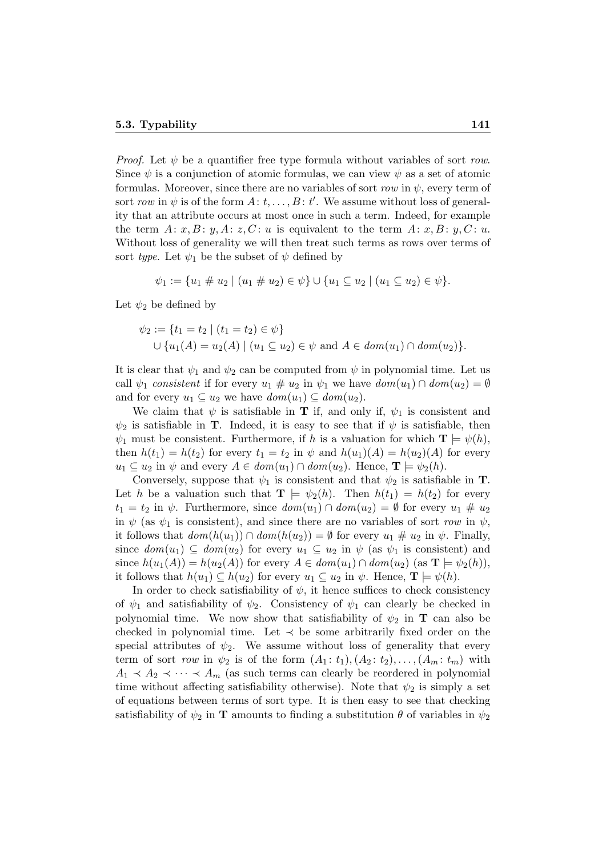*Proof.* Let  $\psi$  be a quantifier free type formula without variables of sort row. Since  $\psi$  is a conjunction of atomic formulas, we can view  $\psi$  as a set of atomic formulas. Moreover, since there are no variables of sort row in  $\psi$ , every term of sort row in  $\psi$  is of the form  $A: t, \ldots, B: t'$ . We assume without loss of generality that an attribute occurs at most once in such a term. Indeed, for example the term  $A: x, B: y, A: z, C: u$  is equivalent to the term  $A: x, B: y, C: u$ . Without loss of generality we will then treat such terms as rows over terms of sort type. Let  $\psi_1$  be the subset of  $\psi$  defined by

$$
\psi_1 := \{u_1 \# u_2 \mid (u_1 \# u_2) \in \psi\} \cup \{u_1 \subseteq u_2 \mid (u_1 \subseteq u_2) \in \psi\}.
$$

Let  $\psi_2$  be defined by

$$
\psi_2 := \{ t_1 = t_2 \mid (t_1 = t_2) \in \psi \}
$$
  

$$
\cup \{ u_1(A) = u_2(A) \mid (u_1 \subseteq u_2) \in \psi \text{ and } A \in dom(u_1) \cap dom(u_2) \}.
$$

It is clear that  $\psi_1$  and  $\psi_2$  can be computed from  $\psi$  in polynomial time. Let us call  $\psi_1$  consistent if for every  $u_1 \# u_2$  in  $\psi_1$  we have  $dom(u_1) \cap dom(u_2) = \emptyset$ and for every  $u_1 \subseteq u_2$  we have  $dom(u_1) \subseteq dom(u_2)$ .

We claim that  $\psi$  is satisfiable in **T** if, and only if,  $\psi_1$  is consistent and  $\psi_2$  is satisfiable in **T**. Indeed, it is easy to see that if  $\psi$  is satisfiable, then  $\psi_1$  must be consistent. Furthermore, if h is a valuation for which  $\mathbf{T} \models \psi(h)$ , then  $h(t_1) = h(t_2)$  for every  $t_1 = t_2$  in  $\psi$  and  $h(u_1)(A) = h(u_2)(A)$  for every  $u_1 \subseteq u_2$  in  $\psi$  and every  $A \in dom(u_1) \cap dom(u_2)$ . Hence,  $\mathbf{T} \models \psi_2(h)$ .

Conversely, suppose that  $\psi_1$  is consistent and that  $\psi_2$  is satisfiable in **T**. Let h be a valuation such that  $\mathbf{T} \models \psi_2(h)$ . Then  $h(t_1) = h(t_2)$  for every  $t_1 = t_2$  in  $\psi$ . Furthermore, since  $dom(u_1) \cap dom(u_2) = \emptyset$  for every  $u_1 \# u_2$ in  $\psi$  (as  $\psi_1$  is consistent), and since there are no variables of sort row in  $\psi$ , it follows that  $dom(h(u_1)) \cap dom(h(u_2)) = \emptyset$  for every  $u_1 \# u_2$  in  $\psi$ . Finally, since  $dom(u_1) \subseteq dom(u_2)$  for every  $u_1 \subseteq u_2$  in  $\psi$  (as  $\psi_1$  is consistent) and since  $h(u_1(A)) = h(u_2(A))$  for every  $A \in dom(u_1) \cap dom(u_2)$  (as  $\mathbf{T} \models \psi_2(h)$ ), it follows that  $h(u_1) \subseteq h(u_2)$  for every  $u_1 \subseteq u_2$  in  $\psi$ . Hence,  $\mathbf{T} \models \psi(h)$ .

In order to check satisfiability of  $\psi$ , it hence suffices to check consistency of  $\psi_1$  and satisfiability of  $\psi_2$ . Consistency of  $\psi_1$  can clearly be checked in polynomial time. We now show that satisfiability of  $\psi_2$  in **T** can also be checked in polynomial time. Let  $\prec$  be some arbitrarily fixed order on the special attributes of  $\psi_2$ . We assume without loss of generality that every term of sort row in  $\psi_2$  is of the form  $(A_1 : t_1), (A_2 : t_2), \ldots, (A_m : t_m)$  with  $A_1 \prec A_2 \prec \cdots \prec A_m$  (as such terms can clearly be reordered in polynomial time without affecting satisfiability otherwise). Note that  $\psi_2$  is simply a set of equations between terms of sort type. It is then easy to see that checking satisfiability of  $\psi_2$  in **T** amounts to finding a substitution  $\theta$  of variables in  $\psi_2$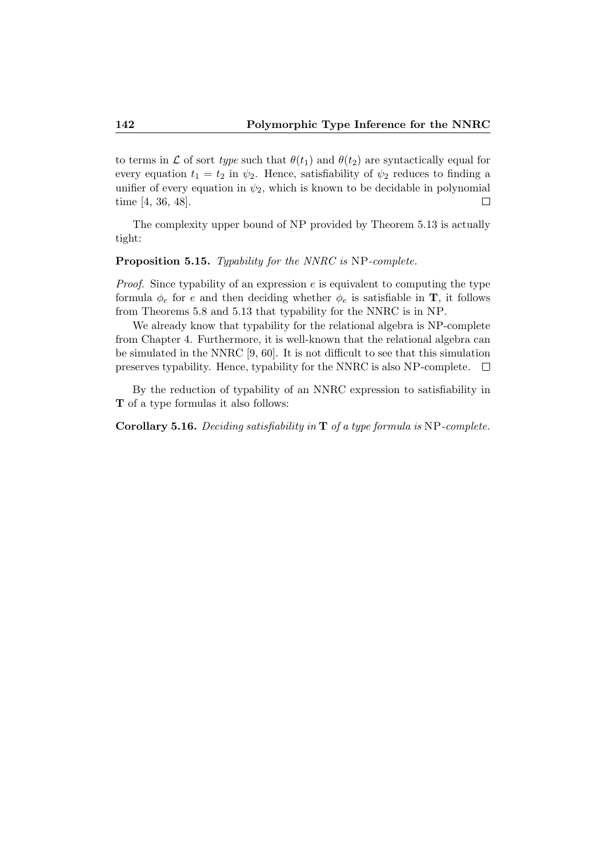to terms in  $\mathcal L$  of sort type such that  $\theta(t_1)$  and  $\theta(t_2)$  are syntactically equal for every equation  $t_1 = t_2$  in  $\psi_2$ . Hence, satisfiability of  $\psi_2$  reduces to finding a unifier of every equation in  $\psi_2$ , which is known to be decidable in polynomial time [4, 36, 48].  $\Box$ 

The complexity upper bound of NP provided by Theorem 5.13 is actually tight:

#### Proposition 5.15. Typability for the NNRC is NP-complete.

*Proof.* Since typability of an expression  $e$  is equivalent to computing the type formula  $\phi_e$  for e and then deciding whether  $\phi_e$  is satisfiable in **T**, it follows from Theorems 5.8 and 5.13 that typability for the NNRC is in NP.

We already know that typability for the relational algebra is NP-complete from Chapter 4. Furthermore, it is well-known that the relational algebra can be simulated in the NNRC [9, 60]. It is not difficult to see that this simulation preserves typability. Hence, typability for the NNRC is also NP-complete.  $\Box$ 

By the reduction of typability of an NNRC expression to satisfiability in T of a type formulas it also follows:

Corollary 5.16. Deciding satisfiability in T of a type formula is NP-complete.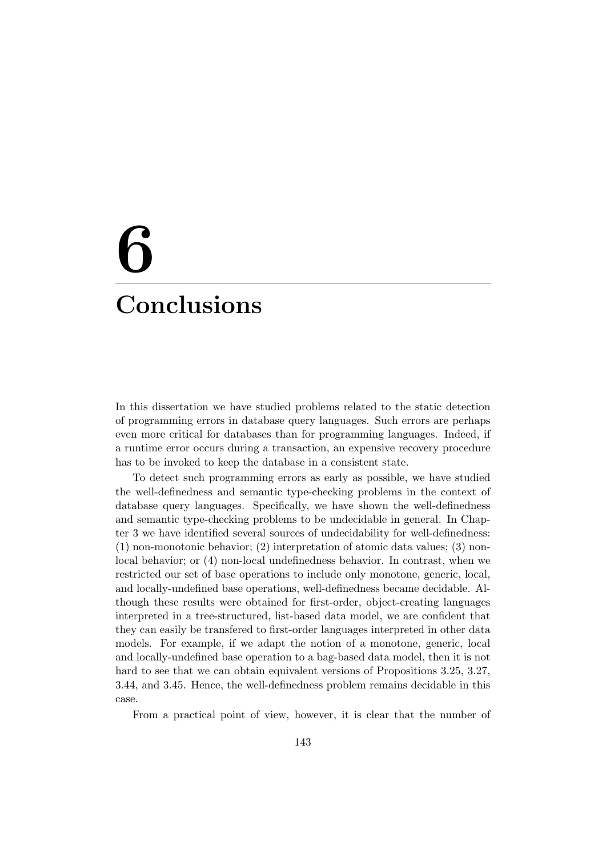# 6 **Conclusions**

In this dissertation we have studied problems related to the static detection of programming errors in database query languages. Such errors are perhaps even more critical for databases than for programming languages. Indeed, if a runtime error occurs during a transaction, an expensive recovery procedure has to be invoked to keep the database in a consistent state.

To detect such programming errors as early as possible, we have studied the well-definedness and semantic type-checking problems in the context of database query languages. Specifically, we have shown the well-definedness and semantic type-checking problems to be undecidable in general. In Chapter 3 we have identified several sources of undecidability for well-definedness: (1) non-monotonic behavior; (2) interpretation of atomic data values; (3) nonlocal behavior; or (4) non-local undefinedness behavior. In contrast, when we restricted our set of base operations to include only monotone, generic, local, and locally-undefined base operations, well-definedness became decidable. Although these results were obtained for first-order, object-creating languages interpreted in a tree-structured, list-based data model, we are confident that they can easily be transfered to first-order languages interpreted in other data models. For example, if we adapt the notion of a monotone, generic, local and locally-undefined base operation to a bag-based data model, then it is not hard to see that we can obtain equivalent versions of Propositions 3.25, 3.27, 3.44, and 3.45. Hence, the well-definedness problem remains decidable in this case.

From a practical point of view, however, it is clear that the number of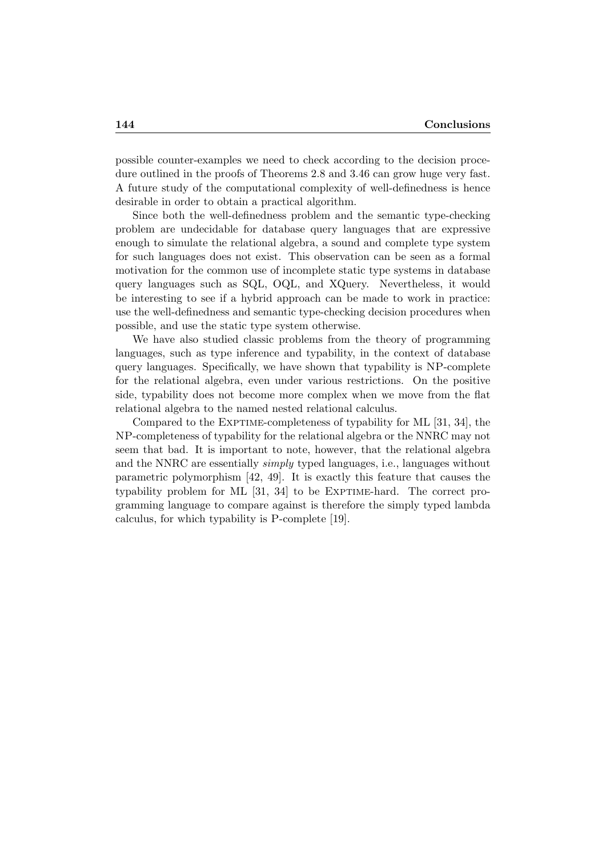possible counter-examples we need to check according to the decision procedure outlined in the proofs of Theorems 2.8 and 3.46 can grow huge very fast. A future study of the computational complexity of well-definedness is hence desirable in order to obtain a practical algorithm.

Since both the well-definedness problem and the semantic type-checking problem are undecidable for database query languages that are expressive enough to simulate the relational algebra, a sound and complete type system for such languages does not exist. This observation can be seen as a formal motivation for the common use of incomplete static type systems in database query languages such as SQL, OQL, and XQuery. Nevertheless, it would be interesting to see if a hybrid approach can be made to work in practice: use the well-definedness and semantic type-checking decision procedures when possible, and use the static type system otherwise.

We have also studied classic problems from the theory of programming languages, such as type inference and typability, in the context of database query languages. Specifically, we have shown that typability is NP-complete for the relational algebra, even under various restrictions. On the positive side, typability does not become more complex when we move from the flat relational algebra to the named nested relational calculus.

Compared to the EXPTIME-completeness of typability for ML [31, 34], the NP-completeness of typability for the relational algebra or the NNRC may not seem that bad. It is important to note, however, that the relational algebra and the NNRC are essentially simply typed languages, i.e., languages without parametric polymorphism [42, 49]. It is exactly this feature that causes the typability problem for ML  $[31, 34]$  to be EXPTIME-hard. The correct programming language to compare against is therefore the simply typed lambda calculus, for which typability is P-complete [19].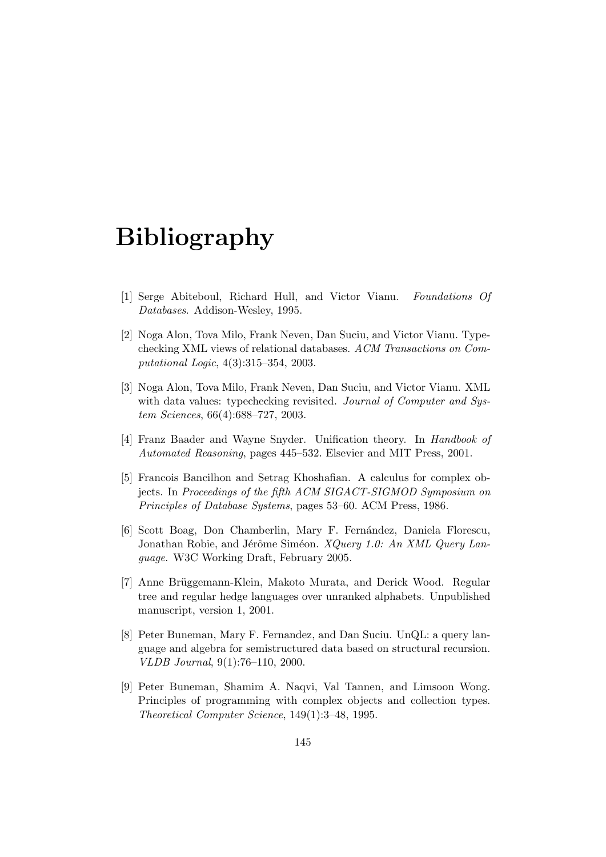### Bibliography

- [1] Serge Abiteboul, Richard Hull, and Victor Vianu. Foundations Of Databases. Addison-Wesley, 1995.
- [2] Noga Alon, Tova Milo, Frank Neven, Dan Suciu, and Victor Vianu. Typechecking XML views of relational databases. ACM Transactions on Computational Logic, 4(3):315–354, 2003.
- [3] Noga Alon, Tova Milo, Frank Neven, Dan Suciu, and Victor Vianu. XML with data values: typechecking revisited. Journal of Computer and System Sciences, 66(4):688–727, 2003.
- [4] Franz Baader and Wayne Snyder. Unification theory. In Handbook of Automated Reasoning, pages 445–532. Elsevier and MIT Press, 2001.
- [5] Francois Bancilhon and Setrag Khoshafian. A calculus for complex objects. In Proceedings of the fifth ACM SIGACT-SIGMOD Symposium on Principles of Database Systems, pages 53–60. ACM Press, 1986.
- [6] Scott Boag, Don Chamberlin, Mary F. Fernández, Daniela Florescu, Jonathan Robie, and Jérôme Siméon. XQuery 1.0: An XML Query Language. W3C Working Draft, February 2005.
- [7] Anne Brüggemann-Klein, Makoto Murata, and Derick Wood. Regular tree and regular hedge languages over unranked alphabets. Unpublished manuscript, version 1, 2001.
- [8] Peter Buneman, Mary F. Fernandez, and Dan Suciu. UnQL: a query language and algebra for semistructured data based on structural recursion. VLDB Journal, 9(1):76–110, 2000.
- [9] Peter Buneman, Shamim A. Naqvi, Val Tannen, and Limsoon Wong. Principles of programming with complex objects and collection types. Theoretical Computer Science, 149(1):3–48, 1995.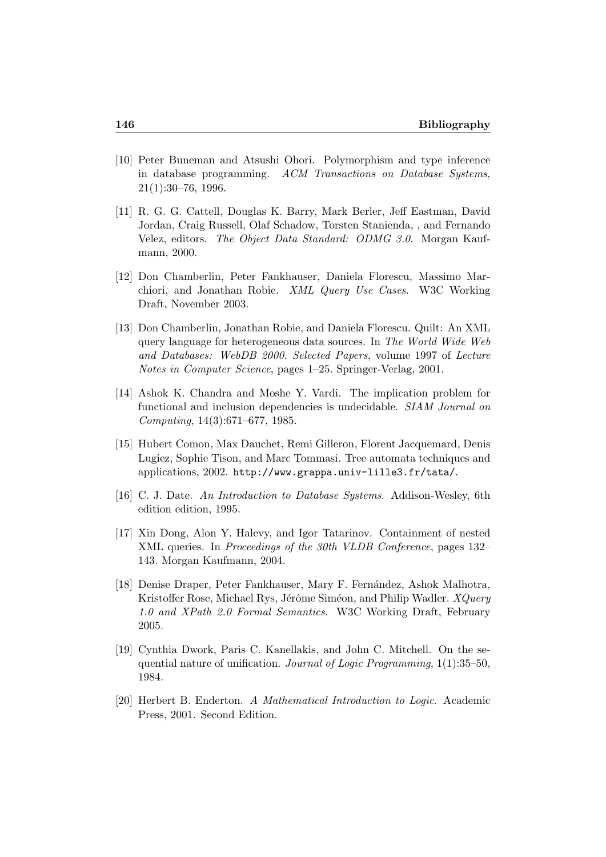- [10] Peter Buneman and Atsushi Ohori. Polymorphism and type inference in database programming. ACM Transactions on Database Systems, 21(1):30–76, 1996.
- [11] R. G. G. Cattell, Douglas K. Barry, Mark Berler, Jeff Eastman, David Jordan, Craig Russell, Olaf Schadow, Torsten Stanienda, , and Fernando Velez, editors. The Object Data Standard: ODMG 3.0. Morgan Kaufmann, 2000.
- [12] Don Chamberlin, Peter Fankhauser, Daniela Florescu, Massimo Marchiori, and Jonathan Robie. XML Query Use Cases. W3C Working Draft, November 2003.
- [13] Don Chamberlin, Jonathan Robie, and Daniela Florescu. Quilt: An XML query language for heterogeneous data sources. In The World Wide Web and Databases: WebDB 2000. Selected Papers, volume 1997 of Lecture Notes in Computer Science, pages 1–25. Springer-Verlag, 2001.
- [14] Ashok K. Chandra and Moshe Y. Vardi. The implication problem for functional and inclusion dependencies is undecidable. SIAM Journal on Computing, 14(3):671–677, 1985.
- [15] Hubert Comon, Max Dauchet, Remi Gilleron, Florent Jacquemard, Denis Lugiez, Sophie Tison, and Marc Tommasi. Tree automata techniques and applications, 2002. http://www.grappa.univ-lille3.fr/tata/.
- [16] C. J. Date. An Introduction to Database Systems. Addison-Wesley, 6th edition edition, 1995.
- [17] Xin Dong, Alon Y. Halevy, and Igor Tatarinov. Containment of nested XML queries. In Proceedings of the 30th VLDB Conference, pages 132– 143. Morgan Kaufmann, 2004.
- [18] Denise Draper, Peter Fankhauser, Mary F. Fernández, Ashok Malhotra, Kristoffer Rose, Michael Rys, Jérôme Siméon, and Philip Wadler.  $XQuery$ 1.0 and XPath 2.0 Formal Semantics. W3C Working Draft, February 2005.
- [19] Cynthia Dwork, Paris C. Kanellakis, and John C. Mitchell. On the sequential nature of unification. Journal of Logic Programming, 1(1):35–50, 1984.
- [20] Herbert B. Enderton. A Mathematical Introduction to Logic. Academic Press, 2001. Second Edition.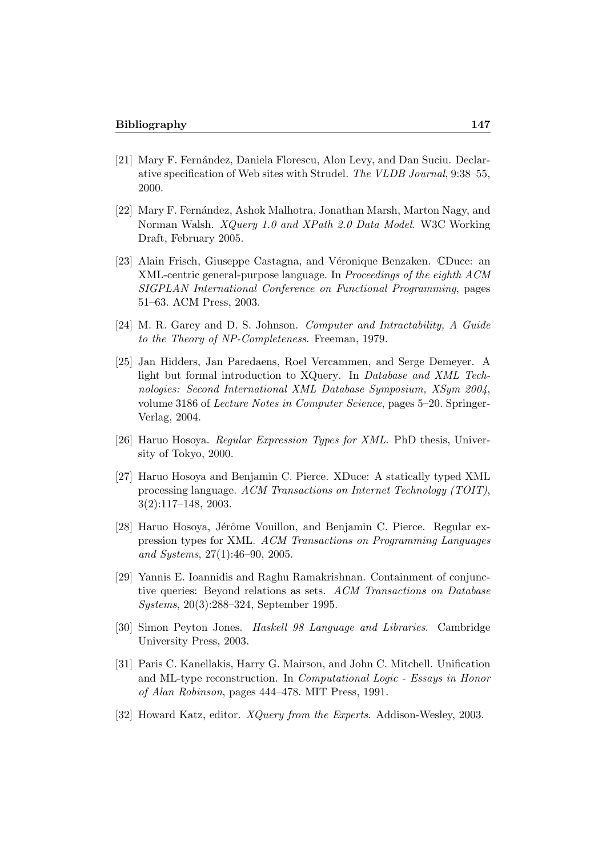- [21] Mary F. Fernández, Daniela Florescu, Alon Levy, and Dan Suciu. Declarative specification of Web sites with Strudel. The VLDB Journal, 9:38–55, 2000.
- [22] Mary F. Fern´andez, Ashok Malhotra, Jonathan Marsh, Marton Nagy, and Norman Walsh. XQuery 1.0 and XPath 2.0 Data Model. W3C Working Draft, February 2005.
- [23] Alain Frisch, Giuseppe Castagna, and Véronique Benzaken. CDuce: an XML-centric general-purpose language. In Proceedings of the eighth ACM SIGPLAN International Conference on Functional Programming, pages 51–63. ACM Press, 2003.
- [24] M. R. Garey and D. S. Johnson. Computer and Intractability, A Guide to the Theory of NP-Completeness. Freeman, 1979.
- [25] Jan Hidders, Jan Paredaens, Roel Vercammen, and Serge Demeyer. A light but formal introduction to XQuery. In Database and XML Technologies: Second International XML Database Symposium, XSym 2004, volume 3186 of Lecture Notes in Computer Science, pages 5–20. Springer-Verlag, 2004.
- [26] Haruo Hosoya. Regular Expression Types for XML. PhD thesis, University of Tokyo, 2000.
- [27] Haruo Hosoya and Benjamin C. Pierce. XDuce: A statically typed XML processing language. ACM Transactions on Internet Technology (TOIT), 3(2):117–148, 2003.
- [28] Haruo Hosoya, Jérôme Vouillon, and Benjamin C. Pierce. Regular expression types for XML. ACM Transactions on Programming Languages and Systems, 27(1):46–90, 2005.
- [29] Yannis E. Ioannidis and Raghu Ramakrishnan. Containment of conjunctive queries: Beyond relations as sets. ACM Transactions on Database Systems, 20(3):288–324, September 1995.
- [30] Simon Peyton Jones. Haskell 98 Language and Libraries. Cambridge University Press, 2003.
- [31] Paris C. Kanellakis, Harry G. Mairson, and John C. Mitchell. Unification and ML-type reconstruction. In Computational Logic - Essays in Honor of Alan Robinson, pages 444–478. MIT Press, 1991.
- [32] Howard Katz, editor. XQuery from the Experts. Addison-Wesley, 2003.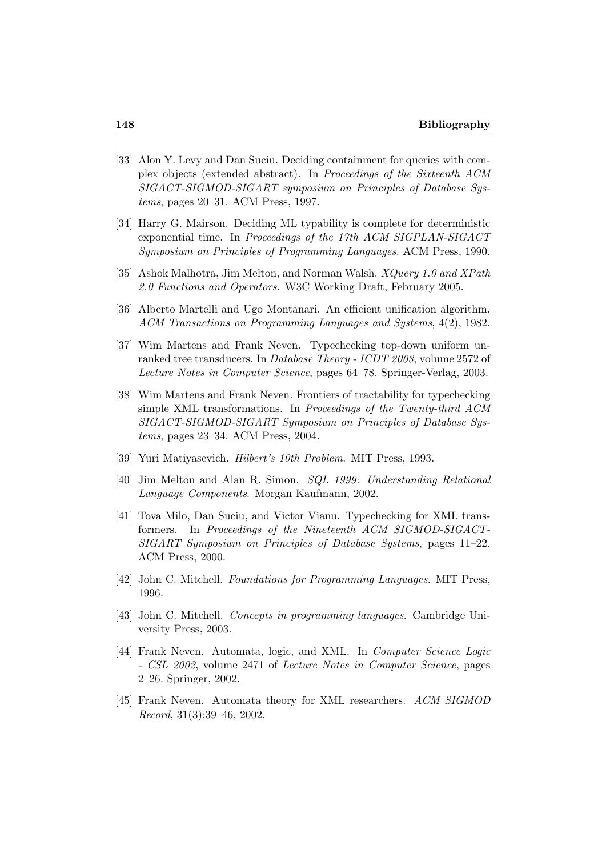- [33] Alon Y. Levy and Dan Suciu. Deciding containment for queries with complex objects (extended abstract). In Proceedings of the Sixteenth ACM SIGACT-SIGMOD-SIGART symposium on Principles of Database Systems, pages 20–31. ACM Press, 1997.
- [34] Harry G. Mairson. Deciding ML typability is complete for deterministic exponential time. In Proceedings of the 17th ACM SIGPLAN-SIGACT Symposium on Principles of Programming Languages. ACM Press, 1990.
- [35] Ashok Malhotra, Jim Melton, and Norman Walsh. XQuery 1.0 and XPath 2.0 Functions and Operators. W3C Working Draft, February 2005.
- [36] Alberto Martelli and Ugo Montanari. An efficient unification algorithm. ACM Transactions on Programming Languages and Systems, 4(2), 1982.
- [37] Wim Martens and Frank Neven. Typechecking top-down uniform unranked tree transducers. In Database Theory - ICDT 2003, volume 2572 of Lecture Notes in Computer Science, pages 64–78. Springer-Verlag, 2003.
- [38] Wim Martens and Frank Neven. Frontiers of tractability for typechecking simple XML transformations. In Proceedings of the Twenty-third ACM SIGACT-SIGMOD-SIGART Symposium on Principles of Database Systems, pages 23–34. ACM Press, 2004.
- [39] Yuri Matiyasevich. Hilbert's 10th Problem. MIT Press, 1993.
- [40] Jim Melton and Alan R. Simon. SQL 1999: Understanding Relational Language Components. Morgan Kaufmann, 2002.
- [41] Tova Milo, Dan Suciu, and Victor Vianu. Typechecking for XML transformers. In Proceedings of the Nineteenth ACM SIGMOD-SIGACT-SIGART Symposium on Principles of Database Systems, pages 11–22. ACM Press, 2000.
- [42] John C. Mitchell. Foundations for Programming Languages. MIT Press, 1996.
- [43] John C. Mitchell. Concepts in programming languages. Cambridge University Press, 2003.
- [44] Frank Neven. Automata, logic, and XML. In *Computer Science Logic* - CSL 2002, volume 2471 of Lecture Notes in Computer Science, pages 2–26. Springer, 2002.
- [45] Frank Neven. Automata theory for XML researchers. ACM SIGMOD Record, 31(3):39–46, 2002.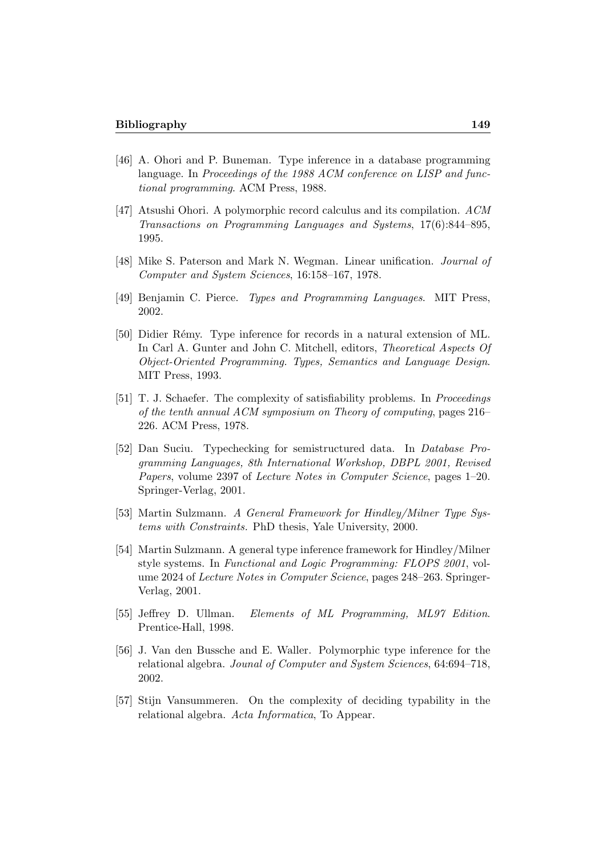- [46] A. Ohori and P. Buneman. Type inference in a database programming language. In Proceedings of the 1988 ACM conference on LISP and functional programming. ACM Press, 1988.
- [47] Atsushi Ohori. A polymorphic record calculus and its compilation. ACM Transactions on Programming Languages and Systems, 17(6):844–895, 1995.
- [48] Mike S. Paterson and Mark N. Wegman. Linear unification. Journal of Computer and System Sciences, 16:158–167, 1978.
- [49] Benjamin C. Pierce. Types and Programming Languages. MIT Press, 2002.
- [50] Didier R´emy. Type inference for records in a natural extension of ML. In Carl A. Gunter and John C. Mitchell, editors, Theoretical Aspects Of Object-Oriented Programming. Types, Semantics and Language Design. MIT Press, 1993.
- [51] T. J. Schaefer. The complexity of satisfiability problems. In Proceedings of the tenth annual ACM symposium on Theory of computing, pages 216– 226. ACM Press, 1978.
- [52] Dan Suciu. Typechecking for semistructured data. In Database Programming Languages, 8th International Workshop, DBPL 2001, Revised Papers, volume 2397 of Lecture Notes in Computer Science, pages 1–20. Springer-Verlag, 2001.
- [53] Martin Sulzmann. A General Framework for Hindley/Milner Type Systems with Constraints. PhD thesis, Yale University, 2000.
- [54] Martin Sulzmann. A general type inference framework for Hindley/Milner style systems. In Functional and Logic Programming: FLOPS 2001, volume 2024 of Lecture Notes in Computer Science, pages 248–263. Springer-Verlag, 2001.
- [55] Jeffrey D. Ullman. Elements of ML Programming, ML97 Edition. Prentice-Hall, 1998.
- [56] J. Van den Bussche and E. Waller. Polymorphic type inference for the relational algebra. Jounal of Computer and System Sciences, 64:694–718, 2002.
- [57] Stijn Vansummeren. On the complexity of deciding typability in the relational algebra. Acta Informatica, To Appear.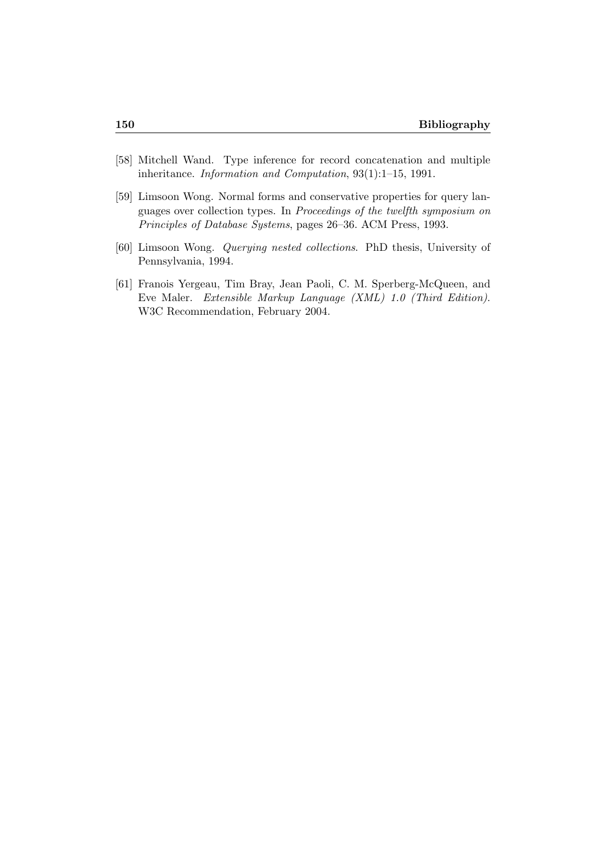- [58] Mitchell Wand. Type inference for record concatenation and multiple inheritance. Information and Computation, 93(1):1–15, 1991.
- [59] Limsoon Wong. Normal forms and conservative properties for query languages over collection types. In Proceedings of the twelfth symposium on Principles of Database Systems, pages 26–36. ACM Press, 1993.
- [60] Limsoon Wong. Querying nested collections. PhD thesis, University of Pennsylvania, 1994.
- [61] Franois Yergeau, Tim Bray, Jean Paoli, C. M. Sperberg-McQueen, and Eve Maler. Extensible Markup Language (XML) 1.0 (Third Edition). W3C Recommendation, February 2004.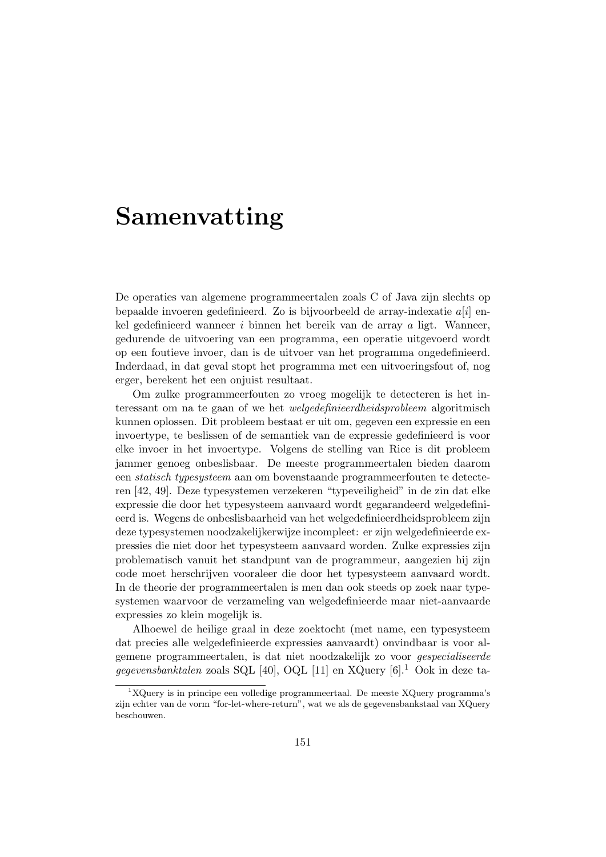## Samenvatting

De operaties van algemene programmeertalen zoals C of Java zijn slechts op bepaalde invoeren gedefinieerd. Zo is bijvoorbeeld de array-indexatie  $a[i]$  enkel gedefinieerd wanneer i binnen het bereik van de array a ligt. Wanneer, gedurende de uitvoering van een programma, een operatie uitgevoerd wordt op een foutieve invoer, dan is de uitvoer van het programma ongedefinieerd. Inderdaad, in dat geval stopt het programma met een uitvoeringsfout of, nog erger, berekent het een onjuist resultaat.

Om zulke programmeerfouten zo vroeg mogelijk te detecteren is het interessant om na te gaan of we het welgedefinieerdheidsprobleem algoritmisch kunnen oplossen. Dit probleem bestaat er uit om, gegeven een expressie en een invoertype, te beslissen of de semantiek van de expressie gedefinieerd is voor elke invoer in het invoertype. Volgens de stelling van Rice is dit probleem jammer genoeg onbeslisbaar. De meeste programmeertalen bieden daarom een statisch typesysteem aan om bovenstaande programmeerfouten te detecteren [42, 49]. Deze typesystemen verzekeren "typeveiligheid" in de zin dat elke expressie die door het typesysteem aanvaard wordt gegarandeerd welgedefinieerd is. Wegens de onbeslisbaarheid van het welgedefinieerdheidsprobleem zijn deze typesystemen noodzakelijkerwijze incompleet: er zijn welgedefinieerde expressies die niet door het typesysteem aanvaard worden. Zulke expressies zijn problematisch vanuit het standpunt van de programmeur, aangezien hij zijn code moet herschrijven vooraleer die door het typesysteem aanvaard wordt. In de theorie der programmeertalen is men dan ook steeds op zoek naar typesystemen waarvoor de verzameling van welgedefinieerde maar niet-aanvaarde expressies zo klein mogelijk is.

Alhoewel de heilige graal in deze zoektocht (met name, een typesysteem dat precies alle welgedefinieerde expressies aanvaardt) onvindbaar is voor algemene programmeertalen, is dat niet noodzakelijk zo voor gespecialiseerde gegevensbanktalen zoals SQL [40], OQL [11] en XQuery  $[6]$ <sup>1</sup> Ook in deze ta-

 ${}^{1}XQuery$  is in principe een volledige programmeertaal. De meeste XQuery programma's zijn echter van de vorm "for-let-where-return", wat we als de gegevensbankstaal van XQuery beschouwen.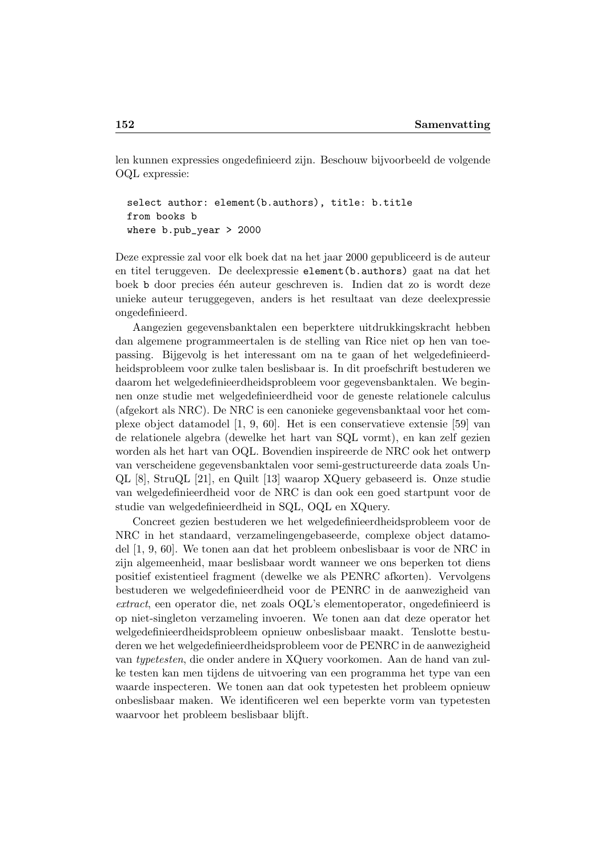len kunnen expressies ongedefinieerd zijn. Beschouw bijvoorbeeld de volgende OQL expressie:

```
select author: element(b.authors), title: b.title
from books b
where b.pub_year > 2000
```
Deze expressie zal voor elk boek dat na het jaar 2000 gepubliceerd is de auteur en titel teruggeven. De deelexpressie element(b.authors) gaat na dat het boek b door precies één auteur geschreven is. Indien dat zo is wordt deze unieke auteur teruggegeven, anders is het resultaat van deze deelexpressie ongedefinieerd.

Aangezien gegevensbanktalen een beperktere uitdrukkingskracht hebben dan algemene programmeertalen is de stelling van Rice niet op hen van toepassing. Bijgevolg is het interessant om na te gaan of het welgedefinieerdheidsprobleem voor zulke talen beslisbaar is. In dit proefschrift bestuderen we daarom het welgedefinieerdheidsprobleem voor gegevensbanktalen. We beginnen onze studie met welgedefinieerdheid voor de geneste relationele calculus (afgekort als NRC). De NRC is een canonieke gegevensbanktaal voor het complexe object datamodel [1, 9, 60]. Het is een conservatieve extensie [59] van de relationele algebra (dewelke het hart van SQL vormt), en kan zelf gezien worden als het hart van OQL. Bovendien inspireerde de NRC ook het ontwerp van verscheidene gegevensbanktalen voor semi-gestructureerde data zoals Un-QL [8], StruQL [21], en Quilt [13] waarop XQuery gebaseerd is. Onze studie van welgedefinieerdheid voor de NRC is dan ook een goed startpunt voor de studie van welgedefinieerdheid in SQL, OQL en XQuery.

Concreet gezien bestuderen we het welgedefinieerdheidsprobleem voor de NRC in het standaard, verzamelingengebaseerde, complexe object datamodel [1, 9, 60]. We tonen aan dat het probleem onbeslisbaar is voor de NRC in zijn algemeenheid, maar beslisbaar wordt wanneer we ons beperken tot diens positief existentieel fragment (dewelke we als PENRC afkorten). Vervolgens bestuderen we welgedefinieerdheid voor de PENRC in de aanwezigheid van extract, een operator die, net zoals OQL's elementoperator, ongedefinieerd is op niet-singleton verzameling invoeren. We tonen aan dat deze operator het welgedefinieerdheidsprobleem opnieuw onbeslisbaar maakt. Tenslotte bestuderen we het welgedefinieerdheidsprobleem voor de PENRC in de aanwezigheid van typetesten, die onder andere in XQuery voorkomen. Aan de hand van zulke testen kan men tijdens de uitvoering van een programma het type van een waarde inspecteren. We tonen aan dat ook typetesten het probleem opnieuw onbeslisbaar maken. We identificeren wel een beperkte vorm van typetesten waarvoor het probleem beslisbaar blijft.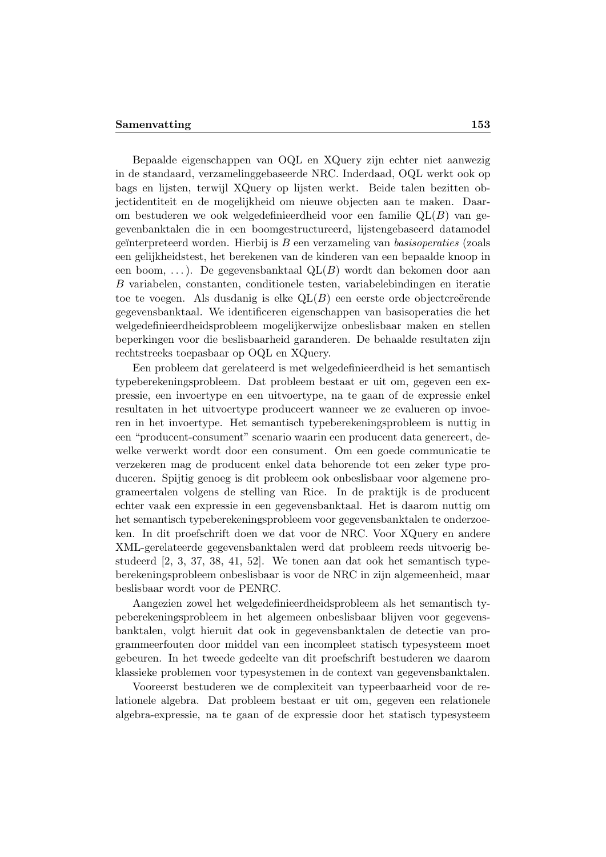#### Samenvatting 153

Bepaalde eigenschappen van OQL en XQuery zijn echter niet aanwezig in de standaard, verzamelinggebaseerde NRC. Inderdaad, OQL werkt ook op bags en lijsten, terwijl XQuery op lijsten werkt. Beide talen bezitten objectidentiteit en de mogelijkheid om nieuwe objecten aan te maken. Daarom bestuderen we ook welgedefinieerdheid voor een familie  $QL(B)$  van gegevenbanktalen die in een boomgestructureerd, lijstengebaseerd datamodel geïnterpreteerd worden. Hierbij is  $B$  een verzameling van basisoperaties (zoals een gelijkheidstest, het berekenen van de kinderen van een bepaalde knoop in een boom, ...). De gegevensbanktaal  $QL(B)$  wordt dan bekomen door aan B variabelen, constanten, conditionele testen, variabelebindingen en iteratie toe te voegen. Als dusdanig is elke  $QL(B)$  een eerste orde objectcreërende gegevensbanktaal. We identificeren eigenschappen van basisoperaties die het welgedefinieerdheidsprobleem mogelijkerwijze onbeslisbaar maken en stellen beperkingen voor die beslisbaarheid garanderen. De behaalde resultaten zijn rechtstreeks toepasbaar op OQL en XQuery.

Een probleem dat gerelateerd is met welgedefinieerdheid is het semantisch typeberekeningsprobleem. Dat probleem bestaat er uit om, gegeven een expressie, een invoertype en een uitvoertype, na te gaan of de expressie enkel resultaten in het uitvoertype produceert wanneer we ze evalueren op invoeren in het invoertype. Het semantisch typeberekeningsprobleem is nuttig in een "producent-consument" scenario waarin een producent data genereert, dewelke verwerkt wordt door een consument. Om een goede communicatie te verzekeren mag de producent enkel data behorende tot een zeker type produceren. Spijtig genoeg is dit probleem ook onbeslisbaar voor algemene programeertalen volgens de stelling van Rice. In de praktijk is de producent echter vaak een expressie in een gegevensbanktaal. Het is daarom nuttig om het semantisch typeberekeningsprobleem voor gegevensbanktalen te onderzoeken. In dit proefschrift doen we dat voor de NRC. Voor XQuery en andere XML-gerelateerde gegevensbanktalen werd dat probleem reeds uitvoerig bestudeerd [2, 3, 37, 38, 41, 52]. We tonen aan dat ook het semantisch typeberekeningsprobleem onbeslisbaar is voor de NRC in zijn algemeenheid, maar beslisbaar wordt voor de PENRC.

Aangezien zowel het welgedefinieerdheidsprobleem als het semantisch typeberekeningsprobleem in het algemeen onbeslisbaar blijven voor gegevensbanktalen, volgt hieruit dat ook in gegevensbanktalen de detectie van programmeerfouten door middel van een incompleet statisch typesysteem moet gebeuren. In het tweede gedeelte van dit proefschrift bestuderen we daarom klassieke problemen voor typesystemen in de context van gegevensbanktalen.

Vooreerst bestuderen we de complexiteit van typeerbaarheid voor de relationele algebra. Dat probleem bestaat er uit om, gegeven een relationele algebra-expressie, na te gaan of de expressie door het statisch typesysteem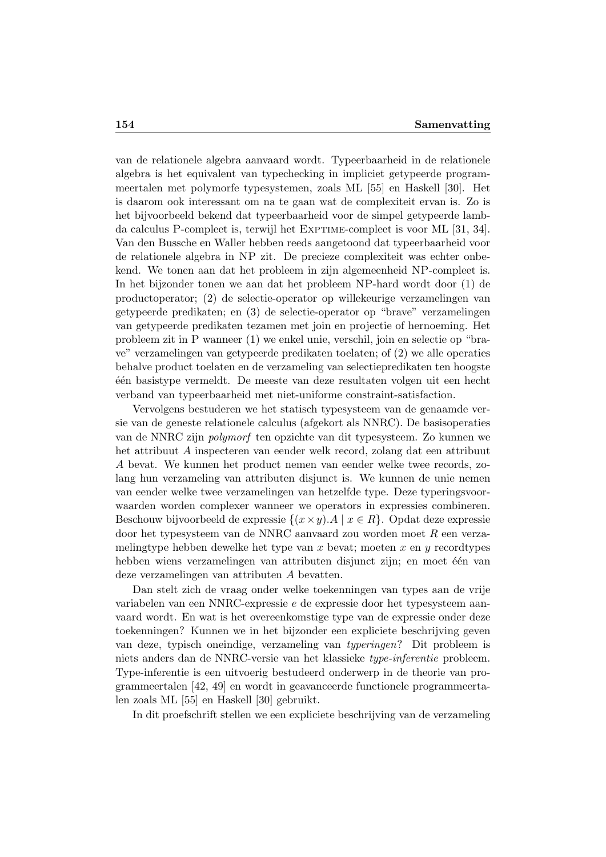van de relationele algebra aanvaard wordt. Typeerbaarheid in de relationele algebra is het equivalent van typechecking in impliciet getypeerde programmeertalen met polymorfe typesystemen, zoals ML [55] en Haskell [30]. Het is daarom ook interessant om na te gaan wat de complexiteit ervan is. Zo is het bijvoorbeeld bekend dat typeerbaarheid voor de simpel getypeerde lambda calculus P-compleet is, terwijl het EXPTIME-compleet is voor ML [31, 34]. Van den Bussche en Waller hebben reeds aangetoond dat typeerbaarheid voor de relationele algebra in NP zit. De precieze complexiteit was echter onbekend. We tonen aan dat het probleem in zijn algemeenheid NP-compleet is. In het bijzonder tonen we aan dat het probleem NP-hard wordt door (1) de productoperator; (2) de selectie-operator op willekeurige verzamelingen van getypeerde predikaten; en (3) de selectie-operator op "brave" verzamelingen van getypeerde predikaten tezamen met join en projectie of hernoeming. Het probleem zit in P wanneer (1) we enkel unie, verschil, join en selectie op "brave" verzamelingen van getypeerde predikaten toelaten; of (2) we alle operaties behalve product toelaten en de verzameling van selectiepredikaten ten hoogste ´e´en basistype vermeldt. De meeste van deze resultaten volgen uit een hecht verband van typeerbaarheid met niet-uniforme constraint-satisfaction.

Vervolgens bestuderen we het statisch typesysteem van de genaamde versie van de geneste relationele calculus (afgekort als NNRC). De basisoperaties van de NNRC zijn polymorf ten opzichte van dit typesysteem. Zo kunnen we het attribuut A inspecteren van eender welk record, zolang dat een attribuut A bevat. We kunnen het product nemen van eender welke twee records, zolang hun verzameling van attributen disjunct is. We kunnen de unie nemen van eender welke twee verzamelingen van hetzelfde type. Deze typeringsvoorwaarden worden complexer wanneer we operators in expressies combineren. Beschouw bijvoorbeeld de expressie  $\{(x \times y) \cdot A \mid x \in R\}$ . Opdat deze expressie door het typesysteem van de NNRC aanvaard zou worden moet  $R$  een verzamelingtype hebben dewelke het type van x bevat; moeten x en y recordtypes hebben wiens verzamelingen van attributen disjunct zijn; en moet één van deze verzamelingen van attributen A bevatten.

Dan stelt zich de vraag onder welke toekenningen van types aan de vrije variabelen van een NNRC-expressie e de expressie door het typesysteem aanvaard wordt. En wat is het overeenkomstige type van de expressie onder deze toekenningen? Kunnen we in het bijzonder een expliciete beschrijving geven van deze, typisch oneindige, verzameling van typeringen? Dit probleem is niets anders dan de NNRC-versie van het klassieke type-inferentie probleem. Type-inferentie is een uitvoerig bestudeerd onderwerp in de theorie van programmeertalen [42, 49] en wordt in geavanceerde functionele programmeertalen zoals ML [55] en Haskell [30] gebruikt.

In dit proefschrift stellen we een expliciete beschrijving van de verzameling